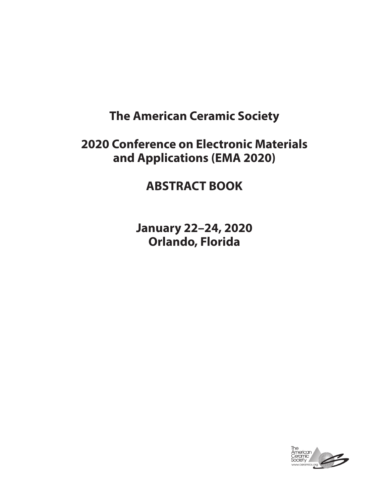# **The American Ceramic Society**

# **2020 Conference on Electronic Materials and Applications (EMA 2020)**

# **ABSTRACT BOOK**

**January 22–24, 2020 Orlando, Florida**

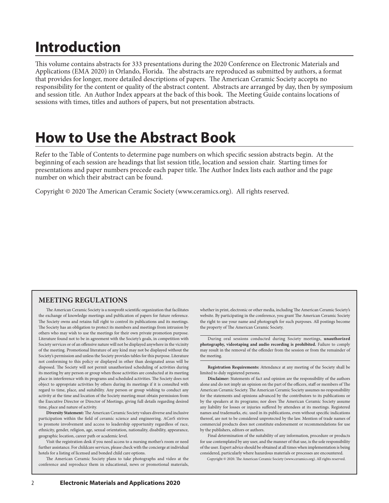# **Introduction**

This volume contains abstracts for 333 presentations during the 2020 Conference on Electronic Materials and Applications (EMA 2020) in Orlando, Florida. The abstracts are reproduced as submitted by authors, a format that provides for longer, more detailed descriptions of papers. The American Ceramic Society accepts no responsibility for the content or quality of the abstract content. Abstracts are arranged by day, then by symposium and session title. An Author Index appears at the back of this book. The Meeting Guide contains locations of sessions with times, titles and authors of papers, but not presentation abstracts.

# **How to Use the Abstract Book**

Refer to the Table of Contents to determine page numbers on which specific session abstracts begin. At the beginning of each session are headings that list session title, location and session chair. Starting times for presentations and paper numbers precede each paper title. The Author Index lists each author and the page number on which their abstract can be found.

Copyright © 2020 The American Ceramic Society (www.ceramics.org). All rights reserved.

## **MEETING REGULATIONS**

The American Ceramic Society is a nonprofit scientific organization that facilitates the exchange of knowledge meetings and publication of papers for future reference. The Society owns and retains full right to control its publications and its meetings. The Society has an obligation to protect its members and meetings from intrusion by others who may wish to use the meetings for their own private promotion purpose. Literature found not to be in agreement with the Society's goals, in competition with Society services or of an offensive nature will not be displayed anywhere in the vicinity of the meeting. Promotional literature of any kind may not be displayed without the Society's permission and unless the Society provides tables for this purpose. Literature not conforming to this policy or displayed in other than designated areas will be disposed. The Society will not permit unauthorized scheduling of activities during its meeting by any person or group when those activities are conducted at its meeting place in interference with its programs and scheduled activities. The Society does not object to appropriate activities by others during its meetings if it is consulted with regard to time, place, and suitability. Any person or group wishing to conduct any activity at the time and location of the Society meeting must obtain permission from the Executive Director or Director of Meetings, giving full details regarding desired time, place and nature of activity.

**Diversity Statement:** The American Ceramic Society values diverse and inclusive participation within the field of ceramic science and engineering. ACerS strives to promote involvement and access to leadership opportunity regardless of race, ethnicity, gender, religion, age, sexual orientation, nationality, disability, appearance, geographic location, career path or academic level.

Visit the registration desk if you need access to a nursing mother's room or need further assistance. For childcare services, please check with the concierge at individual hotels for a listing of licensed and bonded child care options.

The American Ceramic Society plans to take photographs and video at the conference and reproduce them in educational, news or promotional materials, whether in print, electronic or other media, including The American Ceramic Society's website. By participating in the conference, you grant The American Ceramic Society the right to use your name and photograph for such purposes. All postings become the property of The American Ceramic Society.

During oral sessions conducted during Society meetings, **unauthorized photography, videotaping and audio recording is prohibited.** Failure to comply may result in the removal of the offender from the session or from the remainder of the meeting.

**Registration Requirements:** Attendance at any meeting of the Society shall be limited to duly registered persons.

**Disclaimer:** Statements of fact and opinion are the responsibility of the authors alone and do not imply an opinion on the part of the officers, staff or members of The American Ceramic Society. The American Ceramic Society assumes no responsibility for the statements and opinions advanced by the contributors to its publications or by the speakers at its programs; nor does The American Ceramic Society assume any liability for losses or injuries suffered by attendees at its meetings. Registered names and trademarks, etc. used in its publications, even without specific indications thereof, are not to be considered unprotected by the law. Mention of trade names of commercial products does not constitute endorsement or recommendations for use by the publishers, editors or authors.

Final determination of the suitability of any information, procedure or products for use contemplated by any user, and the manner of that use, is the sole responsibility of the user. Expert advice should be obtained at all times when implementation is being considered, particularly where hazardous materials or processes are encountered.

Copyright © 2020. The American Ceramic Society (www.ceramics.org). All rights reserved.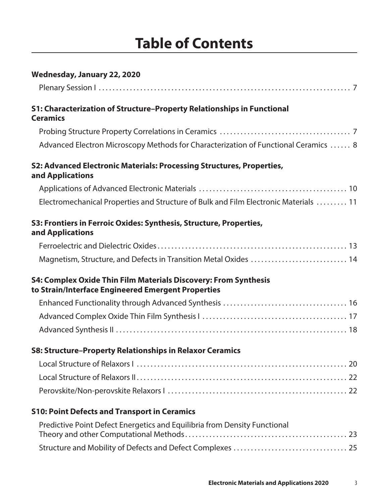# **Table of Contents**

| Wednesday, January 22, 2020                                                                                                  |
|------------------------------------------------------------------------------------------------------------------------------|
|                                                                                                                              |
| <b>S1: Characterization of Structure-Property Relationships in Functional</b><br><b>Ceramics</b>                             |
|                                                                                                                              |
| Advanced Electron Microscopy Methods for Characterization of Functional Ceramics  8                                          |
| S2: Advanced Electronic Materials: Processing Structures, Properties,<br>and Applications                                    |
|                                                                                                                              |
| Electromechanical Properties and Structure of Bulk and Film Electronic Materials  11                                         |
| S3: Frontiers in Ferroic Oxides: Synthesis, Structure, Properties,<br>and Applications                                       |
|                                                                                                                              |
| Magnetism, Structure, and Defects in Transition Metal Oxides  14                                                             |
| <b>S4: Complex Oxide Thin Film Materials Discovery: From Synthesis</b><br>to Strain/Interface Engineered Emergent Properties |
|                                                                                                                              |
|                                                                                                                              |
|                                                                                                                              |
| <b>S8: Structure-Property Relationships in Relaxor Ceramics</b>                                                              |
|                                                                                                                              |
|                                                                                                                              |
|                                                                                                                              |
| <b>S10: Point Defects and Transport in Ceramics</b>                                                                          |
| Predictive Point Defect Energetics and Equilibria from Density Functional                                                    |
|                                                                                                                              |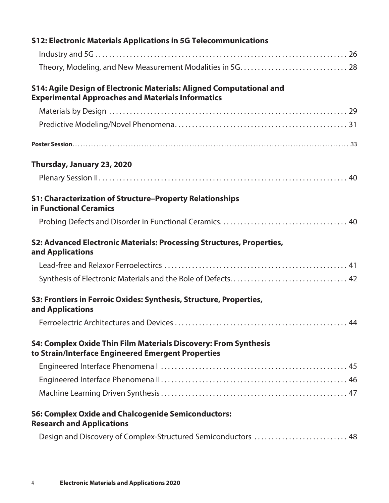| S14: Agile Design of Electronic Materials: Aligned Computational and<br><b>Experimental Approaches and Materials Informatics</b><br>Thursday, January 23, 2020<br><b>S1: Characterization of Structure-Property Relationships</b><br>in Functional Ceramics<br>S2: Advanced Electronic Materials: Processing Structures, Properties,<br>and Applications<br>S3: Frontiers in Ferroic Oxides: Synthesis, Structure, Properties,<br>and Applications<br><b>S4: Complex Oxide Thin Film Materials Discovery: From Synthesis</b><br>to Strain/Interface Engineered Emergent Properties | <b>S12: Electronic Materials Applications in 5G Telecommunications</b> |
|------------------------------------------------------------------------------------------------------------------------------------------------------------------------------------------------------------------------------------------------------------------------------------------------------------------------------------------------------------------------------------------------------------------------------------------------------------------------------------------------------------------------------------------------------------------------------------|------------------------------------------------------------------------|
|                                                                                                                                                                                                                                                                                                                                                                                                                                                                                                                                                                                    |                                                                        |
|                                                                                                                                                                                                                                                                                                                                                                                                                                                                                                                                                                                    |                                                                        |
|                                                                                                                                                                                                                                                                                                                                                                                                                                                                                                                                                                                    |                                                                        |
|                                                                                                                                                                                                                                                                                                                                                                                                                                                                                                                                                                                    |                                                                        |
|                                                                                                                                                                                                                                                                                                                                                                                                                                                                                                                                                                                    |                                                                        |
|                                                                                                                                                                                                                                                                                                                                                                                                                                                                                                                                                                                    |                                                                        |
|                                                                                                                                                                                                                                                                                                                                                                                                                                                                                                                                                                                    |                                                                        |
|                                                                                                                                                                                                                                                                                                                                                                                                                                                                                                                                                                                    |                                                                        |
|                                                                                                                                                                                                                                                                                                                                                                                                                                                                                                                                                                                    |                                                                        |
|                                                                                                                                                                                                                                                                                                                                                                                                                                                                                                                                                                                    |                                                                        |
|                                                                                                                                                                                                                                                                                                                                                                                                                                                                                                                                                                                    |                                                                        |
|                                                                                                                                                                                                                                                                                                                                                                                                                                                                                                                                                                                    |                                                                        |
|                                                                                                                                                                                                                                                                                                                                                                                                                                                                                                                                                                                    |                                                                        |
|                                                                                                                                                                                                                                                                                                                                                                                                                                                                                                                                                                                    |                                                                        |
|                                                                                                                                                                                                                                                                                                                                                                                                                                                                                                                                                                                    |                                                                        |
|                                                                                                                                                                                                                                                                                                                                                                                                                                                                                                                                                                                    |                                                                        |
|                                                                                                                                                                                                                                                                                                                                                                                                                                                                                                                                                                                    |                                                                        |
|                                                                                                                                                                                                                                                                                                                                                                                                                                                                                                                                                                                    |                                                                        |
|                                                                                                                                                                                                                                                                                                                                                                                                                                                                                                                                                                                    |                                                                        |
| <b>S6: Complex Oxide and Chalcogenide Semiconductors:</b><br><b>Research and Applications</b>                                                                                                                                                                                                                                                                                                                                                                                                                                                                                      |                                                                        |
| Design and Discovery of Complex-Structured Semiconductors  48                                                                                                                                                                                                                                                                                                                                                                                                                                                                                                                      |                                                                        |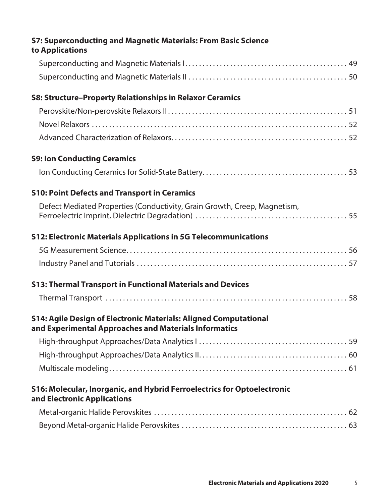| <b>S7: Superconducting and Magnetic Materials: From Basic Science</b>                                                            |  |
|----------------------------------------------------------------------------------------------------------------------------------|--|
| to Applications                                                                                                                  |  |
|                                                                                                                                  |  |
|                                                                                                                                  |  |
| <b>S8: Structure-Property Relationships in Relaxor Ceramics</b>                                                                  |  |
|                                                                                                                                  |  |
|                                                                                                                                  |  |
|                                                                                                                                  |  |
| <b>S9: Ion Conducting Ceramics</b>                                                                                               |  |
|                                                                                                                                  |  |
| <b>S10: Point Defects and Transport in Ceramics</b>                                                                              |  |
| Defect Mediated Properties (Conductivity, Grain Growth, Creep, Magnetism,                                                        |  |
| <b>S12: Electronic Materials Applications in 5G Telecommunications</b>                                                           |  |
|                                                                                                                                  |  |
|                                                                                                                                  |  |
| <b>S13: Thermal Transport in Functional Materials and Devices</b>                                                                |  |
|                                                                                                                                  |  |
| <b>S14: Agile Design of Electronic Materials: Aligned Computational</b><br>and Experimental Approaches and Materials Informatics |  |
|                                                                                                                                  |  |
|                                                                                                                                  |  |
|                                                                                                                                  |  |
| S16: Molecular, Inorganic, and Hybrid Ferroelectrics for Optoelectronic<br>and Electronic Applications                           |  |
|                                                                                                                                  |  |
|                                                                                                                                  |  |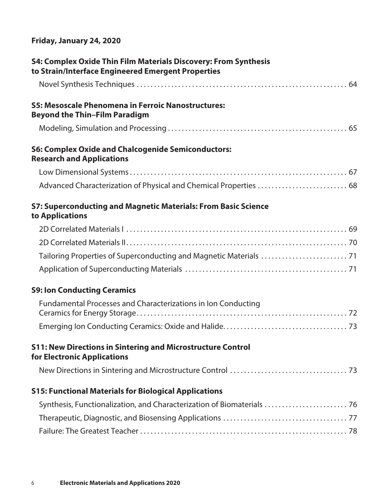# **Friday, January 24, 2020**

| <b>S4: Complex Oxide Thin Film Materials Discovery: From Synthesis</b><br>to Strain/Interface Engineered Emergent Properties |
|------------------------------------------------------------------------------------------------------------------------------|
|                                                                                                                              |
| <b>S5: Mesoscale Phenomena in Ferroic Nanostructures:</b><br><b>Beyond the Thin-Film Paradigm</b>                            |
|                                                                                                                              |
| <b>S6: Complex Oxide and Chalcogenide Semiconductors:</b><br><b>Research and Applications</b>                                |
|                                                                                                                              |
| Advanced Characterization of Physical and Chemical Properties  68                                                            |
| <b>S7: Superconducting and Magnetic Materials: From Basic Science</b><br>to Applications                                     |
|                                                                                                                              |
|                                                                                                                              |
|                                                                                                                              |
|                                                                                                                              |
| <b>S9: Ion Conducting Ceramics</b>                                                                                           |
| Fundamental Processes and Characterizations in Ion Conducting                                                                |
|                                                                                                                              |
| <b>S11: New Directions in Sintering and Microstructure Control</b><br>for Electronic Applications                            |
|                                                                                                                              |
| <b>S15: Functional Materials for Biological Applications</b>                                                                 |
| Synthesis, Functionalization, and Characterization of Biomaterials  76                                                       |
|                                                                                                                              |
|                                                                                                                              |
|                                                                                                                              |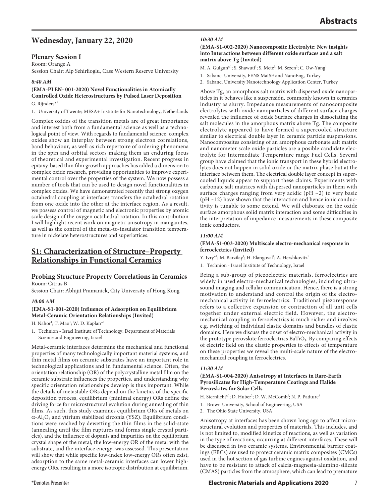# **Wednesday, January 22, 2020**

## **Plenary Session I**

Room: Orange A Session Chair: Alp Sehirlioglu, Case Western Reserve University

## *8:40 AM*

## **(EMA-PLEN- 001-2020) Novel Functionalities in Atomically Controlled Oxide Heterostructures by Pulsed Laser Deposition**

## G. Rijnders\*1

1. University of Twente, MESA+ Institute for Nanotechnology, Netherlands

Complex oxides of the transition metals are of great importance and interest both from a fundamental science as well as a technological point of view. With regards to fundamental science, complex oxides show an interplay between strong electron correlations, band behaviour, as well as rich repertoire of ordering phenomena in the spin and orbital sectors making them an enduring focus of theoretical and experimental investigation. Recent progress in epitaxy-based thin film growth approaches has added a dimension to complex oxide research, providing opportunities to improve experimental control over the properties of the system. We now possess a number of tools that can be used to design novel functionalities in complex oxides. We have demonstrated recently that strong oxygen octahedral coupling at interfaces transfers the octahedral rotation from one oxide into the other at the interface region. As a result, we possess control of magnetic and electronic properties by atomic scale design of the oxygen octahedral rotation. In this contribution I will highlight recent work on magnetic anisotropy in manganites, as well as the control of the metal-to-insulator transition temperature in nickelate heterostructures and superlattices.

## **S1: Characterization of Structure–Property Relationships in Functional Ceramics**

## **Probing Structure Property Correlations in Ceramics** Room: Citrus B

Session Chair: Abhijit Pramanick, City University of Hong Kong

## *10:00 AM*

## **(EMA-S1-001-2020) Influence of Adsorption on Equilibrium Metal-Ceramic Orientation Relationships (Invited)**

H. Nahor<sup>1</sup>; T. Mao<sup>1</sup>; W. D. Kaplan\*<sup>1</sup>

1. Technion - Israel Institute of Technology, Department of Materials Science and Engineering, Israel

Metal-ceramic interfaces determine the mechanical and functional properties of many technologically important material systems, and thin metal films on ceramic substrates have an important role in technological applications and in fundamental science. Often, the orientation relationship (OR) of the polycrystalline metal film on the ceramic substrate influences the properties, and understanding why specific orientation relationships develop is thus important. While the details of metastable ORs depend on the kinetics of the specific deposition process, equilibrium (minimal energy) ORs define the driving force for microstructural evolution during annealing of thin films. As such, this study examines equilibrium ORs of metals on  $\alpha$ -Al<sub>2</sub>O<sub>3</sub> and yttrium stabilized zirconia (YSZ). Equilibrium conditions were reached by dewetting the thin films in the solid-state (annealing until the film ruptures and forms single crystal particles), and the influence of dopants and impurities on the equilibrium crystal shape of the metal, the low-energy OR of the metal with the substrate, and the interface energy, was assessed. This presentation will show that while specific low-index low-energy ORs often exist, adsorption to the same metal-ceramic interfaces can lower highenergy ORs, resulting in a more isotropic distribution at equilibrium.

## **(EMA-S1-002-2020) Nanocomposite Electrolyte: New insights into Interactions between different oxide surfaces and a salt matrix above Tg (Invited)**

M. A. Gulgun<sup>\*1</sup>; S. Shawuti<sup>1</sup>; S. Mete<sup>1</sup>; M. Sezen<sup>2</sup>; C. Ow-Yang<sup>1</sup>

- 1. Sabanci University, FENS MatSE and NanoEng, Turkey
- 2. Sabanci University Nanotechnology Application Center, Turkey

Above Tg, an amorphous salt matrix with dispersed oxide nanoparticles in it behaves like a suspensión, commonly known in ceramics industry as slurry. Impedance measurements of nanocomposite electrolytes with oxide nanoparticles of different surface charges revealed the influence of oxide Surface charges in dissociating the salt molecules in the amorphous matrix above Tg. The composite electrolyte appeared to have formed a supercooled structure similar to electrical double layer in ceramic particle suspensions. Nanocomposites consisting of an amorphous carbonate salt matrix and nanometer scale oxide particles are a posible candidate electrolyte for Intermediate Temperature range Fuel Cells. Several group have claimed that the ionic transport in these hybrid electrolytes does not happen in solid oxide or the matrix phase but at the interface between them. The electrical double layer concept in supercooled liquids appear to support these claims. Experiments with carbonate salt matrices with dispersed nanoparticles in them with surface charges ranging from very acidic (pH  $\sim$ 2) to very basic ( $pH \sim 12$ ) have shown that the interaction and hence ionic conductivity is tunable to some extend. We will elaborate on the oxide surface amorphous solid matrix interaction and some difficulties in the interpretation of impedance measurements in these composite ionic conductors.

## *11:00 AM*

## **(EMA-S1-003-2020) Multiscale electro-mechanical response in ferroelectrics (Invited)**

Y. Ivry\*<sup>1</sup>; M. Barzilay<sup>1</sup>; H. Elangoval<sup>1</sup>; A. Hershkovitz<sup>1</sup>

1. Technion - Israel Institute of Technology, Israel

Being a sub-group of piezoelectric materials, ferroelectrics are widely in used electro-mechanical technologies, including ultrasound imaging and cellular communication. Hence, there is a strong motivation to understand and control the origin of the electromechanical activity in ferroelectrics. Traditional piezoresponse refers to a collective expansion or contraction of all unit cells together under external electric field. However, the electromechanical coupling in ferroelectrics is much richer and involves e.g. switching of individual elastic domains and bundles of elastic domains. Here we discuss the onset of electro-mechanical activity in the prototype perovskite ferroelectrics BaTiO<sub>3</sub>. By comparing effects of electric field on the elastic properties to effects of temperature on these properties we reveal the multi-scale nature of the electromechanical coupling in ferroelectrics.

## *11:30 AM*

## **(EMA-S1-004-2020) Anisotropy at Interfaces in Rare-Earth Pyrosilicates for High-Temperature Coatings and Halide Perovskites for Solar Cells**

- H. Sternlicht\*<sup>1</sup>; D. Huber<sup>2</sup>; D. W. McComb<sup>2</sup>; N. P. Padture<sup>1</sup>
- 1. Brown University, School of Engineering, USA
- 2. The Ohio State University, USA

Anisotropy at interfaces has been shown long ago to affect microstructural evolution and properties of materials. This includes, and is not limited to, modified kinetics of reactions, as well as variation in the type of reactions, occurring at different interfaces. These will be discussed in two ceramic systems. Environmental barrier coatings (EBCs) are used to protect ceramic matrix composites (CMCs) used in the hot section of gas turbine engines against oxidation, and have to be resistant to attack of calcia-magnesia-alumino-silicate (CMAS) particles from the atmosphere, which can lead to premature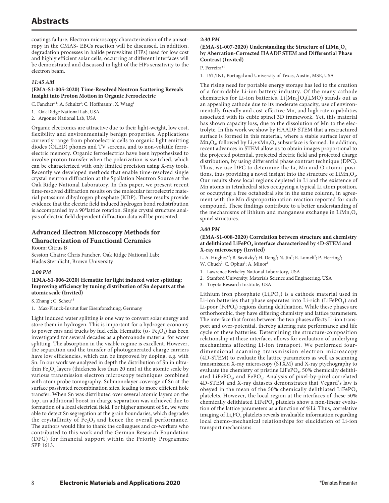coatings failure. Electron microscopy characterization of the anisotropy in the CMAS- EBCs reaction will be discussed. In addition, degradation processes in halide perovskites (HPs) used for low cost and highly efficient solar cells, occurring at different interfaces will be demonstrated and discussed in light of the HPs sensitivity to the electron beam.

#### *11:45 AM*

## **(EMA-S1-005-2020) Time-Resolved Neutron Scattering Reveals Insight into Proton Motion in Organic Ferroelectric**

C. Fancher\*<sup>1</sup>; A. Schultz<sup>2</sup>; C. Hoffmann<sup>1</sup>; X. Wang<sup>1</sup>

- 1. Oak Ridge National Lab, USA
- 2. Argonne National Lab, USA

Organic electronics are attractive due to their light-weight, low cost, flexibility and environmentally benign properties. Applications currently range from photoelectric cells to organic light emitting diodes (OLED) phones and TV screens, and to non-volatile ferroelectric memory. Organic ferroelectrics have been hypothesized to involve proton transfer when the polarization is switched, which can be characterized with only limited precision using X-ray tools. Recently we developed methods that enable time-resolved single crystal neutron diffraction at the Spallation Neutron Source at the Oak Ridge National Laboratory. In this paper, we present recent time-resolved diffraction results on the molecular ferroelectric material potassium dihydrogen phosphate (KDP). These results provide evidence that the electric field induced hydrogen bond redistribution is accompanied by a 90°lattice rotation. Single crystal structure analysis of electric field dependent diffraction data will be presented.

## **Advanced Electron Microscopy Methods for**

## **Characterization of Functional Ceramics**

Room: Citrus B

Session Chairs: Chris Fancher, Oak Ridge National Lab; Hadas Sternlicht, Brown University

## *2:00 PM*

**(EMA-S1-006-2020) Hematite for light induced water splitting: Improving efficiency by tuning distribution of Sn dopants at the atomic scale (Invited)**

S. Zhang<sup>1</sup>; C. Scheu<sup>\*1</sup>

1. Max-Planck-Insitut fuer Eisenforschung, Germany

Light induced water splitting is one way to convert solar energy and store them in hydrogen. This is important for a hydrogen economy to power cars and trucks by fuel cells. Hematite ( $\alpha$ - Fe<sub>2</sub>O<sub>3</sub>) has been investigated for several decades as a photoanode material for water splitting. The absorption in the visible regime is excellent. However, the separation and the transfer of photogenerated charge carriers have low efficiencies, which can be improved by doping, e.g. with Sn. In our work we analyzed in depth the distribution of Sn in ultrathin Fe<sub>2</sub>O<sub>3</sub> layers (thickness less than 20 nm) at the atomic scale by various transmission electron microscopy techniques combined with atom probe tomography. Submonolayer coverage of Sn at the surface passivated recombination sites, leading to more efficient hole transfer. When Sn was distributed over several atomic layers on the top, an additional boost in charge separation was achieved due to formation of a local electrical field. For higher amount of Sn, we were able to detect Sn segregation at the grain boundaries, which degrades the crystallinity of  $Fe<sub>2</sub>O<sub>3</sub>$  and hence the overall performance. The authors would like to thank the colleagues and co-workers who contributed to this work and the German Research Foundation (DFG) for financial support within the Priority Programme SPP 1613.

## *2:30 PM*

## (EMA-S1-007-2020) Understanding the Structure of LiMn<sub>2</sub>O<sub>4</sub> **by Aberration-Corrected HAADF STEM and Differential Phase Contrast (Invited)**

P. Ferreira\*1

1. IST/INL, Portugal and University of Texas, Austin, MSE, USA

The rising need for portable energy storage has led to the creation of a formidable Li-ion battery industry. Of the many cathode chemistries for Li-ion batteries,  $Li[Mn<sub>2</sub>]O<sub>4</sub>(LMO)$  stands out as an appealing cathode due to its moderate capacity, use of environmentally-friendly and cost-effective Mn, and high rate capabilities associated with its cubic spinel 3D framework. Yet, this material has shown capacity loss, due to the dissolution of Mn to the electrolyte. In this work we show by HAADF STEM that a restructured surface is formed in this material, where a stable surface layer of  $Mn_3O_4$ , followed by Li<sub>1</sub>+xMn<sub>2</sub>O<sub>4</sub> subsurface is formed. In addition, recent advances in STEM allow us to obtain images proportional to the projected potential, projected electric field and projected charge distribution, by using differential phase contrast technique (DPC). Thus, we use DPC to determine the Li, Mn and O atomic positions, thus providing a novel insight into the structure of  $Lim<sub>2</sub>O<sub>4</sub>$ . Our results show local regions depleted in Li and the existence of Mn atoms in tetrahedral sites occupying a typical Li atom position, or occupying a free octahedral site in the same column, in agreement with the Mn disproportionation reaction reported for such compound. These findings contribute to a better understanding of the mechanisms of lithium and manganese exchange in  $LiMn<sub>2</sub>O<sub>4</sub>$ spinel structures.

## *3:00 PM*

## **(EMA-S1-008-2020) Correlation between structure and chemistry**  at delithiated LiFePO<sub>4</sub> interface characterized by 4D-STEM and **X-ray microscopy (Invited)**

L. A. Hughes<sup>\*1</sup>; B. Savitzky<sup>1</sup>; H. Deng<sup>2</sup>; N. Jin<sup>2</sup>; E. Lomeli<sup>2</sup>; P. Herring<sup>3</sup>; W. Chueh<sup>2</sup>; C. Ophus<sup>1</sup>; A. Minor<sup>1</sup>

- 1. Lawrence Berkeley National Laboratory, USA
- 2. Stanford University, Materials Science and Engineering, USA
- 3. Toyota Research Institute, USA

Lithium iron phosphate  $(Li_xPO_4)$  is a cathode material used in Li-ion batteries that phase separates into Li-rich (LiFePO<sub>4</sub>) and Li-poor (FePO<sub>4</sub>) regions during delithiation. While these phases are orthorhombic, they have differing chemistry and lattice parameters. The interface that forms between the two phases affects Li-ion transport and over-potential, thereby altering rate performance and life cycle of these batteries. Determining the structure-composition relationship at these interfaces allows for evaluation of underlying mechanisms affecting Li-ion transport. We performed fourdimensional scanning transmission electron microscopy (4D-STEM) to evaluate the lattice parameters as well as scanning transmission X-ray microscopy (STXM) and X-ray ptychography to evaluate the chemistry of pristine LiFePO<sub>4</sub>, 50% chemically delithiated LiFePO<sub>4</sub>, and FePO<sub>4</sub>. Analysis of pixel-by-pixel correlated 4D-STEM and X-ray datasets demonstrates that Vegard's law is obeyed in the mean of the 50% chemically delithiated LiFePO<sub>4</sub> platelets. However, the local region at the nterfaces of these 50% chemically delithiated LiFePO<sub>4</sub> platelets show a non-linear evolution of the lattice parameters as a function of %Li. Thus, correlative imaging of  $Li_xPO_4$  platelets reveals invaluable information regarding local chemo-mechanical relationships for elucidation of Li-ion transport mechanisms.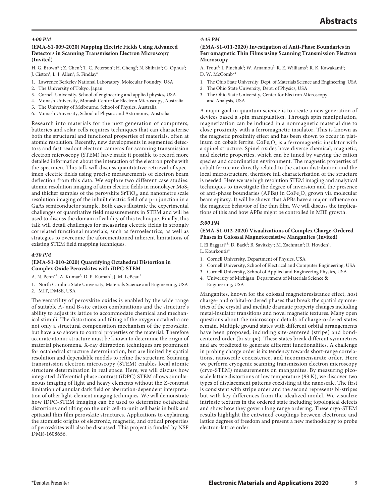## *4:00 PM*

## **(EMA-S1-009-2020) Mapping Electric Fields Using Advanced Detectors in Scanning Transmission Electron Microscopy (Invited)**

H. G. Brown\*<sup>1</sup>; Z. Chen<sup>3</sup>; T. C. Peterson<sup>4</sup>; H. Cheng<sup>4</sup>; N. Shibata<sup>2</sup>; C. Ophus<sup>1</sup>; J. Ciston<sup>1</sup>; L. J. Allen<sup>5</sup>; S. Findlay<sup>6</sup>

- 1. Lawrence Berkeley National Laboratory, Molecular Foundry, USA
- 2. The University of Tokyo, Japan
- 3. Cornell University, School of engineering and applied physics, USA
- 4. Monash University, Monash Centre for Electron Microscopy, Australia
- 5. The University of Melbourne, School of Physics, Australia
- 6. Monash University, School of Physics and Astronomy, Australia

Research into materials for the next generation of computers, batteries and solar cells requires techniques that can characterise both the structural and functional properties of materials, often at atomic resolution. Recently, new developments in segmented detectors and fast readout electron cameras for scanning transmission electron microscopy (STEM) have made it possible to record more detailed information about the interaction of the electron probe with the specimen. This talk will discuss quantitative retrieval of specimen electric fields using precise measurements of electron beam deflection from this data. We explore two different case studies: atomic resolution imaging of atom electric fields in monolayer  $MoS<sub>2</sub>$ and thicker samples of the perovskite  $SrTiO<sub>3</sub>$ , and nanometre scale resolution imaging of the inbuilt electric field of a p-n junction in a GaAs semiconductor sample. Both cases illustrate the experimental challenges of quantitative field measurements in STEM and will be used to discuss the domain of validity of this technique. Finally, this talk will detail challenges for measuring electric fields in strongly correlated functional materials, such as ferroelectrics, as well as strategies to overcome the aforementioned inherent limitations of existing STEM field mapping techniques.

## *4:30 PM*

#### **(EMA-S1-010-2020) Quantifying Octahedral Distortion in Complex Oxide Perovskites with iDPC-STEM**

A. N. Penn<sup>\*1</sup>; A. Kumar<sup>2</sup>; D. P. Kumah<sup>1</sup>; J. M. LeBeau<sup>2</sup>

1. North Carolina State University, Materials Science and Engineering, USA 2. MIT, DMSE, USA

The versatility of perovskite oxides is enabled by the wide range of suitable A- and B-site cation combinations and the structure's ability to adjust its lattice to accommodate chemical and mechanical stimuli. The distortions and tilting of the oxygen octahedra are not only a structural compensation mechanism of the perovskite, but have also shown to control properties of the material. Therefore accurate atomic structure must be known to determine the origin of material phenomena. X-ray diffraction techniques are prominent for octahedral structure determination, but are limited by spatial resolution and dependable models to refine the structure. Scanning transmission electron microscopy (STEM) enables local atomic structure determination in real space. Here, we will discuss how integrated differential phase contrast (iDPC) STEM allows simultaneous imaging of light and heavy elements without the Z-contrast limitation of annular dark field or aberration-dependent interpretation of other light-element imaging techniques. We will demonstrate how iDPC-STEM imaging can be used to determine octahedral distortions and tilting on the unit cell-to-unit cell basis in bulk and epitaxial thin film perovskite structures. Applications to explaining the atomistic origins of electronic, magnetic, and optical properties of perovskites will also be discussed. This project is funded by NSF DMR-1608656.

## *4:45 PM*

#### **(EMA-S1-011-2020) Investigation of Anti-Phase Boundaries in Ferromagnetic Thin Films using Scanning Transmission Electron Microscopy**

- A. Trout<sup>1</sup>; I. Pinchuk<sup>2</sup>; W. Amamou<sup>2</sup>; R. E. Williams<sup>3</sup>; R. K. Kawakami<sup>2</sup>; D. W. McComb<sup>\*</sup>
- 1. The Ohio State University, Dept. of Materials Science and Engineering, USA
- 2. The Ohio State University, Dept. of Physics, USA
- 3. The Ohio State University, Center for Electron Microscopy and Analysis, USA

A major goal in quantum science is to create a new generation of devices based a spin manipulation. Through spin manipulation, magnetization can be induced in a nonmagnetic material due to close proximity with a ferromagnetic insulator. This is known as the magnetic proximity effect and has been shown to occur in platinum on cobalt ferrite.  $\text{CoFe}_2\text{O}_4$  is a ferromagnetic insulator with a spinel structure. Spinel oxides have diverse chemical, magnetic, and electric properties, which can be tuned by varying the cation species and coordination environment. The magnetic properties of cobalt ferrite are directly related to the cation distribution and the local microstructure, therefore full characterization of the structure is needed. Here we use high resolution STEM imaging and analytical techniques to investigate the degree of inversion and the presence of anti-phase boundaries (APBs) in CoFe<sub>2</sub>O<sub>4</sub> grown via molecular beam epitaxy. It will be shown that APBs have a major influence on the magnetic behavior of the thin film. We will discuss the implications of this and how APBs might be controlled in MBE growth.

#### *5:00 PM*

#### **(EMA-S1-012-2020) Visualizations of Complex Charge-Ordered Phases in Colossal Magnetoresistive Manganites (Invited)**

I. El Baggari<sup>\*1</sup>; D. Baek<sup>2</sup>; B. Savitzky<sup>1</sup>; M. Zachman<sup>3</sup>; R. Hovden<sup>4</sup>; L. Kourkoutis<sup>3</sup>

- 1. Cornell University, Department of Physics, USA
- 2. Cornell University, School of Electrical and Computer Engineering, USA
- 3. Cornell University, School of Applied and Engineering Physics, USA
- 4. University of Michigan, Department of Materials Science & Engineering, USA

Manganites, known for the colossal magnetoresistance effect, host charge- and orbital-ordered phases that break the spatial symmetries of the crystal and mediate dramatic property changes including metal-insulator transitions and novel magnetic textures. Many open questions about the microscopic details of charge-ordered states remain. Multiple ground states with different orbital arrangements have been proposed, including site-centered (stripe) and bondcentered order (bi-stripe). These states break different symmetries and are predicted to generate different functionalities. A challenge in probing charge order is its tendency towards short-range correlations, nanoscale coexistence, and incommensurate order. Here we perform cryogenic scanning transmission electron microscopy (cryo-STEM) measurements on manganites. By measuring picoscale lattice distortions at low temperature (93 K), we discover two types of displacement patterns coexisting at the nanoscale. The first is consistent with stripe order and the second represents bi-stripes but with key differences from the idealized model. We visualize intrinsic textures in the ordered state including topological defects and show how they govern long range ordering. These cryo-STEM results highlight the entwined couplings between electronic and lattice degrees of freedom and present a new methodology to probe electron-lattice order.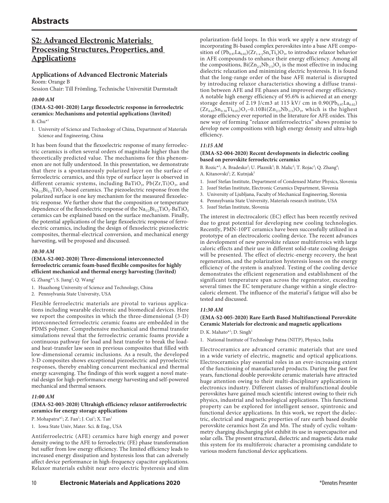## **S2: Advanced Electronic Materials: Processing Structures, Properties, and Applications**

## **Applications of Advanced Electronic Materials** Room: Orange B

Session Chair: Till Frömling, Technische Universität Darmstadt

## *10:00 AM*

## **(EMA-S2-001-2020) Large flexoelectric response in ferroelectric ceramics: Mechanisms and potential applications (Invited)**

 $B. Chu^{*1}$ 

1. University of Science and Technology of China, Department of Materials Science and Engineering, China

It has been found that the flexoelectric response of many ferroelectric ceramics is often several orders of magnitude higher than the theoretically predicted value. The mechanisms for this phenomenon are not fully understood. In this presentation, we demonstrate that there is a spontaneously polarized layer on the surface of ferroelectric ceramics, and this type of surface layer is observed in different ceramic systems, including BaTiO<sub>3</sub>, Pb(Zr,Ti)O<sub>3</sub>, and Na<sub>1/2</sub>Bi<sub>1/2</sub>TiO<sub>3</sub>-based ceramics. The piezoelectric response from the polarized surface is one key mechanism for the measured flexoelectric response. We further show that the composition or temperature dependence of the flexoelectric response of the  $\text{Na}_{1/2}\text{Bi}_{1/2}\text{TiO}_3$ -BaTiO<sub>3</sub> ceramics can be explained based on the surface mechanism. Finally, the potential applications of the large flexoelectric response of ferroelectric ceramics, including the design of flexoelectric piezoelectric composites, thermal-electrical conversion, and mechanical energy harvesting, will be proposed and discussed.

## *10:30 AM*

#### **(EMA-S2-002-2020) Three-dimensional interconnected ferroelectric ceramic foam-based flexible composites for highly efficient mechanical and thermal energy harvesting (Invited)**

G. Zhang $*^1$ ; S. Jiang $^1$ ; Q. Wang $^2$ 

- 1. Huazhong University of Science and Technology, China
- 2. Pennsylvania State University, USA

Flexible ferroelectric materials are pivotal to various applications including wearable electronic and biomedical devices. Here we report the composites in which the three-dimensional (3-D) interconnected ferroelectric ceramic foams are embedded in the PDMS polymer. Comprehensive mechanical and thermal transfer simulations reveal that the ferroelectric ceramic foams provide a continuous pathway for load and heat transfer to break the loadand heat-transfer law seen in previous composites that filled with low-dimensional ceramic inclusions. As a result, the developed 3-D composites shows exceptional piezoelectric and pyroelectric responses, thereby enabling concurrent mechanical and thermal energy scavenging. The findings of this work suggest a novel material design for high-performance energy harvesting and self-powered mechanical and thermal sensors.

## *11:00 AM*

## **(EMA-S2-003-2020) Ultrahigh efficiency relaxor antiferroelectric ceramics for energy storage applications**

- P. Mohapatra\*<sup>1</sup>; Z. Fan<sup>1</sup>; J. Cui<sup>1</sup>; X. Tan<sup>1</sup>
- 1. Iowa State Univ, Mater. Sci. & Eng., USA

Antiferroelectric (AFE) ceramics have high energy and power density owing to the AFE to ferroelectric (FE) phase transformation but suffer from low energy efficiency. The limited efficiency leads to increased energy dissipation and hysteresis loss that can adversely affect device performance in high-frequency capacitor applications. Relaxor materials exhibit near zero electric hysteresis and slim

polarization-field loops. In this work we apply a new strategy of incorporating Bi-based complex perovskites into a base AFE composition of  $(Pb_{0.97}La_{0.02})(Zr_{1-xy}Sn_xTi_y)O_3$ , to introduce relaxor behavior in AFE compounds to enhance their energy efficiency. Among all the compositions,  $Bi(Zn_{2/3}Nb_{1/3})O_3$  is the most effective in inducing dielectric relaxation and minimizing electric hysteresis. It is found that the long-range order of the base AFE material is disrupted by introducing relaxor characteristics showing a diffuse transition between AFE and FE phases and improved energy efficiency. A notable high energy efficiency of 95.6% is achieved at an energy storage density of 2.19 J/cm3 at 115 kV/ cm in  $0.90(Pb_{0.97}La_{0.02})$  $(Zr_{0.65}Sn_{0.30}Ti_{0.05})O_3-0.10Bi(Zn_{2/3}Nb_{1/3})O_3$ , which is the highest storage efficiency ever reported in the literature for AFE oxides. This new way of forming "relaxor antiferroelectrics" shows promise to develop new compositions with high energy density and ultra-high efficiency.

## *11:15 AM*

## **(EMA-S2-004-2020) Recent developments in dielectric cooling based on perovskite ferroelectric ceramics**

B. Rozic<sup>\*1</sup>; A. Bradesko<sup>2</sup>; U. Plaznik<sup>3</sup>; B. Malic<sup>2</sup>; T. Rojac<sup>2</sup>; Q. Zhang<sup>4</sup>; A. Kitanovski<sup>3</sup>; Z. Kutnjak<sup>5</sup>

- 1. Jozef Stefan Institute, Department of Condensed Matter Physics, Slovenia
- 2. Jozef Stefan Institute, Electronic Ceramics Department, Slovenia
- 3. University of Ljubljana, Faculty of Mechanical Engineering, Slovenia
- 4. Pennsylvania State University, Materials research institute, USA
- 5. Jozef Stefan Institute, Slovenia

The interest in electrocaloric (EC) effect has been recently revived due to great potential for developing new cooling technologies. Recently, PMN-10PT ceramics have been successfully utilized in a prototype of an electrocaloric cooling device. The recent advances in development of new perovskite relaxor multiferroics with large caloric effects and their use in different solid-state cooling designs will be presented. The effect of electric-energy recovery, the heat regeneration, and the polarization hysteresis losses on the energy efficiency of the system is analyzed. Testing of the cooling device demonstrates the efficient regeneration and establishment of the significant temperature span across the regenerator, exceeding several times the EC temperature change within a single electrocaloric element. The influence of the material's fatigue will also be tested and discussed.

## *11:30 AM*

## **(EMA-S2-005-2020) Rare Earth Based Multifunctional Perovskite Ceramic Materials for electronic and magnetic applications**

D. K. Mahato<sup>\*1</sup>; D. Singh<sup>1</sup>

1. National Institute of Technology Patna (NITP), Physics, India

Electroceramics are advanced ceramic materials that are used in a wide variety of electric, magnetic and optical applications. Electroceramics play essential roles in an ever-increasing extent of the functioning of manufactured products. During the past few years, functional double perovskite ceramic materials have attracted huge attention owing to their multi-disciplinary applications in electronics industry. Different classes of multifunctional double perovskites have gained much scientific interest owing to their rich physics, industrial and technological applications. This functional property can be explored for intelligent sensor, spintronic and functional device applications. In this work, we report the dielectric, electrical and magnetic properties of rare earth based double perovskite ceramics host Zn and Mn. The study of cyclic voltammetry charging discharging plot exhibit its use in supercapacitor and solar cells. The present structural, dielectric and magnetic data make this system for its multiferroic character a promising candidate to various modern functional device applications.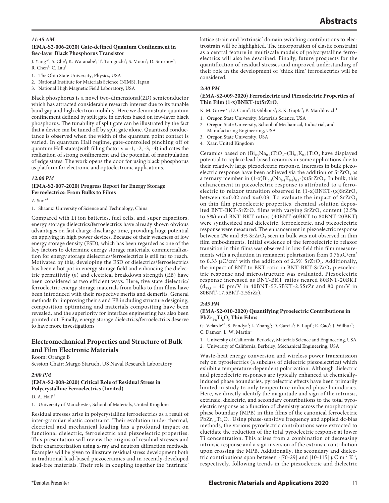## **(EMA-S2-006-2020) Gate-defined Quantum Confinement in few-layer Black Phosphorus Transistor**

J. Yang<sup>\*1</sup>; S. Che<sup>1</sup>; K. Watanabe<sup>2</sup>; T. Taniguchi<sup>2</sup>; S. Moon<sup>3</sup>; D. Smirnov<sup>3</sup>; R. Chen<sup>1</sup>; C. Lau<sup>1</sup>

- 1. The Ohio State University, Physics, USA
- 2. National Institute for Materials Science (NIMS), Japan
- 3. National High Magnetic Field Laboratory, USA

Black phosphorus is a novel two-dimensional(2D) semiconductor which has attracted considerable research interest due to its tunable band gap and high electron mobility. Here we demonstrate quantum confinement defined by split gate in devices based on few-layer black phosphorus. The tunability of split gate can be illustrated by the fact that a device can be tuned off by split gate alone. Quantized conductance is observed when the width of the quantum point contact is varied. In quantum Hall regime, gate-controlled pinching off of quantum Hall states(with filling factor  $v = -1, -2, -3, -4$ ) indicates the realization of strong confinement and the potential of manipulation of edge states. The work opens the door for using black phosphorus as platform for electronic and optoelectronic applications.

*12:00 PM*

## **(EMA-S2-007-2020) Progress Report for Energy Storage Ferroelectrics: From Bulks to Films**

Z. Sun\*1

1. Shaanxi University of Science and Technology, China

Compared with Li ion batteries, fuel cells, and super capacitors, energy storage dielectrics/ferroelectrics have already shown obvious advantages on fast charge-discharge time, providing huge potential on applying in high power devices. Because of their weakness of low energy storage density (ESD), which has been regarded as one of the key factors to determine energy storage materials, commercialization for energy storage dielectrics/ferroelectrics is still far to reach. Motivated by this, developing the ESD of dielectrics/ferroelectrics has been a hot pot in energy storage field and enhancing the dielectric permittivity (ε) and electrical breakdown strength (EB) have been considered as two efficient ways. Here, five state dielectric/ ferroelectric energy storage materials from bulks to thin films have been introduced with their respective merits and demerits. General methods for improving their ε and EB including structure designing, composition optimizing and materials compositing have been revealed, and the superiority for interface engineering has also been pointed out. Finally, energy storage dielectrics/ferroelectrics deserve to have more investigations

## **Electromechanical Properties and Structure of Bulk and Film Electronic Materials**

Room: Orange B

Session Chair: Margo Staruch, US Naval Research Laboratory

## *2:00 PM*

## **(EMA-S2-008-2020) Critical Role of Residual Stress in Polycrystalline Ferroelectrics (Invited)**

D. A. Hall\*1

1. University of Manchester, School of Materials, United Kingdom

Residual stresses arise in polycrystalline ferroelectrics as a result of inter-granular elastic constraint. Their evolution under thermal, electrical and mechanical loading has a profound impact on functional dielectric, ferroelectric and piezoelectric properties. This presentation will review the origins of residual stresses and their characterisation using x-ray and neutron diffraction methods. Examples will be given to illustrate residual stress development both in traditional lead-based piezoceramics and in recently-developed lead-free materials. Their role in coupling together the 'intrinsic'

lattice strain and 'extrinsic' domain switching contributions to electrostrain will be highlighted. The incorporation of elastic constraint as a central feature in multiscale models of polycrystalline ferroelectrics will also be described. Finally, future prospects for the quantification of residual stresses and improved understanding of their role in the development of 'thick film' ferroelectrics will be considered.

## *2:30 PM*

## **(EMA-S2-009-2020) Ferroelectric and Piezoelectric Properties of**  Thin Film  $(1-x)$ BNKT- $(x)$ SrZrO<sub>3</sub>

K. M. Grove\*<sup>1</sup>; D. Cann<sup>2</sup>; B. Gibbons<sup>3</sup>; S. K. Gupta<sup>2</sup>; P. Mardilovich<sup>4</sup>

- 1. Oregon State University, Materials Science, USA
- 2. Oregon State University, School of Mechanical, Industrial, and Manufacturing Engineering, USA
- 3. Oregon State University, USA
- 4. Xaar, United Kingdom

Ceramics based on  $(Bi_{0.5}Na_{0.5})TiO_3-(Bi_{0.5}K_{0.5})TiO_3$  have displayed potential to replace lead-based ceramics in some applications due to their relatively large piezoelectric response. Increases in bulk piezoelectric response have been achieved via the addition of  $SrZrO<sub>3</sub>$  as a ternary member in  $(1-x)Bi_{0.5}(Na_{0.4}K_{0.6})_{0.5}-(x)SrZrO_3$ . In bulk, this enhancement in piezoelectric response is attributed to a ferroelectric to relaxor transition observed in  $(1-x)$ BNKT- $(x)$ SrZrO<sub>3</sub> between  $x=0.02$  and  $x=0.03$ . To evaluate the impact of  $SrZrO<sub>3</sub>$ on thin film piezoelectric properties, chemical solution deposited BNT-BKT-SrZrO<sub>3</sub> films with varying SrZrO<sub>3</sub> content (2.5% to 5%) and BNT-BKT ratios (40BNT-60BKT to 80BNT-20BKT) were synthesized and dielectric, ferroelectric, and piezoelectric response were measured. The enhancement in piezoelectric response between 2% and 3%  $SrZrO<sub>3</sub>$  seen in bulk was not observed in thin film embodiments. Initial evidence of the ferroelectric to relaxor transition in thin films was observed in low-field thin film measurements with a reduction in remanent polarization from 0.76μC/cm<sup>2</sup> to 0.33  $\mu$ C/cm<sup>2</sup> with the addition of 2.5% SrZrO<sub>3</sub>. Additionally, the impact of BNT to BKT ratio in BNT-BKT-SrZrO<sub>3</sub> piezoelectric response and microstructure was evaluated. Piezoelectric response increased as BNT-BKT ratios neared 80BNT-20BKT  $(d_{33,f} = 40 \text{ pm/V}$  in  $40BNT - 57.5BKT - 2.5SrZr$  and 80 pm/V in 80BNT-17.5BKT-2.5SrZr).

## *2:45 PM*

## **(EMA-S2-010-2020) Quantifying Pyroelectric Contributions in**   $PbZr_{1-x}Ti_xO_3$  Thin Films

G. Velarde<sup>\*1</sup>; S. Pandya<sup>1</sup>; L. Zhang<sup>1</sup>; D. Garcia<sup>1</sup>; E. Lupi<sup>1</sup>; R. Gao<sup>1</sup>; J. Wilbur<sup>2</sup>; C. Dames<sup>2</sup>; L. W. Martin<sup>1</sup>

1. University of California, Berkeley, Materials Science and Engineering, USA

2. University of California, Berkeley, Mechanical Engineering, USA

Waste-heat energy conversion and wireless power transmission rely on pyroelectrics (a subclass of dielectric piezoelectrics) which exhibit a temperature-dependent polarization. Although dielectric and piezoelectric responses are typically enhanced at chemicallyinduced phase boundaries, pyroelectric effects have been primarily limited in study to only temperature-induced phase boundaries. Here, we directly identify the magnitude and sign of the intrinsic, extrinsic, dielectric, and secondary contributions to the total pyroelectric response as a function of chemistry across the morphotropic phase boundary (MPB) in thin films of the canonical ferroelectric  $PbZr_{1-x}Ti_xO_3$ . Using phase-sensitive frequency and applied dc-bias methods, the various pyroelectric contributions were extracted to elucidate the reduction of the total pyroelectric response at lower Ti concentration. This arises from a combination of decreasing intrinsic response and a sign inversion of the extrinsic contribution upon crossing the MPB. Additionally, the secondary and dielectric contributions span between -[70-29] and [10-115]  $\mu$ C m<sup>-2</sup> K<sup>-1</sup>, respectively, following trends in the piezoelectric and dielectric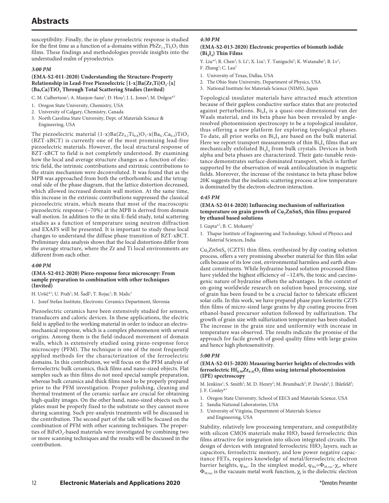susceptibility. Finally, the in-plane pyroelectric response is studied for the first time as a function of a-domains within  $PbZr_{1-x}Ti_xO_3$  thin films. These findings and methodologies provide insights into the understudied realm of pyroelectrics.

#### *3:00 PM*

## **(EMA-S2-011-2020) Understanding the Structure-Property Relationship in Lead-Free Piezoelectric [1-x]Ba(Zr,Ti)O<sub>3</sub>-[x]** (Ba,Ca)TiO<sub>3</sub> Through Total Scattering Studies (Invited)

C. M. Culbertson<sup>1</sup>; A. Manjon-Sanz<sup>1</sup>; D. Hou<sup>3</sup>; J. L. Jones<sup>3</sup>; M. Dolgos<sup>\*2</sup>

- 1. Oregon State University, Chemistry, USA
- 2. University of Calgary, Chemistry, Canada
- 3. North Carolina State University, Dept. of Materials Science & Engineering, USA

The piezoelectric material  $(1-x)Ba(Zr_{0.2}Ti_{0.8})O_3-x(Ba_{0.7}Ca_{0.3})TiO_3$ (BZT-xBCT) is currently one of the most promising lead-free piezoelectric materials. However, the local structural response of BZT-xBCT to field is not completely understood. By examining how the local and average structure changes as a function of electric field, the intrinsic contributions and extrinsic contributions to the strain mechanism were deconvoluted. It was found that as the MPB was approached from both the orthorhombic and the tetragonal side of the phase diagram, that the lattice distortion decreased, which allowed increased domain wall motion. At the same time, this increase in the extrinsic contributions suppressed the classical piezoelectric strain, which means that most of the macroscopic piezoelectric response (~70%) at the MPB is derived from domain wall motion. In addition to the in situ E-field study, total scattering studies as a function of temperature using neutron diffraction and EXAFS will be presented. It is important to study these local changes to understand the diffuse phase transition of BZT-xBCT. Preliminary data analysis shows that the local distortions differ from the average structure, where the Zr and Ti local environments are different from each other.

## *4:00 PM*

## **(EMA-S2-012-2020) Piezo-response force microscopy: From sample preparation to combination with other techniques (Invited)**

H. Uršič\*<sup>1</sup>; U. Prah<sup>1</sup>; M. Šadl<sup>1</sup>; T. Rojac<sup>1</sup>; B. Malic<sup>1</sup>

1. Jozef Stefan Institute, Electronic Ceramics Department, Slovenia

Piezoelectric ceramics have been extensively studied for sensors, transducers and caloric devices. In these applications, the electric field is applied to the working material in order to induce an electromechanical response, which is a complex phenomenon with several origins. Among them is the field-induced movement of domain walls, which is extensively studied using piezo-response force microscopy (PFM). The technique is one of the most frequently applied methods for the characterization of the ferroelectric domains. In this contribution, we will focus on the PFM analysis of ferroelectric bulk ceramics, thick films and nano-sized objects. Flat samples such as thin films do not need special sample preparation, whereas bulk ceramics and thick films need to be properly prepared prior to the PFM investigation. Proper polishing, cleaning and thermal treatment of the ceramic surface are crucial for obtaining high-quality images. On the other hand, nano-sized objects such as plates must be properly fixed to the substrate so they cannot move during scanning. Such pre-analysis treatments will be discussed in the contribution. The second part of the talk will be focused on the combination of PFM with other scanning techniques. The properties of BiFeO<sub>3</sub>-based materials were investigated by combining two or more scanning techniques and the results will be discussed in the contribution.

## *4:30 PM*

## **(EMA-S2-013-2020) Electronic properties of bismuth iodide (Bi4I4) Thin Films**

Y. Liu<sup>\*2</sup>; R. Chen<sup>2</sup>; S. Li<sup>1</sup>; X. Liu<sup>1</sup>; T. Taniguchi<sup>3</sup>; K. Watanabe<sup>3</sup>; B. Lv<sup>1</sup>; F. Zhang<sup>1</sup>; C. Lau<sup>2</sup>

- 1. University of Texas, Dallas, USA
- 2. The Ohio State University, Department of Physics, USA
- 3. National Institute for Materials Science (NIMS), Japan

Topological insulator materials have attracted much attention because of their gapless conductive surface states that are protected against perturbations.  $Bi<sub>4</sub>I<sub>4</sub>$  is a quasi-one-dimensional van der Waals material, and its beta phase has been revealed by angleresolved photoemission spectroscopy to be a topological insulator, thus offering a new platform for exploring topological phases. To date, all prior works on  $Bi_4I_4$  are based on the bulk material. Here we report transport measurements of thin  $Bi<sub>4</sub>I<sub>4</sub>$  films that are mechanically exfoliated  $Bi_4I_4$  from bulk crystals. Devices in both alpha and beta phases are characterized. Their gate-tunable resistance demonstrates surface-dominated transport, which is further supported by the observation of weak antilocalization in magnetic fields. Moreover, the increase of the resistance in beta phase below 20K suggests that the inelastic scattering process at low temperature is dominated by the electron-electron interaction.

## *4:45 PM*

## **(EMA-S2-014-2020) Influencing mechanism of sulfurization**  temperature on grain growth of Cu<sub>2</sub>ZnSnS<sub>4</sub> thin films prepared **by ethanol based solutions**

I. Gupta\*<sup>1</sup>; B. C. Mohanty<sup>1</sup>

1. Thapar Institute of Engineering and Technology, School of Physics and Material Sciences, India

 $Cu<sub>2</sub>ZnSnS<sub>4</sub>$  (CZTS) thin films, synthesized by dip coating solution process, offers a very promising absorber material for thin film solar cells because of its low cost, environmental harmless and earth abundant constituents. While hydrazine based solution processed films have yielded the highest efficiency of ~12.6%, the toxic and carcinogenic nature of hydrazine offsets the advantages. In the context of on-going worldwide research on solution based processing, size of grain has been found to be a crucial factor to fabricate efficient solar cells. In this work, we have prepared phase pure kesterite CZTS thin films of micro-sized large grains by dip coating process from ethanol-based precursor solution followed by sulfurization. The growth of grain size with sulfurization temperature has been studied. The increase in the grain size and uniformity with increase in temperature was observed. The results indicate the promise of the approach for facile growth of good quality films with large grains and hence high photosensitivity.

#### *5:00 PM*

#### **(EMA-S2-015-2020) Measuring barrier heights of electrodes with ferroelectric**  $\text{Hf}_{0.58}\text{Zr}_{0.42}\text{O}_2$  **films using internal photoemission (IPE) spectroscopy**

M. Jenkins<sup>1</sup>; S. Smith<sup>2</sup>; M. D. Henry<sup>2</sup>; M. Brumbach<sup>2</sup>; P. Davids<sup>2</sup>; J. Ihlefeld<sup>3</sup>; J. F. Conley\*1

- 1. Oregon State University, School of EECS and Materials Science, USA
- 2. Sandia National Laboratories, USA
- 3. University of Virginia, Department of Materials Science and Engineering, USA

Stability, relatively low processing temperature, and compatibility with silicon CMOS materials make  $HfO<sub>2</sub>$  based ferroelectric thin films attractive for integration into silicon integrated circuits. The design of devices with integrated ferroelectric  $HfO<sub>2</sub>$  layers, such as capacitors, ferroelectric memory, and low power negative capacitance FETs, requires knowledge of metal/ferroelectric electron barrier heights,  $\phi_{\text{\tiny Bn}}.$  In the simplest model,  $\phi_{\text{\tiny Bn}}$ = $\Phi_{\text{\tiny M,vac}}$ - $\chi_{\text{\tiny i}},$  where  $\Phi_{M,\text{vac}}$  is the vacuum metal work function,  $\chi_i$  is the dielectric electron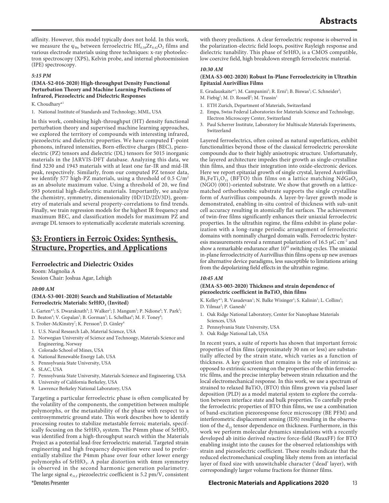affinity. However, this model typically does not hold. In this work, we measure the  $\varphi_{Bn}$  between ferroelectric  $Hf_{0.58}Zr_{0.42}O_2$  films and various electrode materials using three techniques: x-ray photoelectron spectroscopy (XPS), Kelvin probe, and internal photoemission (IPE) spectroscopy.

## *5:15 PM*

## **(EMA-S2-016-2020) High-throughput Density Functional Perturbation Theory and Machine Learning Predictions of Infrared, Piezoelectric and Dielectric Responses**

## K. Choudhary\*1

1. National Institute of Standards and Technology, MML, USA

In this work, combining high-throughput (HT) density functional perturbation theory and supervised machine learning approaches, we explored the territory of compounds with interesting infrared, piezoelectric and dielectric properties. We have computed Γ-point phonons, infrared intensities, Born-effective charges (BEC), piezoelectric (PZ) tensors and dielectric (DL) tensors for 5015 inorganic materials in the JARVIS-DFT database. Analyzing this data, we find 3230 and 1943 materials with at least one far-IR and mid-IR peak, respectively. Similarly, from our computed PZ tensor data, we identify 577 high-PZ materials, using a threshold of 0.5 C/m<sup>2</sup> as an absolute maximum value. Using a threshold of 20, we find 593 potential high-dielectric materials. Importantly, we analyze the chemistry, symmetry, dimensionality (0D/1D/2D/3D), geometry of materials and several property-correlations to find trends. Finally, we train regression models for the highest IR frequency and maximum BEC, and classification models for maximum PZ and average DL tensors to systematically accelerate materials screening.

## **S3: Frontiers in Ferroic Oxides: Synthesis, Structure, Properties, and Applications**

## **Ferroelectric and Dielectric Oxides**

Room: Magnolia A Session Chair: Joshua Agar, Lehigh

## *10:00 AM*

## **(EMA-S3-001-2020) Search and Stabilization of Metastable**  Ferroelectric Materials: SrHfO<sub>3</sub> (Invited)

- L. Garten\*<sup>1</sup>; S. Dwaraknath<sup>9</sup>; J. Walker<sup>2</sup>; J. Mangum<sup>3</sup>; P. Ndione<sup>4</sup>; Y. Park<sup>5</sup>;
- D. Beaton<sup>4</sup>; V. Gopalan<sup>5</sup>; B. Gorman<sup>3</sup>; L. Schelhas<sup>6</sup>; M. F. Toney<sup>6</sup>;
- S. Trolier-McKinstry<sup>7</sup>; K. Persson<sup>8</sup>; D. Ginley<sup>4</sup>
- 1. U.S. Naval Research Lab, Material Science, USA
- 2. Norwegian University of Science and Technoogy, Materials Science and Engineering, Norway
- 3. Colorado School of Mines, USA
- 4. National Renewable Energy Lab, USA
- 5. Pennsylvania State University, USA
- 6. SLAC, USA
- 7. Pennsylvania State University, Materials Scienece and Engineering, USA
- 8. University of California Berkeley, USA
- 9. Lawrence Berkeley National Laboratory, USA

Targeting a particular ferroelectric phase is often complicated by the volatility of the components, the competition between multiple polymorphs, or the metastability of the phase with respect to a centrosymmetric ground state. This work describes how to identify processing routes to stabilize metastable ferroic materials, specifically focusing on the SrHfO<sub>3</sub> system. The P4mm phase of SrHfO<sub>3</sub> was identified from a high-throughput search within the Materials Project as a potential lead-free ferroelectric material. Targeted strain engineering and high frequency deposition were used to preferentially stabilize the P4mm phase over four other lower energy polymorphs of SrHfO<sub>3</sub>. A polar distortion with 4mm symmetry is observed in the second harmonic generation polarimetry. The large signal  $e_{31,f}$  piezoelectric coefficient is 5.2 pm/V, consistent with theory predictions. A clear ferroelectric response is observed in the polarization-electric field loops, positive Rayleigh response and dielectric tunability. This phase of  $SrHfO<sub>3</sub>$  is a CMOS compatible, low coercive field, high breakdown strength ferroelectric material.

#### *10:30 AM*

#### **(EMA-S3-002-2020) Robust In-Plane Ferroelectricity in Ultrathin Epitaxial Aurivillius Films**

E. Gradauskaite\*<sup>1</sup>; M. Campanini<sup>2</sup>; R. Erni<sup>2</sup>; B. Biswas<sup>3</sup>; C. Schneider<sup>3</sup>;

- M. Fiebig<sup>1</sup>; M. D. Rossell<sup>2</sup>; M. Trassin<sup>1</sup>
- 1. ETH Zurich, Department of Materials, Switzerland
- 2. Empa, Swiss Federal Laboratories for Materials Science and Technology, Electron Microscopy Center, Switzerland
- 3. Paul Scherrer Institute, Laboratory for Multiscale Materials Experiments, Switzerland

Layered ferroelectrics, often coined as natural superlattices, exhibit functionalities beyond those of the classical ferroelectric perovskite compounds due to their highly anisotropic structure. Unfortunately, the layered architecture impedes their growth as single-crystalline thin films, and thus their integration into oxide-electronic devices. Here we report epitaxial growth of single crystal, layered Aurivillius  $Bi<sub>5</sub>FeTi<sub>3</sub>O<sub>15</sub>$  (BFTO) thin films on a lattice matching NdGaO<sub>3</sub> (NGO) (001)-oriented substrate. We show that growth on a latticematched orthorhombic substrate supports the single crystalline form of Aurivillius compounds. A layer-by-layer growth mode is demonstrated, enabling in-situ control of thickness with sub-unit cell accuracy resulting in atomically flat surfaces. The achievement of twin-free films significantly enhances their uniaxial ferroelectric properties. In the ultrathin regime, the films exhibit in-plane polarization with a long-range periodic arrangement of ferroelectric domains with nominally charged domain walls. Ferroelectric hysteresis measurements reveal a remnant polarization of 16.5  $\mu$ C cm<sup>-2</sup> and show a remarkable endurance after  $10^{10}$  switching cycles. The uniaxial in-plane ferroelectricity of Aurivillius thin films opens up new avenues for alternative device paradigms, less susceptible to limitations arising from the depolarizing field effects in the ultrathin regime.

## *10:45 AM*

## **(EMA-S3-003-2020) Thickness and strain dependence of**  piezoelectric coefficient in BaTiO<sub>3</sub> thin films

K. Kelley\*<sup>1</sup>; R. Vasudevan<sup>1</sup>; N. Balke Wisinger<sup>1</sup>; S. Kalinin<sup>1</sup>; L. Collins<sup>1</sup>;

- D. Yilmaz<sup>2</sup>; P. Ganesh<sup>3</sup>
- 1. Oak Ridge National Laboratory, Center for Nanophase Materials Sciences, USA
- 2. Pennsylvania State University, USA
- 3. Oak Ridge National Lab, USA

In recent years, a suite of reports has shown that important ferroic properties of thin films (approximately 30 nm or less) are substantially affected by the strain state, which varies as a function of thickness. A key question that remains is the role of intrinsic as opposed to extrinsic screening on the properties of the thin ferroelectric films, and the precise interplay between strain relaxation and the local electromechanical response. In this work, we use a spectrum of strained to relaxed BaTiO<sub>3</sub> (BTO) thin films grown via pulsed laser deposition (PLD) as a model material system to explore the correlation between interface state and bulk properties. To carefully probe the ferroelectric properties of BTO thin films, we use a combination of band-excitation piezoresponse force microscopy (BE PFM) and interferometric displacement sensing (IDS) resulting in the observation of the  $d_{33}$  tensor dependence on thickness. Furthermore, in this work we perform molecular dynamics simulations with a recently developed ab initio derived reactive force-field (ReaxFF) for BTO enabling insight into the causes for the observed relationships with strain and piezoelectric coefficient. These results indicate that the reduced electromechanical coupling likely stems from an interfacial layer of fixed size with unswitchable character ('dead' layer), with correspondingly larger volume fractions for thinner films.

## \*Denotes Presenter **Electronic Materials and Applications 2020** 13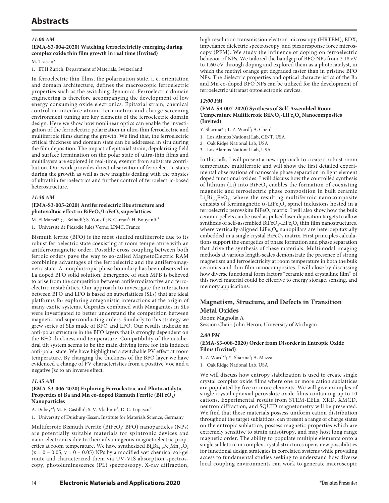# **Abstracts**

## *11:00 AM*

## **(EMA-S3-004-2020) Watching ferroelectricity emerging during complex oxide thin film growth in real time (Invited)**

M. Trassin<sup>\*1</sup>

1. ETH Zurich, Department of Materials, Switzerland

In ferroelectric thin films, the polarization state, i. e. orientation and domain architecture, defines the macroscopic ferroelectric properties such as the switching dynamics. Ferroelectric domain engineering is therefore accompanying the development of low energy consuming oxide electronics. Epitaxial strain, chemical control on interface atomic termination and charge screening environment tuning are key elements of the ferroelectric domain design. Here we show how nonlinear optics can enable the investigation of the ferroelectric polarization in ultra-thin ferroelectric and multiferroic films during the growth. We find that, the ferroelectric critical thickness and domain state can be addressed in situ during the film deposition. The impact of epitaxial strain, depolarizing field and surface termination on the polar state of ultra-thin films and multilayers are explored in real-time, exempt from substrate contribution. Our work provides direct observation of ferroelectric states during the growth as well as new insights dealing with the physics of ultrathin ferroelectrics and further control of ferroelectric-based heterostructure.

## *11:30 AM*

## **(EMA-S3-005-2020) Antiferroelectric like structure and**  photovoltaic effect in BiFeO<sub>3</sub>/LaFeO<sub>3</sub> superlattices

M. El Marssi\*<sup>1</sup>; J. Belhadi<sup>1</sup>; S. Yousfi<sup>1</sup>; B. Carcan<sup>1</sup>; H. Bouyanfif<sup>1</sup>

1. Université de Picardie Jules Verne, LPMC, France

Bismuth ferrite (BFO) is the most studied multiferroic due to its robust ferroelectric state coexisting at room temperature with an antiferromagnetic order. Possible cross coupling between both ferroic orders pave the way to so-called MagnetoElectric RAM combining advantages of the ferroelectric and the antiferromagnetic state. A morphotropic phase boundary has been observed in La doped BFO solid solution. Emergence of such MPB is believed to arise from the competition between antiferrodistortive and ferroelectric instabilities. Our approach to investigate the interaction between BFO and LFO is based on superlattices (SLs) that are ideal platforms for exploring antagonistic interactions at the origin of many exotic systems. Cuprates combined with Manganites in SLs were investigated to better understand the competition between magnetic and superconducting orders. Similarly to this strategy we grew series of SLs made of BFO and LFO. Our results indicate an anti-polar structure in the BFO layers that is strongly dependent on the BFO thickness and temperature. Compatibility of the octahedral tilt system seems to be the main driving force for this induced anti-polar state. We have highlighted a switchable PV effect at room temperature. By changing the thickness of the BFO layer we have evidenced a change of PV characteristics from a positive Voc and a negative Jsc to an inverse effect.

## *11:45 AM*

## **(EMA-S3-006-2020) Exploring Ferroelectric and Photocatalytic**  Properties of Ba and Mn co-doped Bismuth Ferrite (BiFeO<sub>3</sub>) **Nanoparticles**

A. Dubey\*<sup>1</sup>; M. E. Castillo<sup>1</sup>; S. V. Vladimir<sup>1</sup>; D. C. Lupascu<sup>1</sup>

1. University of Duisburg-Essen, Institute for Materials Science, Germany

Multiferroic Bismuth Ferrite (BiFeO<sub>3</sub>; BFO) nanoparticles (NPs) are potentially suitable materials for spintronic devices and nano-electronics due to their advantageous magnetoelectric properties at room temperature. We have synthesized  $Bi_xBa_{1-x}Fe_xMn_{1-x}O_3$  $(x = 0 - 0.05; y = 0 - 0.05)$  NPs by a modified wet chemical sol-gel route and characterized them via UV-VIS absorption spectroscopy, photoluminescence (PL) spectroscopy, X-ray diffraction, high resolution transmission electron microscopy (HRTEM), EDX, impedance dielectric spectroscopy, and piezoresponse force microscopy (PFM). We study the influence of doping on ferroelectric behavior of NPs. We tailored the bandgap of BFO NPs from 2.18 eV to 1.60 eV through doping and explored them as a photocatalyst, in which the methyl orange get degraded faster than in pristine BFO NPs. The dielectric properties and optical characteristics of the Ba and Mn co-doped BFO NPs can be utilized for the development of ferroelectric ultrafast optoelectronic devices.

## *12:00 PM*

#### **(EMA-S3-007-2020) Synthesis of Self-Assembled Room**  Temperature Multiferroic BiFeO<sub>3</sub>-LiFe<sub>5</sub>O<sub>8</sub> Nanocomposites **(Invited)**

Y. Sharma<sup>\*1</sup>; T. Z. Ward<sup>2</sup>; A. Chen<sup>3</sup>

1. Los Alamos National Lab, CINT, USA

2. Oak Ridge National Lab, USA

3. Los Alamos National Lab, USA

In this talk, I will present a new approach to create a robust room temperature multiferroic and will show the first detailed experimental observations of nanoscale phase separation in light element doped functional oxides. I will discuss how the controlled synthesis of lithium (Li) into BiFeO<sub>3</sub> enables the formation of coexisting magnetic and ferroelectric phase composition in bulk ceramic  $Li_xBi_{1-x}FeO_3$ , where the resulting multiferroic nanocomposite consists of ferrimagnetic  $\alpha$ -LiFe<sub>5</sub>O<sub>8</sub> spinel inclusions hosted in a ferroelectric perovskite  $BiFeO<sub>3</sub>$  matrix. I will also show how the bulk ceramic pellets can be used as pulsed laser deposition targets to allow synthesis of self-assembled  $BiFeO<sub>3</sub>$ -LiFe<sub>5</sub>O<sub>8</sub> thin film nanostructures, where vertically-aligned  $Life<sub>s</sub>O<sub>8</sub>$  nanopillars are heteroepitaxially embedded in a single crystal  $BiFeO<sub>3</sub>$  matrix. First principles calculations support the energetics of phase formation and phase separation that drive the synthesis of these materials. Multimodal imaging methods at various length-scales demonstrate the presence of strong magnetism and ferroelectricity at room temperature in both the bulk ceramics and thin film nanocomposites. I will close by discussing how diverse functional form factors "ceramic and crystalline film" of this novel material could be effecrive to energy storage, sensing, and memory applications.

## **Magnetism, Structure, and Defects in Transition Metal Oxides**

Room: Magnolia A

Session Chair: John Heron, University of Michigan

## *2:00 PM*

## **(EMA-S3-008-2020) Order from Disorder in Entropic Oxide Films (Invited)**

T. Z. Ward\*<sup>1</sup>; Y. Sharma<sup>1</sup>; A. Mazza<sup>1</sup>

1. Oak Ridge National Lab, USA

We will discuss how entropy stabilization is used to create single crystal complex oxide films where one or more cation sublattices are populated by five or more elements. We will give examples of single crystal epitaxial perovskite oxide films containing up to 10 cations. Experimental results from STEM-EELs, XRD, XMCD, neutron diffraction, and SQUID magnetometry will be presented. We find that these materials possess uniform cation distribution throughout the target sublattices, can present a range of charge states on the entropic sublattice, possess magnetic properties which are extremely sensitive to strain anisotropy, and may host long range magnetic order. The ability to populate multiple elements onto a single sublattice in complex crystal structures opens new possibilities for functional design strategies in correlated systems while providing access to fundamental studies seeking to understand how diverse local coupling environments can work to generate macroscopic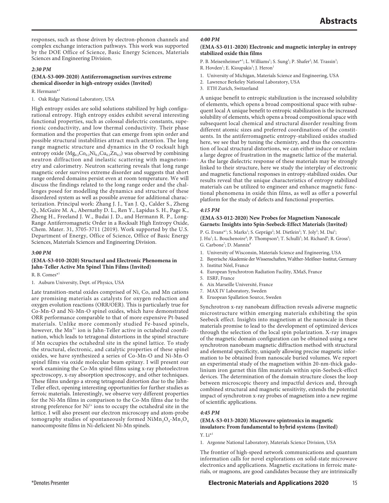responses, such as those driven by electron-phonon channels and complex exchange interaction pathways. This work was supported by the DOE Office of Science, Basic Energy Sciences, Materials Sciences and Engineering Division.

## *2:30 PM*

## **(EMA-S3-009-2020) Antiferromagnetism survives extreme chemical disorder in high-entropy oxides (Invited)**

R. Hermann\*1

1. Oak Ridge National Laboratory, USA

High entropy oxides are solid solutions stabilized by high configurational entropy. High entropy oxides exhibit several interesting functional properties, such as colossal dielectric constants, superionic conductivity, and low thermal conductivity. Their phase formation and the properties that can emerge from spin order and possible structural instabilities attract much attention. The long range magnetic structure and dynamics in the O rocksalt high entropy oxide  $(Mg_{0.2}Co_{0.2}Ni_{0.2}Cu_{0.2}Zn_{0.2})$  was observed by combining neutron diffraction and inelastic scattering with magnetometry and calorimetry. Neutron scattering reveals that long range magnetic order survives extreme disorder and suggests that short range ordered domains persist even at room temperature. We will discuss the findings related to the long range order and the challenges posed for modelling the dynamics and structure of these disordered system as well as possible avenue for additional characterization. Principal work: Zhang J. J., Yan J. Q., Calder S., Zheng Q., McGuire M. A., Abernathy D. L., Ren Y., Lapidus S. H., Page K., Zheng H., Freeland J. W., Budai J. D., and Hermann R. P., Long-Range Antiferromagnetic Order in a Rocksalt High Entropy Oxide, Chem. Mater. 31, 3705-3711 (2019). Work supported by the U.S. Department of Energy, Office of Science, Office of Basic Energy Sciences, Materials Sciences and Engineering Division.

## *3:00 PM*

## **(EMA-S3-010-2020) Structural and Electronic Phenomena in Jahn-Teller Active Mn Spinel Thin Films (Invited)**

R. B. Comes\*1

1. Auburn University, Dept. of Physics, USA

Late transition-metal oxides comprised of Ni, Co, and Mn cations are promising materials as catalysts for oxygen reduction and oxygen evolution reactions (ORR/OER). This is particularly true for Co-Mn-O and Ni-Mn-O spinel oxides, which have demonstrated ORR performance comparable to that of more expensive Pt-based materials. Unlike more commonly studied Fe-based spinels, however, the  $Mn^{3+}$  ion is Jahn-Teller active in octahedral coordination, which leads to tetragonal distortions in the spinel structure if Mn occupies the octahedral site in the spinel lattice. To study the structural, electronic, and catalytic properties of these spinel oxides, we have synthesized a series of Co-Mn-O and Ni-Mn-O spinel films via oxide molecular beam epitaxy. I will present our work examining the Co-Mn spinel films using x-ray photoelectron spectroscopy, x-ray absorption spectroscopy, and other techniques. These films undergo a strong tetragonal distortion due to the Jahn-Teller effect, opening interesting opportunities for further studies as ferroic materials. Interestingly, we observe very different properties for the Ni-Mn films in comparison to the Co-Mn films due to the strong preference for  $Ni<sup>2+</sup>$  ions to occupy the octahedral site in the lattice. I will also present our electron microscopy and atom-probe tomography studies of spontaneously formed  $NiMn_2O_4-Mn_3O_4$ nanocomposite films in Ni-deficient Ni-Mn spinels.

#### *4:00 PM*

## **(EMA-S3-011-2020) Electronic and magnetic interplay in entropy stabilized oxide thin films**

P. B. Meisenheimer\*<sup>1</sup>; L. Williams<sup>1</sup>; S. Sung<sup>1</sup>; P. Shafer<sup>2</sup>; M. Trassin<sup>3</sup>;

R. Hovden<sup>1</sup>; E. Kioupakis<sup>1</sup>; J. Heron<sup>1</sup>

- 1. University of Michigan, Materials Science and Engineering, USA
- 2. Lawrence Berkeley National Laboratory, USA
- 3. ETH Zurich, Switzerland

A unique benefit to entropic stabilization is the increased solubility of elements, which opens a broad compositional space with subsequent local A unique benefit to entropic stabilization is the increased solubility of elements, which opens a broad compositional space with subsequent local chemical and structural disorder resulting from different atomic sizes and preferred coordinations of the constituents. In the antiferromagnetic entropy-stabilized oxides studied here, we see that by tuning the chemistry, and thus the concentration of local structural distortions, we can either induce or reclaim a large degree of frustration in the magnetic lattice of the material. As the large dielectric response of these materials may be strongly linked to their structure, here we study the interplay of electronic and magnetic functional responses in entropy-stabilized oxides. Our results reveal that the unique characteristics of entropy stabilized materials can be utilized to engineer and enhance magnetic functional phenomena in oxide thin films, as well as offer a powerful platform for the study of defects and functional properties.

#### *4:15 PM*

## **(EMA-S3-012-2020) New Probes for Magnetism Nanoscale Garnets: Insights into Spin-Seebeck-Effect Materials (Invited)**

P. G. Evans<sup>\*1</sup>; S. Marks<sup>1</sup>; S. Geprägs<sup>2</sup>; M. Dietlein<sup>2</sup>; Y. Joly<sup>3</sup>; M. Dai<sup>1</sup>;

J. Hu<sup>1</sup>; L. Bouchenoire<sup>4</sup>; P. Thompson<sup>4</sup>; T. Schulli<sup>5</sup>; M. Richard<sup>6</sup>; R. Gross<sup>2</sup>; G. Carbone<sup>7</sup>; D. Mannix<sup>8</sup>

- 1. University of Wisconsin, Materials Science and Engineering, USA
- 2. Bayerische Akademie der Wissenschaften, Walther-Meißner-Institut, Germany
- 3. Institut Néel, France
- 4. European Synchrotron Radiation Facility, XMaS, France
- 5. ESRF, France
- 6. Aix Marseille Université, France
- 7. MAX IV Laboratory, Sweden
- 8. Eruopean Spallation Source, Sweden

Synchrotron x-ray nanobeam diffraction reveals adiverse magnetic microstructure within emerging materials exhibiting the spin Seebeck effect. Insights into magnetism at the nanoscale in these materials promise to lead to the development of optimized devices through the selection of the local spin polarization. X-ray images of the magnetic domain configuration can be obtained using a new synchrotron nanobeam magnetic diffraction method with structural and elemental specificity, uniquely allowing precise magnetic information to be obtained from nanoscale buried volumes. We report an experimental study of the magnetism within 20-nm-thick gadolinium iron garnet thin film materials within spin-Seebeck-effect devices. The determination of the domain structure closes the loop between microscopic theory and impactful devices and, through combined structural and magnetic sensitivity, extends the potential impact of synchrotron x-ray probes of magnetism into a new regime of scientific applications.

## *4:45 PM*

## **(EMA-S3-013-2020) Microwave spintronics in magnetic insulators: From fundamental to hybrid systems (Invited)** Y. Li\*1

1. Argonne National Laboratory, Materials Science Division, USA

The frontier of high-speed network communications and quantum information calls for novel explorations on solid-state microwave electronics and applications. Magnetic excitations in ferroic materials, or magnons, are good candidates because they are intrinsically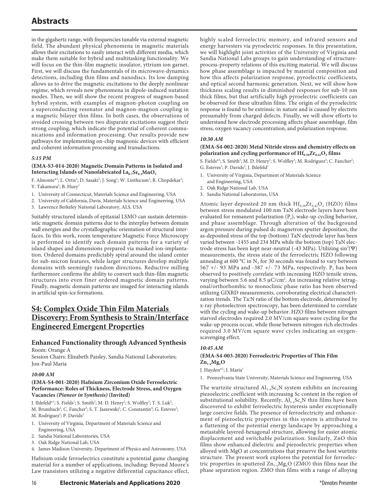in the gigahertz range, with frequencies tunable via external magnetic field. The abundant physical phenomena in magnetic materials allows their excitations to easily interact with different media, which make them suitable for hybrid and multitasking functionality. We will focus on the thin-film magnetic insulator, yttrium ion garnet. First, we will discuss the fundamentals of its microwave-dynamics detections, including thin films and nanodiscs. Its low damping allows us to drive the magnetic excitations to the deeply nonlinear regime, which reveals new phenomena in dipole-induced nutation modes. Then, we will show the recent progress of magnon-based hybrid system, with examples of magnon-photon coupling on a superconducting resonator and magnon-magnon coupling in a magnetic bilayer thin films. In both cases, the observations of avoided crossing between two disparate excitations suggest their strong coupling, which indicate the potential of coherent communications and information processing. Our results provide new pathways for implementing on-chip magnonic devices with efficient and coherent information processing and transductions.

## *5:15 PM*

## **(EMA-S3-014-2020) Magnetic Domain Patterns in Isolated and Interacting Islands of Nanofabricated**  $La_{0.7}Sr_{0.3}MnO_3$

F. Almonte<sup>\*1</sup>; L. Ortiz<sup>1</sup>; D. Sasaki<sup>2</sup>; J. Song<sup>1</sup>; W. Linthicum<sup>1</sup>; R. Chopdekar<sup>3</sup>; Y. Takamura<sup>2</sup>; B. Huey<sup>1</sup>

- 1. University of Connecticut, Materials Science and Engineering, USA
- 2. University of California, Davis, Materials Science and Engineering, USA
- 3. Lawrence Berkeley National Laboratory, ALS, USA

Suitably structured islands of epitaxial LSMO can sustain deterministic magnetic domain patterns due to the interplay between domain wall energies and the crystallographic orientation of structural interfaces. In this work, room temperature Magnetic Force Microscopy is performed to identify such domain patterns for a variety of island shapes and dimensions prepared via masked ion-implantation. Ordered domains predictably spiral around the island center for sub-micron features, while larger structures develop multiple domains with seemingly random directions. Reductive milling furthermore confirms the ability to convert such thin-film magnetic structures into even finer ordered magnetic domain patterns. Finally, magnetic domain patterns are imaged for interacting islands in artificial spin-ice formations.

# **S4: Complex Oxide Thin Film Materials Discovery: From Synthesis to Strain/Interface Engineered Emergent Properties**

# **Enhanced Functionality through Advanced Synthesis**

Room: Orange A

Session Chairs: Elizabeth Paisley, Sandia National Laboratories; Jon-Paul Maria

## *10:00 AM*

## **(EMA-S4-001-2020) Hafnium Zirconium Oxide Ferroelectric Performance: Roles of Thickness, Electrode Stress, and Oxygen Vacancies** *(Pioneer in Synthesis)* **(Invited)**

J. Ihlefeld\*<sup>1</sup>; S. Fields<sup>1</sup>; S. Smith<sup>2</sup>; M. D. Henry<sup>2</sup>; S. Wolfley<sup>2</sup>; T. S. Luk<sup>2</sup>; M. Brumbach<sup>2</sup>; C. Fancher<sup>3</sup>; S. T. Jaszewski<sup>1</sup>; C. Constantin<sup>4</sup>; G. Esteves<sup>2</sup>; M. Rodriguez<sup>2</sup>; P. Davids<sup>2</sup>

- 1. University of Virginia, Department of Materials Science and Engineering, USA
- 2. Sandia National Laboratories, USA
- 3. Oak Ridge National Lab, USA
- 4. James Madison University, Department of Physics and Astronomy, USA

Hafnium oxide ferroelectrics constitute a potential game changing material for a number of applications, including: Beyond Moore's Law transistors utilizing a negative differential capacitance effect, highly scaled ferroelectric memory, and infrared sensors and energy harvesters via pyroelectric responses. In this presentation, we will highlight joint activities of the University of Virginia and Sandia National Labs groups to gain understanding of structureprocess-property relations of this exciting material. We will discuss how phase assemblage is impacted by material composition and how this affects polarization response, pyroelectric coefficients, and optical second harmonic generation. Next, we will show how thickness scaling results in diminished responses for sub-10 nm thick films, but that artificially high pyroelectric coefficients can be observed for these ultrathin films. The origin of the pyroelectric response is found to be extrinsic in nature and is caused by electrets presumably from charged defects. Finally, we will show efforts to understand how electrode processing affects phase assemblage, film stress, oxygen vacancy concentration, and polarization response.

## *10:30 AM*

## **(EMA-S4-002-2020) Metal Nitride stress and chemistry effects on**  polarization and cycling performance of  $\text{Hf}_{0.58}\text{Zr}_{0.42}\text{O}_2$  films

S. Fields\*<sup>1</sup>; S. Smith<sup>3</sup>; M. D. Henry<sup>3</sup>; S. Wolfley<sup>3</sup>; M. Rodriguez<sup>3</sup>; C. Fancher<sup>2</sup>; G. Esteves<sup>3</sup>; P. Davids<sup>3</sup>; J. Ihlefeld<sup>1</sup>

- 1. University of Virginia, Department of Materials Science and Engineering, USA
- 2. Oak Ridge National Lab, USA
- 3. Sandia National Laboratories, USA

Atomic layer deposited 20 nm thick  $\text{Hf}_{0.58}\text{Zr}_{0.42}\text{O}_2$  (HZO) films between stress modulated 100 nm TaN electrode layers have been evaluated for remanent polarization  $(P_r)$ , wake-up cycling behavior, and phase assemblage. Through alteration of the background argon pressure during pulsed dc magnetron sputter deposition, the as-deposited stress of the top (bottom) TaN electrode layer has been varied between -1455 and 234 MPa while the bottom (top) TaN electrode stress has been kept near-neutral (-43 MPa). Utilizing sin<sup>2</sup>(Ψ) measurements, the stress state of the ferroelectric HZO following annealing at 600 °C in N<sub>2</sub> for 30 seconds was found to vary between 567 +/- 93 MPa and -387 +/- 73 MPa, respectively.  $P_r$  has been observed to positively correlate with increasing HZO tensile stress, varying between 5.6 and 8.5  $\mu$ C/cm<sup>2</sup>. An increasing relative tetragonal/orthorhombic to monoclinic phase ratio has been observed utilizing GIXRD measurements, corroborating electrical characterization trends. The Ta:N ratio of the bottom electrode, determined by x-ray photoelectron spectroscopy, has been determined to correlate with the cycling and wake-up behavior. HZO films between nitrogen starved electrodes required 2.0 MV/cm square wave cycling for the wake-up process occur, while those between nitrogen rich electrodes required 3.0 MV/cm square wave cycles indicating an oxygenscavenging effect.

## *10:45 AM*

## **(EMA-S4-003-2020) Ferroelectric Properties of Thin Film**   $Zn_{1-x}Mg_xO$

J. Hayden<sup>\*1</sup>; J. Maria<sup>1</sup>

1. Pennsylvania State University, Materials Science and Engineering, USA

The wurtzite structured  $AI_{1-x}Sc_xN$  system exhibits an increasing piezoelectric coefficient with increasing Sc content in the region of substitutional solubility. Recently,  $\text{Al}_{1-x}\text{Sc}_x\text{N}$  thin films have been discovered to exhibit ferroelectric hysteresis under exceptionally large coercive fields. The presence of ferroelectricity and enhancement of piezoelectric properties in this system is attributed to a flattening of the potential energy landscape by approaching a metastable layered-hexagonal structure, allowing for easier atomic displacement and switchable polarization. Similarly, ZnO thin films show enhanced dielectric and piezoelectric properties when alloyed with MgO at concentrations that preserve the host wurtzite structure. The present work explores the potential for ferroelectric properties in sputtered  $\text{Zn}_{1-x}\text{Mg}_x\text{O}$  (ZMO) thin films near the phase separation region. ZMO thin films with a range of alloying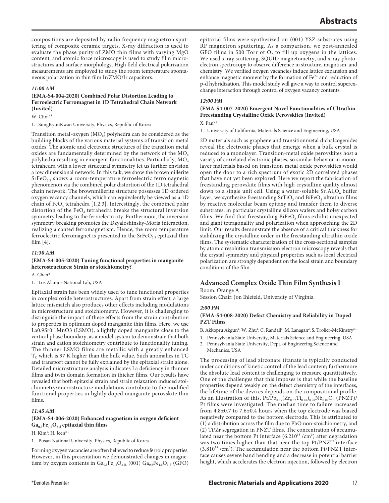compositions are deposited by radio frequency magnetron sputtering of composite ceramic targets. X-ray diffraction is used to evaluate the phase purity of ZMO thin films with varying MgO content, and atomic force microscopy is used to study film microstructures and surface morphology. High field electrical polarization measurements are employed to study the room temperature spontaneous polarization in thin film Ir/ZMO/Ir capacitors.

## *11:00 AM*

## **(EMA-S4-004-2020) Combined Polar Distortion Leading to Ferroelectric Ferromagnet in 1D Tetrahedral Chain Network (Invited)**

W. Choi<sup>\*1</sup>

1. SungKyunKwan University, Physics, Republic of Korea

Transition metal-oxygen  $(MO<sub>x</sub>)$  polyhedra can be considered as the building blocks of the various material systems of transition metal oxides. The atomic and electronic structures of the transition metal oxides are fundamentally determined by the network of the  $MO<sub>x</sub>$ polyhedra resulting in emergent functionalities. Particularly, MO<sub>4</sub> tetrahedra with a lower structural symmetry let us further envision a low dimensional network. In this talk, we show the brownmillerite  $SrFeO<sub>2.5</sub>$  shows a room-temperature ferroelectric ferromagnetic phenomenon via the combined polar distortion of the 1D tetrahedral chain network. The brownmillerite structure possesses 1D ordered oxygen vacancy channels, which can equivalently be viewed as a 1D chain of  $FeO<sub>4</sub>$  tetrahedra [1,2,3]. Interestingly, the combined polar distortion of the FeO<sub>4</sub> tetrahedra breaks the structural inversion symmetry leading to the ferroelectricity. Furthermore, the inversion symmetry breaking promotes the Dzyaloshinsky-Moria interaction, realizing a canted ferromagnetism. Hence, the room temperature ferroelectric ferromagnet is presented in the  $S$ r $FeO<sub>2.5</sub>$  epitaxial thin film [4].

#### *11:30 AM*

## **(EMA-S4-005-2020) Tuning functional properties in manganite heterostructures: Strain or stoichiometry?**

A. Chen\*1

1. Los Alamos National Lab, USA

Epitaxial strain has been widely used to tune functional properties in complex oxide heterostructures. Apart from strain effect, a large lattice mismatch also produces other effects including modulations in microstructure and stoichiometry. However, it is challenging to distinguish the impact of these effects from the strain contribution to properties in optimum doped manganite thin films. Here, we use La0.9Sr0.1MnO3 (LSMO), a lightly doped manganite close to the vertical phase boundary, as a model system to demonstrate that both strain and cation stoichiometry contribute to functionality tuning. The thinner LSMO films are metallic with a greatly enhanced  $T_c$  which is 97 K higher than the bulk value. Such anomalies in TC and transport cannot be fully explained by the epitaxial strain alone. Detailed microstructure analysis indicates La deficiency in thinner films and twin domain formation in thicker films. Our results have revealed that both epitaxial strain and strain relaxation induced stoichiometry/microstructure modulations contribute to the modified functional properties in lightly doped manganite perovskite thin films.

## *11:45 AM*

## **(EMA-S4-006-2020) Enhanced magnetism in oxygen deficient Ga0.5Fe1.5O3-δ epitaxial thin films**

H. Kim<sup>1</sup>; H. Jeen<sup>\*1</sup>

1. Pusan National University, Physics, Republic of Korea

Forming oxygen vacancies are often believed to reduce ferroic properties. However, in this presentation we demonstrated changes in magnetism by oxygen contents in  $Ga_{0.5}Fe_{1.5}O_{3. \delta.}$  (001)  $Ga_{0.5}Fe_{1.5}O_{3. \delta.}$  (GFO) epitaxial films were synthesized on (001) YSZ substrates using RF magnetron sputtering. As a comparison, we post-annealed GFO films in 500 Torr of  $O<sub>2</sub>$  to fill up oxygens in the lattices. We used x-ray scattering, SQUID magnetometry, and x-ray photoelectron spectrocopy to observe difference in structure, magntism, and chemistry. We verified oxygen vacancies induce lattice expansion and enhance magnetic moment by the formation of  $Fe<sup>2+</sup>$  and reduction of p-d hybridization. This model study will give a way to control superexchange interaction through control of oxygen vacancy contents.

## *12:00 PM*

## **(EMA-S4-007-2020) Emergent Novel Functionalities of Ultrathin Freestanding Crystalline Oxide Perovskites (Invited)**

## X. Pan\*1

1. University of California, Materials Science and Engineering, USA

2D materials such as graphene and transitionmetal dichalcogenides reveal the electronic phases that emerge when a bulk crystal is reduced to a monolayer. Transition-metal oxide perovskites host a variety of correlated electronic phases, so similar behavior in monolayer materials based on transition metal oxide perovskites would open the door to a rich spectrum of exotic 2D correlated phases that have not yet been explored. Here we report the fabrication of freestanding perovskite films with high crystalline quality almost down to a single unit cell. Using a water-soluble  $Sr<sub>3</sub>Al<sub>2</sub>O<sub>6</sub>$  buffer layer, we synthesize freestanding  $SrTiO<sub>3</sub>$  and  $BiFeO<sub>3</sub>$  ultrathin films by reactive molecular beam epitaxy and transfer them to diverse substrates, in particular crystalline silicon wafers and holey carbon films. We find that freestanding  $\mathrm{BiFeO_{3}}$  films exhibit unexpected and giant tetragonality and polarization when approaching the 2D limit. Our results demonstrate the absence of a critical thickness for stabilizing the crystalline order in the freestanding ultrathin oxide films. The systematic characterization of the cross-sectional samples by atomic resolution transmission electron microscopy reveals that the crystal symmetry and physical properties such as local electrical polarization are strongly dependent on the local strain and boundary conditions of the film.

## **Advanced Complex Oxide Thin Film Synthesis I**

Room: Orange A

Session Chair: Jon Ihlefeld, University of Virginia

## *2:00 PM*

## **(EMA-S4-008-2020) Defect Chemistry and Reliability in Doped PZT Films**

B. Akkopru Akgun<sup>1</sup>; W. Zhu<sup>1</sup>; C. Randall<sup>1</sup>; M. Lanagan<sup>2</sup>; S. Trolier-McKinstry<sup>\*1</sup>

- 1. Pennsylvania State University, Materials Science and Engineering, USA
- 2. Pennsylvania State University, Dept. of Engineering Science and Mechanics, USA

The processing of lead zirconate titanate is typically conducted under conditions of kinetic control of the lead content; furthermore the absolute lead content is challenging to measure quantitatively. One of the challenges that this imposes is that while the baseline properties depend weakly on the defect chemistry of the interfaces, the lifetime of the devices depends on the compositional profile. As an illustration of this,  $Pt/Pb_{0.99}(Zr_{0.52}Ti_{0.48})_{0.98}Nb_{0.02}O_3$  (PNZT)/ Pt films were investigated. The median time to failure increased from  $4.8\pm0.7$  to  $7.6\pm0.4$  hours when the top electrode was biased negatively compared to the bottom electrode. This is attributed to (1) a distribution across the film due to PbO non-stoichiometry, and (2) Ti/Zr segregation in PNZT films. The concentration of accumulated near the bottom Pt interface  $(6.210^{18} / \text{cm}^3)$  after degradation was two times higher than that near the top Pt/PNZT interface  $(3.810^{18}$  /cm<sup>3</sup>). The accumulation near the bottom Pt/PNZT interface causes severe band bending and a decrease in potential barrier height, which accelerates the electron injection, followed by electron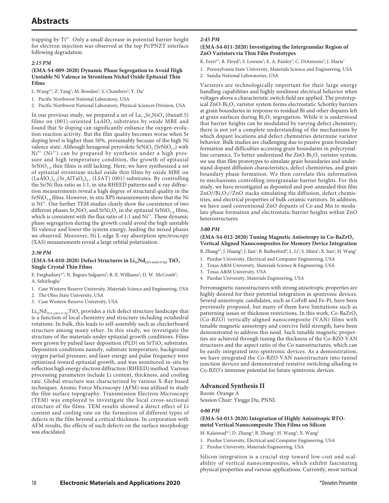trapping by Ti<sup>4+</sup>. Only a small decrease in potential barrier height for electron injection was observed at the top Pt/PNZT interface following degradation.

## *2:15 PM*

#### **(EMA-S4-009-2020) Dynamic Phase Segregation to Avoid High Unstable Ni Valence in Strontium Nickel Oxide Epitaxial Thin Films**

L. Wang\*<sup>1</sup>; Z. Yang<sup>1</sup>; M. Bowden<sup>1</sup>; S. Chambers<sup>2</sup>; Y. Du<sup>1</sup>

1. Pacific Northwest National Laboratory, USA

2. Pacific Northwest National Laboratory, Physical Sciences Division, USA

In our previous study, we prepared a set of  $La_{1-x}Sr_xNiO_3$  (0≤x≤0.5) films on  $(001)$ -oriented LaAlO<sub>3</sub> substrates by oxide MBE and found that Sr doping can significantly enhance the oxygen evolution reaction activity. But the film quality becomes worse when Sr doping level is higher than 50%, presumably because of the high Ni valence state. Although hexagonal perovskite SrNiO<sub>3</sub> (SrNiO<sub>2.5</sub>) with  $Ni<sup>4+</sup> (Ni<sup>3+</sup>)$  can be prepared by synthesis under a high pressure and high temperature condition, the growth of epitaxial  $SrNiO<sub>3-d</sub>$  thin films is still lacking. Here, we have synthesized a set of epitaxial strontium nickel oxide thin films by oxide MBE on  $(LaAlO<sub>3</sub>)<sub>0.3</sub>(Sr<sub>2</sub>AlTaO<sub>6</sub>)<sub>0.7</sub> (LSAT)$  (001) substrates. By controlling the Sr/Ni flux ratio as 1:1, in situ RHEED patterns and x-ray diffraction measurements reveal a high degree of structural quality in the  $SrNiO<sub>3-d</sub>$  films. However, in situ XPS measurements show that the Ni is  $Ni<sup>2+</sup>$ . Our further TEM studies clearly show the coexistence of two different phases  $Sr_2NiO_3$  and  $SrNiO_3$  in the epitaxial  $SrNiO<sub>3-d</sub>$  films, which is consistent with the flux ratio of 1:1 and  $Ni<sup>2+</sup>$ . These dynamic phase segregation during the growth could avoid the high unstable Ni valence and lower the system energy, leading the mixed phases we observed. Moreover, Ni L-edge X-ray absorption spectroscopy (XAS) measurements reveal a large orbital polarization.

## *2:30 PM*

#### $(EMA-S4-010-2020)$  Defect Structures in  $Li_{3x}Nd_{(2/3-x)*(1/3-2x)}$  TiO<sub>3</sub> **Single Crystal Thin Films**

E. Farghadany\*<sup>1</sup>; N. Bagues Salguero<sup>2</sup>; R. E. Williams<sup>2</sup>; D. W. McComb<sup>2</sup>; A. Sehirlioglu<sup>3</sup>

- 1. Case Western Reserve University, Materials Science and Engineering, USA
- 2. The Ohio State University, USA
- 3. Case Western Reserve University, USA

 $\rm Li_{3x}Nd_{(2/3-x)*(1/3-2x)}TiO_3$  provides a rich defect structure landscape that is a function of local chemistry and structure including octahedral rotations. In bulk, this leads to self-assembly such as checkerboard structure among many other. In this study, we investigate the structure of the materials under epitaxial growth conditions. Films were grown by pulsed laser deposition (PLD) on  $SrTiO<sub>3</sub>$  substrates. Deposition conditions namely, substrate temperature, background oxygen partial pressure, and laser energy and pulse frequency were optimized toward epitaxial growth, and was monitored in-situ by reflection high energy electron diffraction (RHEED) method. Various processing parameters include Li content, thickness, and cooling rate. Global structure was characterized by various X-Ray based techniques. Atomic Force Microscopy (AFM) was utilized to study the film surface topography. Transmission Electron Microscopy (TEM) was employed to investigate the local cross-sectional structure of the films. TEM results showed a direct effect of Li content and cooling rate on the formation of different types of defects in the film beyond a critical thickness. In corporation with AFM results, the effects of such defects on the surface morphology was elucidated.

## *2:45 PM*

## **(EMA-S4-011-2020) Investigating the Intergranular Region of ZnO Varistors via Thin Film Prototypes**

K. Ferri\*<sup>1</sup>; R. Floyd<sup>1</sup>; S. Lowum<sup>1</sup>; E. A. Paisley<sup>2</sup>; C. DiAntonio<sup>2</sup>; J. Maria<sup>1</sup>

- 1. Pennsylvania State University, Materials Science and Engineering, USA
- 2. Sandia National Laboratories, USA

Varistors are technologically important for their large energy handling capabilities and highly nonlinear electrical behavior when voltages above a characteristic switch field are applied. The prototypical ZnO-Bi<sub>2</sub>O<sub>3</sub> varistor system forms electrostatic Schottky barriers at grain boundaries in response to residual Bi and other dopants left at grain surfaces during  $Bi<sub>2</sub>O<sub>3</sub>$  segregation. While it is understood that barrier heights can be modulated by varying defect chemistry, there is not yet a complete understanding of the mechanisms by which dopant locations and defect chemistries determine varistor behavior. Bulk studies are challenging due to passive grain boundary formation and difficulties accessing grain boundaries in polycrystalline ceramics. To better understand the  $ZnO-Bi<sub>2</sub>O<sub>3</sub>$  varistor system, we use thin film prototypes to simulate grain boundaries and understand dopant diffusion characteristics, defect chemistries, and grain boundary phase formation. We then correlate this information to mechanisms controlling intergranular barrier heights. For this study, we have investigated as deposited and post-annealed thin film  $ZnO//Bi<sub>2</sub>O<sub>3</sub>//ZnO stacks simulating the diffusion, defect chemis$ tries, and electrical properties of bulk ceramic varistors. In addition, we have used conventional ZnO dopants of Co and Mn to modulate phase formation and electrostatic barrier heights within ZnO heterostructures.

## *3:00 PM*

## **(EMA-S4-012-2020) Tuning Magnetic Anisotropy in Co-BaZrO3 Vertical Aligned Nanocomposites for Memory Device Integration**

B. Zhang<sup>\*1</sup>; J. Huang<sup>2</sup>; J. Jian<sup>1</sup>; B. Rutherford<sup>4</sup>; L. Li<sup>3</sup>; S. Misra<sup>1</sup>; X. Sun<sup>1</sup>; H. Wang<sup>1</sup>

- 1. Purdue University, Electrical and Computer Engineering, USA
- 2. Texas A&M University, Materials Science & Engineering, USA
- 3. Texas A&M University, USA
- 4. Purdue University, Materials Engineering, USA

Ferromagnetic nanostructures with strong anisotropic properties are highly desired for their potential integration in spintronic devices. Several anisotropic candidates, such as CoFeB and Fe-Pt, have been previously proposed, but many of them have limitations such as patterning issues or thickness restrictions. In this work,  $Co$ -BaZrO<sub>3</sub> (Co-BZO) vertically aligned nanocomposite (VAN) films with tunable magnetic anisotropy and coercive field strength, have been demonstrated to address this need. Such tunable magnetic properties are achieved through tuning the thickness of the Co-BZO VAN structures and the aspect ratio of the Co nanostructures, which can be easily integrated into spintronic devices. As a demonstration, we have integrated the Co-BZO VAN nanostructure into tunnel junction devices and demonstrated resistive switching alluding to Co-BZO's immense potential for future spintronic devices.

## **Advanced Synthesis II**

Room: Orange A

Session Chair: Yingge Du, PNNL

## *4:00 PM*

## **(EMA-S4-013-2020) Integration of Highly Anisotropic BTOmetal Vertical Nanocomposite Thin Films on Silicon**

- M. Kalaswad\*<sup>1</sup>; D. Zhang<sup>2</sup>; B. Zhang<sup>1</sup>; H. Wang<sup>2</sup>; X. Wang<sup>2</sup>
- 1. Purdue University, Electrical and Computer Engineering, USA
- 2. Purdue University, Materials Engineering, USA

Silicon integration is a crucial step toward low-cost and scalability of vertical nanocomposites, which exhibit fascinating physical properties and various applications. Currently, most vertical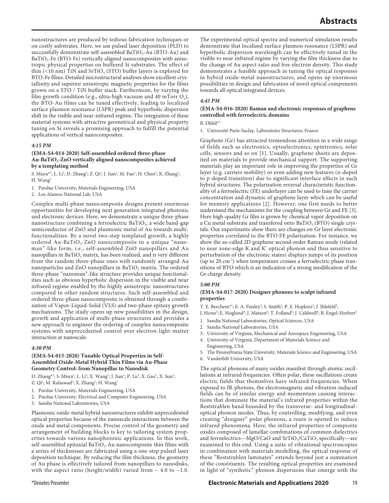nanostructures are produced by tedious fabrication techniques or on costly substrates. Here, we use pulsed laser deposition (PLD) to successfully demonstrate self-assembled  $BaTiO<sub>3</sub>-Au$  (BTO-Au) and  $BaTiO<sub>3</sub>$ -Fe (BTO-Fe) vertically aligned nanocomposites with anisotropic physical properties on buffered Si substrates. The effect of thin (<10 nm) TiN and  $SrTiO<sub>3</sub>$  (STO) buffer layers is explored for BTO-Fe films. Detailed microstructural analyses show excellent crystallinity and superior anisotropic magnetic properties for the films grown on a STO / TiN buffer stack. Furthermore, by varying the film growth condition (e.g., ultra-high vacuum and 40 mTorr  $O_2$ ), the BTO-Au films can be tuned effectively, leading to localized surface plasmon resonance (LSPR) peak and hyperbolic dispersion shift in the visible and near-infrared regime. The integration of these material systems with attractive geometrical and physical property tuning on Si reveals a promising approach to fulfill the potential applications of vertical nanocomposites.

#### *4:15 PM*

## **(EMA-S4-014-2020) Self-assembled ordered three-phase**  Au-BaTiO<sub>3</sub>-ZnO vertically aligned nanocomposites achieved **by a templating method**

S. Misra\*<sup>1</sup>; L. Li<sup>1</sup>; D. Zhang<sup>1</sup>; Z. Qi<sup>1</sup>; J. Jian<sup>1</sup>; M. Fan<sup>1</sup>; H. Chen<sup>2</sup>; X. Zhang<sup>1</sup>; H.  $W$ ang<sup>1</sup>

- 1. Purdue University, Materials Engineering, USA
- 2. Los Alamos National Lab, USA

Complex multi-phase nanocomposite designs present enormous opportunities for developing next generation integrated photonic and electronic devices. Here, we demonstrate a unique three-phase nanostructure combining a ferroelectric BaTiO<sub>3</sub>, a wide band-gap semiconductor of ZnO and plasmonic metal of Au towards multifunctionalities. By a novel two-step templated growth, a highly ordered Au-Ba $TiO_3$ -ZnO nanocomposite in a unique "nanoman"-like form, i.e., self-assembled ZnO nanopillars and Au nanopillars in BaTiO<sub>3</sub> matrix, has been realized, and is very different from the random three-phase ones with randomly arranged Au nanoparticles and ZnO nanopillars in BaTiO<sub>3</sub> matrix. The ordered three-phase "nanoman"-like structure provides unique functionalities such as obvious hyperbolic dispersion in the visible and near infrared regime enabled by the highly anisotropic nanostructures compared to other random structures. Such self-assembled and ordered three-phase nanocomposite is obtained through a combination of Vapor-Liquid-Solid (VLS) and two-phase epitaxy growth mechanisms. The study opens up new possibilities in the design, growth and application of multi-phase structures and provides a new approach to engineer the ordering of complex nanocomposite systems with unprecedented control over electron-light-matter interaction at nanoscale.

## *4:30 PM*

#### **(EMA-S4-015-2020) Tunable Optical Properties in Self-Assembled Oxide-Metal Hybrid Thin Films via Au-Phase Geometry Control: from Nanopillar to Nanodisk**

D. Zhang<sup>\*1</sup>; S. Misra<sup>1</sup>; L. Li<sup>1</sup>; X. Wang<sup>1</sup>; J. Jian<sup>1</sup>; P. Lu<sup>3</sup>; X. Gao<sup>1</sup>; X. Sun<sup>1</sup>; Z. Qi<sup>1</sup>; M. Kalaswad<sup>2</sup>; X. Zhang<sup>1</sup>; H. Wang<sup>1</sup>

- 1. Purdue University, Materials Engineering, USA
- 2. Purdue University, Electrical and Computer Engineering, USA
- 3. Sandia National Laboratories, USA

Plasmonic oxide-metal hybrid nanostructures exhibit unprecedented optical properties because of the nanoscale interactions between the oxide and metal components. Precise control of the geometry and arrangement of building blocks is key to tailoring system properties towards various nanophotonic applications. In this work, self-assembled epitaxial BaTiO<sub>3</sub>-Au nanocomposite thin films with a series of thicknesses are fabricated using a one-step pulsed laser deposition technique. By reducing the film thickness, the geometry of Au phase is effectively tailored from nanopillars to nanodisks, with the aspect ratio (height/width) varied from  $\sim 4.0$  to  $\sim 1.0$ .

The experimental optical spectra and numerical simulation results demonstrate that localized surface plasmon resonance (LSPR) and hyperbolic dispersion wavelength can be effectively tuned in the visible to near infrared regime by varying the film thickness due to the change of Au aspect ratio and free electron density. This study demonstrates a feasible approach in tuning the optical responses in hybrid oxide-metal nanostructures, and opens up enormous possibilities in design and fabrication of novel optical components towards all optical integrated devices.

## *4:45 PM*

## **(EMA-S4-016-2020) Raman and electronic responses of graphene controlled with ferroelectric domains**

B. Dkhil\*1

1. Université Paris-Saclay, Laboratoire Structures, France

Graphene (Gr) has attracted tremendous attention in a wide range of fields such as electronics, optoelectronics, spintronics, solar cells, sensors and so on [1]. Usually, graphene sheets are deposited on materials to provide mechanical support. The supporting materials play an important role in improving the properties of Gr layer (e.g. carriers mobility) or even adding new features (n-doped to p-doped transition) due to significant interface effects in such hybrid structures. The polarization reversal characteristic functionality of a ferroelectric (FE) underlayer can be used to tune the carrier concentration and dynamic of graphene layer which can be useful for memory applications [2]. However, one first needs to better understand the mechanisms for the coupling between Gr and FE [3]. Here high-quality Gr film is grown by chemical vapor deposition on a Cu metal substrate and transfered onto BaTiO<sub>3</sub> (BTO) single crystals. Our experiments show there are changes on Gr layer electronic properties correlated to the BTO FE polarization. For instance, we show the so-called 2D graphene second-order Raman mode (related to near zone-edge K and K' optical phonon and thus sensitive to perturbation of the electronic states) displays jumps of its position (up to 20 cm-1) when temperature crosses a ferroelectric phase transitions of BTO which is an indication of a strong modification of the Gr charge density.

## *5:00 PM*

#### **(EMA-S4-017-2020) Designer phonons to sculpt infrared properties**

T. E. Beechem<sup>\*1</sup>; E. A. Paisley<sup>2</sup>; S. Smith<sup>2</sup>; P. E. Hopkins<sup>3</sup>; J. Ihlefeld<sup>4</sup>; J. Howe<sup>4</sup>; E. Hoglund<sup>4</sup>; J. Matson<sup>6</sup>; T. Folland<sup>6</sup>; J. Caldwell<sup>6</sup>; R. Engel-Herbert<sup>5</sup>

- 1. Sandia National Laboratories, Optical Sciences, USA
- 2. Sandia National Laboratories, USA
- 3. University of Virginia, Mechanical and Aerospace Engineering, USA
- 4. University of Virginia, Department of Materials Science and Engineering, USA
- 5. The Pennsylvania State University, Materials Science and Engineering, USA
- 6. Vanderbilt University, USA

The optical phonons of many oxides manifest through atomic oscillations at infrared frequencies. Often polar, these oscillations create electric fields that themselves have infrared frequencies. When exposed to IR-photons, the electromagnetic and vibration-induced fields can be of similar energy and momentum causing interactions that dominate the material's infrared properties within the Reststrahlen band bounded by the transverse- and longitudinaloptical phonon modes. Thus, by controlling, modifying, and even creating "designer" polar phonons, a route is opened to induce infrared phenomena. Here, the infrared properties of composite oxides composed of lamellar combinations of common dielectrics and ferroelectrics—MgO/CaO and SrTiO<sub>3</sub>/CaTiO<sub>3</sub> specifically—are examined to this end. Using a suite of vibrational spectroscopies in combination with materials modelling, the optical response of these "Reststrahlen laminates" extends beyond just a summation of the constituents. The resulting optical properties are examined in light of "synthetic" phonon dispersions that emerge with the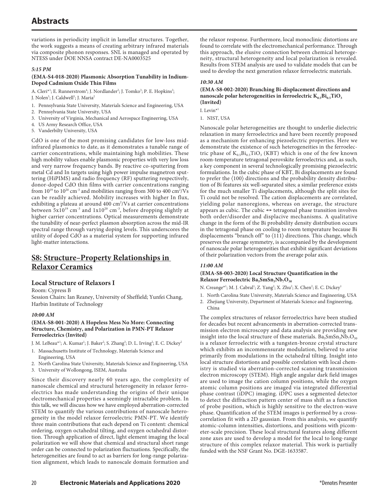variations in periodicity implicit in lamellar structures. Together, the work suggests a means of creating arbitrary infrared materials via composite phonon responses. SNL is managed and operated by NTESS under DOE NNSA contract DE-NA0003525

## *5:15 PM*

## **(EMA-S4-018-2020) Plasmonic Absorption Tunability in Indium-Doped Cadmium Oxide Thin Films**

A. Cleri<sup>\*1</sup>; E. Runnerstrom<sup>4</sup>; J. Nordlander<sup>2</sup>; J. Tomko<sup>3</sup>; P. E. Hopkins<sup>3</sup>;

- J. Nolen<sup>5</sup>; J. Caldwell<sup>5</sup>; J. Maria<sup>2</sup>
- 1. Pennsylvania State University, Materials Science and Engineering, USA
- 2. Pennsylvania State University, USA
- 3. University of Virginia, Mechanical and Aerospace Engineering, USA
- 4. US Army Research Office, USA
- 5. Vanderbilty University, USA

CdO is one of the most promising candidates for low-loss midinfrared plasmonics to date, as it demonstrates a tunable range of carrier concentrations, while maintaining high mobilities. These high mobility values enable plasmonic properties with very low loss and very narrow frequency bands. By reactive co-sputtering from metal Cd and In targets using high power impulse magnetron sputtering (HiPIMS) and radio frequency (RF) sputtering respectively, donor-doped CdO thin films with carrier concentrations ranging from  $10^{19}$  to  $10^{20}$  cm<sup>-3</sup> and mobilities ranging from 300 to 400 cm<sup>2</sup>/Vs can be readily achieved. Mobility increases with higher In flux, exhibiting a plateau at around 400 cm<sup>2</sup>/Vs at carrier concentrations between  $5x10^{19}$  cm<sup>-3</sup> and  $1x10^{20}$  cm<sup>-3</sup>, before dropping slightly at higher carrier concentrations. Optical measurements demonstrate the tunability of near-perfect plasmon absorption across the mid-IR spectral range through varying doping levels. This underscores the utility of doped CdO as a material system for supporting infrared light-matter interactions.

# **S8: Structure–Property Relationships in Relaxor Ceramics**

## **Local Structure of Relaxors I**

Room: Cypress B

Session Chairs: Ian Reaney, University of Sheffield; Yunfei Chang, Harbin Institute of Technology

## *10:00 AM*

## **(EMA-S8-001-2020) A Hopeless Mess No More: Connecting Structure, Chemistry, and Polarization in PMN-PT Relaxor Ferroelectrics (Invited)**

J. M. LeBeau\*<sup>1</sup>; A. Kumar<sup>1</sup>; J. Baker<sup>2</sup>; S. Zhang<sup>3</sup>; D. L. Irving<sup>2</sup>; E. C. Dickey<sup>2</sup>

- 1. Massachusetts Institute of Technology, Materials Science and Engineering, USA
- 2. North Carolina State University, Materials Science and Engineering, USA
- 3. University of Wollongong, ISEM, Australia

Since their discovery nearly 60 years ago, the complexity of nanoscale chemical and structural heterogeneity in relaxor ferroelectrics has made understanding the origins of their unique electromechanical properties a seemingly intractable problem. In this talk, we will discuss how we have employed aberration-corrected STEM to quantify the various contributions of nanoscale heterogeneity in the model relaxor ferroelectric PMN-PT. We identify three main contributions that each depend on Ti content: chemical ordering, oxygen octahedral tilting, and oxygen octahedral distortion. Through application of direct, light element imaging the local polarization we will show that chemical and structural short range order can be connected to polarization fluctuations. Specifically, the heterogeneities are found to act as barriers for long-range polarization alignment, which leads to nanoscale domain formation and

the relaxor response. Furthermore, local monoclinic distortions are found to correlate with the electromechanical performance. Through this approach, the elusive connection between chemical heterogeneity, structural heterogeneity and local polarization is revealed. Results from STEM analysis are used to validate models that can be used to develop the next generation relaxor ferroelectric materials.

## *10:30 AM*

#### **(EMA-S8-002-2020) Branching Bi-displacement directions and nanoscale polar heterogeneities in ferroelectric**  $K_{0.5}Bi_{0.5}TiO_{3}$ **(Invited)**

I. Levin<sup> $*1$ </sup>

1. NIST, USA

Nanoscale polar heterogeneities are thought to underlie dielectric relaxation in many ferroelectrics and have been recently proposed as a mechanism for enhancing piezoelectric properties. Here we demonstrate the existence of such heterogeneities in the ferroelectric phase of  $K_{0.5}Bi_{0.5}TiO_3$  (KBT) which is one of the few known room-temperature tetragonal perovskite ferroelectrics and, as such, a key component in several technologically promising piezoelectric formulations. In the cubic phase of KBT, Bi displacements are found to prefer the 〈100〉 directions and the probability density distribution of Bi features six well-separated sites; a similar preference exists for the much smaller Ti displacements, although the split sites for Ti could not be resolved. The cation displacements are correlated, yielding polar nanoregions, whereas on average, the structure appears as cubic. The cubic  $\Leftrightarrow$  tetragonal phase transition involves both order/disorder and displacive mechanisms. A qualitative change in the form of the Bi probability density distribution occurs in the tetragonal phase on cooling to room temperature because Bi displacements "branch off" to  $\langle 111 \rangle$  directions. This change, which preserves the average symmetry, is accompanied by the development of nanoscale polar heterogeneities that exhibit significant deviations of their polarization vectors from the average polar axis.

## *11:00 AM*

## **(EMA-S8-003-2020) Local Structure Quantification in the Relaxor Ferroelectric Ba<sub>5</sub>SmSn<sub>3</sub>Nb<sub>7</sub>O<sub>30</sub>**

N. Creange\*<sup>1</sup>; M. J. Cabral<sup>1</sup>; Z. Yang<sup>2</sup>; X. Zhu<sup>2</sup>; X. Chen<sup>2</sup>; E. C. Dickey<sup>1</sup>

- 1. North Carolina State University, Materials Science and Engineering, USA
- 2. Zhejiang University, Department of Materials Science and Engineering, China

The complex structures of relaxor ferroelectrics have been studied for decades but recent advancements in aberration-corrected transmission electron microscopy and data analysis are providing new insight into the local structure of these materials.  $Ba_5SmSn_3Nb_7O_{30}$ is a relaxor ferroelectric with a tungsten-bronze crystal structure which exhibits an incommensurate modulation, believed to arise primarily from modulations in the octahedral tilting. Insight into local structure distortions and possible correlation with local chemistry is studied via aberration-corrected scanning transmission electron microscopy (STEM). High angle angular dark field images are used to image the cation column positions, while the oxygen atomic column positions are imaged via integrated differential phase contrast (iDPC) imaging. iDPC uses a segmented detector to detect the diffraction pattern center of mass shift as a function of probe position, which is highly sensitive to the electron-wave phase. Quantification of the STEM images is performed by a crosscorrelation fit with a 2D gaussian. From this analysis, we quantify atomic-column intensities, distortions, and positions with picometer-scale precision. These local structural features along different zone axes are used to develop a model for the local to long-range structure of this complex relaxor material. This work is partially funded with the NSF Grant No. DGE-1633587.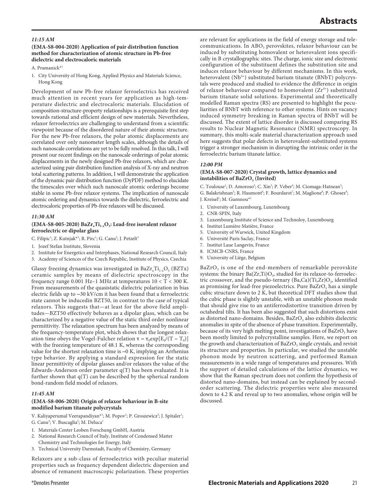#### *11:15 AM*

## **(EMA-S8-004-2020) Application of pair distribution function method for characterization of atomic structure in Pb-free dielectric and electrocaloric materials**

A. Pramanick\*

1. City University of Hong Kong, Applied Physics and Materials Science, Hong Kong

Development of new Pb-free relaxor ferroelectrics has received much attention in recent years for application as high-temperature dielectric and electrocaloric materials. Elucidation of composition-structure-property relationships is a prerequisite first step towards rational and efficient design of new materials. Nevertheless, relaxor ferroelectrics are challenging to understand from a scientific viewpoint because of the disordered nature of their atomic structure. For the new Pb-free relaxors, the polar atomic displacements are correlated over only nanometer length scales, although the details of such nanoscale correlations are yet to be fully resolved. In this talk, I will present our recent findings on the nanoscale orderings of polar atomic displacements in the newly designed Pb-free relaxors, which are characterized using pair distribution function analysis of X-ray and neutron total scattering patterns. In addition, I will demonstrate the application of the dynamic pair distribution function (DyPDF) method to elucidate the timescales over which such nanoscale atomic orderings become stable in some Pb-free relaxor systems. The implication of nanoscale atomic ordering and dynamics towards the dielectric, ferroelectric and electrocaloric properties of Pb-free relaxors will be discussed.

#### *11:30 AM*

#### (EMA-S8-005-2020) BaZr<sub>x</sub>Ti<sub>1-x</sub>O<sub>3</sub>: Lead-free isovalent relaxor **ferroelectric or dipolar glass**

C. Filipic<sup>1</sup>; Z. Kutnjak\*<sup>1</sup>; R. Pirc<sup>1</sup>; G. Canu<sup>2</sup>; J. Petzelt<sup>3</sup>

- 1. Jozef Stefan Institute, Slovenia
- 2. Institute for Energetics and Interphases, National Research Council, Italy
- 3. Academy of Sciences of the Czech Republic, Institute of Physics, Czechia

Glassy freezing dynamics was investigated in  $BaZr_xTi_{1-x}O_3$  (BZTx) ceramic samples by means of dielectric spectroscopy in the frequency range 0.001 Hz-1 MHz at temperatures  $10 < T < 300$  K. From measurements of the quasistatic dielectric polarization in bias electric fields up to ∼30 kV/cm it has been found that a ferroelectric state cannot be inducedin BZT50, in contrast to the case of typical relaxors. This suggests that—at least for the above field amplitudes—BZT50 effectively behaves as a dipolar glass, which can be characterized by a negative value of the static third order nonlinear permittivity. The relaxation spectrum has been analyzed by means of the frequency-temperature plot, which shows that the longest relaxation time obeys the Vogel-Fulcher relation  $\tau = \tau_0 \exp[E_0/(T - T_0)]$ with the freezing temperature of 48.1 K, whereas the corresponding value for the shortest relaxation time is ∼0 K, implying an Arrhenius type behavior. By applying a standard expression for the static linear permittivity of dipolar glasses and/or relaxors the value of the Edwards-Anderson order parameter q(T) has been evaluated. It is further shown that q(T) can be described by the spherical random bond-random field model of relaxors.

#### *11:45 AM*

## **(EMA-S8-006-2020) Origin of relaxor behaviour in B-site modified barium titanate polycrystals**

- V. Kaliyaperumal Veerapandiyan\*<sup>1</sup>; M. Popov<sup>1</sup>; P. Groszewicz<sup>3</sup>; J. Spitaler<sup>1</sup>; G. Canu<sup>2</sup>; V. Buscaglia<sup>2</sup>; M. Deluca<sup>1</sup>
- 1. Materials Center Leoben Forschung GmbH, Austria
- 2. National Research Council of Italy, Institute of Condensed Matter
- Chemistry and Technologies for Energy, Italy
- 3. Technical University Darmstadt, Faculty of Chemistry, Germany

Relaxors are a sub-class of ferroelectrics with peculiar material properties such as frequency dependent dielectric dispersion and absence of remanent macroscopic polarization. These properties are relevant for applications in the field of energy storage and telecommunications. In ABO<sub>3</sub> perovskites, relaxor behaviour can be induced by substituting homovalent or heterovalent ions specifically in B crystallographic sites. The charge, ionic size and electronic configuration of the substituent defines the substitution site and induces relaxor behaviour by different mechanisms. In this work, heterovalent (Nb<sup>5+</sup>) substituted barium titanate (BNbT) polycrystals were produced and studied to evidence the difference in origin of relaxor behaviour compared to homovalent  $(Zr^{4+})$  substituted barium titanate solid solutions. Experimental and theoretically modelled Raman spectra (RS) are presented to highlight the peculiarities of BNbT with reference to other systems. Hints on vacancy induced symmetry breaking in Raman spectra of BNbT will be discussed. The extent of lattice disorder is discussed comparing RS results to Nuclear Magnetic Resonance (NMR) spectroscopy. In summary, this multi-scale material characterization approach used here suggests that polar defects in heterovalent-substituted systems trigger a stronger mechanism in disrupting the intrinsic order in the ferroelectric barium titanate lattice.

#### *12:00 PM*

## **(EMA-S8-007-2020) Crystal growth, lattice dynamics and instabilities of BaZrO<sub>3</sub> (Invited)**

C. Toulouse<sup>1</sup>; D. Amoroso<sup>2</sup>; C. Xin<sup>3</sup>; P. Veber<sup>4</sup>; M. Ciomaga-Hatnean<sup>5</sup>;

- G. Balakrishnan<sup>5</sup>; R. Haumont<sup>6</sup>; F. Bourdarot<sup>7</sup>; M. Maglione<sup>8</sup>; P. Ghosez<sup>9</sup>; J. Kreisel<sup>1</sup>; M. Guennou\*<sup>1</sup>
- 1. University of Luxembourg, Luxembourg
- 2. CNR-SPIN, Italy
- 3. Luxembourg Institute of Science and Technoloy, Luxembourg
- 4. Institut Lumière Matière, France
- 5. University of Warwick, United Kingdom
- 6. Université Paris Saclay, France 7. Institut Laue Langevin, France
- 8. ICMCB-CNRS, France
- 9. University of Liège, Belgium

 $BaZrO<sub>3</sub>$  is one of the end-members of remarkable perovskite systems: the binary  $Ba(Zr, Ti)O<sub>3</sub>$ , studied for its relaxor-to-ferroelectric crossover, and the pseudo-ternary  $(Ba,Ca)(Ti,Zr)O<sub>3</sub>$ , identified as promising for lead-free piezoelectrics. Pure  $BaZrO<sub>3</sub>$  has a simple cubic structure down to 2 K, but theoretical DFT studies show that the cubic phase is slightly unstable, with an unstable phonon mode that should give rise to an antiferrodistortive transition driven by octahedral tilts. It has been also suggested that such distortions exist as distorted nano-domains. Besides, BaZrO<sub>3</sub> also exhibits dielectric anomalies in spite of the absence of phase transition. Experimentally, because of its very high melting point, investigations of  $BaZrO<sub>3</sub>$  have been mostly limited to polycrystalline samples. Here, we report on the growth and characterization of BaZrO<sub>3</sub> single crystals, and revisit its structure and properties. In particular, we studied the unstable phonon mode by neutron scattering, and performed Raman measurements in a wide range of temperatures and pressures. With the support of detailed calculations of the lattice dynamics, we show that the Raman spectrum does not confirm the hypothesis of distorted nano-domains, but instead can be explained by secondorder scattering. The dielectric properties were also measured down to 4.2 K and reveal up to two anomalies, whose origin will be discussed.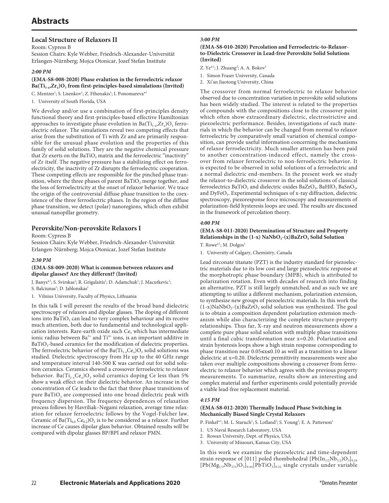## **Local Structure of Relaxors II**

Room: Cypress B

Session Chairs: Kyle Webber, Friedrich-Alexander-Universität Erlangen-Nürnberg; Mojca Otonicar, Jozef Stefan Institute

## *2:00 PM*

## **(EMA-S8-008-2020) Phase evalution in the ferroelectric relaxor**  Ba(Ti<sub>1-x</sub>,Zr<sub>x</sub>)O<sub>3</sub> from first-principles-based simulations (Invited)

C. Mentzer<sup>1</sup>; S. Lisenkov<sup>1</sup>; Z. Fthenakis<sup>1</sup>; I. Ponomareva<sup>\*1</sup>

1. University of South Florida, USA

We develop and/or use a combination of first-principles density functional theory and first-principles-based effective Hamiltonian approaches to investigate phase evolution in  $Ba(Ti_{1-x},Zr_x)O_3$  ferroelectric relaxor. The simulations reveal two competing effects that arise from the substitution of Ti with Zr and are primarily responsible for the unusual phase evolution and the properties of this family of solid solutions. They are the negative chemical pressure that  $Zr$  exerts on the BaTiO<sub>3</sub> matrix and the ferroelectric "inactivity" of Zr itself. The negative pressure has a stabilizing effect on ferroelectricity, the inactivity of Zr disrupts the ferroelectric cooperation. These competing effects are responsible for the pinched phase transition, where the three phases of parent BaTiO<sub>3</sub> merge together, and the loss of ferroelectricity at the onset of relaxor behavior. We trace the origin of the controversial diffuse phase transition to the coexistence of the three ferroelectric phases. In the region of the diffuse phase transition, we detect (polar) nanoregions, which often exhibit unusual nanopillar geometry.

## **Perovskite/Non-perovskite Relaxors I**

Room: Cypress B

Session Chairs: Kyle Webber, Friedrich-Alexander-Universität Erlangen-Nürnberg; Mojca Otonicar, Jozef Stefan Institute

## *2:30 PM*

## **(EMA-S8-009-2020) What is common between relaxors and dipolar glasses? Are they different? (Invited)**

J. Banys\*<sup>1</sup>; S. Svirskas<sup>1</sup>; R. Grigalaitis<sup>1</sup>; D. Adamchuk<sup>1</sup>; J. Macutkevic<sup>1</sup>; S. Balciunas<sup>1</sup>; D. Jablonskas<sup>1</sup>

1. Vilnius University, Faculty of Physics, Lithuania

In this talk I will peresnt the results of the broad band dielectric spectroscopy of relaxors and dipolar glasses. The doping of different ions into BaTiO<sub>3</sub> can lead to very complex behaviour and its receive much attention, both due to fundamental and technological application interests. Rare-earth oxide such Ce, which has intermediate ionic radius between  $Ba^{2+}$  and  $Ti^{4+}$  ions, is an important additive in BaTiO<sub>3</sub>-based ceramics for the modification of dielectric properties. The ferroelectric behavior of the Ba $(Ti_{1-x}Ce_x)O_3$  solid solutions was studied. Dielectric spectroscopy from Hz up to the 40 GHz range and temperature interval 140-500 K was carried out for solid solution ceramics. Ceramics showed a crossover ferroelectric to relaxor behavior. Ba( $Ti_{1-x}Ce_x$ ) $O_3$  solid ceramics doping Ce less than 5% show a weak effect on their dielectric behavior. An increase in the concentration of Ce leads to the fact that three phase transitions of pure BaTiO<sub>3</sub> are compressed into one broad dielectric peak with frequency dispersion. The frequency dependences of relaxation process follows by Havriliak–Negami relaxation, average time relaxation for relaxor ferroelectric follows by the Vogel-Fulcher law. Ceramic of Ba( $Ti_{0.8}$  Ce<sub>0.2</sub>)O<sub>3</sub> is to be considered as a relaxor. Further increase of Ce causes dipolar glass behavior. Obtained results will be compared with dipolar glasses BP/BPI and relaxor PMN.

## *3:00 PM*

## **(EMA-S8-010-2020) Percolation and Ferroelectric-to-Relaxorto-Dielectric Crossover in Lead-free Perovskite Solid Solutions (Invited)**

Z. Ye<sup>\*1</sup>; J. Zhuang<sup>2</sup>; A. A. Bokov<sup>1</sup>

- 1. Simon Fraser University, Canada
- 2. Xi'an Jiaotong University, China

The crossover from normal ferroelectric to relaxor behavior observed due to concentration variation in perovskite solid solutions has been widely studied. The interest is related to the properties of compounds with the compositions close to the crossover point which often show extraordinary dielectric, electrostrictive and piezoelectric performance. Besides, investigations of such materials in which the behavior can be changed from normal to relaxor ferroelectric by comparatively small variation of chemical composition, can provide useful information concerning the mechanisms of relaxor ferroelectricity. Much smaller attention has been paid to another concentration-induced effect, namely the crossover from relaxor ferroelectric to non-ferroelectric behavior. It is expected to be observed in solid solutions of a ferroelectric and a normal dielectric end-members. In the present work we study the relaxor-to-dielectric crossover in the solid solutions of classical ferroelectrics BaTiO<sub>3</sub> and dielectric oxides BaZrO<sub>3</sub>, BaHfO<sub>3</sub> BaSnO<sub>3</sub>, and DyFeO<sub>3</sub>. Experimental techniques of x-ray diffraction, dielectric spectroscopy, piezoresponse force microscopy and measurements of polarization-field hysteresis loops are used. The results are discussed in the framework of percolation theory.

## *4:00 PM*

## **(EMA-S8-011-2020) Determination of Structure and Property**  Relationships in the (1-x) NaNbO<sub>3</sub>-(x)BaZrO<sub>3</sub> Solid Solution

T. Rowe\*<sup>1</sup>; M. Dolgos<sup>1</sup>

1. University of Calgary, Chemistry, Canada

Lead zirconate titanate (PZT) is the industry standard for piezoelectric materials due to its low cost and large piezoelectric response at the morphotropic phase boundary (MPB), which is attributed to polarization rotation. Even with decades of research into finding an alternative, PZT is still largely unmatched, and as such we are attempting to utilize a different mechanism, polarization extension, to synthesize new groups of piezoelectric materials. In this work the  $(1-x)$ NaNbO<sub>3</sub>-(x)BaZrO<sub>3</sub> solid solution was synthesized. The goal is to obtain a composition dependent polarization extension mechanism while also characterizing the complete structure-property relationships. Thus far, X-ray and neutron measurements show a complete pure phase solid solution with multiple phase transitions until a final cubic transformation near x=0.20. Polarization and strain hysteresis loops show a high strain response corresponding to phase transition near 0.05≤x≤0.10 as well as a transition to a linear dielectric at x=0.20. Dielectric permittivity measurements were also taken over multiple compositions showing a crossover from ferroelectric to relaxor behavior which agrees with the previous property measurements. To summarize, results show an interesting and complex material and further experiments could potentially provide a viable lead-free replacement material.

## *4:15 PM*

## **(EMA-S8-012-2020) Thermally Induced Phase Switching in Mechanically Biased Single Crystal Relaxors**

P. Finkel\*<sup>1</sup>; M. L. Staruch<sup>1</sup>; S. Lofland<sup>2</sup>; S. Young<sup>3</sup>; E. A. Patterson<sup>1</sup>

- 1. US Naval Research Laboratory, USA
- 2. Rowan University, Dept. of Physics, USA
- 3. University of Missouri, Kansas City, USA

In this work we examine the piezoelectric and time-dependent strain response of [011] poled rhombohedral  $[Pb(In_{1/2}Nb_{1/2})O_3]_{0.24}$  $[Pb(Mg_{1/3}Nb_{2/3})O_3]_{0.44}[P\bar{b}TiO_3]_{0.32}$  single crystals under variable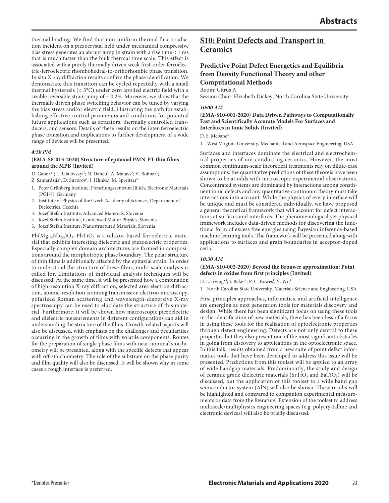thermal loading. We find that non-uniform thermal flux irradiation incident on a piezocrystal held under mechanical compressive bias stress generates an abrupt jump in strain with a rise time < 1 ms that is much faster than the bulk thermal time scale. This effect is associated with a purely thermally driven weak first-order ferroelectric-ferroelectric rhombohedral-to-orthorhombic phase transition. In situ X-ray diffraction results confirm the phase identification. We demonstrate this transition can be cycled repeatedly with a small thermal hysteresis (< 3°C) under zero applied electric field with a sizable reversible strain jump of  $\sim$  0.2%. Moreover, we show that the thermally driven phase switching behavior can be tuned by varying the bias stress and/or electric field, illustrating the path for establishing effective control parameters and conditions for potential future applications such as actuators, thermally controlled transducers, and sensors. Details of these results on the inter-ferroelectric phase transition.and implications to further development of a wide range of devices will be presented.

#### *4:30 PM*

## **(EMA-S8-013-2020) Structure of epitaxial PMN-PT thin films around the MPB (Invited)**

- U. Gabor\*<sup>1</sup>; I. Rafalovskyi<sup>2</sup>; N. Daneu<sup>3</sup>; A. Matavz<sup>4</sup>; V. Bobnar<sup>4</sup>;
- Z. Samardzija<sup>5</sup>; D. Suvorov<sup>3</sup>; J. Hlinka<sup>2</sup>; M. Spreitzer<sup>3</sup>
- 1. Peter Grünberg Institute, Forschungszentrum Jülich, Electronic Materials (PGI-7), Germany
- 2. Institute of Physics of the Czech Academy of Sciences, Department of Dielectrics, Czechia
- 3. Jozef Stefan Institute, Advanced Materials, Slovenia
- 4. Jozef Stefan Institute, Condensed Matter Physics, Slovenia
- 5. Jozef Stefan Institute, Nanostructured Materials, Slovenia

 $Pb(Mg_{1/3}Nb_{2/3})O_3-PbTiO_3$  is a relaxor-based ferroelectric material that exhibits interesting dielectric and piezoelectric properties. Especially complex domain architectures are formed in compositions around the morphotropic phase boundary. The polar structure of thin films is additionally affected by the epitaxial strain. In order to understand the structure of these films, multi-scale analysis is called for. Limitations of individual analysis techniques will be discussed. At the same time, it will be presented how a combination of high-resolution X-ray diffraction, selected area electron diffraction, atomic-resolution scanning transmission electron microscopy, polarized Raman scattering and wavelength-dispersive X-ray spectroscopy can be used to elucidate the structure of this material. Furthermore, it will be shown how macroscopic piezoelectric and dielectric measurements in different configurations can aid in understanding the structure of the films. Growth-related aspects will also be discussed, with emphasis on the challenges and peculiarities occurring in the growth of films with volatile components. Routes for the preparation of single-phase films with near-nominal stoichiometry will be presented, along with the specific defects that appear with off-stoichiometry. The role of the substrate on the phase purity and film quality will also be discussed. It will be shown why in some cases a rough interface is preferred.

## **S10: Point Defects and Transport in Ceramics**

## **Predictive Point Defect Energetics and Equilibria from Density Functional Theory and other Computational Methods**

Room: Citrus A

Session Chair: Elizabeth Dickey, North Carolina State University

#### *10:00 AM*

**(EMA-S10-001-2020) Data Driven Pathways to Computationally Fast and Scientifically Accurate Models For Surfaces and Interfaces in Ionic Solids (Invited)**

D. S. Mebane\*1

1. West Virginia University, Mechanical and Aerospace Engineering, USA

Surfaces and interfaces dominate the electrical and electrochemical properties of ion-conducting ceramics. However, the most common continuum-scale theoretical treatments rely on dilute-case assumptions: the quantitative predictions of these theoreis have been shown to be at odds with microscopic experimental observations. Concentrated systems are dominated by interactions among constituent ionic defects and any quantitative continuum theory must take interactions into account. While the physics of every interface will be unique and must be considered individually, we have proposed a general theoretical framework that will account for defect interactions at surfaces and interfaces. The phenomenological yet physical framework includes data-driven methods for discovering the functional form of excess free energies using Bayesian inference-based machine learning tools. The framework will be presented along with applications to surfaces and grain boundaries in acceptor-doped ceria.

#### *10:30 AM*

## **(EMA-S10-002-2020) Beyond the Brouwer approximation: Point defects in oxides from first principles (Invited)**

D. L. Irving\*<sup>1</sup>; J. Baker<sup>1</sup>; P. C. Bowes<sup>1</sup>; Y. Wu<sup>1</sup>

1. North Carolina State University, Materials Science and Engineering, USA

First principles approaches, informatics, and artificial intelligence are emerging as next generation tools for materials discovery and design. While there has been significant focus on using these tools in the identification of new materials, there has been less of a focus in using these tools for the realization of optoelectronic properties through defect engineering. Defects are not only central to these properties but they also present one of the most significant obstacles in going from discovery to applications in the optoelectronic space. In this talk, results obtained from a new suite of point defect informatics tools that have been developed to address this issue will be presented. Predictions from this toolset will be applied to an array of wide bandgap materials. Predominantly, the study and design of ceramic grade dielectric materials ( $SrTiO<sub>3</sub>$  and  $BaTiO<sub>3</sub>$ ) will be discussed, but the application of this toolset to a wide band gap semiconductor system (AlN) will also be shown. These results will be highlighted and compared to companion experimental measurements or data from the literature. Extension of the toolset to address multiscale/multiphysics engineering spaces (e.g. polycrystalline and electronic devices) will also be briefly discussed.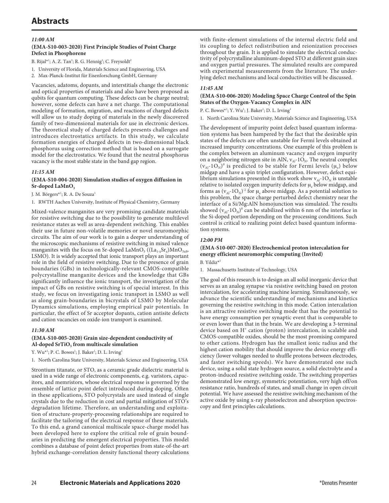# **Abstracts**

## *11:00 AM*

## **(EMA-S10-003-2020) First Principle Studies of Point Charge Defect in Phosphorene**

- B. Rijal\*<sup>1</sup>; A. Z. Tan<sup>1</sup>; R. G. Hennig<sup>1</sup>; C. Freysoldt<sup>2</sup>
- 1. University of Florida, Materials Science and Engineering, USA
- 2. Max-Planck-Institut für Eisenforschung GmbH, Germany

Vacancies, adatoms, dopants, and interstitials change the electronic and optical properties of materials and also have been proposed as qubits for quantum computing. These defects can be charge neutral; however, some defects can have a net charge. The computational modeling of formation, migration, and reactions of charged defects will allow us to study doping of materials in the newly discovered family of two-dimensional materials for use in electronic devices. The theoretical study of charged defects presents challenges and introduces electrostatics artifacts. In this study, we calculate formation energies of charged defects in two-dimensional black phosphorus using correction method that is based on a surrogate model for the electrostatics. We found that the neutral phosphorus vacancy is the most stable state in the band gap region.

## *11:15 AM*

## **(EMA-S10-004-2020) Simulation studies of oxygen diffusion in**  Sr-doped LaMnO<sub>3</sub>

J. M. Börgers\*<sup>1</sup>; R. A. De Souza<sup>1</sup>

1. RWTH Aachen University, Institute of Physical Chemistry, Germany

Mixed-valence manganites are very promising candidate materials for resistive switching due to the possibility to generate multilevel resistance states as well as area-dependent switching. This enables their use in future non-volatile memories or novel neuromorphic circuits. The aim of our work is to gain a deeper understanding of the microscopic mechanisms of resistive switching in mixed valence manganites with the focus on Sr-doped LaMnO<sub>3</sub> ((La<sub>1-x</sub>Sr<sub>x</sub>)MnO<sub>3+δ</sub>, LSMO). It is widely accepted that ionic transport plays an important role in the field of resistive switching. Due to the presence of grain boundaries (GBs) in technologically-relevant CMOS-compatible polycrystalline manganite devices and the knowledge that GBs significantly influence the ionic transport, the investigation of the impact of GBs on resistive switching is of special interest. In this study, we focus on investigating ionic transport in LSMO as well as along grain-boundaries in bicrystals of LSMO by Molecular Dynamics simulations, employing empirical pair potentials. In particular, the effect of Sr acceptor dopants, cation antisite defects and cation vacancies on oxide-ion transport is examined.

## *11:30 AM*

## **(EMA-S10-005-2020) Grain size-dependent conductivity of**  Al-doped SrTiO<sub>3</sub> from multiscale simulation

Y. Wu\*<sup>1</sup>; P. C. Bowes<sup>1</sup>; J. Baker<sup>1</sup>; D. L. Irving<sup>1</sup>

1. North Carolina State University, Materials Science and Engineering, USA

Strontium titanate, or STO, as a ceramic grade dielectric material is used in a wide range of electronic components, e.g. varistors, capacitors, and memristors, whose electrical response is governed by the ensemble of lattice point defect introduced during doping. Often in these applications, STO polycrystals are used instead of single crystals due to the reduction in cost and partial mitigation of STO's degradation lifetime. Therefore, an understanding and exploitation of structure-property-processing relationships are required to facilitate the tailoring of the electrical response of these materials. To this end, a grand canonical multiscale space-charge model has been developed here to explore the critical role of grain boundaries in predicting the emergent electrical properties. This model combines a database of point defect properties from state-of-the-art hybrid exchange-correlation density functional theory calculations

with finite-element simulations of the internal electric field and its coupling to defect redistribution and reionization processes throughout the grain. It is applied to simulate the electrical conductivity of polycrystalline aluminum-doped STO at different grain sizes and oxygen partial pressures. The simulated results are compared with experimental measurements from the literature. The underlying defect mechanisms and local conductivities will be discussed.

## *11:45 AM*

## **(EMA-S10-006-2020) Modeling Space Charge Control of the Spin States of the Oxygen-Vacancy Complex in AlN**

P. C. Bowes\*<sup>1</sup>; Y. Wu<sup>1</sup>; J. Baker<sup>1</sup>; D. L. Irving<sup>1</sup>

1. North Carolina State University, Materials Science and Engineering, USA

The development of impurity point defect based quantum information systems has been hampered by the fact that the desirable spin states of the defects are often unstable for Fermi levels obtained at increased impurity concentrations. One example of this problem is the complex between an aluminum vacancy and oxygen impurity on a neighboring nitrogen site in AlN,  $v_{Al}$ -1O<sub>N</sub>. The neutral complex  $(v_{Al} - 1O_N)^0$  is predicted to be stable for Fermi levels  $(\mu_e)$  below midgap and have a spin triplet configuration. However, defect equilibrium simulations presented in this work show  $v_{Al}$ -1 $O_N$  is unstable relative to isolated oxygen impurity defects for  $\mu_e$  below midgap, and forms as  $(v_{Al} - 1O_N)^2$  for  $\mu_e$  above midgap. As a potential solution to this problem, the space charge perturbed defect chemistry near the interface of a Si/Mg:AlN homojunction was simulated. The results showed  $(v_{Al}$ -1 $O_N)^0$  can be stabilized within 6 nm of the interface in the Si-doped portion depending on the processing conditions. Such control is critical to realizing point defect based quantum information systems.

## *12:00 PM*

## **(EMA-S10-007-2020) Electrochemical proton intercalation for energy efficient neuromorphic computing (Invited)**

B. Yildiz\*1

1. Massachusetts Institute of Technology, USA

The goal of this research is to design an all solid inorganic device that serves as an analog synapse via resistive switching based on proton intercalation, for accelerating machine learning. Simultaneously, we advance the scientific understanding of mechanisms and kinetics governing the resistive switching in this mode. Cation intercalation is an attractive resistive switching mode that has the potential to have energy consumption per synaptic event that is comparable to or even lower than that in the brain. We are developing a 3-terminal device based on H<sup>+</sup> cation (proton) intercalation, in scalable and CMOS-compatible oxides, should be the most promising compared to other cations. Hydrogen has the smallest ionic radius and the highest cation mobility that should improve the device energy efficiency (lower voltages needed to shuffle protons between electrodes, and faster switching speeds). We have demonstrated one such device, using a solid state hydrogen source, a solid electrolyte and a proton-induced resistive switching oxide. The switching properties demonstrated low energy, symmetric potentiation, very high off/on resistance ratio, hundreds of states, and small change in open circuit potential. We have assessed the resistive switching mechanism of the active oxide by using x-ray photoelectron and absorption spectroscopy and first principles calculations.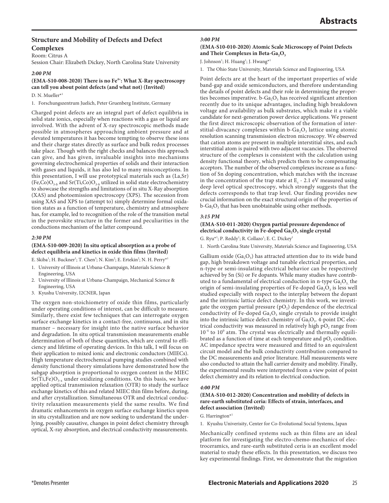## **Structure and Mobility of Defects and Defect Complexes**

Room: Citrus A

Session Chair: Elizabeth Dickey, North Carolina State University

## *2:00 PM*

## (EMA-S10-008-2020) There is no Fe<sup>4+</sup>: What X-Ray spectroscopy **can tell you about point defects (and what not) (Invited)**

D. N. Mueller<sup>\*1</sup>

1. Forschungszentrum Juelich, Peter Gruenberg Institute, Germany

Charged point defects are an integral part of defect equilibria in solid state ionics, especially when reactions with a gas or liquid are involved. With the advent of X-ray spectroscopic methods made possible in atmospheres approaching ambient pressure and at elevated temperatures it has become tempting to observe these ions and their charge states directly as surface and bulk redox processes take place. Though with the right checks and balances this approach can give, and has given, invaluable insights into mechanisms governing electrochemical properties of solids and their interaction with gases and liquids, it has also led to many misconceptions. In this presentation, I will use prototypical materials such as (La,Sr)  $(Fe, Co)O<sub>3.δ</sub>$  and  $Sr(Ti, Co)O<sub>3.δ</sub>$  utilized in solid state electrochemistry to showcase the strengths and limitations of in situ X-Ray absorption (XAS) and photoemission spectroscopy (XPS). The secession from using XAS and XPS to (attempt to) simply determine formal oxidation states as a function of temperature, chemistry and atmosphere has, for example, led to recognition of the role of the transition metal in the perovskite structure in the former and peculiarities in the conductions mechanism of the latter compound.

## *2:30 PM*

#### **(EMA-S10-009-2020) In situ optical absorption as a probe of defect equilibria and kinetics in oxide thin films (Invited)**

E. Skiba<sup>1</sup>; H. Buckner<sup>1</sup>; T. Chen<sup>3</sup>; N. Kim<sup>2</sup>; E. Ertekin<sup>2</sup>; N. H. Perry\*<sup>1</sup>

- 1. University of Illinois at Urbana-Champaign, Materials Science & Engineering, USA
- 2. University of Illinois at Urbana-Champaign, Mechanical Science & Engineering, USA
- 3. Kyushu University, I2CNER, Japan

The oxygen non-stoichiometry of oxide thin films, particularly under operating conditions of interest, can be difficult to measure. Similarly, there exist few techniques that can interrogate oxygen surface exchange kinetics in a contact-free, continuous, and in situ manner – necessary for insight into the native surface behavior and degradation. In situ optical transmission measurements enable determination of both of these quantities, which are central to efficiency and lifetime of operating devices. In this talk, I will focus on their application to mixed ionic and electronic conductors (MIECs). High temperature electrochemical pumping studies combined with density functional theory simulations have demonstrated how the subgap absorption is proportional to oxygen content in the MIEC  $Sr(Ti,Fe)O<sub>3-x</sub>$  under oxidizing conditions. On this basis, we have applied optical transmission relaxation (OTR) to study the surface exchange kinetics of this and related MIEC thin films before, during, and after crystallization. Simultaneous OTR and electrical conductivity relaxation measurements yield the same results. We find dramatic enhancements in oxygen surface exchange kinetics upon in situ crystallization and are now seeking to understand the underlying, possibly causative, changes in point defect chemistry through optical, X-ray absorption, and electrical conductivity measurements.

## *3:00 PM*

## **(EMA-S10-010-2020) Atomic Scale Microscopy of Point Defects**  and Their Complexes in Beta-Ga<sub>2</sub>O<sub>3</sub>

J. Johnson<sup>1</sup>; H. Huang<sup>1</sup>; J. Hwang\*<sup>1</sup>

1. The Ohio State University, Materials Science and Engineering, USA

Point defects are at the heart of the important properties of wide band-gap and oxide semiconductors, and therefore understanding the details of point defects and their role in determining the properties becomes imperative.  $b-Ga<sub>2</sub>O<sub>3</sub>$  has received significant attention recently due to its unique advantages, including high breakdown voltage and availability as bulk substrates, which make it a viable candidate for next-generation power device applications. We present the first direct microscopic observation of the formation of interstitial-divacancy complexes within  $b$ -Ga<sub>2</sub>O<sub>3</sub> lattice using atomic resolution scanning transmission electron microscopy. We observed that cation atoms are present in multiple interstitial sites, and each interstitial atom is paired with two adjacent vacancies. The observed structure of the complexes is consistent with the calculation using density functional theory, which predicts them to be compensating acceptors. The number of the observed complexes increase as a function of Sn doping concentration, which matches with the increase in the concentration of the trap state at  $E_c$  - 2.1 eV measured using deep level optical spectroscopy, which strongly suggests that the defects corresponds to that trap level. Our finding provides new crucial information on the exact structural origin of the properties of  $b-Ga<sub>2</sub>O<sub>3</sub>$  that has been unobtainable using other methods.

## *3:15 PM*

## **(EMA-S10-011-2020) Oxygen partial pressure dependence of**  electrical conductivity in Fe-doped Ga<sub>2</sub>O<sub>3</sub> single crystal

G. Ryu\*<sup>1</sup>; P. Reddy<sup>1</sup>; R. Collazo<sup>1</sup>; E. C. Dickey<sup>1</sup>

1. North Carolina State University, Materials Science and Engineering, USA

Gallium oxide  $(Ga_2O_3)$  has attracted attention due to its wide band gap, high breakdown voltage and tunable electrical properties, and n-type or semi-insulating electrical behavior can be respectively achieved by Sn (Si) or Fe dopants. While many studies have contributed to a fundamental of electrical conduction in n-type  $Ga<sub>2</sub>O<sub>3</sub>$ , the origin of semi-insulating properties of Fe-doped  $Ga<sub>2</sub>O<sub>3</sub>$  is less well studied especially with respect to the interplay between the dopant and the intrinsic lattice defect chemistry. In this work, we investigate the oxygen partial pressure  $(pO<sub>2</sub>)$  dependence of the electrical conductivity of Fe-doped Ga<sub>2</sub>O<sub>3</sub> single crystals to provide insight into the intrinsic lattice defect chemistry of  $Ga<sub>2</sub>O<sub>3</sub>$ . 4-point DC electrical conductivity was measured in relatively high  $pO<sub>2</sub>$  range from  $10^{-4}$  to  $10^{0}$  atm. The crystal was electrically and thermally equilibrated as a function of time at each temperature and  $pO<sub>2</sub>$  condition. AC impedance spectra were measured and fitted to an equivalent circuit model and the bulk conductivity contribution compared to the DC measurements and prior literature. Hall measurements were also conducted to attain the hall carrier density and mobility. Finally, the experimental results were interpreted from a view point of point defect chemistry and its relation to electrical conduction.

## *4:00 PM*

## **(EMA-S10-012-2020) Concentration and mobility of defects in rare-earth substituted ceria: Effects of strain, interfaces, and defect association (Invited)**

## G. Harrington $*1$

1. Kyushu Univerisity, Center for Co-Evolutional Social Systems, Japan

Mechanically confined systems such as thin films are an ideal platform for investigating the electro-chemo-mechanics of electroceramics, and rare-earth substituted ceria is an excellent model material to study these effects. In this presentation, we discuss two key experimental findings. First, we demonstrate that the migration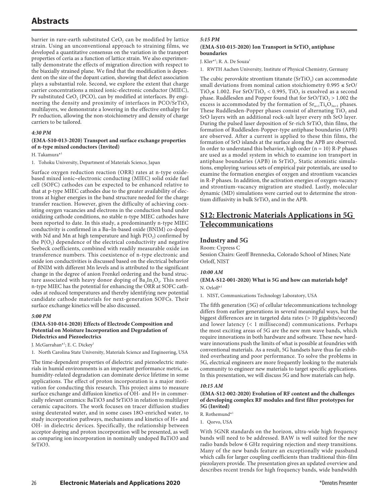barrier in rare-earth substituted  $CeO<sub>2</sub>$  can be modified by lattice strain. Using an unconventional approach to straining films, we developed a quantitative consensus on the variation in the transport properties of ceria as a function of lattice strain. We also experimentally demonstrate the effects of migration direction with respect to the biaxially strained plane. We find that the modification is dependent on the size of the dopant cation, showing that defect association plays a substantial role. Second, we explore the extent that charge carrier concentrations a mixed ionic-electronic conductor (MIEC), Pr substituted  $CeO<sub>2</sub>$  (PCO), can by modified at interfaces. By engineering the density and proximity of interfaces in PCO/SrTiO<sub>3</sub> multilayers, we demonstrate a lowering in the effective enthalpy for Pr reduction, allowing the non-stoichiometry and density of charge carriers to be tailored.

## *4:30 PM*

## **(EMA-S10-013-2020) Transport and surface exchange properties of n-type mixed conductors (Invited)**

H. Takamura\*1

1. Tohoku University, Department of Materials Science, Japan

Surface oxygen reduction reaction (ORR) rates at n-type oxidebased mixed ionic−electronic conducting (MIEC) solid oxide fuel cell (SOFC) cathodes can be expected to be enhanced relative to that at p-type MIEC cathodes due to the greater availability of electrons at higher energies in the band structure needed for the charge transfer reaction. However, given the difficulty of achieving coexisting oxygen vacancies and electrons in the conduction band under oxidizing cathode conditions, no stable n-type MIEC cathodes have been reported to date. In this study, a predominantly n-type MIEC conductivity is confirmed in a Ba−In-based oxide (BNIM) co-doped with Nd and Mn at high temperature and high  $P(O_2)$  confirmed by the  $P(O_2)$  dependence of the electrical conductivity and negative Seebeck coefficients, combined with readily measurable oxide ion transference numbers. This coexistence of n-type electronic and oxide ion conductivities is discussed based on the electrical behavior of BNIM with different Mn levels and is attributed to the significant change in the degree of anion Frenkel ordering and the band structure associated with heavy donor doping of  $Ba_2In_2O_5$ . This novel n-type MIEC has the potential for enhancing the ORR at SOFC cathodes at reduced temperatures and thereby identifying new potential candidate cathode materials for next-generation SOFCs. Their surface exchange kinetics will be also discussed.

#### *5:00 PM*

## **(EMA-S10-014-2020) Effects of Electrode Composition and Potential on Moisture Incorporation and Degradation of Dielectrics and Piezoelectrics**

J. McGarrahan\*<sup>1</sup>; E. C. Dickey<sup>1</sup>

1. North Carolina State University, Materials Science and Engineering, USA

The time-dependent properties of dielectric and piezoelectric materials in humid environments is an important performance metric, as humidity-related degradation can dominate device lifetime in some applications. The effect of proton incorporation is a major motivation for conducting this research. This project aims to measure surface exchange and diffusion kinetics of OH- and H+ in commercially relevant ceramics: BaTiO3 and SrTiO3 in relation to multilayer ceramic capacitors. The work focuses on tracer diffusion studies using deuterated water, and in some cases 18O-enriched water, to study incorporation pathways, mechanisms and kinetics of H+ and OH- in dielectric devices. Specifically, the relationship between acceptor doping and proton incorporation will be presented, as well as comparing ion incorporation in nominally undoped BaTiO3 and SrTiO3.

## *5:15 PM* (EMA-S10-015-2020) Ion Transport in SrTiO<sub>3</sub> antiphase **boundaries**

J. Kler<sup>\*1</sup>; R. A. De Souza<sup>1</sup>

1. RWTH Aachen University, Institute of Physical Chemistry, Germany

The cubic perovskite strontium titanate  $(SrTiO<sub>3</sub>)$  can accommodate small deviations from nominal cation stoichiometry  $0.995 \leq \text{SrO}/$ TiO<sub>2</sub>≤ 1.002. For SrO/TiO<sub>2</sub> < 0.995, TiO<sub>2</sub> is exsolved as a second phase. Ruddlesden and Popper found that for  $SrO/TiO<sub>2</sub> > 1.002$  the excess is accommodated by the formation of  $Sr_{n+1}Ti_nO_{3n+1}$  phases. These Ruddlesden-Popper phases consist of alternating  $TiO<sub>2</sub>$  and SrO layers with an additional rock-salt layer every nth SrO layer. During the pulsed laser deposition of Sr-rich SrTiO<sub>3</sub> thin films, the formation of Ruddlesden-Popper-type antiphase boundaries (APB) are observed. After a current is applied to these thin films, the formation of SrO islands at the surface along the APB are observed. In order to understand this behavior, high order ( $n = 10$ ) R-P phases are used as a model system in which to examine ion transport in antiphase boundaries (APB) in  $SrTiO<sub>3</sub>$ . Static atomistic simulations, employing various sets of empirical pair potentials, are used to examine the formation energies of oxygen and strontium vacancies in R-P phases. In addition, the activation energies of oxygen-vacancy and strontium-vacancy migration are studied. Lastly, molecular dynamic (MD) simulations were carried out to determine the strontium diffusivity in bulk  $SrTiO<sub>3</sub>$  and in the APB.

## **S12: Electronic Materials Applications in 5G Telecommunications**

## **Industry and 5G**

Room: Cypress C

Session Chairs: Geoff Brennecka, Colorado School of Mines; Nate Orloff, NIST

## *10:00 AM*

## **(EMA-S12-001-2020) What is 5G and how can materials help?** N. Orloff\*1

1. NIST, Communications Technology Laboratory, USA

The fifth generation (5G) of cellular telecommunications technology differs from earlier generations in several meaningful ways, but the biggest differences are in targeted data rates (> 10 gigabits/second) and lower latency (< 1 millisecond) communications. Perhaps the most exciting areas of 5G are the new mm wave bands, which require innovations in both hardware and software. These new hardware innovations push the limits of what is possible at foundries with conventional materials. As a result, 5G handsets have thus far exhibited overheating and poor performance. To solve the problems in 5G, electrical engineers are more frequently looking to the materials community to engineer new materials to target specific applications. In this presentation, we will discuss 5G and how materials can help.

## *10:15 AM*

## **(EMA-S12-002-2020) Evolution of RF content and the challenges of developing complex RF modules and first filter prototypes for 5G (Invited)**

R. Rothemund\*1

1. Qorvo, USA

With 5GNR standards on the horizon, ultra-wide high frequency bands will need to be addressed. BAW is well suited for the new radio bands below 6 GHz requiring rejection and steep transitions. Many of the new bands feature an exceptionally wide passband which calls for larger coupling coefficients than traditional thin-film piezolayers provide. The presentation gives an updated overview and describes recent trends for high frequency bands, wide bandwidth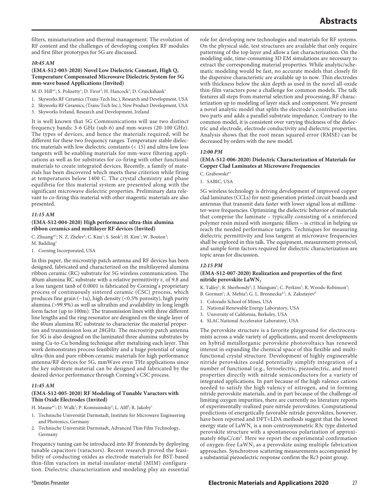filters, miniaturization and thermal management. The evolution of RF content and the challenges of developing complex RF modules and first filter prototypes for 5G are discussed.

## *10:45 AM*

## **(EMA-S12-003-2020) Novel Low Dielectric Constant, High Q, Temperature Compensated Microwave Dielectric System for 5G mm-wave based Applications (Invited)**

M. D. Hill\*<sup>1</sup>; S. Polisetty<sup>1</sup>; D. Firor<sup>2</sup>; H. Hancock<sup>3</sup>; D. Cruickshank<sup>1</sup>

- 1. Skyworks RF Ceramics (Trans-Tech Inc.), Research and Development, USA
- 2. Skyworks RF Ceramics, (Trans-Tech Inc.), New Product Development, USA
- 3. Skyworks Ireland, Research and Development, Ireland

It is well known that 5G Communications will use two distinct frequency bands: 3-6 GHz (sub-6) and mm-waves (20-100 GHz). The types of devices, and hence the materials required, will be different for these two frequency ranges. Temperature stable dielectric materials with low dielectric constants (< 15) and ultra-low loss tangents will be enabling materials for mm-wave filtering applications as well as for substrates for co-firing with other functional materials to create integrated devices. Recently, a family of materials has been discovered which meets these criterion while firing at temperatures below 1400 C. The crystal chemistry and phase equilibria for this material system are presented along with the significant microwave dielectric properties. Preliminary data relevant to co-firing this material with other magentic materials are also presented.

## *11:15 AM*

## **(EMA-S12-004-2020) High performance ultra-thin alumina ribbon ceramics and multilayer RF devices (Invited)**

C. Zhuang<sup>\*1</sup>; N. Z. Zhelev<sup>1</sup>; C. Kim<sup>1</sup>; S. Seok<sup>1</sup>; H. Kim<sup>1</sup>; W. Bouton<sup>1</sup>; M. Badding<sup>1</sup>

1. Corning Incorporated, USA

In this paper, the microstrip patch antenna and RF devices has been designed, fabricated and characterized on the multilayered alumina ribbon ceramic (RC) substrate for 5G wireless communication. The 40um alumina RC substrate with a relative permittivity  $\varepsilon_r$  of 9.8 and a loss tangent tanδ of 0.0001 is fabricated by Corning's proprietary process of continuously sintered ceramic (CSC) process, which produces fine grain (~1u), high density (<0.5% porosity), high purity alumina (>99.9%) as well as ultrathin and availability in long length form factor (up to 100m). The transmission lines with three different line lengths and the ring resonator are designed on the single layer of the 40um alumina RC substrate to characterize the material properties and transmission loss at 28GHz. The microstrip patch antenna for 5G is also designed on the laminated three alumina substrates by using Cu-to-Cu bonding technique after metalizing each layer. This work demonstrates process feasibility and a huge potential of using ultra-thin and pure ribbon ceramic materials for high performance antenna/RF devices for 5G, mmWave even THz applications since the key substrate material can be designed and fabricated by the desired device performance through Corning's CSC process.

## *11:45 AM*

## **(EMA-S12-005-2020) RF Modeling of Tunable Varactors with Thin Oxide Electrodes (Invited)**

H. Maune\*<sup>1</sup>; D. Walk<sup>1</sup>; P. Komissinskiy<sup>2</sup>; L. Alff<sup>2</sup>; R. Jakoby<sup>1</sup>

- 1. Technische Universität Darmstadt, Institute for Microwave Engineering and Photonics, Germany
- 2. Technische Universität Darmstadt, Advanced Thin Film Technology, Germany

Frequency tuning can be introduced into RF frontends by deploying tunable capacitors (varactors). Recent research proved the feasibility of conducting oxides as electrode materials for BST-based thin-film varactors in metal-insulator-metal (MIM) configuration. Dielectric characterization and modeling play an essential

role for developing new technologies and materials for RF systems. On the physical side, test structures are available that only require patterning of the top layer and allow a fast characterization. On the modeling side, time-consuming 3D EM simulations are necessary to extract the corresponding material properties. While analytic/schematic modeling would be fast, no accurate models that closely fit the dispersive characteristic are available up to now. Thin electrodes with thickness below the skin depth as used in the novel all-oxide thin-film varactors pose a challenge for common models. The talk features all steps from material selection and processing, RF characterization up to modeling of layer stack and component. We present a novel analytic model that splits the electrode's contribution into two parts and adds a parallel substrate impedance. Contrary to the common model, it is consistent over varying thickness of the dielectric and electrode, electrode conductivity and dielectric properties. Analysis shows that the root mean squared error (RMSE) can be decreased by orders with the new model.

## *12:00 PM*

## **(EMA-S12-006-2020) Dielectric Characterization of Materials for Copper Clad Laminates at Microwave Frequencies**

C. Grabowski\*1

1. SABIC, USA

5G wireless technology is driving development of improved copper clad laminates (CCLs) for next-generation printed circuit boards and antennas that transmit data faster with lower signal loss at millimeter-wave frequencies. Optimizing the dielectric behavior of materials that comprise the laminate – typically consisting of a reinforced polymer resin mixed with inorganic fillers – is critical in helping us reach the needed performance targets. Techniques for measuring dielectric permittivity and loss tangent at microwave frequencies shall be explored in this talk. The equipment, measurement protocol, and sample form factors required for dielectric characterization are topic areas for discussion.

## *12:15 PM*

## **(EMA-S12-007-2020) Realization and properties of the first nitride perovskite LaWN3**

K. Talley<sup>1</sup>; R. Sherbondy<sup>2</sup>; J. Mangum<sup>1</sup>; C. Perkins<sup>2</sup>; R. Woods-Robinson<sup>3</sup>;

- B. Gorman<sup>1</sup>; A. Mehta<sup>4</sup>; G. L. Brennecka\*<sup>1</sup>; A. Zakutayev<sup>2</sup>
- 1. Colorado School of Mines, USA
- 2. National Renewable Energy Laboratory, USA
- 3. University of California, Berkeley, USA
- 4. SLAC National Accelerator Laboratory, USA

The perovskite structure is a favorite playground for electroceramists across a wide variety of applications, and recent developments on hybrid metallorganic perovskite photovoltaics has renewed interest in expanding the chemical space of this flexible and multifunctional crystal structure. Development of highly engineerable nitride perovskites could potentially simplify integration of a number of functional (e.g., ferroelectric, piezoelectric, and more) properties directly with nitride semiconductors for a variety of integrated applications. In part because of the high valence cations needed to satisfy the high valency of nitrogen, and in forming nitride perovskite materials, and in part because of the challenge of limiting oxygen impurities, there are currently no literature reports of experimentally-realized pure nitride perovskites. Computational predictions of energetically favorable nitride perovskites, however, have been reported and DFT+LDA methods suggest that the lowest energy state of LaWN<sub>3</sub> is a non-centrosymmetric R3c type distorted perovskite structure with a spontaneous polarization of approximately 60µC/cm<sup>2</sup>. Here we report the experimental confirmation of oxygen-free LaWN<sub>3</sub> as a perovskite using multiple fabrication approaches. Synchrotron scattering measurements accompanied by a substantial piezoelectric response confirm the Rc3 point group.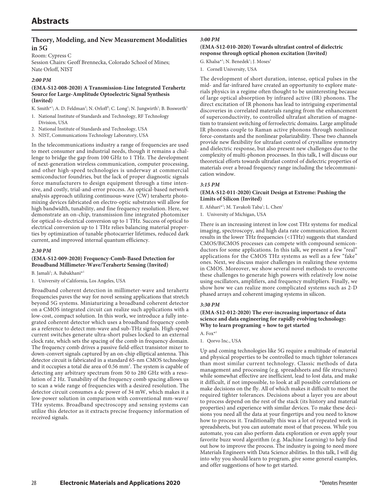## **Theory, Modeling, and New Measurement Modalities in 5G**

Room: Cypress C Session Chairs: Geoff Brennecka, Colorado School of Mines; Nate Orloff, NIST

## *2:00 PM*

## **(EMA-S12-008-2020) A Transmission-Line Integrated Terahertz Source for Large-Amplitude Optoelectric Signal Synthesis (Invited)**

- K. Smith\*<sup>1</sup>; A. D. Feldman<sup>2</sup>; N. Orloff<sup>3</sup>; C. Long<sup>1</sup>; N. Jungwirth<sup>1</sup>; B. Bosworth<sup>1</sup>
- 1. National Institute of Standards and Technology, RF Technology Division, USA
- 2. National Institute of Standards and Technology, USA
- 3. NIST, Communications Technology Laboratory, USA

In the telecommunications industry a range of frequencies are used to meet consumer and industrial needs, though it remains a challenge to bridge the gap from 100 GHz to 1 THz. The development of next-generation wireless communication, computer processing, and other high-speed technologies is underway at commercial semiconductor foundries, but the lack of proper diagnostic signals force manufacturers to design equipment through a time intensive, and costly, trial-and-error process. An optical-based network analysis approach utilizing continuous-wave (CW) terahertz photomixing devices fabricated on electro-optic substrates will allow for high bandwidth, tunability, and fine frequency resolution. Here, we demonstrate an on-chip, transmission line integrated photomixer for optical-to-electrical conversion up to 1 THz. Success of optical to electrical conversion up to 1 THz relies balancing material properties by optimization of tunable photocarrier lifetimes, reduced dark current, and improved internal quantum efficiency.

## *2:30 PM*

## **(EMA-S12-009-2020) Frequency-Comb-Based Detection for Broadband Millimeter-Wave/Terahertz Sensing (Invited)**

B. Jamali<sup>1</sup>; A. Babakhani<sup>\*1</sup>

1. University of California, Los Angeles, USA

Broadband coherent detection in millimeter-wave and terahertz frequencies paves the way for novel sensing applications that stretch beyond 5G systems. Miniaturizing a broadband coherent detector on a CMOS integrated circuit can realize such applications with a low-cost, compact solution. In this work, we introduce a fully integrated coherent detector which uses a broadband frequency comb as a reference to detect mm-wave and sub-THz signals. High-speed current switches generate ultra-short pulses locked to an external clock rate, which sets the spacing of the comb in frequency domain. The frequency comb drives a passive field-effect transistor mixer to down-convert signals captured by an on-chip elliptical antenna. This detector circuit is fabricated in a standard 65-nm CMOS technology and it occupies a total die area of 0.56 mm<sup>2</sup>. The system is capable of detecting any arbitrary spectrum from 50 to 280 GHz with a resolution of 2 Hz. Tunability of the frequency comb spacing allows us to scan a wide range of frequencies with a desired resolution. The detector circuit consumes a dc power of 34 mW, which makes it a low-power solution in comparison with conventional mm-wave/ THz systems. Broadband spectroscopy and sensing systems can utilize this detector as it extracts precise frequency information of received signals.

## *3:00 PM*

## **(EMA-S12-010-2020) Towards ultrafast control of dielectric response through optical phonon excitation (Invited)**

G. Khalsa\*<sup>1</sup>; N. Benedek<sup>1</sup>; J. Moses<sup>1</sup>

1. Cornell University, USA

The development of short duration, intense, optical pulses in the mid- and far-infrared have created an opportunity to explore materials physics in a regime often thought to be uninteresting because of large optical absorption by infrared active (IR) phonons. The direct excitation of IR phonons has lead to intriguing experimental discoveries in correlated materials ranging from the enhancement of superconductivity, to controlled ultrafast alteration of magnetism to transient switching of ferroelectric domains. Large amplitude IR phonons couple to Raman active phonons through nonlinear force-constants and the nonlinear polarizability. These two channels provide new flexibility for ultrafast control of crystalline symmetry and dielectric response, but also present new challenges due to the complexity of multi-phonon processes. In this talk, I will discuss our theoretical efforts towards ultrafast control of dielectric properties of materials over a broad frequency range including the telecommunication window.

## *3:15 PM*

## **(EMA-S12-011-2020) Circuit Design at Extreme: Pushing the Limits of Silicon (Invited)**

E. Afshari<sup>\*1</sup>; M. Tavakoli Taba<sup>1</sup>; L. Chen<sup>1</sup>

1. University of Michigan, USA

There is an increasing interest in low cost THz systems for medical imaging, spectroscopy, and high data rate communication. Recent results in the lower THz frequencies (<1THz) suggests that standard CMOS/BiCMOS processes can compete with compound semiconductors for some applications. In this talk, we present a few "real" applications for the CMOS THz systems as well as a few "fake" ones. Next, we discuss major challenges in realizing these systems in CMOS. Moreover, we show several novel methods to overcome these challenges to generate high powers with relatively low noise using oscillators, amplifiers, and frequency multipliers. Finally, we show how we can realize more complicated systems such as 2-D phased arrays and coherent imaging systems in silicon.

## *3:30 PM*

## **(EMA-S12-012-2020) The ever-increasing importance of data science and data engineering for rapidly evolving technology: Why to learn programing + how to get started**

A. Fo $x^*$ <sup>1</sup>

1. Qorvo Inc., USA

Up and coming technologies like 5G require a multitude of material and physical properties to be controlled to much tighter tolerances than most similar current technology. Classic methods of data management and processing (e.g. spreadsheets and file structures) while somewhat effective are inefficient, lead to lost data, and make it difficult, if not impossible, to look at all possible correlations or make decisions on the fly. All of which makes it difficult to meet the required tighter tolerances. Decisions about a layer you are about to process depend on the rest of the stack (its history and material properties) and experience with similar devices. To make these decisions you need all the data at your fingertips and you need to know how to process it. Traditionally this was a lot of repeated work in spreadsheets, but you can automate most of that process. While you automate, you can also perform data exploration or even apply your favorite buzz word algorithm (e.g. Machine Learning) to help find out how to improve the process. The industry is going to need more Materials Engineers with Data Science abilities. In this talk, I will dig into why you should learn to program, give some general examples, and offer suggestions of how to get started.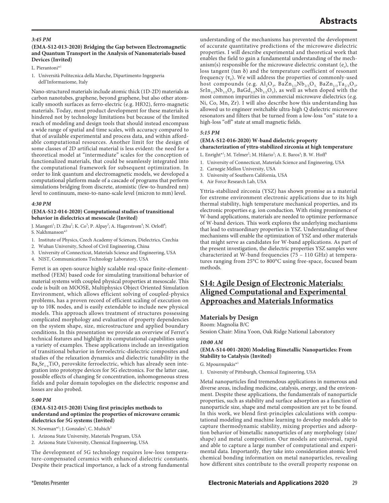## *3:45 PM*

## **(EMA-S12-013-2020) Bridging the Gap between Electromagnetic and Quantum Transport in the Analysis of Nanomaterials-based Devices (Invited)**

L. Pierantoni\*1

1. Università Politecnica della Marche, Dipartimento Ingegneria dell'Informaziome, Italy

Nano-structured materials include atomic thick (1D-2D) materials as carbon nanotubes, graphene, beyond graphene, but also other atomically smooth surfaces as ferro-electric (e.g. HfO2), ferro-magnetic materials. Today, most product development for these materials is hindered not by technology limitations but because of the limited reach of modeling and design tools that should instead encompass a wide range of spatial and time scales, with accuracy compared to that of available experimental and process data, and within affordable computational resources. Another limit for the design of some classes of 2D artificial material is less evident: the need for a theoretical model at "intermediate" scales for the conception of functionalized materials, that could be seamlessly integrated into the computational framework for subsequent optimization. In order to link quantum and electromagnetic models, we developed a computational platform made of a cascade of programs that perform simulations bridging from discrete, atomistic (few-to-hundred nm) level to continuum, meso-to-nano-scale level (micron to mm) level.

#### *4:30 PM*

#### **(EMA-S12-014-2020) Computational studies of transitional behavior in dielectrics at mesoscale (Invited)**

J. Mangeri<sup>1</sup>; D. Zhu<sup>2</sup>; K. Co<sup>3</sup>; P. Alpay<sup>3</sup>; A. Hagerstrom<sup>4</sup>; N. Orloff<sup>4</sup>; S. Nakhmanson<sup>\*3</sup>

- 1. Institute of Physics, Czech Academy of Sciences, Dielectrics, Czechia
- 2. Wuhan University, School of Civil Engineering, China
- 3. University of Connecticut, Materials Science and Engineering, USA
- 4. NIST, Communications Technology Laboratory, USA

Ferret is an open-source highly scalable real-space finite-elementmethod (FEM) based code for simulating transitional behavior of material systems with coupled physical properties at mesoscale. This code is built on MOOSE, Multiphysics Object Oriented Simulation Environment, which allows efficient solving of coupled-physics problems, has a proven record of efficient scaling of execution on up to 10K nodes, and is easily extendable to include new physical models. This approach allows treatment of structures possessing complicated morphology and evaluation of property dependencies on the system shape, size, microstructure and applied boundary conditions. In this presentation we provide an overview of Ferret's technical features and highlight its computational capabilities using a variety of examples. These applications include an investigation of transitional behavior in ferroelectric-dielectric composites and studies of the relaxation dynamics and dielectric tunability in the  $Ba_{x}Sr_{1-x}TiO_{3}$  perovskite ferroelectric, which has already seen integration into prototype devices for 5G electronics. For the latter case, possible effects of changing Sr concentration, inhomogeneous stress fields and polar domain topologies on the dielectric response and losses are also probed.

#### *5:00 PM*

## **(EMA-S12-015-2020) Using first principles methods to understand and optimize the properties of microwave ceramic dielectrics for 5G systems (Invited)**

N. Newman\*<sup>1</sup>; J. Gonzales<sup>1</sup>; C. Muhich<sup>2</sup>

- 1. Arizona State University, Materials Program, USA
- 2. Arizona State University, Chemical Engineering, USA

The development of 5G technology requires low-loss temperature-compensated ceramics with enhanced dielectric constants. Despite their practical importance, a lack of a strong fundamental

understanding of the mechanisms has prevented the development of accurate quantitative predictions of the microwave dielectric properties. I will describe experimental and theoretical work that enables the field to gain a fundamental understanding of the mechanism(s) responsible for the microwave dielectric constant  $(e<sub>r</sub>)$ , the loss tangent (tan δ) and the temperature coefficient of resonant frequency  $(\tau_F)$ . We will address the properties of commonly-used host compounds (e.g.  $Al_2O_3$ , Ba $\overline{Zn_{1/3}}Nb_{2/3}O_3$ , Ba $\overline{Zn_{1/3}}Ta_{2/3}O_3$ ,  $Srln<sub>1/2</sub>Nb<sub>1/2</sub>O<sub>3</sub>$ , BaGd<sub>1/2</sub>Nb<sub>1/2</sub>O<sub>3</sub>), as well as when doped with the most common impurities in commercial microwave dielectrics (e.g. Ni, Co, Mn, Zr). I will also describe how this understanding has allowed us to engineer switchable ultra-high Q dielectric microwave resonators and filters that be turned from a low-loss "on" state to a high-loss "off" state at small magnetic fields.

#### *5:15 PM*

## **(EMA-S12-016-2020) W-band dielectric property characterization of yttra-stabilized zirconia at high temperature**

- L. Enright\*<sup>1</sup>; M. Telmer<sup>2</sup>; M. Hilario<sup>3</sup>; A. E. Baros<sup>4</sup>; B. W. Hoff<sup>4</sup>
- 1. University of Connecticut, Materials Science and Engineering, USA
- 2. Carnegie Mellon University, USA
- 3. University of Southern California, USA
- 4. Air Force Research Lab, USA

Yttria-stabilized zirconia (YSZ) has shown promise as a material for extreme environment electronic applications due to its high thermal stability, high temperature mechanical properties, and its electronic properties e.g. ion conduction. With rising prominence of W-band applications, materials are needed to optimize performance of W-band devices. This work explores the underlying mechanisms that lead to extraordinary properties in YSZ. Understanding of these mechanisms will enable the optimization of YSZ and other materials that might serve as candidates for W-band applications. As part of the present investigation, the dielectric properties YSZ samples were characterized at W-band frequencies (75 – 110 GHz) at temperatures ranging from 25°C to 800°C using free-space, focused beam methods.

## **S14: Agile Design of Electronic Materials: Aligned Computational and Experimental Approaches and Materials Informatics**

## **Materials by Design**

Room: Magnolia B/C

Session Chair: Mina Yoon, Oak Ridge National Laboratory

## *10:00 AM*

## **(EMA-S14-001-2020) Modeling Bimetallic Nanoparticles: From Stability to Catalysis (Invited)**

G. Mpourmpakis\*1

1. University of Pittsburgh, Chemical Engineering, USA

Metal nanoparticles find tremendous applications in numerous and diverse areas, including medicine, catalysis, energy, and the environment. Despite these applications, the fundamentals of nanoparticle properties, such as stability and surface adsorption as a function of nanoparticle size, shape and metal composition are yet to be found. In this work, we blend first-principles calculations with computational modeling and machine learning to develop models able to capture thermodynamic stability, mixing properties and adsorption behavior of bimetallic nanoparticles of any morphology (size/ shape) and metal composition. Our models are universal, rapid and able to capture a large number of computational and experimental data. Importantly, they take into consideration atomic level chemical bonding information on metal nanoparticles, revealing how different sites contribute to the overall property response on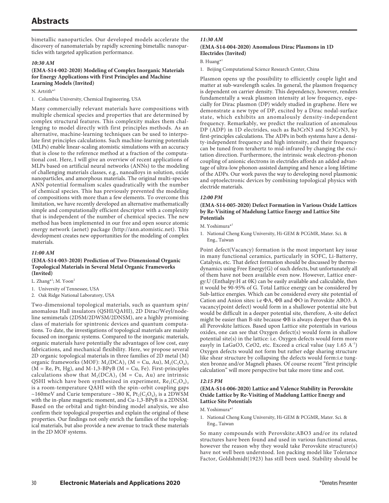bimetallic nanoparticles. Our developed models accelerate the discovery of nanomaterials by rapidly screening bimetallic nanoparticles with targeted application performance.

## *10:30 AM*

## **(EMA-S14-002-2020) Modeling of Complex Inorganic Materials for Energy Applications with First Principles and Machine Learning Models (Invited)**

N. Artrith\*

1. Columbia University, Chemical Engineering, USA

Many commercially relevant materials have compositions with multiple chemical species and properties that are determined by complex structural features. This complexity makes them challenging to model directly with first principles methods. As an alternative, machine-learning techniques can be used to interpolate first principles calculations. Such machine-learning potentials (MLPs) enable linear-scaling atomistic simulations with an accuracy that is close to the reference method at a fraction of the computational cost. Here, I will give an overview of recent applications of MLPs based on artificial neural networks (ANNs) to the modeling of challenging materials classes, e.g., nanoalloys in solution, oxide nanoparticles, and amorphous materials. The original multi-species ANN potential formalism scales quadratically with the number of chemical species. This has previously prevented the modeling of compositions with more than a few elements. To overcome this limitation, we have recently developed an alternative mathematically simple and computationally efficient descriptor with a complexity that is independent of the number of chemical species. The new method has been implemented in our free and open source atomic energy network (aenet) package (http://ann.atomistic.net). This development creates new opportunities for the modeling of complex materials.

## *11:00 AM*

## **(EMA-S14-003-2020) Prediction of Two-Dimensional Organic Topological Materials in Several Metal Organic Frameworks (Invited)**

- L. Zhang<sup>\*1</sup>; M. Yoon<sup>2</sup>
- 1. University of Tennessee, USA
- 2. Oak Ridge National Laboratory, USA

Two-dimensional topological materials, such as quantum spin/ anomalous Hall insulators (QSHI/QAHI), 2D Dirac/Weyl/nodeline semimetals (2DSM/2DWSM/2DNSM), are a highly promising class of materials for spintronic devices and quantum computations. To date, the investigations of topological materials are mainly focused on inorganic systems. Compared to the inorganic materials, organic materials have potentially the advantages of low cost, easy fabrications, and mechanical flexibility. Here, we propose several 2D organic topological materials in three families of 2D metal (M) organic frameworks (MOF):  $M_2(DCA)$ <sub>3</sub> (M = Cu, Au),  $M_2(C_2O_4)$ <sub>3</sub>  $(M = Re, Pt, Hg)$ , and M-1,3-BPyB  $(M = Cu, Fe)$ . First-principles calculations show that  $M_2(DCA)$ <sub>3</sub> (M = Cu, Au) are intrinsic QSHI which have been synthesized in experiment,  $Re_2(C_2O_4)$ <sub>3</sub> is a room-temperature QAHI with the spin–orbit coupling gaps ~160meV and Curie temperature ~380 K,  $Pt_2(C_2O_4)$ <sub>3</sub> is a 2DWSM with the in-plane magnetic moment, and Cu-1,3-BPyB is a 2DNSM. Based on the orbital and tight-binding model analysis, we also confirm their topological properties and explain the original of these properties. Our findings not only enrich the families of the topological materials, but also provide a new avenue to track these materials in the 2D MOF systems.

## *11:30 AM* **(EMA-S14-004-2020) Anomalous Dirac Plasmons in 1D Electrides (Invited)**

## B. Huang\*1

1. Beijing Computational Science Research Center, China

Plasmon opens up the possibility to efficiently couple light and matter at sub-wavelength scales. In general, the plasmon frequency is dependent on carrier density. This dependency, however, renders fundamentally a weak plasmon intensity at low frequency, especially for Dirac plasmon (DP) widely studied in graphene. Here we demonstrate a new type of DP, excited by a Dirac nodal-surface state, which exhibits an anomalously density-independent frequency. Remarkably, we predict the realization of anomalous DP (ADP) in 1D electrides, such as Ba3CrN3 and Sr3CrN3, by first-principles calculations. The ADPs in both systems have a density-independent frequency and high intensity, and their frequency can be tuned from terahertz to mid-infrared by changing the excitation direction. Furthermore, the intrinsic weak electron-phonon coupling of anionic electrons in electrides affords an added advantage of ultra-low phonon-assisted damping and hence a long lifetime of the ADPs. Our work paves the way to developing novel plasmonic and optoelectronic devices by combining topological physics with electride materials.

## *12:00 PM*

#### **(EMA-S14-005-2020) Defect Formation in Various Oxide Lattices by Re-Visiting of Madelung Lattice Energy and Lattice Site Potentials**

M. Yoshimura\*1

1. National Cheng Kung University, Hi-GEM & PCGMR, Mater. Sci. & Eng., Taiwan

Point defect(Vacancy) formation is the most important key issue in many functional ceramics, particularly in SOFC, Li-Batterry, Catalysis, etc. That defect formation should be discussed by thermodynamics using Free Energy(G) of such defects, but unfortunately all of them have not been available even now. However, Lattice energy:U (Enthalpy:H at 0K) can be easily available and caliculable, then it would be 90-95% of G. Total Lattice energy can be considered by Sub-lattice energies. Which can be considered every site potential of Cation and Anion sites: i.e ΦA, ΦB and ΦO in Perovskite ABO3. A vacancy(point defect) would form in a shallower potential site but would be difficult in a deeper potential site, therefore, A-site defect might be easier than B-site because ΦB is always deeper than ΦA in all Perovskite lattices. Based upon Lattice site potentials in various oxides, one can see that Oxygen defect(s) would form in shallow potential site(s) in the lattice: i.e. Oxygen defects would form more easyly in LaGaO3, CeO2, etc. Exceed a crical value (say 1.65 A<sup>-1</sup>) Oxygen defects would not form but rather edge sharing structure like shear structure by collapsing the defects would form:i.e tungsten bronze and/or Magneli phases. Of course recent "first principle calculation" will more perspective but take more time and cost.

## *12:15 PM*

## **(EMA-S14-006-2020) Lattice and Valence Stability in Perovskite Oxide Lattice by Re-Visiting of Madelung Lattice Energy and Lattice Site Potentials**

- M. Yoshimura\*
- 1. National Cheng Kung University, Hi-GEM & PCGMR, Mater. Sci. & Eng., Taiwan

So many compounds with Perovskite:ABO3 and/or its related structures have been found and used in various functional areas, however the reason why they would take Perovskite structure(s) have not well been understood. Ion packing model like Tolerance Factor, Goldshmidt(1923) has still been used. Stability should be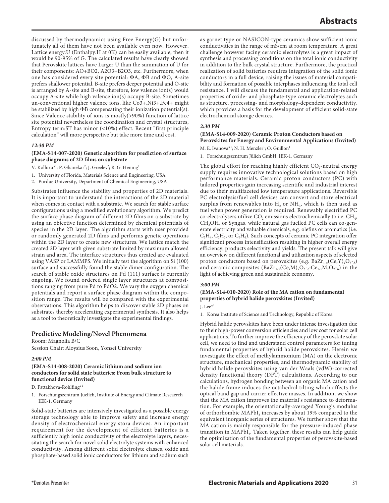discussed by thermodynamics using Free Energy(G) but unfortunately all of them have not been available even now. However, Lattice energy:U (Enthalpy:H at 0K) can be easily available, then it would be 90-95% of G. The calculated results have clearly showed that Perovskite lattices have Larger U than the summation of U for their components: AO+BO2, A2O3+B2O3, etc. Furthermore, when one has considered every site potential: ΦA, ΦB and ΦO, A-site prefers shallower potential, B-site prefers deeper potential and O-site is arranged by A-site and B-site, therefore, low valence ion(s) would occupy A-site while high valence ion(s) occupy B-site. Sometimes un-conventional higher valence ions, like Co3+,Ni3+,Fe4+ might be stabilized by high ΦB compensating their ionization potential(s). Since Valence stability of ions is mostly(>90%) function of lattice site potential nevertheless the coordination and crystal structures, Entropy term:ST has minor (<10%) effect. Recent "first principle calculation" will more perspective but take more time and cost.

## *12:30 PM*

## **(EMA-S14-007-2020) Genetic algorithm for prediction of surface phase diagrams of 2D films on substrate**

V. Kolluru\*<sup>1</sup>; P. Ghanekar<sup>2</sup>; J. Greeley<sup>2</sup>; R. G. Hennig<sup>1</sup>

- 1. University of Florida, Materials Science and Engineering, USA
- 2. Purdue University, Department of Chemical Engineering, USA

Substrates influence the stability and properties of 2D materials. It is important to understand the interactions of the 2D material when comes in contact with a substrate. We search for stable surface configurations using a modified evolutionary algorithm. We predict the surface phase diagram of different 2D films on a substrate by using an objective function determined by chemical potentials of species in the 2D layer. The algorithm starts with user provided or randomly generated 2D films and performs genetic operations within the 2D layer to create new structures. We lattice match the created 2D layer with given substrate limited by maximum allowed strain and area. The interface structures thus created are evaluated using VASP or LAMMPS. We initially test the algorithm on Si (100) surface and successfully found the stable dimer configuration. The search of stable oxide structures on Pd (111) surface is currently ongoing. We found ordered single layer structures at compositions ranging from pure Pd to PdO2. We vary the oxygen chemical potentials and report a surface phase diagram within the composition range. The results will be compared with the experimental observations. This algorithm helps to discover stable 2D phases on substrates thereby accelerating experimental synthesis. It also helps as a tool to theoretically investigate the experimental findings.

## **Predictive Modeling/Novel Phenomena**

Room: Magnolia B/C Session Chair: Aloysius Soon, Yonsei University

## *2:00 PM*

## **(EMA-S14-008-2020) Ceramic lithium and sodium ion conductors for solid state batteries: From bulk structure to functional device (Invited)**

D. Fattakhova-Rohlfing\*1

1. Forschungszentrum Juelich, Institute of Energy and Climate Reseaerch IEK-1, Germany

Solid-state batteries are intensively investigated as a possible energy storage technology able to improve safety and increase energy density of electrochemical energy stora devices. An important requirement for the development of efficient batteries is a sufficiently high ionic conductivity of the electrolyte layers, necessitating the search for novel solid electrolyte systems with enhanced conductivity. Among different solid electrolyte classes, oxide and phosphate-based solid ionic conductors for lithium and sodium such

as garnet type or NASICON-type ceramics show sufficient ionic conductivities in the range of mS/cm at room temperature. A great challenge however facing ceramic electrolytes is a great impact of synthesis and processing conditions on the total ionic conductivity in addition to the bulk crystal structure. Furthermore, the practical realization of solid batteries requires integration of the solid ionic conductors in a full device, raising the issues of material compatibility and formation of possible interphases influencing the total cell resistance. I will discuss the fundamental and application-related properties of oxide- and phosphate-type ceramic electrolytes such as structure, processing- and morphology-dependent conductivity, which provides a basis for the development of efficient solid-state electrochemical storage devices.

## *2:30 PM*

## **(EMA-S14-009-2020) Ceramic Proton Conductors based on Perovskites for Energy and Environmental Applications (Invited)**

M. E. Ivanova\*<sup>1</sup>; N. H. Menzler<sup>1</sup>; O. Guillon<sup>1</sup>

1. Forschungszentrum Jülich GmbH, IEK-1, Germany

The global effort for reaching highly efficient  $CO<sub>2</sub>$ -neutral energy supply requires innovative technological solutions based on high performance materials. Ceramic proton conductors (PC) with tailored properties gain increasing scientific and industrial interest due to their multifaceted low temperature applications. Reversible PC electrolysis/fuel cell devices can convert and store electrical surplus from renewables into  $H_2$  or  $NH_3$ , which is then used as fuel when power generation is required. Renewably electrified PC co-electrolysers utilize  $CO<sub>2</sub>$  emissions electrochemically to i.e.  $CH<sub>4</sub>$ , CH<sub>3</sub>OH, or Syngas, while natural gas fuelled PC cells can co-generate electricity and valuable chemicals, e.g. olefins or aromatics (i.e.  $C_2H_4$ ,  $C_2H_2$ , or  $C_6H_6$ ). Such concepts of ceramic PC integration offer significant process intensification resulting in higher overall energy efficiency, products selectivity and yields. The present talk will give an overview on different functional and utilization aspects of selected proton conductors based on perovskites (e.g. Ba $Zr_{1-x}(Ce, Y)_xO_{3-x}$ ) and ceramic composites  $(BaZr_{1-x}(Ce,M)_xO_{3-x}^s;Ce_{1-x}M_xO_{2-x}^s)$  in the light of achieving green and sustainable economy.

## *3:00 PM*

## **(EMA-S14-010-2020) Role of the MA cation on fundamental properties of hybrid halide perovskites (Invited)**

J. Lee $*$ <sup>1</sup>

1. Korea Institute of Science and Technology, Republic of Korea

Hybrid halide perovskites have been under intense investigation due to their high-power conversion efficiencies and low cost for solar cell applications. To further improve the efficiency of the perovskite solar cell, we need to find and understand control parameters for tuning fundamental properties of hybrid halide perovskites. Herein we investigate the effect of methylammonium (MA) on the electronic structure, mechanical properties, and thermodynamic stability of hybrid halide perovskites using van der Waals (vdW)-corrected density functional theory (DFT) calculations. According to our calculations, hydrogen bonding between an organic MA cation and the halide frame induces the octahedral tilting which affects the optical band gap and carrier effective masses. In addition, we show that the MA cation improves the material's resistance to deformation. For example, the orientationally-averaged Young's modulus of orthorhombic MAPbI<sub>3</sub> increases by about 19% compared to the equivalent inorganic series of structures. We further show that the MA cation is mainly responsible for the pressure-induced phase transition in MAPbI<sub>3</sub>. Taken together, these results can help guide the optimization of the fundamental properties of perovskite-based solar cell materials.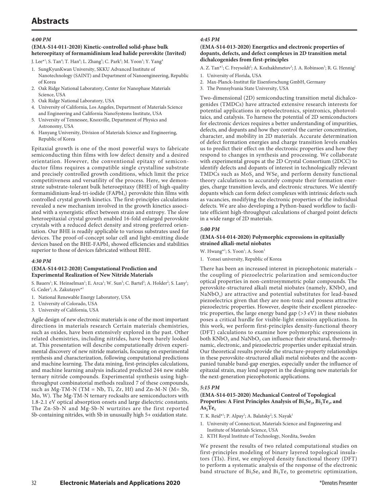# **Abstracts**

## *4:00 PM*

## **(EMA-S14-011-2020) Kinetic-controlled solid-phase bulk heteroepitaxy of formamidinium lead halide perovskite (Invited)**

J. Lee\*<sup>1</sup>; S. Tan<sup>4</sup>; T. Han<sup>6</sup>; L. Zhang<sup>5</sup>; C. Park<sup>2</sup>; M. Yoon<sup>3</sup>; Y. Yang<sup>4</sup>

- 1. SungKyunKwan University, SKKU Advanced Institute of Nanotechnology (SAINT) and Department of Nanoengineering, Republic of Korea
- 2. Oak Ridge National Laboratory, Center for Nanophase Materials Science, USA
- 3. Oak Ridge National Laboratory, USA
- 4. University of California, Los Angeles, Department of Materials Science and Engineering and California NanoSystems Institute, USA
- 5. University of Tennessee, Knoxville, Department of Physics and Astronomy, USA
- 6. Hanyang University, Division of Materials Science and Engineering, Republic of Korea

Epitaxial growth is one of the most powerful ways to fabricate semiconducting thin films with low defect density and a desired orientation. However, the conventional epitaxy of semiconductor films requires a compatible single crystalline substrate and precisely controlled growth conditions, which limit the price competitiveness and versatility of the process. Here, we demonstrate substrate-tolerant bulk heteroepitaxy (BHE) of high-quality formamidinium-lead-tri-iodide (FAPbI<sub>3</sub>) perovskite thin films with controlled crystal growth kinetics. The first-principles calculations revealed a new mechanism involved in the growth kinetics associated with a synergistic effect between strain and entropy. The slow heteroepitaxial crystal growth enabled 16-fold enlarged perovskite crystals with a reduced defect density and strong preferred orientation. Our BHE is readily applicable to various substrates used for devices. The proof-of-concept solar cell and light-emitting diode devices based on the BHE-FAPbI<sub>3</sub> showed efficiencies and stabilities superior to those of devices fabricated without BHE.

#### *4:30 PM*

#### **(EMA-S14-012-2020) Computational Prediction and Experimental Realization of New Nitride Materials**

S. Bauers<sup>1</sup>; K. Heinselman<sup>1</sup>; E. Arca<sup>1</sup>; W. Sun<sup>3</sup>; C. Bartel<sup>3</sup>; A. Holder<sup>2</sup>; S. Lany<sup>1</sup>; G. Ceder<sup>3</sup>; A. Zakutayev<sup>\*1</sup>

- 1. National Renewable Energy Laboratory, USA
- 2. University of Colorado, USA
- 3. University of California, USA

Agile design of new electronic materials is one of the most important directions in materials research Certain materials chemistries, such as oxides, have been extensively explored in the past. Other related chemistries, including nitrides, have been barely looked at. This presentation will describe computationally driven experimental discovery of new nitride materials, focusing on experimental synthesis and characterization, following computational predictions and machine learning. The data mining, first-principles calculations, and machine learning analysis indicated predicted 244 new stable ternary nitride compounds. Experimental synthesis using highthroughput combinatorial methods realized 7 of these compounds, such as Mg-TM-N (TM = Nb, Ti, Zr, Hf) and Zn-M-N (M= Sb, Mo, W). The Mg-TM-N ternary rocksalts are semiconductors with 1.8-2.1 eV optical absorption onsets and large dielectric constants. The Zn-Sb-N and Mg-Sb-N wurtzites are the first reported Sb-containing nitrides, with Sb in unusually high 5+ oxidation state.

## *4:45 PM*

#### **(EMA-S14-013-2020) Energetics and electronic properties of dopants, defects, and defect complexes in 2D transition metal dichalcogenides from first-principles**

A. Z. Tan\*<sup>1</sup>; C. Freysoldt<sup>2</sup>; A. Kozhakhmetov<sup>3</sup>; J. A. Robinson<sup>3</sup>; R. G. Hennig<sup>1</sup>

- 1. University of Florida, USA
- 2. Max-Planck-Institut für Eisenforschung GmbH, Germany
- 3. The Pennsylvania State University, USA

Two-dimensional (2D) semiconducting transition metal dichalcogenides (TMDCs) have attracted extensive research interests for potential applications in optoelectronics, spintronics, photovoltaics, and catalysis. To harness the potential of 2D semiconductors for electronic devices requires a better understanding of impurities, defects, and dopants and how they control the carrier concentration, character, and mobility in 2D materials. Accurate determination of defect formation energies and charge transition levels enables us to predict their effect on the electronic properties and how they respond to changes in synthesis and processing. We collaborate with experimental groups at the 2D Crystal Consortium (2DCC) to identify defects and dopants of interest in technologically relevant TMDCs such as  $MoS<sub>2</sub>$  and WSe<sub>2</sub> and perform density functional theory calculations to accurately compute their formation energies, charge transition levels, and electronic structures. We identify dopants which can form defect complexes with intrinsic defects such as vacancies, modifying the electronic properties of the individual defects. We are also developing a Python-based workflow to facilitate efficient high-throughput calculations of charged point defects in a wide range of 2D materials.

## *5:00 PM*

## **(EMA-S14-014-2020) Polymorphic expressions in epitaxially strained alkali-metal niobates**

W. Hwang\*<sup>1</sup>; S. Yoon<sup>1</sup>; A. Soon<sup>1</sup>

1. Yonsei university, Republic of Korea

There has been an increased interest in piezophotonic materials – the coupling of piezoelectric polarization and semiconductor optical properties in non-centrosymmetric polar compounds. The perovskite-structured alkali metal niobates (namely,  $KNbO<sub>3</sub>$  and  $NaNbO<sub>3</sub>$ ) are attractive and potential substitutes for lead-based piezoelectrics given that they are non-toxic and possess attractive piezoelectric properties. However, despite their excellent piezoelectric properties, the large energy band gap  $($ >3 eV) in these niobates poses a critical hurdle for visible-light emission applications. In this work, we perform first-principles density-functional theory (DFT) calculations to examine how polymorphic expressions in both  $KNbO<sub>3</sub>$  and NaNbO<sub>3</sub> can influence their structural, thermodynamic, electronic, and piezoelectric properties under epitaxial strain. Our theoretical results provide the structure-property relationships in these perovskite-structured alkali metal niobates and the accompanied tunable band-gap energies, especially under the influence of epitaxial strain, may lend support in the designing new materials for the next-generation piezophotonic applications.

## *5:15 PM*

## **(EMA-S14-015-2020) Mechanical Control of Topological**  Properties: A First Principles Analysis of Bi<sub>2</sub>Se<sub>3</sub>, Bi<sub>2</sub>Te<sub>3</sub>, and  $As<sub>2</sub>Te<sub>3</sub>$

T. K. Reid\*<sup>1</sup>; P. Alpay<sup>1</sup>; A. Balatsky<sup>2</sup>; S. Nayak<sup>1</sup>

- 1. University of Connecticut, Materials Science and Engineering and Institute of Materials Science, USA
- 2. KTH Royal Institute of Technology, Nordita, Sweden

We present the results of two related computational studies on first-principles modeling of binary layered topological insulators (TIs). First, we employed density functional theory (DFT) to perform a systematic analysis of the response of the electronic band structure of  $Bi<sub>2</sub>Se<sub>3</sub>$  and  $Bi<sub>2</sub>Te<sub>3</sub>$  to geometric optimization,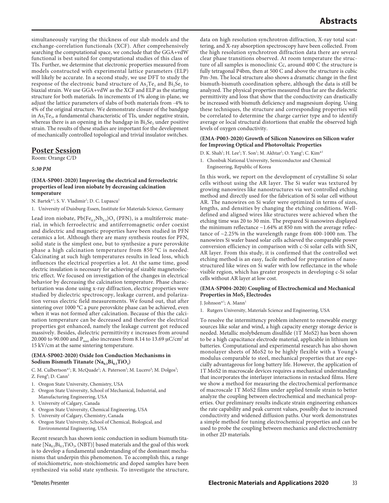simultaneously varying the thickness of our slab models and the exchange-correlation functionals (XCF). After comprehensively searching the computational space, we conclude that the GGA+vdW functional is best suited for computational studies of this class of TIs. Further, we determine that electronic properties measured from models constructed with experimental lattice parameters (ELP) will likely be accurate. In a second study, we use DFT to study the response of the electronic band structure of  $\text{As}_2\text{Te}_3$  and  $\text{Bi}_2\text{Se}_3$  to biaxial strain. We use GGA+vdW as the XCF and ELP as the starting structure for both materials. In increments of 1% along in-plane, we adjust the lattice parameters of slabs of both materials from -4% to 4% of the original structure. We demonstrate closure of the bandgap in  $As<sub>2</sub>Te<sub>3</sub>$ , a fundamental characteristic of TIs, under negative strain, whereas there is an opening in the bandgap in  $Bi<sub>2</sub>Se<sub>3</sub>$  under positive strain. The results of these studies are important for the development of mechanically controlled topological and trivial insulator switches.

## **Poster Session**

Room: Orange C/D

## *5:30 PM*

#### **(EMA-SP001-2020) Improving the electrical and ferroelectric properties of lead iron niobate by decreasing calcination temperature**

N. Bartek\*<sup>1</sup>; S. V. Vladimir<sup>1</sup>; D. C. Lupascu<sup>1</sup>

1. University of Duisburg-Essen, Institute for Materials Science, Germany

Lead iron niobate,  $Pb(Fe_{0.5}Nb_{0.5})O_3$  (PFN), is a multiferroic material, in which ferroelectric and antiferromagnetic order coexist and dielectric and magnetic properties have been studied in PFN ceramics a lot. Although there are many synthesis routes for PFN, solid state is the simplest one, but to synthesize a pure perovskite phase a high calcination temperature from 850 °C is needed. Calcinating at such high temperatures results in lead loss, which influences the electrical properties a lot. At the same time, good electric insulation is necessary for achieving of sizable magnetoelectric effect. We focused on investigation of the changes in electrical behavior by decreasing the calcination temperature. Phase characterization was done using x-ray diffraction, electric properties were studied by dielectric spectroscopy, leakage current, and polarization versus electric field measurements. We found out, that after sintering over 1000 °C a pure perovskite phase can be achieved, even when it was not formed after calcination. Because of this the calcination temperature can be decreased and therefore the electrical properties got enhanced, namely the leakage current got reduced massively. Besides, dielectric permittivity ε increases from around 20.000 to 90.000 and  $P_{\rm max}$  also increases from 8.14 to 13.69  $\mu$ C/cm<sup>2</sup> at 15 kV/cm at the same sintering temperature.

## **(EMA-SP002-2020) Oxide Ion Conduction Mechanisms in**  Sodium Bismuth Titanate (Na<sub>0.5</sub>Bi<sub>0.5</sub>TiO<sub>3</sub>)

C. M. Culbertson<sup>\*1</sup>; R. McQuade<sup>2</sup>; A. Paterson<sup>3</sup>; M. Lucero<sup>4</sup>; M. Dolgos<sup>5</sup>; Z. Feng<sup>6</sup>; D. Cann<sup>2</sup>

- 1. Oregon State University, Chemistry, USA
- 2. Oregon State University, School of Mechanical, Industrial, and Manufacturing Engineering, USA
- 3. University of Calgary, Canada
- 4. Oregon State University, Chemical Engineering, USA
- 5. University of Calgary, Chemistry, Canada
- 6. Oregon State University, School of Chemical, Biological, and Environmental Engineering, USA

Recent research has shown ionic conduction in sodium bismuth titanate  $[Na_{0.5}Bi_{0.5}TiO_3$ , (NBT)] based materials and the goal of this work is to develop a fundamental understanding of the dominant mechanisms that underpin this phenomenon. To accomplish this, a range of stoichiometric, non-stoichiometric and doped samples have been synthesized via solid state synthesis. To investigate the structure, data on high resolution synchrotron diffraction, X-ray total scattering, and X-ray absorption spectroscopy have been collected. From the high resolution synchrotron diffraction data there are several clear phase transitions observed. At room temperature the structure of all samples is monoclinic Cc, around 400 C the structure is fully tetragonal P4bm, then at 500 C and above the structure is cubic Pm-3m. The local structure also shows a dramatic change in the first bismuth-bismuth coordination sphere, although the data is still be analyzed. The physical properties measured thus far are the dielectric permittivity and loss that show that the conductivity can drastically be increased with bismuth deficiency and magnesium doping. Using these techniques, the structure and corresponding properties will be correlated to determine the charge carrier type and to identify average or local structural distortions that enable the observed high levels of oxygen conductivity.

#### **(EMA-P003-2020) Growth of Silicon Nanowires on Silicon wafer for Improving Optical and Photovoltaic Properties**

- D. K. Shah<sup>1</sup>; H. Lee<sup>1</sup>; Y. Son<sup>1</sup>; M. Akhtar<sup>1</sup>; O. Yang<sup>1</sup>; C. Kim<sup>\*1</sup>
- 1. Chonbuk National University, Semiconductor and Chemical Engineering, Republic of Korea

In this work, we report on the development of crystalline Si solar cells without using the AR layer. The Si wafer was textured by growing nanowires like nanostructures via wet controlled etching method and directly used for the fabrication of Si solar cell without AR. The nanowires on Si wafer were optimized in terms of sizes, lengths, and densities by changing the etching conditions. Welldefined and aligned wires like structures were achieved when the etching time was 20 to 30 min. The prepared Si nanowires displayed the minimum reflectance  $\sim$ 1.64% at 850 nm with the average reflectance of ~2.25% in the wavelength range from 400-1000 nm. The nanowires Si wafer based solar cells achieved the comparable power conversion efficiency in comparison with  $c-Si$  solar cells with  $SiN<sub>x</sub>$ AR layer. From this study, it is confirmed that the controlled wet etching method is an easy, facile method for preparation of nanostructured like wires on Si wafer with low reflectance in the whole visible region, which has greater prospects in developing c-Si solar cells without AR layer at low cost.

## **(EMA-SP004-2020) Coupling of Electrochemical and Mechanical Properties in MoS, Electrodes**

#### J. Johnson\*<sup>1</sup>; A. Mann<sup>1</sup>

1. Rutgers University, Materials Science and Engineering, USA

To resolve the intermittency problem inherent to renewable energy sources like solar and wind, a high capacity energy storage device is needed. Metallic molybdenum disulfide (1T MoS2) has been shown to be a high capacitance electrode material, applicable in lithium ion batteries. Computational and experimental research has also shown monolayer sheets of MoS2 to be highly flexible with a Young's modulus comparable to steel, mechanical properties that are especially advantageous for long battery life. However, the application of 1T MoS2 in macroscale devices requires a mechanical understanding that incorporates the interlayer interactions in restacked films. Here we show a method for measuring the electrochemical performance of macroscale 1T MoS2 films under applied tensile strain to better analyze the coupling between electrochemical and mechanical properties. Our preliminary results indicate strain engineering enhances the rate capability and peak current values, possibly due to increased conductivity and widened diffusion paths. Our work demonstrates a simple method for tuning electrochemical properties and can be used to probe the coupling between mechanics and electrochemistry in other 2D materials.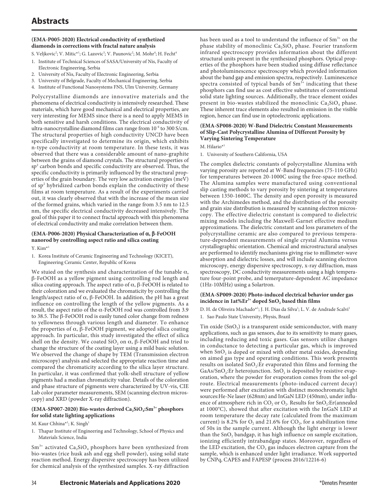## **(EMA-P005-2020) Electrical conductivity of synthetized diamonds in corrections with fractal nature analysis**

S. Veljkovic<sup>2</sup>; V. Mitic\*<sup>1</sup>; G. Lazovic<sup>3</sup>; V. Paunovic<sup>2</sup>; M. Mohr<sup>4</sup>; H. Fecht<sup>4</sup>

- 1. Institute of Technical Sciences of SASA/University of Nis, Faculty of Electronic Engineering, Serbia
- 2. University of Nis, Faculty of Electronic Engineering, Serbia
- 3. University of Belgrade, Faculty of Mechanical Engineering, Serbia
- 4. Institute of Functional Nanosystems FNS, Ulm University, Germany

Polycrystalline diamonds are innovative materials and the phenomena of electrical conductivity is intensively researched. These materials, which have good mechanical and electrical properties, are very interesting for MEMS since there is a need to apply MEMS in both sensitive and harsh conditions. The electrical conductivity of ultra-nanocrystalline diamond films can range from  $10^{-4}$  to 300 S/cm. The structural properties of high conductivity UNCD have been specifically investigated to determine its origin, which exhibits n-type conductivity at room temperature. In these tests, it was observed that there was a considerable amount of nano-graphite between the grains of diamond crystals. The structural properties of  $sp<sup>2</sup>$  carbon bonds and specific conductivity are observed. Thus, the specific conductivity is primarily influenced by the structural properties of the grain boundary. The very low activation energies (meV) of sp<sup>2</sup> hybridized carbon bonds explain the conductivity of these films at room temperature. As a result of the experiments carried out, it was clearly observed that with the increase of the mean size of the formed grains, which varied in the range from 3.5 nm to 12.5 nm, the specific electrical conductivity decreased intensively. The goal of this paper it to connect fractal approach with this phenomena of electrical conductivity and make correlation between them.

## **(EMA-P006-2020) Physical Characterization of α, β-FeOOH nanorod by controlling aspect ratio and silica coating**

- Y. Kim\*1
- 1. Korea Institute of Ceramic Engineering and Technology (KICET), Engineering Ceramic Center, Republic of Korea

We stuied on the synthesis and characterization of the tunable  $\alpha$ , β-FeOOH as a yellow pigment using controlling rod length and silica coating approach. The aspect ratio of  $\alpha$ ,  $\beta$ -FeOOH is related to their coloration and we evaluated the chromaticity by controlling the length/aspect ratio of α, β-FeOOH. In addition, the pH has a great influence on controlling the length of the yellow pigments. As a result, the aspect ratio of the α-FeOOH rod was controlled from 3.9 to 38.5. The β-FeOOH rod is easily tuned color change from redness to yellowness through various length and diameter. To enhance the properties of  $\alpha$ , β-FeOOH pigment, we adopted silica coating approach. In particular, this study investigated the effect of silica shell on the density. We coated SiO, on  $\alpha$ , β-FeOOH and tried to change the structure of the coating layer using a mild basic solution. We observed the change of shape by TEM (Transmission electron microscopy) analysis and selected the appropriate reaction time and compared the chromaticity according to the silica layer structure. In particular, it was confirmed that yolk-shell structure of yellow pigments had a median chromaticity value. Details of the coloration and phase structure of pigments were characterized by UV-vis, CIE Lab color parameter measurements, SEM (scanning electron microscopy) and XRD (powder X-ray diffraction).

## (EMA-SP007-2020) Bio-wastes derived Ca<sub>2</sub>SiO<sub>4</sub>:Sm<sup>3+</sup> phosphors **for solid state lighting applications**

- M. Kaur Chhina\*<sup>1</sup>; K. Singh<sup>1</sup>
- 1. Thapar Institute of Engineering and Technology, School of Physics and Materials Science, India

 $Sm^{3+}$  activated  $Ca_2SiO_4$  phosphors have been synthesized from bio-wastes (rice husk ash and egg shell powder), using solid state reaction method. Energy dispersive spectroscopy has been utilized for chemical analysis of the synthesized samples. X-ray diffraction has been used as a tool to understand the influence of  $Sm^{3+}$  on the phase stability of monoclinic  $Ca<sub>2</sub>SiO<sub>4</sub>$  phase. Fourier transform infrared spectroscopy provides information about the different structural units present in the synthesized phosphors. Optical properties of the phosphors have been studied using diffuse reflectance and photoluminescence spectroscopy which provided information about the band gap and emission spectra, respectively. Luminescence spectra consisted of typical bands of  $Sm<sup>3+</sup>$  indicating that these phosphors can find use as cost effective substitutes of conventional solid state lighting sources. Additionally, the trace element oxides present in bio-wastes stabilized the monoclinic  $Ca<sub>2</sub>SiO<sub>4</sub>$  phase. These inherent trace elements also resulted in emission in the visible region, hence can find use in optoelectronic applications.

## **(EMA-SP008-2020) W-Band Dielectric Constant Measurements of Slip-Cast Polycrystalline Alumina of Different Porosity by Varying Sintering Temperature**

M. Hilario<sup>\*1</sup>

## 1. University of Southern California, USA

The complex dielectric constants of polycrystalline Alumina with varying porosity are reported at W-Band frequencies (75-110 GHz) for temperatures between 20-1000C using the free-space method. The Alumina samples were manufactured using conventional slip casting methods to vary porosity by sintering at temperatures between 1350-1600C. The density and open porosity is measured with the Archimedes method, and the distribution of the porosity and grain size distribution is measured by scanning electron microscopy. The effective dielectric constant is compared to dielectric mixing models including the Maxwell-Garnet effective medium approximations. The dielectric constant and loss parameters of the polycrystalline ceramic are also compared to previous temperature-dependent measurements of single crystal Alumina versus crystallographic orientation. Chemical and microstructural analyses are performed to identify mechanisms giving rise to millimeter-wave absorption and dielectric losses, and will include scanning electron microscopy, energy dispersive spectroscopy, x-ray diffraction, mass spectroscopy, DC conductivity measurements using a high temperature four-point probe, and temerpature-dependent AC impedance (1Hz-10MHz) using a Solartron.

#### **(EMA-SP009-2020) Photo-induced electrical behavior under gas**  incidence in 1at%Er<sup>3+</sup> doped SnO<sub>2</sub> based thin films

D. H. de Oliveira Machado\*<sup>1</sup>; J. H. Dias da Silva<sup>1</sup>; L. V. de Andrade Scalvi<sup>1</sup>

1. Sao Paulo State University, Physis, Brazil

Tin oxide  $(SnO<sub>2</sub>)$  is a transparent oxide semiconductor, with many applications, such as gas sensors, due to its sensitivity to many gases, including reducing and toxic gases. Gas sensors utilize changes in conductance to detecting a particular gas, which is improved when SnO<sub>2</sub> is doped or mixed with other metal oxides, depending on aimed gas type and operating conditions. This work presents results on isolated SnO<sub>2</sub>: Er evaporated thin films and forming the GaAs/SnO<sub>2</sub>:Er heterojunction. SnO<sub>2</sub> is deposited by resistive evaporation, where the powder for evaporation comes from the sol-gel route. Electrical measurements (photo-induced current decay) were performed after excitation with distinct monochromatic light sources:He-Ne laser (628nm) and InGaN LED (450nm), under influence of atmosphere rich in  $CO_2$  or  $O_2$ . Results for  $SnO_2:Er(annealed)$ at 1000°C), showed that after excitation with the InGaN LED at room temperature the decay rate (calculated from the maximum current) is 8.2% for  $O_2$  and 21.6% for  $CO_2$ , for a stabilization time of 50s in the sample current. Although the light energy is lower than the  $SnO<sub>2</sub>$  bandgap, it has high influence on sample excitation, ionizing efficiently intrabandgap states. Moreover, regardless of the LED excitation, the  $CO<sub>2</sub>$  gas induces electron capture from the sample, which is enhanced under light irradiance. Work supported by CNPq, CAPES and FAPESP (process 2016/12216-6)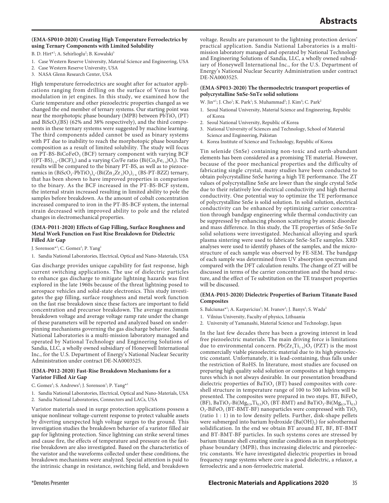## **(EMA-SP010-2020) Creating High Temperature Ferroelectrics by using Ternary Components with Limited Solubility**

B. D. Hirt\*<sup>1</sup>; A. Sehirlioglu<sup>2</sup>; B. Kowalski<sup>3</sup>

- 1. Case Western Reserve University, Material Science and Engineering, USA
- 2. Case Western Reserve University, USA
- 3. NASA Glenn Research Center, USA

High temperature ferroelectrics are sought after for actuator applications ranging from drilling on the surface of Venus to fuel modulation in jet engines. In this study, we examined how the Curie temperature and other piezoelectric properties changed as we changed the end member of ternary systems. Our starting point was near the morphotopic phase boundary (MPB) between  $PbTiO<sub>3</sub>$  (PT) and BiScO<sub>3</sub>(BS) (62% and 38% respectively), and the third components in these ternary systems were suggested by machine learning. The third components added cannot be used as binary systems with PT due to inability to reach the morphotopic phase boundary composition as a result of limited solubility. The study will focus on PT-BS-BiCoFeO<sub>3</sub> (BCF) ternary component with varying BCF  $((PT-BS)_{1-x}-(BCF)_x)$  and a varying Co/Fe ratio  $(Bi(Co_xFe_{1-x})O_3)$ . The results will be compared to the binary PT-BS, as well as to piezoceramics in  $(BiScO<sub>3</sub>-PbTiO<sub>3</sub>)<sub>x</sub>$ - $(Bi(Zn<sub>5</sub>Zr<sub>5</sub>)O<sub>3</sub>)<sub>1-x</sub>$  (BS-PT-BZZ) ternary, that has been shown to have improved properties in comparison to the binary. As the BCF increased in the PT-BS-BCF system, the internal strain increased resulting in limited ability to pole the samples before breakdown. As the amount of cobalt concentration increased compared to iron in the PT-BS-BCF system, the internal strain decreased with improved ability to pole and the related changes in electromechanical properties.

## **(EMA-P011-2020) Effects of Gap Filling, Surface Roughness and Metal Work Function on Fast Rise Breakdown for Dielectric Filled Air Gap**

J. Sorenson\*<sup>1</sup>; C. Gomez<sup>1</sup>; P. Yang<sup>1</sup>

1. Sandia National Laboratories, Electrical, Optical and Nano-Materials, USA

Gas discharge provides unique capability for fast response, high current switching applications. The use of dielectric particles to enhance gas discharge to mitigate lightning hazards was first explored in the late 1960s because of the threat lightning posed to aerospace vehicles and solid-state electronics. This study investigates the gap filling, surface roughness and metal work function on the fast rise breakdown since these factors are important to field concentration and precursor breakdown. The average maximum breakdown voltage and average voltage ramp rate under the change of these parameters will be reported and analyzed based on underpinning mechanisms governing the gas discharge behavior. Sandia National Laboratories is a multi-mission laboratory managed and operated by National Technology and Engineering Solutions of Sandia, LLC, a wholly owned subsidiary of Honeywell International Inc., for the U.S. Department of Energy's National Nuclear Security Administration under contract DE-NA0003525.

## **(EMA-P012-2020) Fast-Rise Breakdown Mechanisms for a Varistor Filled Air Gap**

- C. Gomez<sup>1</sup>; S. Andrews<sup>2</sup>; J. Sorenson<sup>1</sup>; P. Yang<sup>\*1</sup>
- 1. Sandia National Laboratories, Electrical, Optical and Nano-Materials, USA
- 2. Sandia National Laboratories, Connectors and LACs, USA

Varistor materials used in surge protection applications possess a unique nonlinear voltage-current response to protect valuable assets by diverting unexpected high voltage surges to the ground. This investigation studies the breakdown behavior of a varistor filled air gap for lightning protection. Since lightning can strike several times and cause fire, the effects of temperature and pressure on the fastrise breakdown are also investigated. Based on the characteristics of the varistor and the waveforms collected under these conditions, the breakdown mechanisms were analyzed. Special attention is paid to the intrinsic change in resistance, switching field, and breakdown

voltage. Results are paramount to the lightning protection devices' practical application. Sandia National Laboratories is a multimission laboratory managed and operated by National Technology and Engineering Solutions of Sandia, LLC, a wholly owned subsidiary of Honeywell International Inc., for the U.S. Department of Energy's National Nuclear Security Administration under contract DE-NA0003525.

## **(EMA-SP013-2020) The thermoelectric transport properties of polycrystalline SnSe-SnTe solid solutions**

W. Jin\*<sup>1</sup>; J. Cho<sup>1</sup>; K. Park<sup>1</sup>; S. Muhammad<sup>3</sup>; J. Kim<sup>4</sup>; C. Park<sup>2</sup>

- 1. Seoul National University, Material Science and Engineering, Republic of Korea
- 2. Seoul National University, Republic of Korea
- 3. National University of Sciences and Technology, School of Material Science and Engineering, Pakistan
- 4. Korea Institute of Science and Technology, Republic of Korea

Tin selenide (SnSe) containing non-toxic and earth-abundant elements has been considered as a promising TE material. However, because of the poor mechanical properties and the difficulty of fabricating single crystal, many studies have been conducted to obtain polycrystalline SnSe having a high TE performance. The ZT values of polycrystalline SnSe are lower than the single crystal SnSe due to their relatively low electrical conductivity and high thermal conductivity. One potential way to optimize the TE performance of polycrystalline SnSe is solid solution. In solid solution, electrical conductivity can be enhanced by optimizing carrier concentration through bandgap engineering while thermal conductivity can be suppressed by enhancing phonon scattering by atomic disorder and mass difference. In this study, the TE properties of SnSe-SnTe solid solutions were investigated. Mechanical alloying and spark plasma sintering were used to fabricate SnSe-SnTe samples. XRD analyses were used to identify phases of the samples, and the microstructure of each sample was observed by FE-SEM. The bandgap of each sample was determined from UV absorption spectrum and compared with the DFT calculation results. The change of ZT will be discussed in terms of the carrier concentration and the band structure, and the effect of Te substitution on the TE transport properties will be discussed.

#### **(EMA-P015-2020) Dielectric Properties of Barium Titanate Based Composites**

S. Balciunas\*<sup>1</sup>; A. Karpavicius<sup>1</sup>; M. Ivanov<sup>1</sup>; J. Banys<sup>1</sup>; S. Wada<sup>2</sup>

- 1. Vilnius University, Faculty of physics, Lithuania
- 2. University of Yamanashi, Material Science and Technology, Japan

In the last few decades there has been a growing interest in lead free piezoelectric materials. The main driving force is limitations due to environmental concern.  $Pb(Zr_xTi_{1-x})O_3$  (PZT) is the most commercially viable piezoelectric material due to its high piezoelectric constant. Unfortunately, it is lead-containing, thus falls under the restriction of RoHS. In literature, most studies are focused on preparing high quality solid solution or composites at high temperatures which is not always desirable. In our presentation broadband dielectric properties of BaTiO<sub>3</sub> (BT) based composites with coreshell structure in temperature range of 100 to 500 kelvins will be presented. The composites were prepared in two steps. BT,  $BiFeO<sub>3</sub>$ (BF), BaTiO<sub>3</sub>-Bi(Mg<sub>0.5</sub>,Ti<sub>0.5</sub>)O<sub>3</sub> (BT-BMT) and BaTiO<sub>3</sub>-Bi(Mg<sub>0.5</sub>,Ti<sub>0.5</sub>)  $O_3$ -BiFe $O_3$  (BT-BMT-BF) nanoparticles were compressed with  $TiO_2$ (ratio 1 : 1) in to low density pellets. Further, disk-shape pellets were submerged into barium hydroxide  $(Ba(OH)_2)$  for solvothermal solidification. In the end we obtain BT around BT, BF, BT-BMT and BT-BMT-BF particles. In such systems cores are stressed by barium titanate shell creating similar conditions as in morphotropic phase boundary (MPB), thus increasing dielectric and piezoelectric constants. We have investigated dielectric properties in broad frequency range systems where core is a good dielectric, a relaxor, a ferroelectric and a non-ferroelectric material.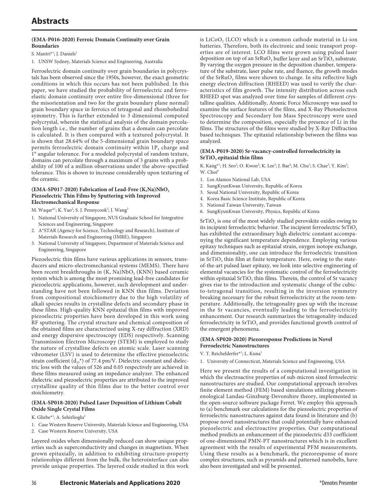## **(EMA-P016-2020) Ferroic Domain Continuity over Grain Boundaries**

#### S. Mantri<sup>\*1</sup>; J. Daniels<sup>1</sup>

1. UNSW Sydney, Materials Science and Engineering, Australia

Ferroelectric domain continuity over grain boundaries in polycrystals has been observed since the 1950s, however, the exact geometric conditions in which this occurs has not been published. In this paper, we have studied the probability of ferroelectric and ferroelastic domain continuity over entire five-dimensional (three for the misorientation and two for the grain boundary plane normal) grain boundary space in ferroics of tetragonal and rhombohedral symmetry. This is further extended to 3 dimensional computed polycrystal, wherein the statistical analysis of the domain percolation length i.e., the number of grains that a domain can percolate is calculated. It is then compared with a textured polycrystal. It is shown that 28.64% of the 5-dimensional grain boundary space permits ferroelectric domain continuity within  $1P_s$  charge and 1° angular tolerance. For a modeled polycrystal of random texture, domains can percolate through a maximum of 3 grains with a probability of 100 of a million observations under the above-specified tolerance. This is shown to increase considerably upon texturing of the ceramic.

## (EMA-SP017-2020) Fabrication of Lead-Free (K,Na)NbO<sub>3</sub> **Piezoelectric Thin Films by Sputtering with Improved Electromechanical Response**

- M. Waqar\*<sup>1</sup>; K. Yao<sup>2</sup>; S. J. Pennycook<sup>3</sup>; J. Wang<sup>3</sup>
- 1. National University of Singapore, NUS Graduate School for Integrative Sciences and Engineering, Singapore
- 2. A\*STAR (Agency for Science, Technology and Research), Institute of Materials Research and Engineering (IMRE), Singapore
- 3. National University of Singapore, Department of Materials Science and Engineering, Singapore

Piezoelectric thin films have various applications in sensors, transducers and micro-electromechanical systems (MEMS). There have been recent breakthroughs in (K, Na)NbO<sub>3</sub> (KNN) based ceramic system which is among the most promising lead-free candidates for piezoelectric applications, however, such development and understanding have not been followed in KNN thin films. Deviation from compositional stoichiometry due to the high volatility of alkali species results in crystalline defects and secondary phase in these films. High-quality KNN epitaxial thin films with improved piezoelectric properties have been developed in this work using RF sputtering. The crystal structure and chemical composition of the obtained films are characterized using X-ray diffraction (XRD) and energy dispersive spectroscopy (EDS) respectively. Scanning Transmission Electron Microscopy (STEM) is employed to study the nature of crystalline defects on atomic scale. Laser scanning vibrometer (LSV) is used to determine the effective piezoelectric strain coefficient  $(d_{33}^*)$  of 77.4 pm/V. Dielectric constant and dielectric loss with the values of 526 and 0.05 respectively are achieved in these films measured using an impedance analyzer. The enhanced dielectric and piezoelectric properties are attributed to the improved crystalline quality of thin films due to the better control over stoichiometry.

## **(EMA-SP018-2020) Pulsed Laser Deposition of Lithium Cobalt Oxide Single Crystal Films**

- K. Gliebe\*<sup>1</sup>; A. Sehirlioglu<sup>2</sup>
- 1. Case Western Reserve University, Materials Science and Engineering, USA
- 2. Case Western Reserve University, USA

Layered oxides when dimensionally reduced can show unique properties such as superconductivity and changes in magnetism. When grown epitaxially, in addition to exhibiting structure-property relationships different from the bulk, the heterointerface can also provide unique properties. The layered oxide studied in this work

is  $LiCoO$ ,  $(LCO)$  which is a common cathode material in Li-ion batteries. Therefore, both its electronic and ionic transport properties are of interest. LCO films were grown using pulsed laser deposition on top of an SrRuO<sub>3</sub> buffer layer and an SrTiO<sub>3</sub> substrate. By varying the oxygen pressure in the deposition chamber, temperature of the substrate, laser pulse rate, and fluence, the growth modes of the SrRuO<sub>3</sub> films were shown to change. In situ reflective high energy electron diffraction (RHEED) was used to verify the characteristics of film growth. The intensity distribution across each RHEED spot was analyzed over time for samples of different crystalline qualities. Additionally, Atomic Force Microscopy was used to examine the surface features of the films, and X-Ray Photoelectron Spectroscopy and Secondary Ion Mass Spectroscopy were used to determine the composition, especially the presence of Li in the films. The structures of the films were studied by X-Ray Diffraction based techniques. The epitaxial relationship between the films was analyzed.

## **(EMA-P019-2020) Sr-vacancy-controlled ferroelectricity in SrTiO<sub>3</sub>** epitaxial thin films

K. Kang<sup>\*1</sup>; H. Seo<sup>2</sup>; O. Kwon<sup>2</sup>; K. Lee<sup>3</sup>; J. Bae<sup>4</sup>; M. Chu<sup>5</sup>; S. Chae<sup>3</sup>; Y. Kim<sup>2</sup>; W. Choi<sup>6</sup>

- 1. Los Alamos National Lab, USA
- 2. SungKyunKwan University, Republic of Korea
- 3. Seoul National University, Republic of Korea
- 4. Korea Basic Science Institute, Republic of Korea
- 5. National Taiwan University, Taiwan
- 6. SungKyunKwan University, Physics, Republic of Korea

 $SrTiO<sub>3</sub>$  is one of the most widely studied perovskite oxides owing to its incipient ferroelectric behavior. The incipient ferroelectric SrTiO<sub>3</sub> has exhibited the extraordinary high dielectric constant accompanying the significant temperature dependence. Employing various epitaxy techniques such as epitaxial strain, oxygen isotope exchange, and dimensionality, one can introduce the ferroelectric transition in  $SrTiO<sub>3</sub>$  thin film at finite temperature. Here, owing to the stateof-the-art pulsed laser epitaxy, we look into selective engineering of elemental vacancies for the systematic control of the ferroelectricity within epitaxial  $SrTiO<sub>3</sub>$  thin films. Therein, the control of Sr vacancy gives rise to the introduction and systematic change of the cubicto-tetragonal transition, resulting in the inversion symmetry breaking necessary for the robust ferroelectricity at the room-temperature. Additionally, the tetragonality goes up with the increase in the Sr vacancies, eventually leading to the ferroelectricity enhancement. Our research summarizes the tetragonality-induced ferroelectricity in SrTiO<sub>3</sub> and provides functional growth control of the emergent phenomena.

#### **(EMA-SP020-2020) Piezoresponse Predictions in Novel Ferroelectric Nanostructures**

- V. T. Reichelderfer\*<sup>1</sup>; L. Kuna<sup>1</sup>
- 1. University of Connecticut, Materials Science and Engineeeing, USA

Here we present the results of a computational investigation in which the electroactive properties of sub-micron sized ferroelectric nanostructures are studied. Our computational approach involves finite element method (FEM) based simulations utilizing phenomenological Landau-Ginzburg-Devonshire theory, implemented in the open-source software package Ferret. We employ this approach to (a) benchmark our calculations for the piezoelectric properties of ferroelectric nanostructures against data found in literature and (b) propose novel nanostructures that could potentially have enhanced piezoelectric and electroactive properties. Our computational method predicts an enhancement of the piezoelectric d33 coefficient of one-dimensional PMN-PT nanostructures which is in excellent agreement with the results of experimental PFM measurements. Using these results as a benchmark, the piezoresponse of more complex structures, such as pyramids and patterned nanobelts, have also been investigated and will be presented.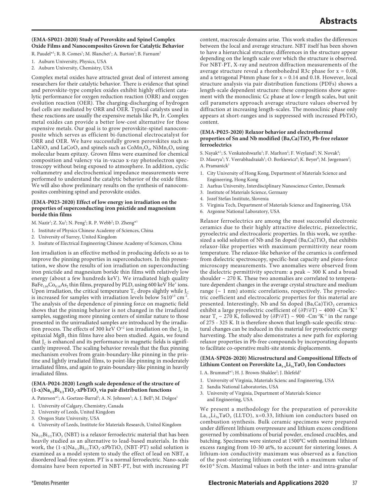### **(EMA-SP021-2020) Study of Perovskite and Spinel Complex Oxide Films and Nanocomposites Grown for Catalytic Behavior**

R. Paudel\*<sup>1</sup>; R. B. Comes<sup>1</sup>; M. Blanchet<sup>1</sup>; A. Burton<sup>2</sup>; B. Farnum<sup>2</sup>

- 1. Auburn University, Physics, USA
- 2. Auburn University, Chemistry, USA

Complex metal oxides have attracted great deal of interest among researchers for their catalytic behavior. There is evidence that spinel and perovskite-type complex oxides exhibit highly efficient catalytic performance for oxygen reduction reaction (ORR) and oxygen evolution reaction (OER). The charging-discharging of hydrogen fuel cells are mediated by ORR and OER. Typical catalysts used in these reactions are usually the expensive metals like Pt, Ir. Complex metal oxides can provide a better low-cost alternative for those expensive metals. Our goal is to grow perovskite-spinel nanocomposite which serves as efficient bi-functional electrocatalyst for ORR and OER. We have successfully grown perovskites such as LaNiO<sub>3</sub> and LaCoO<sub>3</sub> and spinels such as  $CoMn_2O_4$ , NiMn<sub>2</sub>O<sub>4</sub> using molecular beam epitaxy. Grown films were examined for chemical composition and valency via in-vacuo x-ray photoelectron spectroscopy without being exposed to atmosphere. In addition, cyclic voltammetry and electrochemical impedance measurements were performed to understand the catalytic behavior of the oxide films. We will also show preliminary results on the synthesis of nanocomposites combining spinel and perovskite oxides.

#### **(EMA-P023-2020) Effect of low energy ion irradiation on the properties of superconducting iron pnictide and magnesium boride thin films**

M. Nazir<sup>1</sup>; Z. Xu<sup>3</sup>; N. Peng<sup>2</sup>; R. P. Webb<sup>2</sup>; D. Zheng\*<sup>1</sup>

- 1. Institute of Physics Chinese Academy of Sciences, China
- 2. University of Surrey, United Kingdom
- 3. Insitute of Electrical Engineering Chinese Academy of Sciences, China

Ion irradiation is an effective method in producing defects so as to improve the pinning properties in superconductors. In this presentation, we show the results of ion irradiation on superconducting iron pnictide and magnesium boride thin films with relatively low energy (about a few hundreds keV). We irradiated high quality BaFe $_{1.84}Co_{0.16}As_2$  thin films, prepared by PLD, using 600 keV He<sup>+</sup> ions. Upon irradiation, the critical temperature  $T_c$  drops slightly while  $J_c$ is increased for samples with irradiation levels below  $5x10^{13}$  cm<sup>-2</sup>. The analysis of the dependence of pinning force on magnetic field shows that the pinning behavior is not changed in the irradiated samples, suggesting more pinning centers of similar nature to those presented in the unirradiated samples are introduced by the irradiation process. The effects of 300 keV  $O^{+2}$  ion irradiation on the J<sub>C</sub> in epitaxial  $MgB<sub>2</sub>$  thin films have also been studied. Again, we found that  $J<sub>C</sub>$  is enhanced and its performance in magnetic fields is significantly improved. The scaling behavior reveals that the flux pinning mechanism evolves from grain-boundary-like pinning in the pristine and lightly irradiated films, to point-like pinning in moderately irradiated films, and again to grain-boundary-like pinning in heavily irradiated films.

#### **(EMA-P024-2020) Length scale dependence of the structure of**   $(1-x)Na<sub>1/2</sub>Bi<sub>1/2</sub>TiO<sub>3</sub>-xPbTiO<sub>3</sub> via pair distribution functions$

- A. Paterson\*<sup>1</sup>; A. Goetzee-Barral<sup>2</sup>; A. N. Johnson<sup>3</sup>; A. J. Bell<sup>4</sup>; M. Dolgos<sup>1</sup>
- 1. University of Calgary, Chemistry, Canada
- 2. University of Leeds, United Kingdom
- 3. Oregon State University, USA
- 4. University of Leeds, Institute for Materials Research, United Kingdom

 $Na<sub>1/2</sub>Bi<sub>1/2</sub>TiO<sub>3</sub>$  (NBT) is a relaxor ferroelectric material that has been heavily studied as an alternative to lead-based materials. In this work, the  $(1-x)Na_{1/2}Bi_{1/2}TiO_3-xPbTiO_3$  (NBT-PT) solid solution is examined as a model system to study the effect of lead on NBT, a disordered lead-free system. PT is a normal ferroelectric. Nano-scale domains have been reported in NBT-PT, but with increasing PT content, macroscale domains arise. This work studies the differences between the local and average structure. NBT itself has been shown to have a hierarchical structure; differences in the structure appear depending on the length scale over which the structure is observed. For NBT-PT, X-ray and neutron diffraction measurements of the average structure reveal a rhombohedral R3c phase for  $x = 0.08$ , and a tetragonal P4mm phase for  $x = 0.14$  and 0.18. However, local structure analysis via pair distribution functions (PDFs) shows a length-scale dependent structure: these compositions show agreement with the monoclinic Cc phase at low-r length scales, but unit cell parameters approach average structure values observed by diffraction at increasing length-scales. The monoclinic phase only appears at short-ranges and is suppressed with increased PbTiO<sub>3</sub> content.

#### **(EMA-P025-2020) Relaxor behavior and electrothermal**  properties of Sn and Nb modified (Ba,Ca)TiO<sub>3</sub> Pb-free relaxor **ferroelectrics**

S. Nayak\*<sup>1</sup>; S. Venkateshwarlu<sup>1</sup>; F. Marlton<sup>2</sup>; F. Weyland<sup>3</sup>; N. Novak<sup>4</sup>;

- D. Maurya<sup>5</sup>; Y. Veerabhadraiah<sup>1</sup>; O. Borkiewicz<sup>6</sup>; K. Beyer<sup>6</sup>; M. Jørgensen<sup>2</sup>; A. Pramanick<sup>1</sup>
- 1. City University of Hong Kong, Department of Materials Science and Engineering, Hong Kong
- 2. Aarhus University, Interdisciplinary Nanoscience Center, Denmark
- 3. Institute of Materials Science, Germany
- 4. Jozef Stefan Institute, Slovenia
- 5. Virginia Tech, Department of Materials Science and Engineering, USA
- 6. Argonne National Laboratory, USA

Relaxor ferroelectrics are among the most successful electronic ceramics due to their highly attractive dielectric, piezoelectric, pyroelectric and electrocaloric properties. In this work, we synthesized a solid solution of Nb and Sn doped (Ba,Ca)TiO<sub>3</sub> that exhibits relaxor-like properties with maximum permittivity near room temperature. The relaxor-like behavior of the ceramics is confirmed from dielectric spectroscopy, specific-heat capacity and piezo-force microscopy measurements. Two anomalies were observed from the dielectric permittivity spectrum: a peak  $\sim$  300 K and a broad shoulder  $\sim$  270 K. These two anomalies are correlated to temperature dependent changes in the average crystal structure and medium range  $($   $\sim$  1 nm) atomic correlations, respectively. The pyroelectric coefficient and electrocaloric properties for this material are presented. Interestingly, Nb and Sn doped (Ba,Ca)TiO<sub>3</sub> ceramics exhibit a large pyroelectric coefficient of (∂P/∂T) ~ 4000 -Cm<sup>-2</sup>K<sup>-1</sup> near T<sub>s</sub> ~ 270 K, followed by (∂P/∂T) ~ 900 -Cm<sup>-2</sup>K<sup>-1</sup> in the range of 275 - 325 K. It is therefore shown that length-scale specific structural changes can be induced in this material for pyroelectric energy harvesting. The study also demonstrates a new path for exploring relaxor properties in Pb-free compounds by incorporating dopants to facilitate co-operative multi-site atomic displacements.

#### **(EMA-SP026-2020) Microstructural and Compositional Effects of**  Lithium Content on Perovskite La<sub>1-x</sub>Li<sub>3x</sub>TaO<sub>3</sub> Ion Conductors

I. A. Brummel\*<sup>1</sup>; H. J. Brown-Shaklee<sup>2</sup>; J. Ihlefeld<sup>3</sup>

- 1. University of Virginia, Materials Scienc and Engineering, USA
- 2. Sandia National Laboratories, USA
- 3. University of Virginia, Department of Materials Science and Engineering, USA

We present a methodology for the preparation of perovskite La<sub>1-x</sub>Li<sub>3x</sub>TaO<sub>3</sub> (LLTO), x=0.33, lithium ion conductors based on combustion synthesis. Bulk ceramic specimens were prepared under different lithium overpressure and lithium excess conditions governed by combinations of burial powder, enclosed crucibles, and batching. Specimens were sintered at 1500°C with nominal lithium excess ranging from 10-30 at%, to account for sintering losses. A lithium-ion conductivity maximum was observed as a function of the post-sintering lithium content with a maximum value of  $6 \times 10^{-6}$  S/cm. Maximal values in both the inter- and intra-granular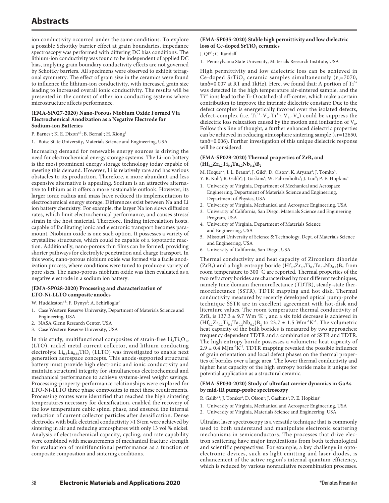ion conductivity occurred under the same conditions. To explore a possible Schottky barrier effect at grain boundaries, impedance spectroscopy was performed with differing DC bias conditions. The lithium-ion conductivity was found to be independent of applied DC bias, implying grain boundary conductivity effects are not governed by Schottky barriers. All specimens were observed to exhibit tetragonal symmetry. The effect of grain size in the ceramics were found to influence the lithium-ion conductivity, with increased grain size leading to increased overall ionic conductivity. The results will be presented in the context of other ion conducting systems where microstructure affects performance.

#### **(EMA-SP027-2020) Nano-Porous Niobium Oxide Formed Via Electrochemical Anodization as a Negative Electrode for Sodium-ion Batteries**

- P. Barnes<sup>1</sup>; K. E. Dixon\*<sup>1</sup>; B. Bernal<sup>1</sup>; H. Xiong<sup>1</sup>
- 1. Boise State University, Materials Science and Engineering, USA

Increasing demand for renewable energy sources is driving the need for electrochemical energy storage systems. The Li-ion battery is the most prominent energy storage technology today capable of meeting this demand. However, Li is relatively rare and has various obstacles to its production. Therefore, a more abundant and less expensive alternative is appealing. Sodium is an attractive alternative to lithium as it offers a more sustainable outlook. However, its larger ionic radius and mass have reduced its implementation to electrochemical energy storage. Differences exist between Na and Li ion battery chemistry. For example, the larger Na ion slows diffusion rates, which limit electrochemical performance, and causes stress/ strain in the host material. Therefore, finding intercalation hosts, capable of facilitating ionic and electronic transport becomes paramount. Niobium oxide is one such option. It possesses a variety of crystalline structures, which could be capable of a topotactic reaction. Additionally, nano-porous thin films can be formed, providing shorter pathways for electrolyte penetration and charge transport. In this work, nano-porous niobium oxide was formed via a facile anodization process, where conditions were tuned to produce a variety of pore sizes. The nano-porous niobium oxide was then evaluated as a negative electrode in a sodium ion battery.

#### **(EMA-SP028-2020) Processing and characterization of LTO-Ni-LLTO composite anodes**

#### W. Huddleston\*<sup>1</sup>; F. Dynys<sup>2</sup>; A. Sehirlioglu<sup>3</sup>

- 1. Case Western Reserve University, Department of Materials Science and Engineering, USA
- 2. NASA Glenn Research Center, USA
- 3. Case Western Reserve University, USA

In this study, multifunctional composites of strain-free  $Li_4Ti_5O_{12}$ (LTO), nickel metal current collector, and lithium conducting electrolyte  $Li_{0.3}La_{0.56}TiO_3$  (LLTO) was investigated to enable next generation aerospace concepts. This anode-supported structural battery must provide high electronic and ionic conductivity and maintain structural integrity for simultaneous electrochemical and mechanical performance to achieve systems-level weight savings. Processing-property-performance relationships were explored for LTO-Ni-LLTO three phase composites to meet these requirements. Processing routes were identified that reached the high sintering temperatures necessary for densification, enabled the recovery of the low temperature cubic spinel phase, and ensured the internal reduction of current collector particles after densification. Dense electrodes with bulk electrical conductivity >1 S/cm were achieved by sintering in air and reducing atmospheres with only 13 vol.% nickel. Analysis of electrochemical capacity, cycling, and rate capability were combined with measurements of mechanical fracture strength for evaluation of multifunctional performance as a function of composite composition and sintering conditions.

#### **(EMA-SP035-2020) Stable high permittivity and low dielectric**  loss of Ce-doped SrTiO<sub>3</sub> ceramics

#### J. Qi<sup>\*1</sup>; C. Randall<sup>1</sup>

1. Pennsylvania State University, Materials Research Institute, USA

High permittivity and low dielectric loss can be achieved in Ce-doped SrTiO<sub>3</sub> ceramic samples simultaneously ( $\epsilon_r$ =7070,  $tan\delta$ =0.007 at RT and 1kHz). Here, we found that: A portion of Ti<sup>3+</sup> was detected in the high temperature air-sintered sample, and the Ti3+ ions lead to the Ti-O octahedral off-center, which make a certain contribution to improve the intrinsic dielectric constant; Due to the defect complex is energetically favored over the isolated defects, defect-complex (i.e.  $Ti^{3+}-V_0-Ti^{3+}$ ;  $V_{Sr}-V_0$ ) could be suppress the dielectric loss relaxation caused by the motion and ionization of  $V_o$ . Follow this line of thought, a further enhanced dielectric properties can be achieved in reducing atmosphere sintering sample (εr=12650, tanδ=0.006). Further investigation of this unique dielectric response will be considered.

### (EMA-SP029-2020) Thermal properties of  $\text{ZrB}_2$  and  $(Hf_{0.2}Zr_{0.2}Ti_{0.2}Ta_{0.2}Nb_{0.2})B_2$

M. Hoque\*<sup>2</sup>; J. L. Braun<sup>2</sup>; J. Gild<sup>3</sup>; D. Olson<sup>2</sup>; K. Aryana<sup>2</sup>; J. Tomko<sup>4</sup>;

- Y. R. Koh<sup>2</sup>; R. Galib<sup>2</sup>; J. Gaskins<sup>2</sup>; W. Fahrenholtz<sup>5</sup>; J. Luo<sup>6</sup>; P. E. Hopkins<sup>1</sup>
- 1. University of Virginia, Department of Mechanical and Aerospace Engineering, Department of Materials Science and Engineering, Department of Physics, USA
- 2. University of Virginia, Mechanical and Aerospace Engineering, USA
- 3. University of California, San Diego, Materials Science and Engineering Program, USA
- 4. University of Virginia, Department of Materials Science and Engineering, USA
- 5. Missouri University of Science & Technology, Dept. of Materials Science and Engineering, USA
- 6. University of California, San Diego, USA

Thermal conductivity and heat capacity of Zirconium diboride  $(ZrB<sub>2</sub>)$  and a high entropy boride  $(Hf<sub>0.2</sub>Zr<sub>0.2</sub>Ti<sub>0.2</sub>Ta<sub>0.2</sub>Nb<sub>0.2</sub>)B<sub>2</sub>$  from room temperature to 300 °C are reported. Thermal properties of the two refractory borides are characterized by four different techniques, namely time domain thermoreflectance (TDTR), steady-state thermoreflectance (SSTR), TDTR mapping and hot disk. Thermal conductivity measured by recently developed optical pump-probe technique SSTR are in excellent agreement with hot-disk and literature values. The room temperature thermal conductivity of  $ZrB_2$  is 137.3  $\pm$  9.7 Wm<sup>-1</sup>K<sup>-1</sup>, and a six fold decrease is achieved in  $(Hf_{0.2}Zr_{0.2}Ti_{0.2}Ta_{0.2}Nb_{0.2})B_2$  to 23.7  $\pm$  1.5 Wm<sup>-1</sup>K<sup>-1</sup>. The volumetric heat capacity of the bulk borides is measured by two approaches: frequency dependent TDTR and a combination of SSTR and TDTR. The high entropy boride possesses a volumetric heat capacity of  $2.9 \pm 0.4$  MJm<sup>-3</sup>K<sup>-1</sup>. TDTR mapping revealed the possible influence of grain orientation and local defect phases on the thermal properties of borides over a large area. The lower thermal conductivity and higher heat capacity of the high entropy boride make it unique for potential application as a structural ceramic.

#### **(EMA-SP030-2020) Study of ultrafast carrier dynamics in GaAs by mid-IR pump-probe spectroscopy**

- R. Galib\*<sup>1</sup>; J. Tomko<sup>2</sup>; D. Olson<sup>1</sup>; J. Gaskins<sup>1</sup>; P. E. Hopkins<sup>1</sup>
- 1. University of Virginia, Mechanical and Aerospace Engineering, USA
- 2. University of Virginia, Materials Science and Engineering, USA

Ultrafast laser spectroscopy is a versatile technique that is commonly used to both understand and manipulate electronic scattering mechanisms in semiconductors. The processes that drive electron scattering have major implications from both technological and scientific perspectives. For example, a key challenge in optoelectronic devices, such as light emitting and laser diodes, is enhancement of the active region's internal quantum efficiency, which is reduced by various nonradiative recombination processes.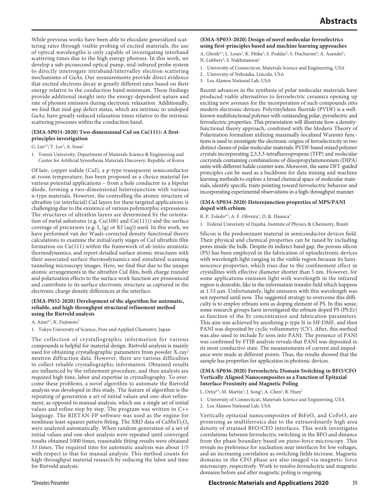While previous works have been able to elucidate generalized scattering rates through visible probing of excited materials, the use of optical wavelengths is only capable of investigating interband scattering times due to the high energy photons. In this work, we develop a sub-picosecond optical pump, mid-infrared probe system to directly interrogate intraband/intervalley electron scattering mechanisms of GaAs. Our measurements provide direct evidence that excited electrons decay at greatly different rates based on their energy relative to the conduction band minimum. These findings provide additional insight into the energy-dependent nature and rate of phonon emission during electronic relaxation. Additionally, we find that mid-gap defect states, which are intrinsic to undoped GaAs, have greatly reduced relaxation times relative to the intrinsic scattering processes within the conduction band.

#### **(EMA-SP031-2020) Two-dimensional CuI on Cu(111): A firstprinciples investigation**

G. Lee $*^1$ ; T. Lee $^1$ ; A. Soon $^1$ 

1. Yonsei University, Department of Materials Science & Engineering and Center for Artificial Synesthesia Materials Discovery, Republic of Korea

Of late, copper iodide (CuI), a p-type transparent semiconductor at room temperature, has been proposed as a choice material for various potential applications – from a hole conductor to a bipolar diode, forming a two-dimensional heterojunction with various n-type materials. However, the controlling the atomic structure of ultrathin (or interfacial) CuI layers for these targeted applications is challenging due to the existence of various polymorphic expressions. The structures of ultrathin layers are determined by the orientation of metal substrates (e.g. Cu(100) and Cu(111)) and the surface coverage of precursors (e.g. I, (g) or KI (aq)) used. In this work, we have performed van der Waals-corrected density-functional theory calculations to examine the initial/early stages of CuI ultrathin film formation on Cu(111) within the framework of ab initio atomistic thermodynamics, and report detailed surface atomic structures with their associated surface thermodynamics and simulated scanning tunneling microscopy images. Here, we find that due to the unique atomic arrangements in the ultrathin CuI film, both charge transfer and polarization effects to the surface work function are pronounced and contribute to its surface electronic structure as captured in the electronic charge density differences at the interface.

#### **(EMA-P032-2020) Development of the algorithm for automatic, reliable, and high-throughput structural refinement method using the Rietveld analysis**

A. Aimi\*<sup>1</sup>; K. Fujimoto<sup>1</sup>

1. Tokyo University of Science, Pure and Applied Chemistry, Japan

The collection of crystallographic information for various compounds is helpful for material design. Rietveld analysis is mainly used for obtaining crystallographic parameters from powder X-ray/ neutron diffraction data. However, there are various difficulties to collect reliable crystallographic information. Obtained results are influenced by the refinement procedure, and thus analysts are required high time, labor and expertise in crystallography. To overcome these problems, a novel algorithm to automate the Rietveld analysis was developed in this study. The feature of algorithm is the repeating of generation a set of initial values and one-shot refinement, as opposed to manual analysis, which use a single set of initial values and refine step by step. The program was written in C++ language. The RIETAN-FP software was used as the engine for nonlinear least-squares pattern fitting. The XRD data of  $CaMnTi<sub>2</sub>O<sub>6</sub>$ were analyzed automatically. When random generation of a set of initial values and one-shot analysis were repeated until converged results obtained 1000 times, reasonable fitting results were obtained 33 times. The required time for automatic analysis was about 1/5 with respect to that for manual analysis. This method counts for high-throughput material research by reducing the labor and time for Rietveld analysis.

## **(EMA-SP033-2020) Design of novel molecular ferroelectrics using first-principles based and machine learning approaches**

A. Ghosh\*<sup>1</sup>; L. Louis<sup>1</sup>; K. Pitike<sup>1</sup>; S. Poddar<sup>2</sup>; S. Ducharme<sup>2</sup>; A. Asandei<sup>1</sup>; N. Lubbers<sup>3</sup>; S. Nakhmanson<sup>1</sup>

- 1. University of Connecticut, Materials Science and Engineering, USA
- 2. University of Nebraska, Lincoln, USA
- 3. Los Alamos National Lab, USA

Recent advances in the synthesis of polar molecular materials have produced viable alternatives to ferroelectric ceramics opening up exciting new avenues for the incorporation of such compounds into modern electronic devices. Polyvinylidene fluoride (PVDF) is a wellknown multifunctional polymer with outstanding polar, pyroelectric and ferroelectric properties. This presentation will illustrate how a densityfunctional theory approach, combined with the Modern Theory of Polarization formalism utilizing maximally-localized Wannier functions is used to investigate the electronic origins of ferroelectricity in two distinct classes of polar molecular materials: PVDF-based mixed polymer crystals incorporating 2,3,3,3-tetrafluoropropene (TFP) and molecular cocrystals containing combinations of diisopropylammonium (DIPA) units with different halide counter ions. Moreover, the same DFT-guided principles can be used as a backbone for data mining and machine learning methods to explore a broad chemical space of molecular materials, identify specific traits pointing toward ferroelectric behavior and incorporating experimental observations in a high-throughput manner.

#### **(EMA-SP034-2020) Heterojunction properties of MPS/PANI doped with erbium**

R. P. Toledo\*<sup>1</sup>; A. F. Oliveira<sup>1</sup>; D. R. Huanca<sup>1</sup>

1. Federal University of Itajubá, Institute of Physics & Chemistry, Brazil

Silicon is the predominant material in semiconductor devices field. Their physical and chemical properties can be tuned by including pores inside the bulk. Despite its indirect band gap, the porous silicon (PS) has been employed in the fabrication of optoelectronic devices with wavelength light ranging in the visible region because its luminescence properties, which rises due to the confinement effect in crystallites with effective diameter shorter than 5 nm. However, for some applications emission light with wavelength in the infrared region is desirable, like in the information transfer field which happens at 1.53 μm. Unfortunately, light emission with this wavelength was not reported until now. The suggested strategy to overcome this difficulty is to employ erbium ions as doping element of PS. In this sense, some research groups have investigated the erbium doped PS (PS:Er) as function of the Er concentration and fabrication parameters. This aim was achieved by anodizing p-type Si in HF:DMF, and then PANI was deposited by cyclic voltammetry (CV). After, this method was also used to include Er ions into PANI. The presence of PANI was confirmed by FTIR analysis reveals that PANI was deposited in its most conductive state. The measurements of current and impedance were made at different points. Thus, the results showed that the sample has properties for application in photonic devices.

#### **(EMA-SP036-2020) Ferroelectric Domain Switching in BFO/CFO Vertically Aligned Nanocomposites as a Function of Epitaxial Interface Proximity and Magnetic Poling**

- L. Ortiz\*<sup>1</sup>; M. Martin<sup>1</sup>; J. Song<sup>1</sup>; A. Chen<sup>2</sup>; B. Huey<sup>1</sup>
- 1. University of Connecticut, Materials Science and Engineering, USA
- 2. Los Alamos National Lab, USA

Vertically epitaxial nanocomposites of  $BiFeO<sub>3</sub>$  and  $CoFeO<sub>3</sub>$  are promising as multiferroics due to the extraordinarily high area density of strained BFO/CFO interfaces. This work investigates correlations between ferroelectric switching in the BFO and distance from the phase boundary based on piezo-force microscopy. This reveals no preference for nucleation near interfaces for low voltages, and an increasing correlation as switching fields increase. Magnetic domains in the CFO phase are also imaged via magnetic force microscopy, respectively. Work to resolve ferroelectric and magnetic domains before and after magnetic poling is ongoing.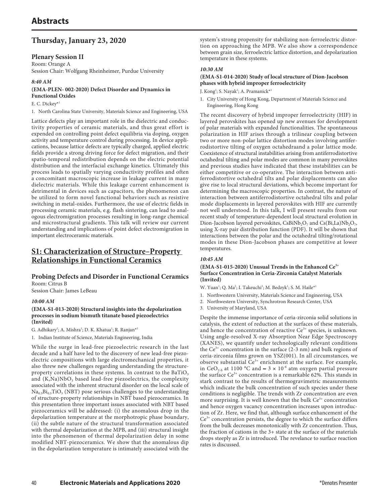## **Thursday, January 23, 2020**

## **Plenary Session II**

Room: Orange A Session Chair: Wolfgang Rheinheimer, Purdue University

### *8:40 AM*

## **(EMA-PLEN- 002-2020) Defect Disorder and Dynamics in Functional Oxides**

## E. C. Dickey\*1

1. North Carolina State University, Materials Science and Engineering, USA

Lattice defects play an important role in the dielectric and conductivity properties of ceramic materials, and thus great effort is expended on controlling point defect equilibria via doping, oxygen activity and temperature control during processing. In device applications, because lattice defects are typically charged, applied electric fields provide a strong driving force for defect migration, and their spatio-temporal redistribution depends on the electric potential distribution and the interfacial exchange kinetics. Ultimately this process leads to spatially varying conductivity profiles and often a concomitant macroscopic increase in leakage current in many dielectric materials. While this leakage current enhancement is detrimental in devices such as capacitors, the phenomenon can be utilized to form novel functional behaviors such as resistive switching in metal-oxides. Furthermore, the use of electric fields in processing ceramic materials, e.g. flash sintering, can lead to analogous electromigration processes resulting in long-range chemical and microstructural gradients. This talk will review our current understanding and implications of point defect electromigration in important electroceramic materials.

## **S1: Characterization of Structure–Property Relationships in Functional Ceramics**

## **Probing Defects and Disorder in Functional Ceramics** Room: Citrus B

Session Chair: James LeBeau

## *10:00 AM*

#### **(EMA-S1-013-2020) Structural insights into the depolarization processes in sodium bismuth titanate based piezoelectrics (Invited)**

G. Adhikary<sup>1</sup>; A. Mishra<sup>1</sup>; D. K. Khatua<sup>1</sup>; R. Ranjan<sup>\*1</sup>

1. Indian Institute of Science, Materials Engineering, India

While the surge in lead-free piezoelectric research in the last decade and a half have led to the discovery of new lead-free piezoelectric compositions with large electromechanical properties, it also threw new challenges regarding understanding the structureproperty correlations in these systems. In contrast to the BaTiO<sub>3</sub> and  $(K,Na)NbO<sub>3</sub>$  based lead-free piezoelectrics, the complexity associated with the inherent structural disorder on the local scale of  $Na<sub>0.5</sub>Bi<sub>0.5</sub>TiO<sub>3</sub> (NBT)$  pose serious challenges to the understanding of structure-property relationships in NBT based piezoceramics. In this presentation three important issues associated with NBT based piezoceramics will be addressed: (i) the anomalous drop in the depolarization temperature at the morphotropic phase boundary, (ii) the subtle nature of the structural transformation associated with thermal depolarization at the MPB, and (iii) structural insight into the phenomenon of thermal depolarization delay in some modified NBT-piezoceramics. We show that the anomalous dip in the depolarization temperature is intimately associated with the

system's strong propensity for stabilizing non-ferroelectric distortion on approaching the MPB. We also show a correspondence between grain size, ferroelectric lattice distortion, and depolarization temperature in these systems.

## *10:30 AM*

## **(EMA-S1-014-2020) Study of local structure of Dion-Jacobson phases with hybrid improper ferroelectricity**

J. Kong<sup>1</sup>; S. Nayak<sup>1</sup>; A. Pramanick\*<sup>1</sup>

1. City University of Hong Kong, Department of Materials Science and Engineering, Hong Kong

The recent discovery of hybrid improper ferroelectricity (HIF) in layered perovskites has opened up new avenues for development of polar materials with expanded functionalities. The spontaneous polarization in HIF arises through a trilinear coupling between two or more non-polar lattice distortion modes involving antiferrodistortive tilting of oxygen octahedraand a polar lattice mode. Coexistence of structural instabilities arising from antiferrodistortive octahedral tilting and polar modes are common in many perovskites and previous studies have indicated that these instabilities can be either competitive or co-operative. The interaction between antiferrodistortive octahedral tilts and polar displacements can also give rise to local structural deviations, which become important for determining the macroscopic properties. In contrast, the nature of interaction between antiferrodistortive octahedral tilts and polar mode displacements in layered perovskites with HIF are currently not well understood. In this talk, I will present results from our recent study of temperature-dependent local structural evolution in Dion-Jacobson layered pervoskites, CsBiNb<sub>2</sub>O<sub>7</sub> and Cs(Bi,La)Nb<sub>2</sub>O<sub>7</sub>, using X-ray pair distribution function (PDF). It will be shown that interactions between the polar and the octahedral tilting/rotational modes in these Dion-Jacobson phases are competitive at lower temperatures.

## *10:45 AM*

### **(EMA-S1-015-2020) Unusual Trends in the Enhanced Ce3+ Surface Concentration in Ceria-Zirconia Catalyst Materials (Invited)**

W. Yuan<sup>1</sup>; Q. Ma<sup>2</sup>; I. Takeuchi<sup>3</sup>; M. Bedzyk<sup>1</sup>; S. M. Haile<sup>\*1</sup>

- 1. Northwestern University, Materials Science and Engineering, USA
- 2. Northwestern University, Synchrotron Research Center, USA
- 3. University of Maryland, USA

Despite the immense importance of ceria-zirconia solid solutions in catalysis, the extent of reduction at the surfaces of these materials, and hence the concentration of reactive  $Ce^{3+}$  species, is unknown. Using angle-resolved X-ray Absorption Near Edge Spectroscopy (XANES), we quantify under technologically relevant conditions the Ce<sup>3+</sup> concentration in the surface (2-3 nm) and bulk regions of ceria-zirconia films grown on YSZ(001). In all circumstances, we observe substantial  $\bar{C}e^{3+}$  enrichment at the surface. For example, in CeO<sub>2-δ</sub> at 1100 °C and  $\approx 3 \times 10^{-6}$  atm oxygen partial pressure the surface Ce3+ concentration is a remarkable 62%. This stands in stark contrast to the results of thermogravimetric measurements which indicate the bulk concentration of such species under these conditions is negligible. The trends with Zr concentration are even more surprising. It is well known that the bulk  $Ce^{3+}$  concentration and hence oxygen vacancy concentration increases upon introduction of Zr. Here, we find that, although surface enhancement of the  $Ce<sup>3+</sup>$  concentration persists, the degree to which the surface differs from the bulk decreases monotonically with Zr concentration. Thus, the fraction of cations in the 3+ state at the surface of the materials drops steeply as Zr is introduced. The revelance to surface reaction rates is discussed.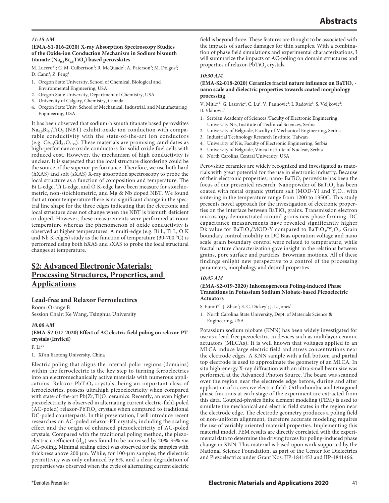### *11:15 AM*

#### **(EMA-S1-016-2020) X-ray Absorption Spectroscopy Studies of the Oxide-ion Conduction Mechanism in Sodium bismuth**  titanate (Na<sub>0.5</sub>Bi<sub>0.5</sub>TiO<sub>3</sub>) based perovskites

M. Lucero\*<sup>1</sup>; C. M. Culbertson<sup>2</sup>; R. McQuade<sup>2</sup>; A. Paterson<sup>3</sup>; M. Dolgos<sup>2</sup>; D. Cann<sup>4</sup>; Z. Feng<sup>1</sup>

- 1. Oregon State University, School of Chemical, Biological and
- Environmental Engineering, USA
- 2. Oregon State University, Department of Chemistry, USA
- 3. University of Calgary, Chemistry, Canada
- 4. Oregon State Univ, School of Mechanical, Industrial, and Manufacturing Engineering, USA

It has been observed that sodium-bismuth titanate based perovskites  $Na<sub>0.5</sub>Bi<sub>0.5</sub>TiO<sub>3</sub>$  (NBT) exhibit oxide ion conduction with comparable conductivity with the state-of-the-art ion conductors (e.g.  $Ce_{0.9}Gd_{0.1}O_{1.95}$ ). These materials are promising candidates as high-performance oxide conductors for solid oxide fuel cells with reduced cost. However, the mechanism of high conductivity is unclear. It is suspected that the local structure disordering could be the source of the superior performance. Therefore, we use both hard (hXAS) and soft (sXAS) X-ray absorption spectroscopy to probe the local structure as a function of composition and temperature. The Bi L-edge, Ti L-edge, and O K-edge have been measure for stoichiometric, non-stoichiometric, and Mg & Nb doped NBT. We found that at room temperature there is no significant change in the spectral line shape for the three edges indicating that the electronic and local structure does not change when the NBT is bismuth deficient or doped. However, these measurements were performed at room temperature whereas the phenomenon of oxide conductivity is observed at higher temperatures. A multi-edge (e.g. Bi L, Ti L, O K and Nb K edges) study as the function of temperature (30-700 °C) is performed using both hXAS and sXAS to probe the local structural changes at temperature.

## **S2: Advanced Electronic Materials: Processing Structures, Properties, and Applications**

## **Lead-free and Relaxor Ferroelectircs**

Room: Orange B Session Chair: Ke Wang, Tsinghua University

#### *10:00 AM*

**(EMA-S2-017-2020) Effect of AC electric field poling on relaxor-PT crystals (Invited)**

F.  $Li^{*1}$ 

1. Xi'an Jiaotong University, China

Electric poling that aligns the internal polar regions (domains) within the ferroelectric is the key step to turning ferroelectrics into an electromechanically active materials with numerous applications. Relaxor-PbTiO<sub>3</sub> crystals, being an important class of ferroelectrics, possess ultrahigh piezoelectricity when compared with state-of-the-art  $Pb(Zr,Ti)O_3$  ceramics. Recently, an even higher piezoelectricity is observed in alternating current electric-field-poled (AC-poled) relaxor-PbTiO<sub>3</sub> crystals when compared to traditional DC-poled counterparts. In this presentation, I will introduce recent researches on AC-poled relaxor-PT crystals, including the scaling effect and the origin of enhanced piezoelectricity of AC-poled crystals. Compared with the traditional poling method, the piezoelectric coefficient  $(d_{33})$  was found to be increased by 20%-35% via AC-poling. Minimal scaling effect was observed for the samples with thickness above 200 µm. While, for 100-µm samples, the dielectric permittivity was only enhanced by 6%, and a clear degradation of properties was observed when the cycle of alternating current electric

field is beyond three. These features are thought to be associated with the impacts of surface damages for thin samples. With a combination of phase field simulations and experimental characterizations, I will summarize the impacts of AC-poling on domain structures and properties of relaxor-PbTiO<sub>3</sub> crystals.

### *10:30 AM*

#### (EMA-S2-018-2020) Ceramics fractal nature influence on BaTiO<sub>3</sub> **nano scale and dielectric properties towards coated morphology processing**

V. Mitic\*<sup>1</sup>; G. Lazovic<sup>2</sup>; C. Lu<sup>3</sup>; V. Paunovic<sup>4</sup>; I. Radovic<sup>5</sup>; S. Veljkovic<sup>4</sup>;  $B$ . Vlahovic<sup>6</sup>

- 1. Serbian Academy of Sciences /Faculty of Electronic Engineering University Nis, Institute of Technical Sciences, Serbia
- 2. University of Belgrade, Faculty of Mechanical Engineering, Serbia
- 3. Industrial Technology Research Institute, Taiwan
- 4. University of Nis, Faculty of Electronic Engineering, Serbia
- 5. University of Belgrade, Vinca Institute of Nuclear, Serbia
- 6. North Carolina Central University, USA

Perovskite ceramics are widely recognized and investigated as materials with great potential for the use in electronic industry. Because of their electronic properties, nano-BaTiO<sub>3</sub> perovskite has been the focus of our presented research. Nanopowder of BaTiO<sub>3</sub> has been coated with metal organic yttrium salt (MOD-Y) and  $Y_2O_3$ , with sintering in the temperature range from 1200 to 1350C. This study presents novel approach for the investigation of electronic properties on the interface between  $BaTiO<sub>3</sub>$  grains. Transmission electron microscopy demonstrated around grains new phase forming. DC capacitance measurements have revealed significantly higher Dk value for BaTiO<sub>3</sub>/MOD-Y compared to BaTiO<sub>3</sub>/Y<sub>2</sub>O<sub>3</sub>. Grain boundary control mobility in DC Bias operation voltage and nano scale grain boundary control were related to temperature, while fractal nature characterization gave insight in the relations between grains, pore surface and particles' Brownian motions. All of these findings enlight new perspective to a control of the processing parameters, morphology and desired properties.

#### *10:45 AM*

## **(EMA-S2-019-2020) Inhomogeneous Poling-induced Phase Transitions in Potassium Sodium Niobate-based Piezoelectric Actuators**

S. Funni<sup>\*1</sup>; J. Zhao<sup>1</sup>; E. C. Dickey<sup>1</sup>; J. L. Jones<sup>1</sup>

1. North Carolina State University, Dept. of Materials Science & Engineering, USA

Potassium sodium niobate (KNN) has been widely investigated for use as a lead-free piezoelectric in devices such as multilayer ceramic actuators (MLCAs). It is well known that voltages applied to an MLCA induce large electric field and stress concentrations near the electrode edges. A KNN sample with a full bottom and partial top electrode is used to approximate the geometry of an MLCA. In situ high-energy X-ray diffraction with an ultra-small beam size was performed at the Advanced Photon Source. The beam was scanned over the region near the electrode edge before, during and after application of a coercive electric field. Orthorhombic and tetragonal phase fractions at each stage of the experiment are extracted from this data. Coupled-physics finite element modeling (FEM) is used to simulate the mechanical and electric field states in the region near the electrode edge. The electrode geometry produces a poling field of non-uniform alignment, therefore accurate modeling requires the use of variably oriented material properties. Implementing this material model, FEM results are directly correlated with the experimental data to determine the driving forces for poling-induced phase change in KNN. This material is based upon work supported by the National Science Foundation, as part of the Center for Dielectrics and Piezoelectrics under Grant Nos. IIP-1841453 and IIP-1841466.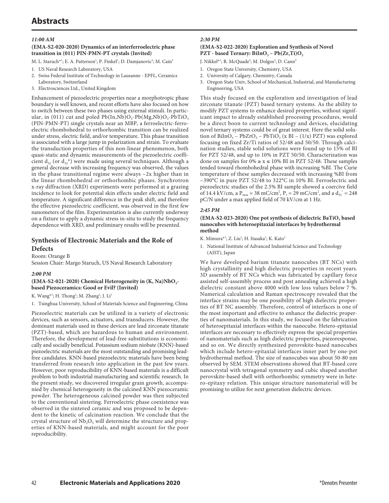# **Abstracts**

#### *11:00 AM*

#### **(EMA-S2-020-2020) Dynamics of an interferroelectric phase transition in (011) PIN-PMN-PT crystals (Invited)**

- M. L. Staruch\*<sup>1</sup>; E. A. Patterson<sup>1</sup>; P. Finkel<sup>1</sup>; D. Damjanovic<sup>2</sup>; M. Cain<sup>3</sup>
- 1. US Naval Research Laboratory, USA
- 2. Swiss Federal Institute of Technology in Lausanne EPFL, Ceramics Laboratory, Switzerland
- 3. Electrosciences Ltd., United Kingdom

Enhancement of piezoelectric properties near a morphotropic phase boundary is well known, and recent efforts have also focused on how to switch between these two phases using external stimuli. In particular, in (011) cut and poled  $Pb(In,Nb)O_3-Pb(Mg,Nb)O_3-PbTiO_3$ (PIN-PMN-PT) single crystals near an MBP, a ferroelectric-ferroelectric rhombohedral to orthorhombic transition can be realized under stress, electric field, and/or temperature. This phase transition is associated with a large jump in polarization and strain. To evaluate the transduction properties of this non-linear phenomenon, both quasi-static and dynamic measurements of the piezoelectric coefficient  $d_{32}$  (or  $d_{32}^*$ ) were made using several techniques. Although a general decrease with increasing frequency was observed, the values in the phase transitional regime were always  $\sim$ 2x higher than in the linear rhombohedral or orthorhombic phases. Synchrotron x-ray diffraction (XRD) experiments were performed at a grazing incidence to look for potential skin effects under electric field and temperature. A significant difference in the peak shift, and therefore the effective piezoelectric coefficient, was observed in the first few nanometers of the film. Experimentation is also currently underway on a fixture to apply a dynamic stress in-situ to study the frequency dependence with XRD, and preliminary results will be presented.

## **Synthesis of Electronic Materials and the Role of Defects**

Room: Orange B Session Chair: Margo Staruch, US Naval Research Laboratory

#### *2:00 PM*

#### (EMA-S2-021-2020) Chemical Heterogeneity in (K, Na)NbO<sub>3</sub>**based Piezoceramics: Good or Evil? (Invited)**

K. Wang<sup>\*1</sup>; H. Thong<sup>1</sup>; M. Zhang<sup>1</sup>; J. Li<sup>1</sup>

1. Tsinghua University, School of Materials Science and Engineering, China

Piezoelectric materials can be utilized in a variety of electronic devices, such as sensors, actuators, and transducers. However, the dominant materials used in these devices are lead zirconate titanate (PZT)-based, which are hazardous to human and environment. Therefore, the development of lead-free substitutions is economically and socially beneficial. Potassium sodium niobate (KNN)-based piezoelectric materials are the most outstanding and promising leadfree candidates. KNN-based piezoelectric materials have been being transferred from research into application in the past few years. However, poor reproducibility of KNN-based materials is a difficult problem to both industrial manufacturing and scientific research. In the present study, we discovered irregular grain growth, accompanied by chemical heterogeneity in the calcined KNN piezoceramic powder. The heterogeneous calcined powder was then subjected to the conventional sintering. Ferroelectric phase coexistence was observed in the sintered ceramic and was proposed to be dependent to the kinetic of calcination reaction. We conclude that the crystal structure of  $Nb_2O_5$  will determine the structure and properties of KNN-based materials, and might account for the poor reproducibility.

#### *2:30 PM*

#### **(EMA-S2-022-2020) Exploration and Synthesis of Novel PZT** - based Ternary:  $BiInO<sub>3</sub> - Pb(Zr,Ti)O<sub>3</sub>$

J. Nikkel\*<sup>1</sup>; R. McQuade<sup>3</sup>; M. Dolgos<sup>2</sup>; D. Cann<sup>3</sup>

- 1. Oregon State University, Chemistry, USA
- 2. University of Calgary, Chemistry, Canada
- 3. Oregon State Univ, School of Mechanical, Industrial, and Manufacturing Engineering, USA

This study focused on the exploration and investigation of lead zirconate titanate (PZT) based ternary systems. As the ability to modify PZT systems to enhance desired properties, without significant impact to already established processing procedures, would be a direct boon to current technology and devices, elucidating novel ternary systems could be of great interest. Here the solid solution of BiInO<sub>3</sub> – PbZrO<sub>3</sub> – PbTiO<sub>3</sub> (x BI – (1/x) PZT) was explored focusing on fixed Zr/Ti ratios of 52/48 and 50/50. Through calcination studies, stable solid solutions were found up to 15% of BI for PZT 52/48, and up to 10% in PZT 50/50. Characterization was done on samples for  $0\% \ge x \le 10\%$  BI in PZT 52/48. These samples tended toward rhombohedral phase with increasing %BI. The Curie temperature of these samples decreased with increasing %BI from ~390°C in pure PZT 52/48 to 322°C in 10% BI. Ferroelectric and piezoelectric studies of the 2.5% BI sample showed a coercive field of 14.4 kV/cm, a  $P_{max} = 38$  mC/cm<sup>2</sup>,  $P_r = 29$  mC/cm<sup>2</sup>, and a  $d_{33}^* = 248$ pC/N under a max applied field of 70 kV/cm at 1 Hz.

#### *2:45 PM*

#### (EMA-S2-023-2020) One pot synthesis of dielectric BaTiO<sub>3</sub> based **nanocubes with heteroepitaxial interfaces by hydrothermal method**

- K. Mimura\*<sup>1</sup>; Z. Liu<sup>1</sup>; H. Itasaka<sup>1</sup>; K. Kato<sup>1</sup>
- 1. National Institute of Advanced Industrial Science and Technology (AIST), Japan

We have developed barium titanate nanocubes (BT NCs) with high crystallinity and high dielectric properties in recent years. 3D assembly of BT NCs which was fabricated by capillary force assisted self-assembly process and post annealing achieved a high dielectric constant above 4000 with low loss values below 7 %. Numerical calculation and Raman spectroscopy revealed that the interface strains may be one possibility of high dielectric properties of BT NC assembly. Therefore, control of interfaces is one of the most important and effective to enhance the dielectric properties of nanomaterials. In this study, we focused on the fabrication of heteroepitaxial interfaces within the nanocube. Hetero-epitaxial interfaces are necessary to effectively express the special properties of nanomaterials such as high dielectric properties, piezoresponse, and so on. We directly synthesized perovskite-based nanocubes which include hetero-epitaxial interfaces inner part by one-pot hydrothermal method. The size of nanocubes was about 50-80 nm observed by SEM. STEM observations showed that BT-based core nanocrystal with tetragonal symmetry and cubic shaped another perovskite-based shell with orthorhombic symmetry were in hetero-epitaxy relation. This unique structure nanomaterial will be promising to utilize for next generation dielectric devices.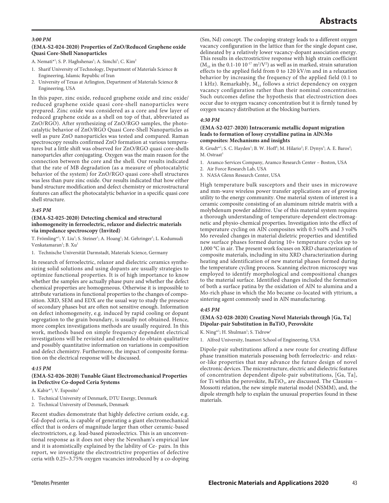#### *3:00 PM*

#### **(EMA-S2-024-2020) Properties of ZnO/Reduced Graphene oxide Quasi Core-Shell Nanoparticles**

A. Nemati\*<sup>1</sup>; S. P. Haghshenas<sup>1</sup>; A. Simchi<sup>1</sup>; C. Kim<sup>2</sup>

- 1. Sharif University of Technology, Department of Materials Science & Engineering, Islamic Republic of Iran
- 2. University of Texas at Arlington, Department of Materials Science & Engineering, USA

In this paper, zinc oxide, reduced graphene oxide and zinc oxide/ reduced graphene oxide quasi core-shell nanoparticles were prepared. Zinc oxide was considered as a core and few layer of reduced graphene oxide as a shell on top of that, abbreviated as ZnO/RGO). After synthesizing of ZnO/RGO samples, the photocatalytic behavior of ZnO/RGO Quasi Core-Shell Nanoparticles as well as pure ZnO nanoparticles was tested and compared. Raman spectroscopy results confirmed ZnO formation at various temperatures but a little shift was observed for ZnO/RGO quasi core-shells nanopartcles after conjugating. Oxygen was the main reason for the connection between the core and the shell. Our results indicated that the rate of MB degradation (as a measure of photocatalytic behavior of the system) for ZnO/RGO quasi core-shell structures was less than pure zinc oxide. Our results indicated that how either band structure modification and defect chemistry or microstructural features can affect the photocatalytic behavior in a specific quasi core shell structure.

## *3:45 PM*

#### **(EMA-S2-025-2020) Detecting chemical and structural inhomogeneity in ferroelectric, relaxor and dielectric materials via impedance spectroscopy (Invited)**

T. Frömling\*<sup>1</sup>; Y. Liu<sup>1</sup>; S. Steiner<sup>1</sup>; A. Hoang<sup>1</sup>; M. Gehringer<sup>1</sup>; L. Kodumudi Venkatamaran<sup>1</sup>; B. Xu<sup>1</sup>

1. Technische Universität Darmstadt, Materials Science, Germany

In research of ferroelectric, relaxor and dielectric ceramics synthesizing solid solutions and using dopants are usually strategies to optimize functional properties. It is of high importance to know whether the samples are actually phase pure and whether the defect chemical properties are homogeneous. Otherwise it is impossible to attribute variations in functional properties to the changes of composition. XRD, SEM and EDX are the usual way to study the presence of secondary phases but are often not sensitive enough. Information on defect inhomogeneity, e.g. induced by rapid cooling or dopant segregation to the grain boundary, is usually not obtained. Hence, more complex investigations methods are usually required. In this work, methods based on simple frequency dependent electrical investigations will be revisited and extended to obtain qualitative and possibly quantitative information on variations in composition and defect chemistry. Furthermore, the impact of composite formation on the electrical response will be discussed.

#### *4:15 PM*

#### **(EMA-S2-026-2020) Tunable Giant Electromechanical Properties in Defective Co-doped Ceria Systems**

- A. Kabir\*<sup>1</sup>; V. Esposito<sup>2</sup>
- 1. Technical University of Denmark, DTU Energy, Denmark
- 2. Technical University of Denmark, Denmark

Recent studies demonstrate that highly defective cerium oxide, e.g. Gd-doped ceria, is capable of generating a giant electromechanical effect that is orders of magnitude larger than other ceramic-based electrostrictors, e.g. lead-based piezoelectrics. This is an unconventional response as it does not obey the Newnham's empirical law and it is atomistically explained by the lability of Ce- pairs. In this report, we investigate the electrostrictive properties of defective ceria with 0.25−3.75% oxygen vacancies introduced by a co-doping

(Sm, Nd) concept. The codoping strategy leads to a different oxygen vacancy configuration in the lattice than for the single dopant case, delineated by a relatively lower vacancy-dopant association energy. This results in electrostrictive response with high strain coefficient  $(M_{33}$  in the 0.1-10  $10^{-17}$  m<sup>2</sup>/V<sup>2</sup>) as well as in marked, strain saturation effects to the applied field from 0 to 120 kV/m and in a relaxation behavior by increasing the frequency of the applied field (0.1 to 1 kHz). Remarkably, M<sub>33</sub> follows a strict dependency on oxygen vacancy configuration rather than their nominal concentration. Such outcomes define the hypothesis that electrostriction does occur due to oxygen vacancy concentration but it is firmly tuned by oxygen vacancy distribution at the blocking barriers.

#### *4:30 PM*

#### **(EMA-S2-027-2020) Intraceramic metallic dopant migration leads to formation of lossy crystalline patina in AlN:Mo composites: Mechanisms and insights**

R. Grudt<sup>\*1</sup>; S. C. Hayden<sup>1</sup>; B. W. Hoff<sup>2</sup>; M. Hilario<sup>2</sup>; F. Dynys<sup>3</sup>; A. E. Baros<sup>2</sup>; M. Ostraat<sup>1</sup>

- 1. Aramco Services Company, Aramco Research Center Boston, USA
- 2. Air Force Research Lab, USA
- 3. NASA Glenn Research Center, USA

High temperature bulk susceptors and their uses in microwave and mm-wave wireless power transfer applications are of growing utility to the energy community. One material system of interest is a ceramic composite consisting of an aluminum nitride matrix with a molybdenum powder additive. Use of this material system requires a thorough understanding of temperature-dependent electromagnetic and physio-chemical properties. Investigation into the effect of temperature cycling on AlN composites with 0.5 vol% and 3 vol% Mo revealed changes in material dieletric properties and identified new surface phases formed during 10+ temperature cycles up to 1,000 °C in air. The present work focuses on XRD characterization of composite materials, including in situ XRD characterization during heating and identification of new material phases formed during the temperature cycling process. Scanning electron microscopy was employed to identify morphological and compositional changes to the material surface. Identified changes included the formation of both a surface patina by the oxidation of AlN to alumina and a Mo-rich phase in which the Mo became co-located with yttrium, a sintering agent commonly used in AlN manufacturing.

#### *4:45 PM*

#### **(EMA-S2-028-2020) Creating Novel Materials through [Ga, Ta] Dipolar-pair Substitution in BaTiO<sub>3</sub> Perovskite**

K. Ning\*<sup>1</sup>; H. Shulman<sup>1</sup>; S. Tidrow<sup>1</sup>

1. Alfred University, Inamori School of Engineering, USA

Dipole-pair substitutions afford a new route for creating diffuse phase transition materials possessing both ferroelectric- and relaxor-like properties that may advance the future design of novel electronic devices. The microstructure, electric and dielectric features of concentration dependent dipole-pair substitutions, [Ga, Ta], for Ti within the perovskite, BaTiO<sub>3</sub>, are discussed. The Clausius – Mossotti relation, the new simple material model (NSMM), and, the dipole strength help to explain the unusual properties found in these materials.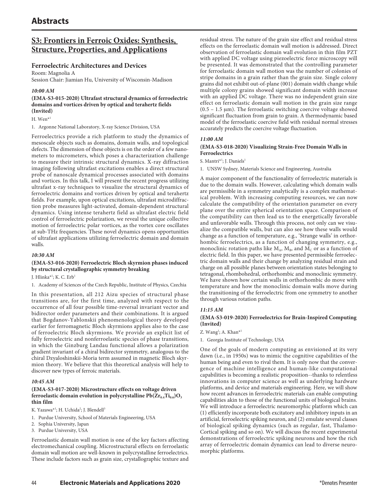## **S3: Frontiers in Ferroic Oxides: Synthesis, Structure, Properties, and Applications**

## **Ferroelectric Architectures and Devices**

Room: Magnolia A

Session Chair: Jiamian Hu, University of Wisconsin-Madison

### *10:00 AM*

### **(EMA-S3-015-2020) Ultrafast structural dynamics of ferroelectric domains and vortices driven by optical and terahertz fields (Invited)**

H. Wen\*1

1. Argonne National Laboratory, X-ray Science Division, USA

Ferroelectrics provide a rich platform to study the dynamics of mesoscale objects such as domains, domain walls, and topological defects. The dimension of these objects is on the order of a few nanometers to micrometers, which poses a characterization challenge to measure their intrinsic structural dynamics. X-ray diffraction imaging following ultrafast excitations enables a direct structural probe of nanoscale dynamical processes associated with domains and vortices. In this talk, I will present the recent progress utilizing ultrafast x-ray techniques to visualize the structural dynamics of ferroelectric domains and vortices driven by optical and terahertz fields. For example, upon optical excitations, ultrafast microdiffraction probe measures light-activated, domain-dependent structural dynamics. Using intense terahertz field as ultrafast electric field control of ferroelectric polarization, we reveal the unique collective motion of ferroelectric polar vortices, as the vortex core oscillates at sub-THz frequencies. These novel dynamics opens opportunities of ultrafast applications utilizing ferroelectric domain and domain walls.

#### *10:30 AM*

### **(EMA-S3-016-2020) Ferroelectric Bloch skyrmion phases induced by structural crystallographic symmetry breaking**

J. Hlinka<sup>\*1</sup>; K. C. Erb<sup>1</sup>

1. Academy of Sciences of the Czech Republic, Institute of Physics, Czechia

In this presentation, all 212 Aizu species of structural phase transitions are, for the first time, analyzed with respect to the occurrence of all four possible time-reversal invariant vector and bidirector order parameters and their combinations. It is argued that Bogdanov-Yablonskii phenomenological theory developed earlier for ferromagnetic Bloch skyrmions applies also to the case of ferroelectric Bloch skyrmions. We provide an explicit list of fully ferroelectric and nonferroelastic species of phase transitions, in which the Ginzburg Landau functional allows a polarization gradient invariant of a chiral bidirector symmetry, analogous to the chiral Dzyaloshinskii-Moria term assumed in magnetic Bloch skyrmion theory. We believe that this theoretical analysis will help to discover new types of ferroic materials.

#### *10:45 AM*

### **(EMA-S3-017-2020) Microstructure effects on voltage driven**  ferroelastic domain evolution in polycrystalline  $Pb(Zr_{0.4}Ti_{0.6})O_3$ **thin film**

K. Yazawa\*<sup>1</sup>; H. Uchida<sup>2</sup>; J. Blendell<sup>3</sup>

- 1. Purdue University, School of Materials Engineering, USA
- 2. Sophia University, Japan
- 3. Purdue University, USA

Ferroelastic domain wall motion is one of the key factors affecting electromechanical coupling. Microstructural effects on ferroelastic domain wall motion are well-known in polycrystalline ferroelectrics. These include factors such as grain size, crystallographic texture and residual stress. The nature of the grain size effect and residual stress effects on the ferroelastic domain wall motion is addressed. Direct observation of ferroelastic domain wall evolution in thin film PZT with applied DC voltage using piezoelectric force microscopy will be presented. It was demonstrated that the controlling parameter for ferroelastic domain wall motion was the number of colonies of stripe domains in a grain rather than the grain size. Single colony grains did not exhibit out-of-plane (001) domain width change while multiple colony grains showed significant domain width increase with an applied DC voltage. There was no independent grain size effect on ferroelastic domain wall motion in the grain size range (0.5 – 1.5 μm). The ferroelastic switching coercive voltage showed significant fluctuation from grain to grain. A thermodynamic based model of the ferroelastic coercive field with residual normal stresses accurately predicts the coercive voltage fluctuation.

### *11:00 AM*

### **(EMA-S3-018-2020) Visualizing Strain-Free Domain Walls in Ferroelectrics**

S. Mantri<sup>\*1</sup>; J. Daniels<sup>1</sup>

1. UNSW Sydney, Materials Science and Engineering, Australia

A major component of the functionality of ferroelectric materials is due to the domain walls. However, calculating which domain walls are permissible in a symmetry analytically is a complex mathematical problem. With increasing computing resources, we can now calculate the compatibility of the orientation parameter on every plane over the entire spherical orientation space. Comparison of the compatibility can then lead us to the energetically favorable and unfavorable walls. Through this process, not only can we visualize the compatible walls, but can also see how these walls would change as a function of temperature, e.g., 'Strange walls' in orthorhombic ferroelectrics, as a function of changing symmetry, e.g., monoclinic rotation paths like  $M_A$ ,  $M_B$ , and  $M_C$  or as a function of electric field. In this paper, we have presented permissible ferroelectric domain walls and their change by analyzing residual strain and charge on all possible planes between orientation states belonging to tetragonal, rhombohedral, orthorhombic and monoclinic symmetry. We have shown how certain walls in orthorhombic do move with temperature and how the monoclinic domain walls move during the transitioning of the ferroelectric from one symmetry to another through various rotation paths.

## *11:15 AM*

### **(EMA-S3-019-2020) Ferroelectrics for Brain-Inspired Computing (Invited)**

Z. Wang<sup>1</sup>; A. Khan<sup>\*1</sup>

1. Georgia Institute of Technology, USA

One of the goals of modern computing as envisioned at its very dawn (i.e., in 1950s) was to mimic the cognitive capabilities of the human being and even to rival them. It is only now that the convergence of machine intelligence and human-like computational capabilities is becoming a realistic proposition--thanks to relentless innovations in computer science as well as underlying hardware platforms, and device and materials engineering. Here, we will show how recent advances in ferroelectric materials can enable computing capabilities akin to those of the functional units of biological brains. We will introduce a ferroelectric neuromorphic platform which can (1) efficiently incorporate both excitatory and inhibitory inputs in an artificial, ferroelectric spiking neuron, and (2) emulate several classes of biological spiking dynamics (such as regular, fast, Thalamo-Cortical spiking and so on). We will discuss the recent experimental demonstrations of ferroelectric spiking neurons and how the rich array of ferroelectric domain dynamics can lead to diverse neuromorphic platforms.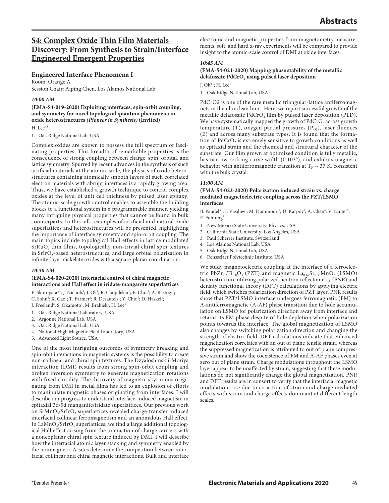## **S4: Complex Oxide Thin Film Materials Discovery: From Synthesis to Strain/Interface Engineered Emergent Properties**

## **Engineered Interface Phenomena I**

Room: Orange A Session Chair: Aiping Chen, Los Alamos National Lab

### *10:00 AM*

**(EMA-S4-019-2020) Exploiting interfaces, spin-orbit coupling, and symmetry for novel topological quantum phenomena in oxide heterostructures** *(Pioneer in Synthesis)* **(Invited)**

H. Lee $*1$ 

1. Oak Ridge National Lab, USA

Complex oxides are known to possess the full spectrum of fascinating properties. This breadth of remarkable properties is the consequence of strong coupling between charge, spin, orbital, and lattice symmetry. Spurred by recent advances in the synthesis of such artificial materials at the atomic scale, the physics of oxide heterostructures containing atomically smooth layers of such correlated electron materials with abrupt interfaces is a rapidly growing area. Thus, we have established a growth technique to control complex oxides at the level of unit cell thickness by pulsed laser epitaxy. The atomic-scale growth control enables to assemble the building blocks to a functional system in a programmable manner, yielding many intriguing physical properties that cannot be found in bulk counterparts. In this talk, examples of artificial and natural oxide superlattices and heterostructures will be presented, highlighting the importance of interface symmetry and spin-orbit coupling. The main topics include topological Hall effects in lattice modulated SrRuO<sub>3</sub> thin films, topologically non-trivial chiral spin textures in SrIrO<sub>3</sub>-based heterostructures, and large orbital polarization in infinite-layer nickelate oxides with a square-planar coordination.

## *10:30 AM*

#### **(EMA-S4-020-2020) Interfacial control of chiral magnetic interactions and Hall effect in iridate-manganite superlattices**

E. Skoropata\*<sup>1</sup>; J. Nichols<sup>1</sup>; J. Ok<sup>1</sup>; R. Chopdekar<sup>5</sup>; E. Choi<sup>4</sup>; A. Rastogi<sup>1</sup>; C. Sohn<sup>1</sup>; X. Gao<sup>1</sup>; T. Farmer<sup>1</sup>; R. Desautels<sup>1</sup>; Y. Choi<sup>2</sup>; D. Haskel<sup>2</sup>;

- J. Freeland<sup>2</sup>; S. Okamoto<sup>1</sup>; M. Brahlek<sup>1</sup>; H. Lee<sup>3</sup>
- 1. Oak Ridge National Laboratory, USA
- 2. Argonne National Lab, USA
- 3. Oak Ridge National Lab, USA
- 4. National High Magnetic Field Laboratory, USA
- 5. Advanced Light Source, USA

One of the most intriguing outcomes of symmetry breaking and spin-obit interactions in magnetic systems is the possibility to create non-collinear and chiral spin textures. The Dzyaloshinskii-Moriya interaction (DMI) results from strong spin-orbit coupling and broken inversion symmetry to generate magnetization rotations with fixed chirality. The discovery of magnetic skyrmions originating from DMI in metal films has led to an explosion of efforts to manipulate magnetic phases originating from interfaces. I will describe our progress to understand interface-induced magnetism in epitaxial 3d/5d manganite/iridate superlattices. Our previous work on SrMnO<sub>3</sub>/SrIrO<sub>3</sub> superlattices revealed charge-transfer induced interfacial collinear ferromagnetism and an anomalous Hall effect. In LaMnO<sub>3</sub>/SrIrO<sub>3</sub> superlattices, we find a large additional topological Hall effect arising from the interaction of charge carriers with a noncoplanar chiral spin texture induced by DMI. I will describe how the interfacial atomic layer stacking and symmetry enabled by the nonmagnetic A-sites determine the competition between interfacial collinear and chiral magnetic interactions. Bulk and interface

electronic and magnetic properties from magnetometry measurements, soft, and hard x-ray experiments will be compared to provide insight to the atomic-scale control of DMI at oxide interfaces.

### *10:45 AM*

### **(EMA-S4-021-2020) Mapping phase stability of the metallic**  delafossite PdCrO<sub>2</sub> using pulsed laser deposition

J. Ok $*$ <sup>1</sup>; H. Lee<sup>1</sup>

1. Oak Ridge National Lab, USA

PdCrO2 is one of the rare metallic triangular-lattice antiferromagnets in the ultraclean limit. Here, we report successful growth of the metallic delafossite PdCrO<sub>2</sub> film by pulsed laser deposition (PLD). We have systematically mapped the growth of  $PdCrO<sub>2</sub>$  across growth temperature (T), oxygen partial pressures  $(P_{O2})$ , laser fluences (E) and across many substrate types. It is found that the formation of PdCrO<sub>2</sub> is extremely sensitive to growth conditions as well as epitaxial strain and the chemical and structural character of the substrate. Our film grown at optimized condition is fully metallic, has narrow rocking curve width (0.103°), and exhibits magnetic behavior with antiferromagnetic transition at  $T_N \sim 37$  K, consistent with the bulk crystal.

## *11:00 AM*

#### **(EMA-S4-022-2020) Polarization induced strain vs. charge mediated magnetoelectric coupling across the PZT/LSMO interfaces**

B. Paudel<sup>\*1</sup>; I. Vasiliev<sup>1</sup>; M. Hammouri<sup>2</sup>; D. Karpov<sup>3</sup>; A. Chen<sup>4</sup>; V. Lauter<sup>5</sup>; E. Fohtung $<sup>6</sup>$ </sup>

- 1. New Mexico State University, Physics, USA
- 2. California State University, Los Angeles, USA
- 3. Paul Scherrer Institute, Switzerland
- 4. Los Alamos National Lab, USA
- 5. Oak Ridge National Lab, USA
- 6. Rensselaer Polytechnic Institute, USA

We study magnetoelectric coupling at the interface of a ferroelectric PbZ $r_{0.2}Ti_{0.8}O_3$  (PZT) and magnetic  $La_{0.67}Sr_{0.33}MnO_3$  (LSMO) heterostructure utilizing polarized neutron reflectometry (PNR) and density functional theory (DFT) calculations by applying electric field, which switches polarization direction of PZT layer. PNR results show that PZT/LSMO interface undergoes ferromagnetic (FM) to A-antiferromagnetic (A-AF) phase transition due to hole accumulation on LSMO for polarization direction away from interface and retains its FM phase despite of hole depletion when polarization points towards the interface. The global magnetization of LSMO also changes by switching polarization direction and changing the strength of electric field. DFT calculations indicate that enhanced magnetization correlates with an out of plane tensile strain, whereas the suppressed magnetization is attributed to out of plane compressive strain and show the coexistence of FM and A-AF phases even at zero out of plane strain. Charge modulations throughout the LSMO layer appear to be unaffected by strain, suggesting that these modulations do not significantly change the global magnetization. PNR and DFT results are in consort to verify that the interfacial magnetic modulations are due to co-action of strain and charge mediated effects with strain and charge effects dominant at different length scales.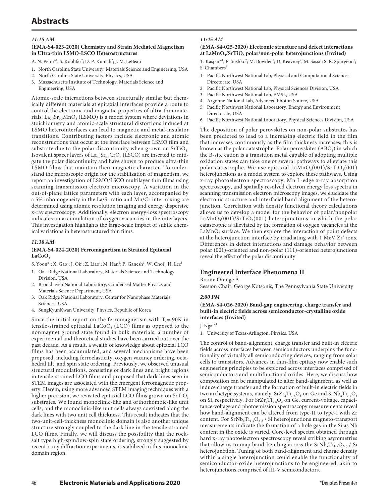# **Abstracts**

#### *11:15 AM*

#### **(EMA-S4-023-2020) Chemistry and Strain Mediated Magnetism in Ultra-thin LSMO-LSCO Heterostructures**

- A. N. Penn\*<sup>1</sup>; S. Koohfar<sup>2</sup>; D. P. Kumah<sup>2</sup>; J. M. LeBeau<sup>3</sup>
- 1. North Carolina State University, Materials Science and Engineering, USA
- 2. North Carolina State University, Physics, USA
- 3. Massachusetts Institute of Technology, Materials Science and Engineering, USA

Atomic-scale interactions between structurally similar but chemically different materials at epitaxial interfaces provide a route to control the electronic and magnetic properties of ultra-thin materials. La<sub>0.7</sub>Sr<sub>0.3</sub>MnO<sub>3</sub> (LSMO) is a model system where deviations in stoichiometry and atomic-scale structural distortions induced at LSMO heterointerfaces can lead to magnetic and metal-insulator transitions. Contributing factors include electronic and atomic reconstructions that occur at the interface between LSMO film and substrate due to the polar discontinuity when grown on  $SrTiO<sub>3</sub>$ . Isovalent spacer layers of  $La_{0.7}Sr_{0.3}CrO_3$  (LSCO) are inserted to mitigate the polar discontinuity and have shown to produce ultra-thin LSMO films that maintain their magnetic character. To understand the microscopic origin for the stabilization of magnetism, we report an investigation of LSMO/LSCO multilayer thin films using scanning transmission electron microscopy. A variation in the out-of-plane lattice parameters with each layer, accompanied by a 5% inhomogeneity in the La/Sr ratio and Mn/Cr intermixing are determined using atomic resolution imaging and energy dispersive x-ray spectroscopy. Additionally, electron energy-loss spectroscopy indicates an accumulation of oxygen vacancies in the interlayers. This investigation highlights the large-scale impact of subtle chemical variations in heterostructured thin films.

#### *11:30 AM*

### **(EMA-S4-024-2020) Ferromagnetism in Strained Epitaxial**  LaCoO<sub>2</sub>

S. Yoon\*<sup>1</sup>; X. Gao<sup>1</sup>; J. Ok<sup>1</sup>; Z. Liao<sup>1</sup>; M. Han<sup>2</sup>; P. Ganesh<sup>3</sup>; W. Choi<sup>4</sup>; H. Lee<sup>1</sup>

- 1. Oak Ridge National Laboratory, Materials Science and Technology Division, USA
- 2. Brookhaven National Laboratory, Condensed Matter Physics and Materials Science Department, USA
- 3. Oak Ridge National Laboratory, Center for Nanophase Materials Sciences, USA
- 4. SungKyunKwan University, Physics, Republic of Korea

Since the initial report on the ferromagnetism with  $T_c \approx 90K$  in tensile-strained epitaxial LaCoO<sub>3</sub> (LCO) films as opposed to the nonmagnet ground state found in bulk materials, a number of experimental and theoretical studies have been carried out over the past decade. As a result, a wealth of knowledge about epitaxial LCO films has been accumulated, and several mechanisms have been proposed, including ferroelasticity, oxygen vacancy ordering, octahedral tilt, and spin state ordering. Previously, we observed unusual structural modulations, consisting of dark lines and bright regions in tensile-strained LCO films and proposed that dark lines seen in STEM images are associated with the emergent ferromagnetic property. Herein, using more advanced STEM imaging techniques with a higher precision, we revisited epitaxial LCO films grown on  $SrTiO<sub>3</sub>$ substrates. We found monoclinic-like and orthorhombic-like unit cells, and the monoclinic-like unit cells always coexisted along the dark lines with two unit cell thickness. This result indicates that the two-unit-cell-thickness monoclinic domain is also another unique structure strongly coupled to the dark line in the tensile-strained LCO films. Finally, we will discuss the possibility that the rocksalt type high-spin/low-spin state ordering, strongly suggested by recent x-ray diffraction experiments, is stabilized in this monoclinic domain region.

## *11:45 AM*

#### **(EMA-S4-025-2020) Electronic structure and defect interactions**  at LaMnO<sub>3</sub>/SrTiO<sub>3</sub> polar/non-polar heterojunctions (Invited)

T. Kaspar\*<sup>1</sup>; P. Sushko<sup>2</sup>; M. Bowden<sup>3</sup>; D. Keavney<sup>4</sup>; M. Sassi<sup>1</sup>; S. R. Spurgeon<sup>5</sup>; S. Chambers<sup>6</sup>

- 1. Pacific Northwest National Lab, Physical and Computational Sciences Directorate, USA
- 2. Pacific Northwest National Lab, Physical Sciences Division, USA
- 3. Pacific Northwest National Lab, EMSL, USA
- 4. Argonne National Lab, Advanced Photon Source, USA
- 5. Pacific Northwest National Laboratory, Energy and Environment Directorate, USA
- 6. Pacific Northwest National Laboratory, Physical Sciences Division, USA

The deposition of polar perovskites on non-polar substrates has been predicted to lead to a increasing electric field in the film that increases continuously as the film thickness increases; this is known as the polar catastrophe. Polar perovskites  $(ABO<sub>3</sub>)$  in which the B-site cation is a transition metal capable of adopting multiple oxidation states can take one of several pathways to alleviate this polar catastrophe. We use epitaxial  $\text{LaMnO}_3(001)/\text{SrTiO}_3(001)$ heterojunctions as a model system to explore these pathways. Using x-ray photoelectron spectroscopy, Mn L-edge x-ray absorption spectroscopy, and spatially resolved electron energy loss spectra in scanning transmission electron microscopy images, we elucidate the electronic structure and interfacial band alignment of the heterojunction. Correlation with density functional theory calculations allows us to develop a model for the behavior of polar/nonpolar  $\text{LaMnO}_3(001)/\text{SrTiO}_3(001)$  heterojunctions in which the polar catastrophe is alleviated by the formation of oxygen vacancies at the  $LaMnO<sub>3</sub>$  surface. We then explore the interaction of point defects at the heterojunction interface by irradiating with  $1 \text{ MeV } Zr^*$  ions. Differences in defect interactions and damage behavior between polar (001)-oriented and non-polar (111)-oriented heterojunctions reveal the effect of the polar discontinuity.

## **Engineered Interface Phenomena II**

Room: Orange A

Session Chair: George Kotsonis, The Pennsylvania State University

#### *2:00 PM*

#### **(EMA-S4-026-2020) Band-gap engineering, charge transfer and built-in electric fields across semiconductor-crystalline oxide interfaces (Invited)**

#### J. Ngai\*1

1. University of Texas-Arlington, Physics, USA

The control of band-alignment, charge transfer and built-in electric fields across interfaces between semiconductors underpins the functionality of virtually all semiconducting devices, ranging from solar cells to transistors. Advances in thin-film epitaxy now enable such engineering principles to be explored across interfaces comprised of semiconductors and multifunctional oxides. Here, we discuss how composition can be manipulated to alter band-alignment, as well as induce charge transfer and the formation of built-in electric fields in two archetype systems, namely,  $SrZr_{x}Ti_{1-x}O_{3}$  on Ge and  $SrNb_{x}Ti_{1-x}O_{3}$ on Si, respectively. For  $SrZr_xTi_{1-x}O_3$  on Ge, current-voltage, capacitance-voltage and photoemission spectroscopy measurements reveal how band-alignment can be altered from type-II to type-I with Zr content. For  $SrNb<sub>x</sub>Ti<sub>1-x</sub>O<sub>3-\delta</sub>$  / Si heterojunctions magneto-transport measurements indicate the formation of a hole gas in the Si as Nb content in the oxide is varied. Core-level spectra obtained through hard x-ray photoelectron spectroscopy reveal striking asymmetries that allow us to map band-bending across the  $SrNb<sub>x</sub>Ti<sub>1-x</sub>O<sub>3-\delta</sub>$  / Si heterojunction. Tuning of both band-alignment and charge density within a single heterojunction could enable the functionality of semiconductor-oxide heterojunctions to be engineered, akin to heterojunctions comprised of III-V semiconductors.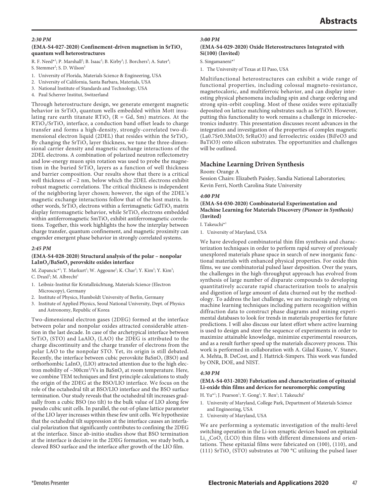#### *2:30 PM*

#### (EMA-S4-027-2020) Confinement-driven magnetism in SrTiO<sub>3</sub> **quantum well heterostructures**

R. F. Need\*<sup>1</sup>; P. Marshall<sup>2</sup>; B. Isaac<sup>2</sup>; B. Kirby<sup>3</sup>; J. Borchers<sup>3</sup>; A. Suter<sup>4</sup>; S. Stemmer<sup>2</sup>; S. D. Wilson<sup>2</sup>

- 1. University of Florida, Materials Science & Engineering, USA
- 2. University of California, Santa Barbara, Materials, USA
- 3. National Institute of Standards and Technology, USA
- 4. Paul Scherrer Institut, Switzerland

Through heterostructure design, we generate emergent magnetic behavior in  $SrTiO<sub>3</sub>$  quantum wells embedded within Mott insulating rare earth titanate  $RTiO<sub>3</sub>$  (R = Gd, Sm) matrices. At the  $RTiO<sub>3</sub>/STiO<sub>3</sub>$  interface, a conduction band offset leads to charge transfer and forms a high-density, strongly-correlated two-dimensional electron liquid (2DEL) that resides within the SrTiO<sub>3</sub>. By changing the  $SrTiO<sub>3</sub>$  layer thickness, we tune the three-dimensional carrier density and magnetic exchange interactions of the 2DEL electrons. A combination of polarized neutron reflectometry and low-energy muon spin rotation was used to probe the magnetism in the buried  $SrTiO<sub>3</sub>$  layers as a function of well thickness and barrier composition. Our results show that there is a critical well thickness of  ${\sim}2$  nm, below which the 2DEL electrons exhibit robust magnetic correlations. The critical thickness is independent of the neighboring layer chosen; however, the sign of the 2DEL's magnetic exchange interactions follow that of the host matrix. In other words,  $SrTiO<sub>3</sub>$  electrons within a ferrimagnetic  $GdTiO<sub>3</sub>$  matrix display ferromagnetic behavior, while  $SrTiO<sub>3</sub>$  electrons embedded within antiferromagnetic SmTiO<sub>3</sub> exhibit antiferromagnetic correlations. Together, this work highlights the how the interplay between charge transfer, quantum confinement, and magnetic proximity can engender emergent phase behavior in strongly correlated systems.

#### *2:45 PM*

#### **(EMA-S4-028-2020) Structural analysis of the polar – nonpolar**  LaInO<sub>3</sub>/BaSnO<sub>3</sub> perovskite oxides interface

M. Zupancic\*<sup>1</sup>; T. Markurt<sup>1</sup>; W. Aggoune<sup>2</sup>; K. Char<sup>3</sup>; Y. Kim<sup>3</sup>; Y. Kim<sup>3</sup>;

- C. Draxl<sup>2</sup>; M. Albrecht<sup>1</sup>
- 1. Leibniz-Institut für Kristallzüchtung, Materials Science (Electron Microscopy), Germany
- 2. Institute of Physics, Humboldt University of Berlin, Germany
- 3. Institute of Applied Physics, Seoul National University, Dept. of Physics and Astronomy, Republic of Korea

Two-dimensional electron gases (2DEG) formed at the interface between polar and nonpolar oxides attracted considerable attention in the last decade. In case of the archetypical interface between  $SrTiO<sub>3</sub>$  (STO) and LaAlO<sub>3</sub> (LAO) the 2DEG is attributed to the charge discontinuity and the charge transfer of electrons from the polar LAO to the nonpolar STO. Yet, its origin is still debated. Recently, the interface between cubic perovskite  $BaSnO<sub>3</sub>$  (BSO) and orthorhombic LaInO<sub>3</sub> (LIO) attracted attention due to the high electron mobility of  $\sim$ 300cm<sup>2</sup>/Vs in BaSnO<sub>3</sub> at room temperature. Here, we combine TEM techniques and first principle calculations to study the origin of the 2DEG at the BSO/LIO interface. We focus on the role of the octahedral tilt at BSO/LIO interface and the BSO surface termination. Our study reveals that the octahedral tilt increases gradually from a cubic BSO (no tilt) to the bulk value of LIO along few pseudo cubic unit cells. In parallel, the out-of-plane lattice parameter of the LIO layer increases within these few unit cells. We hypothesize that the octahedral tilt suppression at the interface causes an interfacial polarization that significantly contributes to confining the 2DEG at the interface. Since ab-initio studies show that BSO termination at the interface is decisive in the 2DEG formation, we study both, a cleaved BSO surface and the interface after growth of the LIO film.

#### *3:00 PM*

#### **(EMA-S4-029-2020) Oxide Heterostructures Integrated with Si(100) (Invited)**

S. Singamaneni\*1

1. The University of Texas at El Paso, USA

Multifunctional heterostructures can exhibit a wide range of functional properties, including colossal magneto-resistance, magnetocaloric, and multiferroic behavior, and can display interesting physical phenomena including spin and charge ordering and strong spin-orbit coupling. Most of these oxides were epitaxially deposited on lattice matching substrates such as SrTiO3. However, putting this functionality to work remains a challenge in microelectronics industry. This presentation discusses recent advances in the integration and investigation of the properties of complex magnetic (La0.7Sr0.3MnO3; SrRuO3) and ferroelectric oxides (BiFeO3 and BaTiO3) onto silicon substrates. The opportunities and challenges will be outlined.

#### **Machine Learning Driven Synthesis**

Room: Orange A

Session Chairs: Elizabeth Paisley, Sandia National Laboratories; Kevin Ferri, North Carolina State University

#### *4:00 PM*

#### **(EMA-S4-030-2020) Combinatorial Experimentation and Machine Learning for Materials Discovery** *(Pioneer in Synthesis)* **(Invited)**

I. Takeuchi<sup>\*1</sup>

1. University of Maryland, USA

We have developed combinatorial thin film synthesis and characterization techniques in order to perform rapid survey of previously unexplored materials phase space in search of new inorganic functional materials with enhanced physical properties. For oxide thin films, we use combinatorial pulsed laser deposition. Over the years, the challenges in the high-throughput approach has evolved from synthesis of large number of disparate compounds to developing quantitatively accurate rapid characterization tools to analysis and digestion of large amount of data churned out by the methodology. To address the last challenge, we are increasingly relying on machine learning techniques including pattern recognition within diffraction data to construct phase diagrams and mining experimental databases to look for trends in materials properties for future predictions. I will also discuss our latest effort where active learning is used to design and steer the sequence of experiments in order to maximize attainable knowledge, minimize experimental resources, and as a result further speed up the materials discovery process. This work is performed in collaboration with A. Gilad Kusne, V. Stanev, A. Mehta, B. DeCost, and J. Hattrick-Simpers. This work was funded by ONR, DOE, and NIST.

#### *4:30 PM*

#### **(EMA-S4-031-2020) Fabrication and characterization of epitaxial Li-oxide thin films and devices for neuromorphic computing**

H. Yu\*<sup>1</sup>; J. Pearson<sup>1</sup>; Y. Gong<sup>1</sup>; Y. Ren<sup>1</sup>; I. Takeuchi<sup>2</sup>

- 1. University of Maryland, College Park, Department of Materials Science and Engineering, USA
- 2. University of Maryland, USA

We are performing a systematic investigation of the multi-level switching operation in the Li-ion synaptic devices based on epitaxial  $Li_{1-x}CoO_2$  (LCO) thin films with different dimensions and orientations. These epitaxial films were fabricated on (100), (110), and (111) SrTiO<sub>3</sub> (STO) substrates at 700 °C utilizing the pulsed laser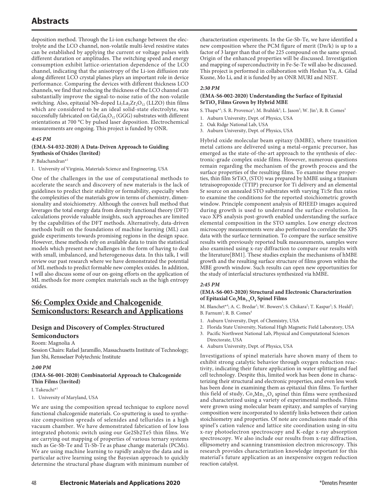deposition method. Through the Li-ion exchange between the electrolyte and the LCO channel, non-volatile multi-level resistive states can be established by applying the current or voltage pulses with different duration or amplitudes. The switching speed and energy consumption exhibit lattice-orientation dependence of the LCO channel, indicating that the anisotropy of the Li-ion diffusion rate along different LCO crystal planes plays an important role in device performance. Comparing the devices with different thickness LCO channels, we find that reducing the thickness of the LCO channel can substantially improve the signal-to-noise ratio of the non-volatile switching. Also, epitaxial Nb-doped  $\rm Li_7La_3Zr_2O_{12}$  (LLZO) thin films which are considered to be an ideal solid-state electrolyte, was successfully fabricated on  $Gd_3Ga_5O_{12}$  (GGG) substrates with different orientations at 700 °C by pulsed laser deposition. Electrochemical measurements are ongoing. This project is funded by ONR.

#### *4:45 PM*

## **(EMA-S4-032-2020) A Data-Driven Approach to Guiding Synthesis of Oxides (Invited)**

P. Balachandran\*1

1. University of Virginia, Materials Science and Engineering, USA

One of the challenges in the use of computational methods to accelerate the search and discovery of new materials is the lack of guidelines to predict their stability or formability, especially when the complexities of the materials grow in terms of chemistry, dimensionality and stoichiometry. Although the convex hull method that leverages the total energy data from density functional theory (DFT) calculations provide valuable insights, such approaches are limited by the capabilities of the DFT methods. Alternatively, data-driven methods built on the foundations of machine learning (ML) can guide experiments towards promising regions in the design space. However, these methods rely on available data to train the statistical models which present new challenges in the form of having to deal with small, imbalanced, and heterogeneous data. In this talk, I will review our past research where we have demonstrated the potential of ML methods to predict formable new complex oxides. In addition, I will also discuss some of our on-going efforts on the application of ML methods for more complex materials such as the high entropy oxides.

## **S6: Complex Oxide and Chalcogenide Semiconductors: Research and Applications**

## **Design and Discovery of Complex-Structured Semiconductors**

#### Room: Magnolia A

Session Chairs: Rafael Jaramillo, Massachusetts Institute of Technology; Jian Shi, Rensselaer Polytechnic Institute

#### *2:00 PM*

#### **(EMA-S6-001-2020) Combinatorial Approach to Chalcogenide Thin Films (Invited)**

I. Takeuchi\*1

1. University of Maryland, USA

We are using the composition spread technique to explore novel functional chalcogenide materials. Co-sputtering is used to synthesize composition spreads of selenides and tellurides in a high vacuum chamber. We have demonstrated fabrication of low loss integrated photonic switch using our Ge2Sb2Te5 thin films. We are carrying out mapping of properties of various ternary systems such as Ge-Sb-Te and Ti-Sb-Te as phase change materials (PCMs). We are using machine learning to rapidly analyze the data and in particular active learning using the Bayesian approach to quickly determine the structural phase diagram with minimum number of characterization experiments. In the Ge-Sb-Te, we have identified a new composition where the PCM figure of merit (Dn/k) is up to a factor of 3 larger than that of the 225 compound on the same spread. Origin of the enhanced properties will be discussed. Investigation and mapping of superconductivity in Fe-Se-Te will also be discussed. This project is performed in collaboration with Heshan Yu, A. Gilad Kusne, Mo Li, and it is funded by an ONR MURI and NIST.

#### *2:30 PM*

#### **(EMA-S6-002-2020) Understanding the Surface of Epitaxial SrTiO<sub>3</sub> Films Grown by Hybrid MBE**

S. Thapa\*<sup>1</sup>; S. R. Provence<sup>1</sup>; M. Brahlek<sup>2</sup>; L. Jason<sup>2</sup>; W. Jin<sup>1</sup>; R. B. Comes<sup>3</sup>

- 1. Auburn University, Dept. of Physics, USA
- 2. Oak Ridge National Lab, USA
- 3. Auburn University, Dept. of Physics, USA

Hybrid oxide molecular beam epitaxy (hMBE), where transition metal cations are delivered using a metal-organic precursor, has emerged as the state-of-the-art approach to the synthesis of electronic-grade complex oxide films. However, numerous questions remain regarding the mechanism of the growth process and the surface properties of the resulting films. To examine these properties, thin film  $SrTiO<sub>3</sub> (STO)$  was prepared by hMBE using a titanium tetraisopropoxide (TTIP) precursor for Ti delivery and an elemental Sr source on annealed STO substrates with varying Ti:Sr flux ratios to examine the conditions for the reported stoichiometric growth window. Principle component analysis of RHEED images acquired during growth is used to understand the surface evolution. In vaco XPS analysis post-growth enabled understanding the surface elemental composition in the STO samples. Low energy electron microscopy measurements were also performed to correlate the XPS data with the surface termination. To compare the surface sensitive results with previously reported bulk measurements, samples were also examined using x-ray diffraction to compare our results with the literature[BM1]. These studies explain the mechanisms of hMBE growth and the resulting surface structure of films grown within the MBE growth window. Such results can open new opportunities for the study of interfacial structures synthesized via hMBE.

#### *2:45 PM*

## **(EMA-S6-003-2020) Structural and Electronic Characterization**  of Epitaxial Co<sub>x</sub>Mn<sub>3-x</sub>O<sub>4</sub> Spinel Films

M. Blanchet<sup>\*4</sup>; A. C. Bredar<sup>1</sup>; W. Bowers<sup>4</sup>; S. Chikara<sup>2</sup>; T. Kaspar<sup>3</sup>; S. Heald<sup>3</sup>; B. Farnum<sup>1</sup>; R. B. Comes<sup>4</sup>

- 1. Auburn University, Dept. of Chemistry, USA
- 2. Florida State University, National High Magnetic Field Laboratory, USA
- 3. Pacific Northwest National Lab, Physical and Computational Sciences Directorate, USA
- 4. Auburn University, Dept. of Physics, USA

Investigations of spinel materials have shown many of them to exhibit strong catalytic behavior through oxygen reduction reactivity, indicating their future application in water splitting and fuel cell technology. Despite this, limited work has been done in characterizing their structural and electronic properties, and even less work has been done in examining them as epitaxial thin films. To further this field of study,  $Co_xMn_{3-x}O_4$  spinel thin films were synthesized and characterized using a variety of experimental methods. Films were grown using molecular beam epitaxy, and samples of varying composition were incorporated to identify links between their cation stoichiometry and properties. Of note are conclusions made of this spinel's cation valence and lattice site coordination using in-situ x-ray photoelectron spectroscopy and K-edge x-ray absorption spectroscopy. We also include our results from x-ray diffraction, ellipsometry and scanning transmission electron microscopy. This research provides characterization knowledge important for this material's future application as an inexpensive oxygen reduction reaction catalyst.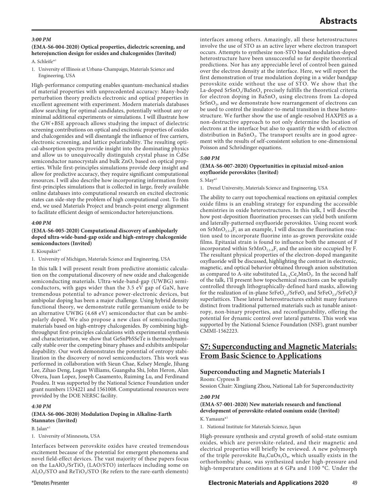#### *3:00 PM*

## **(EMA-S6-004-2020) Optical properties, dielectric screening, and heterojunction design for oxides and chalcogenides (Invited)**

A. Schleife\*1

1. University of Illinois at Urbana-Champaign, Materials Science and Engineering, USA

High-performance computing enables quantum-mechanical studies of material properties with unprecedented accuracy: Many-body perturbation theory predicts electronic and optical properties in excellent agreement with experiment. Modern materials databases allow searching for optimal candidates, potentially without any or minimal additional experiments or simulations. I will illustrate how the GW+BSE approach allows studying the impact of dielectric screening contributions on optical and excitonic properties of oxides and chalcogenides and will disentangle the influence of free carriers, electronic screening, and lattice polarizability. The resulting optical-absorption spectra provide insight into the dominating physics and allow us to unequivocally distinguish crystal phase in CdSe semiconductor nanocrystals and bulk ZnO, based on optical properties. While first-principles simulations provide deep insight and allow for predictive accuracy, they require significant computational resources. I will also describe how incorporating information from first-principles simulations that is collected in large, freely available online databases into computational research on excited electronic states can side-step the problem of high computational cost. To this end, we used Materials Project and branch-point energy alignment to facilitate efficient design of semiconductor heterojunctions.

#### *4:00 PM*

#### **(EMA-S6-005-2020) Computational discovery of ambipolarly doped ultra-wide-band-gap oxide and high-entropy chalcogenide semiconductors (Invited)**

E. Kioupakis\*1

1. University of Michigan, Materials Science and Engineering, USA

In this talk I will present result from predictive atomistic calculation on the computational discovery of new oxide and chalcogenide semiconducting materials. Ultra-wide-band-gap (UWBG) semiconductors, with gaps wider than the 3.5 eV gap of GaN, have tremendous potential to advance power-electronic devices, but ambipolar doping has been a major challenge. Using hybrid density functional theory, we demonstrate rutile germanium oxide to be an alternative UWBG (4.68 eV) semiconductor that can be ambipolarly doped. We also propose a new class of semiconducting materials based on high-entropy chalcogenides. By combining highthroughput first-principles calculations with experimental synthesis and characterization, we show that GeSnPbSSeTe is thermodynamically stable over the competing binary phases and exhibits ambipolar dopability. Our work demonstrates the potential of entropy stabilization in the discovery of novel semiconductors. This work was performed in collaboration with Sieun Chae, Kelsey Mengle, Jihang Lee, Zihao Deng, Logan Williams, Guangsha Shi, John Heron, Alan Olvera, Juan Lopez, Joseph Casamento, Ruiming Lu, and Ferdinand Poudeu. It was supported by the National Science Foundation under grant numbers 1534221 and 1561008. Computational resources were provided by the DOE NERSC facility.

#### *4:30 PM*

### **(EMA-S6-006-2020) Modulation Doping in Alkaline-Earth Stannates (Invited)**

B. Jalan<sup>\*1</sup>

1. University of Minnesota, USA

Interfaces between perovskite oxides have created tremendous excitement because of the potential for emergent phenomena and novel field-effect devices. The vast majority of these papers focus on the LaAlO<sub>3</sub>/SrTiO<sub>3</sub> (LAO/STO) interfaces including some on  $\text{Al}_2\text{O}_3/\text{STO}$  and ReTiO<sub>3</sub>/STO (Re refers to the rare-earth elements) interfaces among others. Amazingly, all these heterostructures involve the use of STO as an active layer where electron transport occurs. Attempts to synthesize non-STO based modulation-doped heterostructure have been unsuccessful so far despite theoretical predictions. Nor has any appreciable level of control been gained over the electron density at the interface. Here, we will report the first demonstration of true modulation doping in a wider bandgap perovskite oxide without the use of STO. We show that the La-doped SrSnO<sub>3</sub>/BaSnO<sub>3</sub> precisely fulfills the theoretical criteria for electron doping in  $BaSnO<sub>3</sub>$  using electrons from La-doped SrSnO<sub>3</sub>, and we demonstrate how rearrangement of electrons can be used to control the insulator-to-metal transition in these heterostructure. We further show the use of angle-resolved HAXPES as a non-destructive approach to not only determine the location of electrons at the interface but also to quantify the width of electron distribution in  $BaSnO<sub>3</sub>$ . The transport results are in good agreement with the results of self-consistent solution to one-dimensional Poisson and Schrödinger equations.

#### *5:00 PM*

#### **(EMA-S6-007-2020) Opportunities in epitaxial mixed-anion oxyfluoride perovskites (Invited)**

S.  $May*1$ 

1. Drexel University, Materials Science and Engineering, USA

The ability to carry out topochemical reactions on epitaxial complex oxide films is an enabling strategy for expanding the accessible chemistries in oxide heterostructures. In this talk, I will describe how post-deposition fluorination processes can yield both uniform and laterally-patterned oxyfluoride perovskites. Using recent work on  $SrMnO<sub>2.5-6</sub>F<sub>v</sub>$  as an example, I will discuss the fluorination reaction used to incorporate fluorine into as-grown perovskite oxide films. Epitaxial strain is found to influence both the amount of F incorporated within  $SrMnO_{2.5\cdot\delta}F_{\nu}$  and the anion site occupied by F. The resultant physical properties of the electron-doped manganite oxyfluoride will be discussed, highlighting the contrast in electronic, magnetic, and optical behavior obtained through anion substitution as compared to A-site substituted  $La_{1-x}Ce_xMnO_3$ . In the second half of the talk, I'll present how topochemical reactions can be spatially controlled through lithographically-defined hard masks, allowing for the realization of in-plane SrFeO<sub>2.5</sub>/SrFeO<sub>3</sub> and SrFeO<sub>2.5</sub>/SrFeO<sub>2</sub>F superlattices. These lateral heterostructures exhibit many features distinct from traditional patterned materials such as tunable anisotropy, non-binary properties, and reconfigurability, offering the potential for dynamic control over lateral patterns. This work was supported by the National Science Foundation (NSF), grant number CMMI-1562223.

## **S7: Superconducting and Magnetic Materials: From Basic Science to Applications**

## **Superconducting and Magnetic Materials I**

Room: Cypress B

Session Chair: Xingjiang Zhou, National Lab for Superconductivity

#### *2:00 PM*

## **(EMA-S7-001-2020) New materials research and functional development of perovskite-related osmium oxide (Invited)**

K. Yamaura\*1

1. National Institute for Materials Science, Japan

High-pressure synthesis and crystal growth of solid-state osmium oxides, which are perovskite-related, and their magnetic and electrical properties will briefly be reviewed. A new polymorph of the triple perovskite  $Ba_3CuOs_2O_9$ , which usually exists in the orthorhombic phase, was synthesized under high-pressure and high-temperature conditions at 6 GPa and 1100 °C. Under the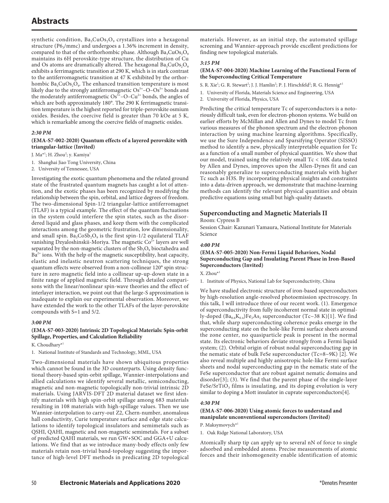synthetic condition,  $Ba_3CuOs_2O_9$  crystallizes into a hexagonal structure ( $P6_3/mmc$ ) and undergoes a 1.36% increment in density, compared to that of the orthorhombic phase. Although  $Ba_3CuOs_2O<sub>9</sub>$ maintains its 6H perovskite-type structure, the distribution of Cu and Os atoms are dramatically altered. The hexagonal  $Ba_3CuOs_2O_9$ exhibits a ferrimagnetic transition at 290 K, which is in stark contrast to the antiferromagnetic transition at 47 K exhibited by the orthorhombic Ba<sub>3</sub>CuOs<sub>2</sub>O<sub>9</sub>. The enhanced transition temperature is most likely due to the strongly antiferromagnetic  $Os^{5+}$ –O– $Os^{5+}$  bonds and the moderately antiferromagnetic  $Os^{5+}$ –O–Cu<sup>2+</sup> bonds, the angles of which are both approximately 180°. The 290 K ferrimagnetic transition temperature is the highest reported for triple-perovskite osmium oxides. Besides, the coercive field is greater than 70 kOe at 5 K, which is remarkable among the coercive fields of magnetic oxides.

### *2:30 PM*

#### **(EMA-S7-002-2020) Quantum effects of a layered perovskite with triangular-lattice (Invited)**

J. Ma\*<sup>1</sup>; H. Zhou<sup>2</sup>; y. Kamiya<sup>1</sup>

- 1. Shanghai Jiao Tong University, China
- 2. University of Tennessee, USA

Investigating the exotic quantum phenomena and the related ground state of the frustrated quantum magnets has caught a lot of attention, and the exotic phases has been recognized by modifying the relationship between the spin, orbital, and lattice degrees of freedom. The two-dimensional Spin-1/2 triangular-lattice antiferromagnet (TLAF) is a typical example. The effect of the quantum fluctuations in the system could interfere the spin states, such as the disordered liquid and glass phases, and keep them with the complicated interactions among the geometric frustration, low dimensionality, and small spin.  $Ba_3CoSb_2O_9$  is the first spin-1/2 equilateral TLAF vanishing Dzyaloshinskii-Moriya. The magnetic  $Co<sup>2+</sup>$  layers are well separated by the non-magnetic clusters of the Sb<sub>2</sub>O<sub>9</sub> bioctahedra and  $Ba<sup>2+</sup>$  ions. With the help of the magnetic susceptibility, heat capacity, elastic and inelastic neutron scattering techniques, the strong quantum effects were observed from a non-collinear 120° spin structure in zero magnetic field into a collinear up-up-down state in a finite range of applied magnetic field. Through detailed comparisons with the linear/nonlinear spin-wave theories and the effect of interlayer interaction, we point out that the large-S approximation is inadequate to explain our experimental observation. Moreover, we have extended the work to the other TLAFs of the layer-perovskite compounds with S=1 and 5/2.

#### *3:00 PM*

## **(EMA-S7-003-2020) Intrinsic 2D Topological Materials: Spin-orbit Spillage, Properties, and Calculation Reliability**

K. Choudhary\*1

1. National Institute of Standards and Technology, MML, USA

Two-dimensional materials have shown ubiquitous properties which cannot be found in the 3D counterparts. Using density functional theory-based spin-orbit spillage, Wannier-interpolations and allied calculations we identify several metallic, semiconducting, magnetic and non-magnetic topologically non-trivial intrinsic 2D materials. Using JARVIS-DFT 2D material dataset we first identify materials with high spin-orbit spillage among 683 materials resulting in 108 materials with high-spillage values. Then we use Wannier-interpolation to carry-out Z2, Chern-number, anomalous hall conductivity, Curie temperature surface and edge state calculations to identify topological insulators and semimetals such as QSHI, QAHI, magnetic and non-magnetic semimetals. For a subset of predicted QAHI materials, we run GW+SOC and GGA+U calculations. We find that as we introduce many-body effects only few materials retain non-trivial band-topology suggesting the importance of high-level DFT methods in predicating 2D topological

materials. However, as an initial step, the automated spillage screening and Wannier-approach provide excellent predictions for finding new topological materials.

#### *3:15 PM*

## **(EMA-S7-004-2020) Machine Learning of the Functional Form of the Superconducting Critical Temperature**

S. R. Xie<sup>1</sup>; G. R. Stewart<sup>2</sup>; J. J. Hamlin<sup>2</sup>; P. J. Hirschfeld<sup>2</sup>; R. G. Hennig\*<sup>1</sup>

- 1. University of Florida, Materials Science and Engineering, USA
- 2. University of Florida, Physics, USA

Predicting the critical temperature Tc of superconductors is a notoriously difficult task, even for electron-phonon systems. We build on earlier efforts by McMillan and Allen and Dynes to model Tc from various measures of the phonon spectrum and the electron-phonon interaction by using machine learning algorithms. Specifically, we use the Sure Independence and Sparsifying Operator (SISSO) method to identify a new, physically interpretable equation for Tc as a function of a small number of physical quantities. We show that our model, trained using the relatively small Tc < 10K data tested by Allen and Dynes, improves upon the Allen-Dynes fit and can reasonably generalize to superconducting materials with higher Tc such as H3S. By incorporating physical insights and constraints into a data-driven approach, we demonstrate that machine-learning methods can identify the relevant physical quantities and obtain predictive equations using small but high-quality datasets.

## **Superconducting and Magnetic Materials II**

Room: Cypress B

Session Chair: Kazunari Yamaura, National Institute for Materials Science

#### *4:00 PM*

### **(EMA-S7-005-2020) Non-Fermi Liquid Behaviors, Nodal Superconducting Gap and Insulating Parent Phase in Iron-Based Superconductors (Invited)**

X. Zhou\*1

1. Institute of Physics, National Lab for Superconductivity, China

We have studied electronic structure of iron-based superconductors by high-resolution angle-resolved photoemission spectroscopy. In this talk, I will introduce three of our recent work. (1). Emergence of superconductivity from fully incoherent normal state in optimally-doped  $(Ba_{0.6}K_{0.4})Fe_2As_2$  superconductor (Tc~38 K)[1]. We find that, while sharp superconducting coherence peaks emerge in the superconducting state on the hole-like Fermi surface sheets around the zone center, no quasiparticle peak is present in the normal state. Its electronic behaviors deviate strongly from a Fermi liquid system; (2). Orbital origin of robust nodal superconducting gap in the nematic state of bulk FeSe superconductor (Tc=8~9K) [2]. We also reveal multiple and highly anisotropic hole-like Fermi surface sheets and nodal superconducting gap in the nematic state of the FeSe superconductor that are robust against nematic domains and disorder[3]; (3). We find that the parent phase of the single-layer  $FeSe/SrTiO<sub>3</sub>$  films is insulating, and its doping evolution is very similar to doping a Mott insulator in cuprate superconductors[4].

#### *4:30 PM*

### **(EMA-S7-006-2020) Using atomic forces to understand and manipulate unconventional superconductors (Invited)**

P. Maksymovych\*1

1. Oak Ridge National Laboratory, USA

Atomically sharp tip can apply up to several nN of force to single adsorbed and embedded atoms. Precise measurements of atomic forces and their inhomogeneity enable identification of atomic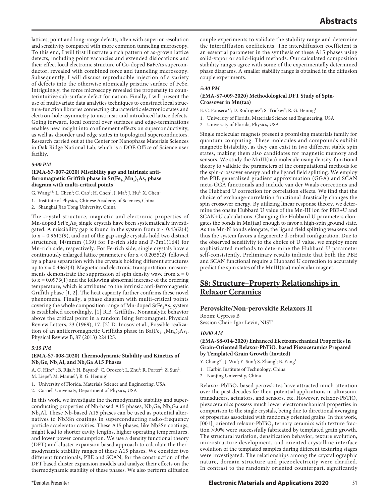lattices, point and long-range defects, often with superior resolution and sensitivity compared with more common tunneling microscopy. To this end, I will first illustrate a rich pattern of as-grown lattice defects, including point vacancies and extended dislocations and their effect local electronic structure of Co-doped BaFeAs superconductor, revealed with combined force and tunneling microscopy. Subsequently, I will discuss reproducible injection of a variety of defects into the otherwise atomically pristine surface of FeSe. Intriguingly, the force microscopy revealed the propensity to counterintuitive sub-surface defect formation. Finally, I will present the use of multivariate data analytics techniques to construct local structure-function libraries connecting characteristic electronic states and electron-hole asymmetry to instrinsic and introduced lattice defects. Going forward, local control over surfaces and edge-terminations enables new insight into confinement effects on superconductivity, as well as disorder and edge states in topological superconductors. Research carried out at the Center for Nanophase Materials Sciences in Oak Ridge National Lab, which is a DOE Office of Science user facility.

### *5:00 PM*

#### **(EMA-S7-007-2020) Miscibility gap and intrinsic antiferromagnetic Griffith phase in**  $Sr(Fe_{1-x}Mn_x)_2As_2$  **phase diagram with multi-critical points**

G. Wang\*<sup>1</sup>; L. Chen<sup>1</sup>; C. Cao<sup>1</sup>; H. Chen<sup>1</sup>; J. Ma<sup>2</sup>; J. Hu<sup>1</sup>; X. Chen<sup>1</sup>

1. Institute of Physics, Chinese Academy of Sciences, China

2. Shanghai Jiao Tong University, China

The crystal structure, magnetic and electronic properties of  $Mn$ -doped SrFe<sub>2</sub>As<sub>2</sub> single crystals have been systematically investigated. A miscibility gap is found in the system from  $x \sim 0.4362(4)$ to  $x \sim 0.9612(9)$ , and out of the gap single crystals hold two distinct structures, I4/mmm (139) for Fe-rich side and P-3m1(164) for Mn-rich side, respectively. For Fe-rich side, single crystals have a continuously enlarged lattice parameter c for x < 0.2055(2), followed by a phase separation with the crystals holding different structures up to  $x = 0.4362(4)$ . Magnetic and electronic transportation measurements demonstrate the suppression of spin density wave from  $x = 0$ to  $x = 0.0973(1)$  and the following abnormal increase of the ordering temperature, which is attributed to the intrinsic anti-ferromagnetic Griffith phase [1, 2]. The heat capacity further confirms these novel phenomena. Finally, a phase diagram with multi-critical points covering the whole composition range of Mn-doped  $SrFe<sub>2</sub>As<sub>2</sub>$  system is established accordingly. [1] R.B. Griffiths, Nonanalytic behavior above the critical point in a random Ising ferromagnet, Physical Review Letters, 23 (1969), 17. [2] D. Inosov et al., Possible realization of an antiferromagnetic Griffiths phase in Ba(Fe<sub>1-x</sub>Mn<sub>x</sub>)<sub>2</sub>As<sub>2</sub>, Physical Review B, 87 (2013) 224425.

#### *5:15 PM*

#### **(EMA-S7-008-2020) Thermodynamic Stability and Kinetics of**  Nb<sub>3</sub>Ge, Nb<sub>3</sub>Al, and Nb<sub>3</sub>Ga A15 Phases

A. C. Hire\*<sup>1</sup>; B. Rijal<sup>1</sup>; H. Bayard<sup>1</sup>; C. Orozco<sup>1</sup>; L. Zhu<sup>1</sup>; R. Porter<sup>2</sup>; Z. Sun<sup>2</sup>; M. Liepe<sup>2</sup>; M. Manuel<sup>1</sup>; R. G. Hennig<sup>1</sup>

- 1. University of Florida, Materials Science and Engineering, USA
- 2. Cornell University, Department of Physics, USA

In this work, we investigate the thermodynamic stability and superconducting properties of Nb-based A15 phases,  $Nb<sub>3</sub>Ge$ ,  $Nb<sub>3</sub>Ga$  and  $Nb<sub>3</sub>Al.$  These Nb-based A15 phases can be used as potential alternatives to Nb3Sn coatings in superconducting radio-frequency particle accelerator cavities. These A15 phases, like Nb3Sn coatings, might lead to shorter cavity lengths, higher operating temperatures, and lower power consumption. We use a density functional theory (DFT) and cluster expansion based approach to calculate the thermodynamic stability ranges of these A15 phases. We consider two different functionals, PBE and SCAN, for the construction of the DFT based cluster expansion models and analyze their effects on the thermodynamic stability of these phases. We also perform diffusion

couple experiments to validate the stability range and determine the interdiffusion coefficients. The interdiffusion coefficient is an essential parameter in the synthesis of these A15 phases using solid-vapor or solid-liquid methods. Our calculated composition stability ranges agree with some of the experimentally determined phase diagrams. A smaller stability range is obtained in the diffusion couple experiments.

#### *5:30 PM*

### **(EMA-S7-009-2020) Methodological DFT Study of Spin-Crossover in Mn(taa)**

E. C. Fonseca\*<sup>1</sup>; D. Rodriguez<sup>2</sup>; S. Trickey<sup>2</sup>; R. G. Hennig<sup>1</sup>

- 1. University of Florida, Materials Science and Engineering, USA
- 2. University of Florida, Physics, USA

Single molecular magnets present a promising materials family for quantum computing. These molecules and compounds exhibit magnetic bistability, as they can exist in two different stable spin states, making them also candidates for magnetic memory and sensors. We study the MnIII(taa) molecule using density-functional theory to validate the parameters of the computational methods for the spin-crossover energy and the ligand field splitting. We employ the PBE generalized gradient approximation (GGA) and SCAN meta-GGA functionals and include van der Waals corrections and the Hubbard U correction for correlation effects. We find that the choice of exchange-correlation functional drastically changes the spin crossover energy. By utilizing linear response theory, we determine the onsite Hubbard U value of the Mn-III ion for PBE+U and SCAN+U calculations. Changing the Hubbard U parameters elongates the bonds in Mn(taa) enough to favor a high-spin ground state. As the Mn-N bonds elongate, the ligand field splitting weakens and thus the system favors a degenerate d-orbital configuration. Due to the observed sensitivity to the choice of U value, we employ more sophisticated methods to determine the Hubbard U parameter self-consistently. Preliminary results indicate that both the PBE and SCAN functional require a Hubbard U correction to accurately predict the spin states of the MnIII(taa) molecular magnet.

## **S8: Structure–Property Relationships in Relaxor Ceramics**

#### **Perovskite/Non-perovskite Relaxors II**

Room: Cypress B Session Chair: Igor Levin, NIST

#### *10:00 AM*

#### **(EMA-S8-014-2020) Enhanced Electromechanical Properties in**  Grain-Oriented Relaxor-PbTiO<sub>3</sub> based Piezoceramics Prepared **by Templated Grain Growth (Invited)**

Y. Chang<sup>\*1</sup>; J. Wu<sup>1</sup>; Y. Sun<sup>1</sup>; S. Zhang<sup>2</sup>; B. Yang<sup>1</sup>

- 1. Harbin Institute of Technology, China
- 2. Nanjing University, China

Relaxor-PbTiO<sub>3</sub> based perovskites have attracted much attention over the past decades for their potential applications in ultrasonic transducers, actuators, and sensors, etc. However, relaxor-PbTiO<sub>3</sub> piezoceramics possess much lower electromechanical properties in comparison to the single crystals, being due to directional averaging of properties associated with randomly oriented grains. In this work,  $[001]$ <sub>c</sub> oriented relaxor-PbTiO<sub>3</sub> ternary ceramics with texture fraction >90% were successfully fabricated by templated grain growth. The structural variation, densification behavior, texture evolution, microstructure development, and oriented crystalline interface evolution of the templated samples during different texturing stages were investigated. The relationships among the crystallographic nature, domain structure and piezoelectricity were clarified. In contrast to the randomly oriented counterpart, significantly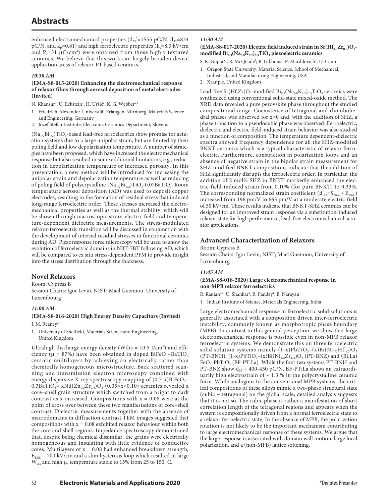enhanced electromechanical properties  $(d_{33}^{\ast} = 1555 \text{ pC/N}, d_{33} = 824 \text{ m}$ pC/N, and  $k_p$ =0.81) and high ferroelectric properties (E<sub>c</sub>=8.3 kV/cm and  $P_r = 31 \mu C/cm^2$ ) were obtained from those highly textured ceramics. We believe that this work can largely broaden device application areas of relaxor-PT based ceramics.

#### *10:30 AM*

#### **(EMA-S8-015-2020) Enhancing the electromechanical response of relaxor films through aerosol deposition of metal electrodes (Invited)**

- N. Khansur<sup>1</sup>; U. Eckstein<sup>1</sup>; H. Uršič<sup>2</sup>; K. G. Webber\*<sup>1</sup>
- 1. Friedrich-Alexander-Universität Erlangen-Nürnberg, Materials Science and Engineering, Germany
- 2. Jozef Stefan Institute, Electronic Ceramics Department, Slovenia

 $(Na_{1/2}Bi_{1/2})TiO_3$ -based lead-free ferroelectrics show promise for actuation systems due to a large unipolar strain, but are limited by their poling field and low depolarization temperature. A number of strategies have been proposed, which have increased the electromechanical response but also resulted in some additional limitations, e.g., reduction in depolarization temperature or increased porosity. In this presentation, a new method will be introduced for increasing the unipolar strain and depolarization temperature as well as reducing of poling field of polycrystalline (Na<sub>1/2</sub>Bi<sub>1/2</sub>)TiO<sub>3</sub>-0.07BaTiO<sub>3</sub>. Room temperature aerosol deposition (AD) was used to deposit copper electrodes, resulting in the formation of residual stress that induced long-range ferroelectric order. These stresses increased the electromechanical properties as well as the thermal stability, which will be shown through macroscopic strain-electric field and temperature-dependent dielectric measurements. The stress-modulated relaxor-ferroelectric transition will be discussed in conjunction with the development of internal residual stresses in functional ceramics during AD. Piezoresponse force microscopy will be used to show the evolution of ferroelectric domains in NBT-7BT following AD, which will be compared to ex situ stress-dependent PFM to provide insight into the stress distribution through the thickness.

## **Novel Relaxors**

Room: Cypress B

Session Chairs: Igor Levin, NIST; Mael Guennou, University of Luxembourg

#### *11:00 AM*

#### **(EMA-S8-016-2020) High Energy Density Capacitors (Invited)** I. M. Reanev\*

- 1. University of Sheffield, Materials Science and Engineering,
	- United Kingdom

Ultrahigh discharge energy density (Wdis =  $10.5$  J/cm<sup>3</sup>) and efficiency ( $\mu = 87\%$ ) have been obtained in doped BiFeO<sub>3</sub>-BaTiO<sub>3</sub> ceramic multilayers by achieving an electrically rather than chemically homogeneous microstructure. Back scattered scanning and transmission electron microscopy combined with energy dispersive X-ray spectroscopy mapping of  $(0.7-x)$ BiFeO<sub>3</sub>-0.3BaTiO<sub>3</sub>– xNd(Zn<sub>0.5</sub>Zr<sub>0.5</sub>)O<sub>3</sub> (0.05>x<0.10) ceramics revealed a core–shell grain structure which switched from a bright to dark contrast as x increased. Compositions with  $x = 0.08$  were at the point of cross over between these two manifestations of core–shell contrast. Dielectric measurements together with the absence of macrodomains in diffraction contrast TEM images suggested that compositions with  $x = 0.08$  exhibited relaxor behaviour within both the core and shell regions. Impedance spectroscopy demonstrated that, despite being chemical dissimilar, the grains were electrically homogeneous and insulating with little evidence of conductive cores. Multilayers of  $x = 0.08$  had enhanced breakdown strength,  $E_{BDS} \sim 700 \text{ kV/cm}$  and a slim hysteresis loop which resulted in large W<sub>dis</sub> and high μ, temperature stable to 15% from 25 to 150 °C.

## *11:30 AM*

#### $(EMA-S8-017-2020)$  Electric field induced strain in  $Sr(Hf_{0.5}Zr_{0.5})O<sub>3</sub>$ modified  $\operatorname{Bi}_{0.5}(\operatorname{Na}_{0.8}\mathrm{K}_{0.2})_{0.5}$ TiO<sub>3</sub> piezoelectric ceramics

- S. K. Gupta\*<sup>1</sup>; R. McQuade<sup>1</sup>; B. Gibbons<sup>1</sup>; P. Mardilovich<sup>2</sup>; D. Cann<sup>1</sup>
- 1. Oregon State University, Material Science, School of Mechanical,
	- Industrial, and Manufacturing Engineering, USA
- 2. Xaar plc, United Kingdom

Lead-free Sr(Hf,Zr)O<sub>3</sub>-modified  $Bi_{0.5}(Na_{0.8}K_{0.2})_{0.5}TiO_3$  ceramics were synthesized using conventional solid-state mixed-oxide method. The XRD data revealed a pure perovskite phase throughout the studied compositional range. Coexistence of tetragonal and rhombohedral phases was observed for x=0 and, with the addition of SHZ, a phase transition to a pseudocubic phase was observed. Ferroelectric, dielectric and electric-field-induced strain behavior was also studied as a function of composition. The temperature dependent-dielectric spectra showed frequency dependence for all the SHZ-modified BNKT ceramics which is a typical characteristic of relaxor ferroelectric. Furthermore, constriction in polarization loops and an absence of negative strain in the bipolar strain measurement for SHZ-modified BNKT compositions indicate that the addition of SHZ significantly disrupts the ferroelectric order. In particular, the addition of 2 mol% SHZ in BNKT markedly enhanced the electric-field-induced strain from 0.10% (for pure BNKT) to 0.33%. The corresponding normalized strain coefficient  $(d^*_{33} = S_{max.} / E_{max.})$ increased from 196 pm/V to 663 pm/V at a moderate electric-field of 50 kV/cm. These results indicate that BNKT-SHZ ceramics can be designed for an improved strain response via a substitution-induced relaxor state for high performance, lead-free electromechanical actuator applications.

## **Advanced Characterization of Relaxors**

Room: Cypress B

Session Chairs: Igor Levin, NIST; Mael Guennou, University of Luxembourg

#### *11:45 AM*

#### **(EMA-S8-018-2020) Large electromechanical response in non-MPB relaxor ferroelectrics**

R. Ranjan\*<sup>1</sup>; U. Shankar<sup>1</sup>; R. Pandey<sup>1</sup>; B. Narayan<sup>1</sup>

1. Indian Institute of Science, Materials Engineering, India

Large electromechanical response in ferroelectric solid solutions is generally associated with a composition driven inter-ferroelectric instability, commonly known as morphotropic phase boundary (MPB). In contrast to this general perception, we show that large electromechanical response is possible even in non-MPB relaxor ferroelectric systems. We demonstrate this on three ferroelectric solid solution systems namely  $(1-x)PbTiO<sub>3</sub>-(x)Bi(Ni<sub>1/2</sub>Hf<sub>1/2</sub>)O<sub>3</sub>$ (PT-BNH),  $(1-x)PbTiO_3-(x)Bi(Ni_{1/2}Zr_{1/2})O_3$  (PT-BNZ) and (Bi,La) FeO<sub>3</sub>-PbTiO<sub>3</sub> (BF-PT:La). While the first two systems PT-BNH and PT-BNZ show  $\rm{d_{33}} \sim 400$  -450 pC/N, BF-PT:La shows an extraordinarily high electrostrain of  $\sim$  1.3 % in the polycrystalline ceramic form. While analogous to the conventional MPB systems, the critical compositions of these alloys mimic a two-phase structural state (cubic + tetragonal) on the global scale, detailed analysis suggests that it is not so. The cubic phase is rather a manifestation of short correlation length of the tetragonal regions and appears when the system is compositionally driven from a normal ferroelectric state to a relaxor ferroelectric state. In the absence of MPB, the polarization rotation is not likely to be the important mechanism contributing to large electromechanical response of these systems. We argue that the large response is associated with domain wall motion, large local polarization, and a (non-MPB) lattice softening.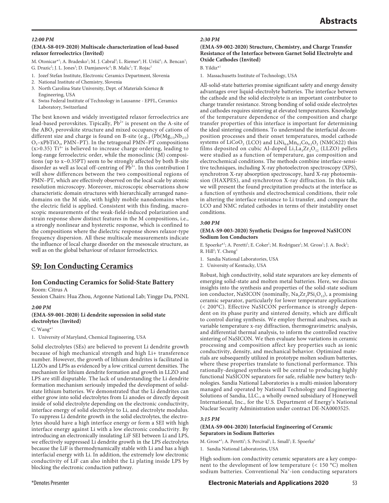#### *12:00 PM*

#### **(EMA-S8-019-2020) Multiscale characterization of lead-based relaxor ferroelectrics (Invited)**

M. Otonicar<sup>\*1</sup>; A. Bradesko<sup>1</sup>; M. J. Cabral<sup>3</sup>; L. Riemer<sup>4</sup>; H. Uršič<sup>1</sup>; A. Bencan<sup>1</sup>; G. Drazic<sup>2</sup>; J. L. Jones<sup>3</sup>; D. Damjanovic<sup>4</sup>; B. Malic<sup>1</sup>; T. Rojac<sup>1</sup>

- 1. Jozef Stefan Institute, Electronic Ceramics Department, Slovenia
- 2. National Institute of Chemistry, Slovenia
- 3. North Carolina State University, Dept. of Materials Science & Engineering, USA
- 4. Swiss Federal Institute of Technology in Lausanne EPFL, Ceramics Laboratory, Switzerland

The best known and widely investigated relaxor ferroelectrics are lead-based perovskites. Tipically, Pb<sup>2+</sup> is present on the A-site of the ABO<sub>3</sub> perovskite structure and mixed occupancy of cations of different size and charge is found on B-site (e.g.,  $(Pb(Mg_{1/3}Nb_{2/3})$ )  $O<sub>3</sub>-xPbTiO<sub>3</sub>$ , PMN–PT). In the tetragonal PMN–PT compositions  $(x>0.35)$  Ti<sup>4+</sup> is believed to increase charge ordering, leading to long-range ferroelectric order, while the monoclinic (M) compositions (up to x~0.35PT) seem to be strongly affected by both B-site disorder as well as local off-centring of Pb<sup>2+</sup>. In this contribution I will show differences between the two compositional regions of PMN–PT, which are effectively observed on the local scale by atomic resolution microscopy. Moreover, microscopic observations show characteristic domain structures with hierarchically arranged nanodomains on the M side, with highly mobile nanodomains when the electric field is applied. Consistent with this finding, macroscopic measurements of the weak-field-induced polarization and strain response show distinct features in the M compositions, i.e., a strongly nonlinear and hysteretic response, which is confined to the compositions where the dielectric response shows relaxor-type frequency dispersion. All these multiscale measurements indicate the influence of local charge disorder on the mesoscale structure, as well as on the global behaviour of relaxor ferroelectrics.

## **S9: Ion Conducting Ceramics**

### **Ion Conducting Ceramics for Solid-State Battery** Room: Citrus A

Session Chairs: Hua Zhou, Argonne National Lab; Yingge Du, PNNL

#### *2:00 PM*

## **(EMA-S9-001-2020) Li dendrite supression in solid state electrolytes (Invited)**

C. Wang\*1

1. University of Maryland, Chemical Engineering, USA

Solid electrolytes (SEs) are believed to prevent Li dendrite growth because of high mechanical strength and high Li+ transference number. However, the growth of lithium dendrites is facilitated in LLZOs and LPSs as evidenced by a low critical current densities. The mechanism for lithium dendrite formation and growth in LLZO and LPS are still disputable. The lack of understanding the Li dendrite formation mechanism seriously impeded the development of solidstate lithium batteries. We demonstrated that the Li dendrites can either grow into solid electrolytes from Li anodes or directly deposit inside of solid electrolyte depending on the electronic conductivity, interface energy of solid electrolyte to Li, and electrolyte modulus. To suppress Li dendrite growth in the solid electrolytes, the electrolytes should have a high interface energy or form a SEI with high interface energy against Li with a low electronic conductivity. By introducing an electronically insulating LiF SEI between Li and LPS, we effectively suppressed Li dendrite growth in the LPS electrolytes because the LiF is thermodynamically stable with Li and has a high interfacial energy with Li. In addition, the extremely low electronic conductivity of LiF can also inhibit the Li plating inside LPS by blocking the electronic conduction pathway.

#### *2:30 PM*

#### **(EMA-S9-002-2020) Structure, Chemistry, and Charge Transfer Resistance of the Interface between Garnet Solid Electrolyte and Oxide Cathodes (Invited)**

B. Yildiz\*1

1. Massachusetts Institute of Technology, USA

All-solid-state batteries promise significant safety and energy density advantages over liquid-electrolyte batteries. The interface between the cathode and the solid electrolyte is an important contributor to charge transfer resistance. Strong bonding of solid oxide electrolytes and cathodes requires sintering at elevated temperatures. Knowledge of the temperature dependence of the composition and charge transfer properties of this interface is important for determining the ideal sintering conditions. To understand the interfacial decomposition processes and their onset temperatures, model cathode systems of  $LiCoO<sub>2</sub> (LCO)$  and  $LiNi<sub>0.6</sub>Mn<sub>0.2</sub>Co<sub>0.2</sub>O<sub>2</sub> (NMC622)$  thin films deposited on cubic Al-doped  $Li<sub>2</sub>La<sub>3</sub>Zr<sub>2</sub>O<sub>12</sub>$  (LLZO) pellets were studied as a function of temperature, gas composition and electrochemical conditions. The methods combine interface-sensitive techniques, including X-ray photoelectron spectroscopy (XPS), synchrotron X-ray absorption spectroscopy, hard X-ray photoemission (HAXPES), and synchrotron X-ray diffraction. In this talk, we will present the found precipitation products at the interface as a function of synthesis and electrochemical conditions, their role in altering the interface resistance to Li transfer, and compare the LCO and NMC related cathodes in terms of their instability onset conditions.

#### *3:00 PM*

#### **(EMA-S9-003-2020) Synthetic Designs for Improved NaSICON Sodium Ion Conductors**

E. Spoerke<sup>\*1</sup>; A. Peretti<sup>1</sup>; E. Coker<sup>1</sup>; M. Rodriguez<sup>1</sup>; M. Gross<sup>1</sup>; J. A. Bock<sup>1</sup>; R. Hill<sup>2</sup>; Y. Cheng<sup>2</sup>

- 1. Sandia National Laboratories, USA
- 2. University of Kentucky, USA

Robust, high conductivity, solid state separators are key elements of emerging solid-state and molten metal batteries. Here, we discuss insights into the synthesis and properties of the solid-state sodium ion conductor, NaSICON (nominally,  $Na<sub>3</sub>Zr<sub>2</sub>PSi<sub>2</sub>O<sub>12</sub>$ ), a promising ceramic separator, particularly for lower temperature applications (< 200°C). Effective NaSICON performance is strongly dependent on its phase purity and sintered density, which are difficult to control during synthesis. We employ thermal analyses, such as variable temperature x-ray diffraction, thermogravimetric analysis, and differential thermal analysis, to inform the controlled reactive sintering of NaSICON. We then evaluate how variations in ceramic processing and composition affect key properties such as ionic conductivity, density, and mechanical behavior. Optimized materials are subsequently utilized in prototype molten sodium batteries, where these properties translate to functional performance. This rationally-designed synthesis will be central to producing highly functional NaSICON separators for safe, reliable new battery technologies. Sandia National Laboratories is a multi-mission laboratory managed and operated by National Technology and Engineering Solutions of Sandia, LLC., a wholly owned subsidiary of Honeywell International, Inc., for the U.S. Department of Energy's National Nuclear Security Administration under contract DE-NA0003525.

#### *3:15 PM*

#### **(EMA-S9-004-2020) Interfacial Engineering of Ceramic Separators in Sodium Batteries**

M. Gross\*<sup>1</sup>; A. Peretti<sup>1</sup>; S. Percival<sup>1</sup>; L. Small<sup>1</sup>; E. Spoerke<sup>1</sup>

1. Sandia National Laboratories, USA

High sodium-ion conductivity ceramic separators are a key component to the development of low temperature (< 150 °C) molten sodium batteries. Conventional Na<sup>+</sup>-ion conducting separators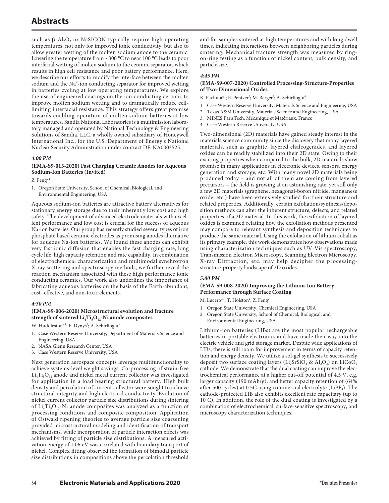such as  $β$ -Al<sub>2</sub>O<sub>3</sub> or NaSICON typically require high operating temperatures, not only for improved ionic conductivity, but also to allow greater wetting of the molten sodium anode to the ceramic. Lowering the temperature from ~300 °C to near 100 °C leads to poor interfacial wetting of molten sodium to the ceramic separator, which results in high cell resistance and poor battery performance. Here, we describe our efforts to modify the interface between the molten sodium and the Na<sup>+</sup>-ion conducting separator for improved wetting in batteries cycling at low operating temperatures. We explore the use of engineered coatings on the ion-conducting ceramic to improve molten sodium wetting and to dramatically reduce celllimiting interfacial resistance. This strategy offers great promise towards enabling operation of molten sodium batteries at low temperatures. Sandia National Laboratories is a multimission laboratory managed and operated by National Technology & Engineering Solutions of Sandia, LLC, a wholly owned subsidiary of Honeywell International Inc., for the U.S. Department of Energy's National Nuclear Security Administration under contract DE-NA0003525.

#### *4:00 PM*

### **(EMA-S9-013-2020) Fast Charging Ceramic Anodes for Aqueous Sodium-Ion Batteries (Invited)**

Z. Feng\*1

1. Oregon State University, School of Chemical, Biological, and Environmental Engineering, USA

Aqueous sodium-ion batteries are attractive battery alternatives for stationary energy storage due to their inherently low cost and high safety. The development of advanced electrode materials with excellent performance and low cost is crucial for the success of aqueous Na-ion batteries. Our group has recently studied several types of iron phosphate based ceramic electrodes as promising anodes alternative for aqueous Na-ion batteries. We found these anodes can exhibit very fast ionic diffusion that enables the fast charging rate, long cycle life, high capacity retention and rate capability. In combination of electrochemical characterization and multimodal synchrotron X-ray scattering and spectroscopy methods, we further reveal the reaction mechanism associated with these high performance ionic conducting ceramics. Our work also underlines the importance of fabricating aqueous batteries on the basis of the Earth-abundant, cost- effective, and non-toxic elements.

#### *4:30 PM*

#### **(EMA-S9-006-2020) Microstructural evolution and fracture**  strength of sintered Li<sub>4</sub>Ti<sub>5</sub>O<sub>12</sub>-Ni anode composites

- W. Huddleston\*<sup>1</sup>; F. Dynys<sup>2</sup>; A. Sehirlioglu<sup>3</sup>
- 1. Case Western Reserve University, Department of Materials Science and Engineering, USA
- 2. NASA Glenn Research Center, USA
- 3. Case Western Reserve University, USA

Next generation aerospace concepts leverage multifunctionality to achieve systems-level weight savings. Co-processing of strain-free  $Li<sub>4</sub>Ti<sub>5</sub>O<sub>12</sub>$  anode and nickel metal current collector was investigated for application in a load bearing structural battery. High bulk density and percolation of current collector were sought to achieve structural integrity and high electrical conductivity. Evolution of nickel current collector particle size distributions during sintering of  $Li_4Ti_5O_{12}$ -Ni anode composites was analyzed as a function of processing conditions and composite composition. Application of Ostwald ripening theories to average particle size coarsening provided microstructural modeling and identification of transport mechanisms, while incorporation of particle interaction effects was achieved by fitting of particle size distributions. A measured activation energy of 1.06 eV was correlated with boundary transport of nickel. Complex fitting observed the formation of bimodal particle size distributions in compositions above the percolation threshold

and for samples sintered at high temperatures and with long dwell times, indicating interactions between neighboring particles during sintering. Mechanical fracture strength was measured by ringon-ring testing as a function of nickel content, bulk density, and particle size.

#### *4:45 PM*

#### **(EMA-S9-007-2020) Controlled Processing-Structure-Properties of Two-Dimensional Oxides**

K. Pachuta\*<sup>1</sup>; E. Pentzer<sup>2</sup>; M. Berger<sup>3</sup>; A. Sehirlioglu<sup>4</sup>

- 1. Case Western Reserve University, Materials Science and Engineering, USA
- 2. Texas A&M University, Materials Science and Engineering, USA
- 3. MINES ParisTech, Mécanique et Matériaux, France
- 4. Case Western Reserve University, USA

Two-dimensional (2D) materials have gained steady interest in the materials science community since the discovery that many layered materials, such as graphite, layered chalcogenides, and layered oxides can be readily stabilized into their 2D state. Owing to their exciting properties when compared to the bulk, 2D materials show promise in many applications in electronic devices, sensors, energy generation and storage, etc. With many novel 2D materials being produced today – and not all of them are coming from layered precursors – the field is growing at an astonishing rate, yet still only a few 2D materials (graphene, hexagonal-boron nitride, manganese oxide, etc.) have been extensively studied for their structure and related properties. Additionally, certain exfoliation/synthesis/deposition methods can alter the inherent structure, defects, and related properties of a 2D material. In this work, the exfoliation of layered oxides is examined relating how the exfoliation methods presented may compare to relevant synthesis and deposition techniques to produce the same material. Using the exfoliation of lithium cobalt as its primary example, this work demonstrates how observations made using characterization techniques such as UV-Vis spectroscopy, Transmission Electron Microscopy, Scanning Electron Microscopy, X-ray Diffraction, etc. may help decipher the processingstructure-property landscape of 2D oxides.

### *5:00 PM*

### **(EMA-S9-008-2020) Improving the Lithium-Ion Battery Performance through Surface Coating**

- M. Lucero\*<sup>1</sup>; T. Holston<sup>1</sup>; Z. Feng<sup>2</sup>
- 1. Oregon State University, Chemical Engineering, USA
- 2. Oregon State University, School of Chemical, Biological, and Environmental Engineering, USA

Lithium-ion batteries (LIBs) are the most popular rechargeable batteries in portable electronics and have made their way into the electric vehicle and grid storage market. Despite wide applications of LIBs, there is still room for improvement in terms of capacity retention and energy density. We utilize a sol-gel synthesis to successively deposit two surface coating layers ( $Li<sub>2</sub>SrSiO<sub>4</sub>$  &  $Al<sub>2</sub>O<sub>3</sub>$ ) on  $LiCoO<sub>2</sub>$ cathode. We demonstrate that the dual coating can improve the electrochemical performance at a higher cut-off potential of 4.5 V, e.g. larger capacity (190 mAh/g), and better capacity retention of (64% after 500 cycles) at 0.5C using commercial electrolyte (LiPF<sub>4</sub>). The cathode-protected LIB also exhibits excellent rate capacitary (up to 10 C). In addition, the role of the dual coating is investigated by a combination of electrochemical, surface-sensitive spectroscopy, and microscopy characterization techniques.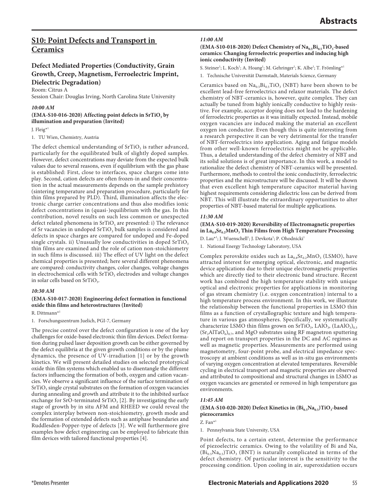## **S10: Point Defects and Transport in Ceramics**

## **Defect Mediated Properties (Conductivity, Grain Growth, Creep, Magnetism, Ferroelectric Imprint, Dielectric Degradation)**

Room: Citrus A

Session Chair: Douglas Irving, North Carolina State University

#### *10:00 AM*

(EMA-S10-016-2020) Affecting point defects in SrTiO<sub>3</sub> by **illumination and preparation (Invited)**

J. Fleig\*1

1. TU Wien, Chemistry, Austria

The defect chemical understanding of  $SrTiO<sub>3</sub>$  is rather advanced, particularly for the equilibrated bulk of slightly doped samples. However, defect concentrations may deviate from the expected bulk values due to several reasons, even if equilibrium with the gas phase is established: First, close to interfaces, space charges come into play. Second, cation defects are often frozen-in and their concentration in the actual measurements depends on the sample prehistory (sintering temperature and preparation procedure, particularly for thin films prepared by PLD). Third, illumination affects the electronic charge carrier concentrations and thus also modifies ionic defect concentrations in (quasi-)equilibrium with the gas. In this contribution, novel results on such less common or unexpected defect related phenomena in SrTiO<sub>3</sub> are presented: i) The relevance of Sr vacancies in undoped  $\rm SrTiO_3$  bulk samples is considered and defects in space charges are compared for undoped and Fe-doped single crystals. ii) Unusually low conductivities in doped  $SrTiO<sub>3</sub>$ thin films are examined and the role of cation non-stoichiometry in such films is discussed. iii) The effect of UV light on the defect chemical properties is presented; here several different phenomena are compared: conductivity changes, color changes, voltage changes in electrochemical cells with  $SrTiO<sub>3</sub>$  electrodes and voltage changes in solar cells based on SrTiO<sub>3</sub>.

#### *10:30 AM*

### **(EMA-S10-017-2020) Engineering defect formation in functional oxide thin films and heterostructures (Invited)**

R. Dittmann\*1

1. Forschungszentrum Juelich, PGI-7, Germany

The precise control over the defect configuration is one of the key challenges for oxide-based electronic thin film devices. Defect formation during pulsed laser deposition growth can be either governed by the defect equilibria at the given growth conditions or by the plume dynamics, the presence of UV-irradiation [1] or by the growth kinetics. We will present detailed studies on selected prototypical oxide thin film systems which enabled us to disentangle the different factors influencing the formation of both, oxygen and cation vacancies. We observe a significant influence of the surface termination of  $SrTiO<sub>3</sub>$  single crystal substrates on the formation of oxygen vacancies during annealing and growth and attribute it to the inhibited surface exchange for SrO-terminated SrTiO<sub>3</sub> [2]. By investigating the early stage of growth by in situ AFM and RHEED we could reveal the complex interplay between non-stoichiometry, growth mode and the formation of extended defects such as antiphase boundaries and Ruddlesden-Popper-type of defects [3]. We will furthermore give examples how defect engineering can be employed to fabricate thin film devices with tailored functional properties [4].

#### *11:00 AM*

#### (EMA-S10-018-2020) Defect Chemistry of Na<sub>0.5</sub>Bi<sub>0.5</sub>TiO<sub>3</sub>-based **ceramics: Changing ferroelectric properties and inducing high ionic conductivity (Invited)**

S. Steiner<sup>1</sup>; L. Koch<sup>1</sup>; A. Hoang<sup>1</sup>; M. Gehringer<sup>1</sup>; K. Albe<sup>1</sup>; T. Frömling\*<sup>1</sup>

1. Technische Universität Darmstadt, Materials Science, Germany

Ceramics based on  $\text{Na}_{0.5}\text{Bi}_{0.5}\text{TiO}_3$  (NBT) have been shown to be excellent lead-free ferroelectrics and relaxor materials. The defect chemistry of NBT-ceramics is, however, quite complex. They can actually be tuned from highly ionically conductive to highly resistive. For example, acceptor doping does not lead to the hardening of ferroelectric properties as it was initially expected. Instead, mobile oxygen vacancies are induced making the material an excellent oxygen ion conductor. Even though this is quite interesting from a research perspective it can be very detrimental for the transfer of NBT-ferroelectrics into application. Aging and fatigue models from other well-known ferroelectrics might not be applicable. Thus, a detailed understanding of the defect chemistry of NBT and its solid solutions is of great importance. In this work, a model to rationalize the defect chemistry of NBT-ceramics will be presented. Furthermore, methods to control the ionic conductivity, ferroelectric properties and the microstructure will be discussed. It will be shown that even excellent high temperature capacitor material having highest requirements considering dielectric loss can be derived from NBT. This will illustrate the extraordinary opportunities to alter properties of NBT-based material for multiple applications.

## *11:30 AM*

**(EMA-S10-019-2020) Reversibility of Electromagnetic properties**  in La<sub>0.8</sub>Sr<sub>0.2</sub>MnO<sub>3</sub> Thin Films from High Temperature Processing

D. Lau<sup>\*1</sup>; J. Wuenschell<sup>1</sup>; J. Devkota<sup>1</sup>; P. Ohodnicki<sup>1</sup>

1. National Energy Technology Laboratory, USA

Complex perovskite oxides such as  $La_{0.8}Sr_{0.2}MnO_3$  (LSMO), have attracted interest for emerging optical, electronic, and magnetic device applications due to their unique electromagnetic properties which are directly tied to their electronic band structure. Recent work has combined the high temperature stability with unique optical and electronic properties for applications in monitoring of gas stream chemistry (i.e. oxygen concentration) internal to a high temperature process environment. In this work, we illustrate the relationship between the functional properties in LSMO thin films as a function of crystallographic texture and high temperature in various gas atmospheres. Specifically, we systematically characterize LSMO thin films grown on  $SrTiO<sub>3</sub>$ , LAlO<sub>3</sub>, (LaAlO<sub>3</sub>)<sub>0.3</sub>  $(Sr<sub>2</sub>AITaO<sub>6</sub>)<sub>0.7</sub>$ , and MgO substrates using RF magnetron sputtering and report on transport properties in the DC and AC regimes as well as magnetic properties. Measurements are performed using magnetometry, four-point probe, and electrical impedance spectroscopy at ambient conditions as well as in-situ gas environments of varying oxygen concentration at elevated temperatures. Reversible cycling in electrical transport and magnetic properties are observed and attributed to compositional and structural changes in LSMO as oxygen vacancies are generated or removed in high temperature gas environments.

## *11:45 AM*

## (EMA-S10-020-2020) Defect Kinetics in (Bi<sub>0.5</sub>Na<sub>0.5</sub>)TiO<sub>3</sub>-based **piezoceramics**

Z. Fan\*1

1. Pennsylvania State University, USA

Point defects, to a certain extent, determine the performance of piezoelectric ceramics. Owing to the volatility of Bi and Na,  $(Bi_{0.5}Na_{0.5})TiO<sub>3</sub>$  (BNT) is naturally complicated in terms of the defect chemistry. Of particular interest is the sensitivity to the processing condition. Upon cooling in air, superoxidation occurs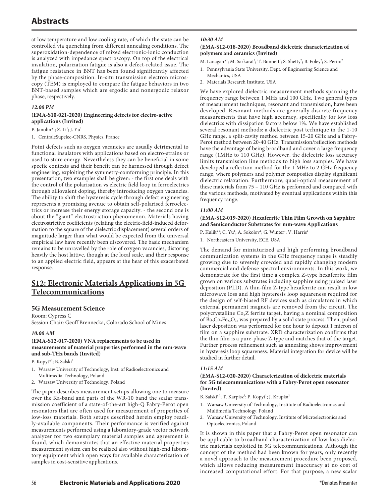at low temperature and low cooling rate, of which the state can be controlled via quenching from different annealing conditions. The superoxidation-dependence of mixed electronic-ionic conduction is analyzed with impedance spectroscopy. On top of the electrical insulation, polarization fatigue is also a defect-related issue. The fatigue resistance in BNT has been found significantly affected by the phase-composition. In-situ transmission electron microscopy (TEM) is employed to compare the fatigue behaviors in two BNT-based samples which are ergodic and nonergodic relaxor phase, respectively.

### *12:00 PM*

### **(EMA-S10-021-2020) Engineering defects for electro-active applications (Invited)**

P. Janolin\*<sup>1</sup>; Z. Li<sup>1</sup>; J. Yu<sup>1</sup>

1. CentraleSupelec-CNRS, Physics, France

Point defects such as oxygen vacancies are usually detrimental to functional insulators with applications based on electro-strains or used to store energy. Nevertheless they can be beneficial in some specfic contexts and their benefit can be harnessed through defect engineering, exploiting the symmetry-comforming principle. In this presentation, two examples shall be given: - the first one deals with the control of the polarisation vs electric field loop in ferroelectrics through alliovalent doping, thereby introducing oxygen vacancies. The ability to shift the hysteresis cycle through defect engineering represents a promising avenue to obtain self-polarised ferroelectrics or increase their energy storage capacity. - the second one is about the "giant" electrostriction phenomenon. Materials having electrostrictive coefficients (relating the electric-field-induced deformation to the square of the dielectric displacement) several orders of magnitude larger than what would be expected from the universal empirical law have recently been discovered. The basic mechanism remains to be unravelled by the role of oxygen vacancies, distoring heavily the host lattive, though at the local scale, and their response to an applied electric field, appears at the hear of this exacerbated response.

## **S12: Electronic Materials Applications in 5G Telecommunications**

## **5G Measurement Science**

Room: Cypress C Session Chair: Geoff Brennecka, Colorado School of Mines

## *10:00 AM*

#### **(EMA-S12-017-2020) VNA replacements to be used in measurements of material properties performed in the mm-wave and sub-THz bands (Invited)**

P. Kopyt\*<sup>1</sup>; B. Salski<sup>2</sup>

- 1. Warsaw University of Technology, Inst. of Radioelectronics and Multimedia Technology, Poland
- 2. Warsaw University of Technology, Poland

The paper describes measurement setups allowing one to measure over the Ka-band and parts of the WR-10 band the scalar transmission coefficient of a state-of-the-art high-Q Fabry-Pérot open resonators that are often used for measurement of properties of low-loss materials. Both setups described herein employ readily-available components. Their performance is verified against measurements performed using a laboratory-grade vector network analyzer for two exemplary material samples and agreement is found, which demonstrates that an effective material properties measurement system can be realized also without high-end laboratory equipment which open ways for available characterization of samples in cost-sensitive applications.

### *10:30 AM*

#### **(EMA-S12-018-2020) Broadband dielectric characterization of polymers and ceramics (Invited)**

M. Lanagan\*<sup>1</sup>; M. Sarkarat<sup>2</sup>; T. Bonnett<sup>1</sup>; S. Shetty<sup>2</sup>; B. Foley<sup>2</sup>; S. Perini<sup>2</sup>

- 1. Pennsylvania State University, Dept. of Engineering Science and
- Mechanics, USA 2. Materials Research Institute, USA

We have explored dielectric measurement methods spanning the frequency range between 1 MHz and 100 GHz. Two general types of measurement techniques, resonant and transmission, have been developed. Resonant methods are generally discrete frequency measurements that have high accuracy, specifically for low loss dielectrics with dissipation factors below 1%. We have established several resonant methods: a dielectric post technique in the 1-10 GHz range, a split-cavity method between 15-20 GHz and a Fabry-Perot method between 20-40 GHz. Transmission/reflection methods have the advantage of being broadband and cover a large frequency range (1MHz to 110 GHz). However, the dielectric loss accuracy limits transmission line methods to high loss samples. We have developed a reflection method for the 1 MHz to 2 GHz frequency range, where polymers and polymer composites display significant dielectric relaxation. Furthermore, quasi-optical measurement of these materials from 75 – 110 GHz is performed and compared with the various methods, motivated by eventual applications within this frequency range.

### *11:00 AM*

**(EMA-S12-019-2020) Hexaferrite Thin Film Growth on Sapphire and Semiconductor Substrates for mm-wave Applications**

P. Kulik\*<sup>1</sup>; C. Yu<sup>1</sup>; A. Sokolov<sup>1</sup>; G. Winter<sup>1</sup>; V. Harris<sup>1</sup>

1. Northeastern University, ECE, USA

The demand for miniaturized and high performing broadband communication systems in the GHz frequency range is steadily growing due to severely crowded and rapidly changing modern commercial and defense spectral environments. In this work, we demonstrate for the first time a complex Z-type hexaferrite film grown on various substrates including sapphire using pulsed laser deposition (PLD). A thin-film Z-type hexaferrite can result in low microwave loss and high hysteresis loop squareness required for the design of self-biased RF devices such as circulators in which external permanent magnets are removed from the circuit. The polycrystalline Co<sub>2</sub>Z ferrite target, having a nominal composition of  $Ba_3Co_2Fe_{24}O_{41}$  was prepared by a solid state process. Then, pulsed laser deposition was performed for one hour to deposit 1 micron of film on a sapphire substrate. XRD characterization confirms that the thin film is a pure-phase Z-type and matches that of the target. Further process refinement such as annealing shows improvement in hysteresis loop squareness. Material integration for device will be studied in further detail.

## *11:15 AM*

### **(EMA-S12-020-2020) Characterization of dielectric materials for 5G telecommunications with a Fabry-Perot open resonator (Invited)**

B. Salski\*<sup>1</sup>; T. Karpisz<sup>1</sup>; P. Kopyt<sup>1</sup>; J. Krupka<sup>2</sup>

- 1. Warsaw University of Technology, Institute of Radioelectronics and Multimedia Technology, Poland
- 2. Warsaw University of Technology, Institute of Microelectronics and Optoelectronics, Poland

It is shown in this paper that a Fabry-Perot open resonator can be applicable to broadband characterization of low-loss dielectric materials exploited in 5G telecommunications. Although the concept of the method had been known for years, only recently a novel approach to the measurement procedure been proposed, which allows reducing measurement inaccuracy at no cost of increased computational effort. For that purpose, a new scalar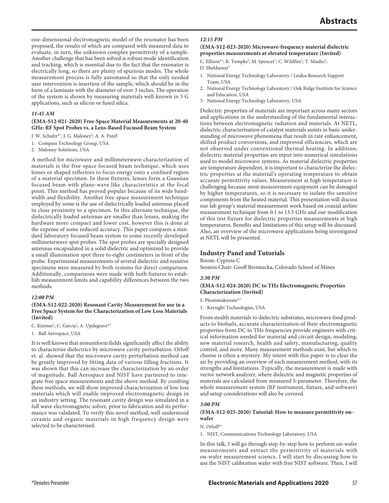one-dimensional electromagnetic model of the resonator has been proposed, the results of which are compared with measured data to evaluate, in turn, the unknown complex permittivity of a sample. Another challenge that has been solved is robust mode identification and tracking, which is essential due to the fact that the resonator is electrically long, so there are plenty of spurious modes. The whole measurement process is fully automated so that the only needed user intervention is insertion of the sample, which should be in the form of a laminate with the diameter of over 3 inches. The operation of the system is shown by measuring materials well-known in 5 G applications, such as silicon or fused silica.

### *11:45 AM*

## **(EMA-S12-021-2020) Free-Space Material Measurements at 20-40 GHz: RF Spot Probes vs. a Lens-Based Focused Beam System**

J. W. Schultz\*<sup>1</sup>; J. G. Maloney<sup>2</sup>; A. A. Patel<sup>1</sup>

- 1. Compass Technology Group, USA
- 2. Maloney-Solutions, USA

A method for microwave and millimeterwave characterization of materials is the free-space focused beam technique, which uses lenses or shaped reflectors to focus energy onto a confined region of a material specimen. In these fixtures, lenses form a Gaussian focused beam with plane-wave like characteristics at the focal point. This method has proved popular because of its wide bandwidth and flexibility. Another free-space measurement technique employed by some is the use of dielectrically loaded antennas placed in close proximity to a specimen. In this alternate technique, the dielectrically loaded antennas are smaller than lenses, making the hardware more compact and lower cost, however this is done at the expense of some reduced accuracy. This paper compares a standard laboratory focused beam system to some recently developed millimeterwave spot probes. The spot probes are specially designed antennas encapsulated in a solid dielectric and optimized to provide a small illumination spot three to eight centimeters in front of the probe. Experimental measurements of several dielectric and resistive specimens were measured by both systems for direct comparison. Additionally, comparisons were made with both fixtures to establish measurement limits and capability differences between the two methods.

#### *12:00 PM*

#### **(EMA-S12-022-2020) Resonant Cavity Measurement for use in a Free Space System for the Characterization of Low Loss Materials (Invited)**

C. Kintner<sup>1</sup>; C. Garcia<sup>1</sup>; A. Updegrave<sup>\*1</sup>

1. Ball Aerospace, USA

It is well known that nonuniform fields significantly affect the ability to characterize dielectrics by microwave cavity perturbation. Orloff et. al. showed that the microwave cavity perturbation method can be greatly improved by fitting data of various filling fractions. It was shown that this can increase the characterization by an order of magnitude. Ball Aerospace and NIST have partnered to integrate free space measurements and the above method. By combing these methods, we will show improved characterization of low loss materials which will enable improved electromagnetic design in an industry setting. The resonant cavity design was simulated in a full wave electromagnetic solver, prior to fabrication and its performance was validated. To verify this novel method, well understood ceramic and organic materials in high frequency design were selected to be characterized.

#### *12:15 PM*

#### **(EMA-S12-023-2020) Microwave-frequency material dielectric properties measurements at elevated temperature (Invited)**

- C. Ellison\*1; R. Tempke<sup>2</sup>; M. Spencer<sup>1</sup>; C. Wildfire<sup>1</sup>; T. Musho<sup>2</sup>;
- D. Shekhawat<sup>3</sup>
- 1. National Energy Technology Laboratory / Leidos Research Support Team, USA
- 2. National Energy Technology Laboratory / Oak Ridge Institute for Science and Education, USA
- 3. National Energy Technology Laboratory, USA

Dielectric properties of materials are important across many sectors and applications in the understanding of the fundamental interactions between electromagnetic radiation and materials. At NETL, dielectric characterization of catalyst materials assists in basic understanding of microwave phenomena that result in rate enhancement, shifted product conversions, and improved efficiencies, which are not observed under conventional thermal heating. In addition, dielectric material properties are input into numerical simulations used to model microwave systems. As material dielectric properties are temperature dependent, it is important to characterize the dielectric properties at the material's operating temperature to obtain accurate permittivity values. Measurement at high temperature is challenging because most measurement equipment can be damaged by higher temperatures, so it is necessary to isolate the sensitive components from the heated material. This presentation will discuss our lab group's material measurement work based on coaxial airline measurement technique from 0.1 to 13.5 GHz and our modification of this test fixture for dielectric properties measurements at high temperatures. Benefits and limitations of this setup will be discussed. Also, an overview of the microwave applications being investigated at NETL will be presented.

## **Industry Panel and Tutorials**

Room: Cypress C

Session Chair: Geoff Brennecka, Colorado School of Mines

#### *2:30 PM*

### **(EMA-S12-024-2020) DC to THz Electromagnetic Properties Characterization (Invited)**

S. Phommakesone\*1

1. Keysight Technologies, USA

From stealth materials to dielectric substrates, microwave food products to biofuels, accurate characterization of their electromagnetic properties from DC to THz frequencies provide engineers with critical information needed for material and circuit design, modeling, new material research, health and safety, manufacturing, quality control, and more. Many measurement methods exist, but which to choose is often a mystery. My intent with this paper is to clear the air by providing an overview of each measurement method, with its strengths and limitations. Typically, the measurement is made with vector network analyzer, where dielectric and magnetic properties of materials are calculated from measured S-parameter. Therefore, the whole measurement system (RF instrument, fixture, and software) and setup considerations will also be covered.

#### *3:00 PM*

#### **(EMA-S12-025-2020) Tutorial: How to measure permittivity onwafer**

N. Orloff\*1

1. NIST, Communications Technology Laboratory, USA

In this talk, I will go through step-by-step how to perform on-wafer measurements and extract the permittivity of materials with on-wafer measurement science. I will start by discussing how to use the NIST calibration wafer with free NIST software. Then, I will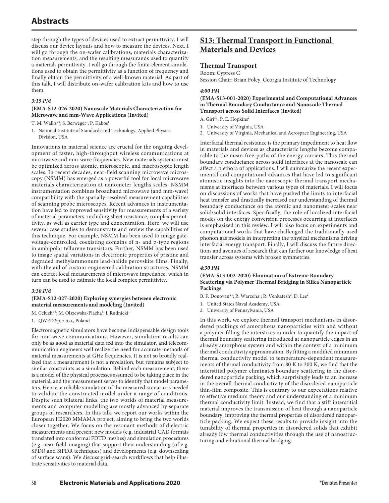step through the types of devices used to extract permittivity. I will discuss our device layouts and how to measure the devices. Next, I will go through the on-wafer calibrations, materials characterization measurements, and the resulting measurands used to quantify a materials permittivity. I will go through the finite-element simulations used to obtain the permittivity as a function of frequency and finally obtain the permittivity of a well-known material. As part of this talk, I will distribute on-wafer calibration kits and how to use them.

### *3:15 PM*

#### **(EMA-S12-026-2020) Nanoscale Materials Characterization for Microwave and mm-Wave Applications (Invited)**

- T. M. Wallis<sup>\*1</sup>; S. Berweger<sup>1</sup>; P. Kabos<sup>1</sup>
- 1. National Institute of Standards and Technology, Applied Physics Division, USA

Innovations in material science are crucial for the ongoing development of faster, high-throughput wireless communications at microwave and mm-wave frequencies. New materials systems must be optimized across atomic, microscopic, and macroscopic length scales. In recent decades, near-field scanning microwave microscopy (NSMM) has emerged as a powerful tool for local microwave materials characterization at nanometer lengths scales. NSMM instrumentation combines broadband microwave (and mm-wave) compatibility with the spatially-resolved measurement capabilities of scanning probe microscopes. Recent advances in instrumentation have led to improved sensitivity for measurements of a variety of material parameters, including sheet resistance, complex permittivity, as well as carrier type and concentration. Here, we will use several case studies to demonstrate and review the capabilities of this technique. For example, NSMM has been used to image gatevoltage-controlled, coexisting domains of n- and p-type regions in ambipolar tellurene transistors. Further, NSMM has been used to image spatial variations in electrronic properties of pristine and degraded methylammonum lead-halide perovskite films. Finally, with the aid of custom-engineered calibration structures, NSMM can extract local measurements of microwave impedance, which in turn can be used to estimate the local complex permittivity.

#### *3:30 PM*

### **(EMA-S12-027-2020) Exploring synergies between electronic material measurements and modeling (Invited)**

M. Celuch<sup>\*1</sup>; M. Olszewska-Placha<sup>1</sup>; J. Rudnicki<sup>1</sup>

1. QWED Sp. z o.o., Poland

Electromagnetic simulators have become indispensable design tools for mm-wave communications. However, simulation results can only be as good as material data fed into the simulator, and telecommunication engineers well realize the need for accurate methods of material measurements at GHz frequencies. It is not so broadly realized that a measurement is not a revelation, but remains subject to similar constraints as a simulation. Behind each measurement, there is a model of the physical processes assumed to be taking place in the material, and the measurement serves to identify that model parameters. Hence, a reliable simulation of the measured scenario is needed to validate the constructed model under a range of conditions. Despite such bilateral links, the two worlds of material measurements and computer modelling are mostly advanced by separate groups of researchers. In this talk, we report our works within the European H2020 MMAMA project, aiming to bring the two worlds closer together. We focus on the resonant methods of dielectric measurements and present new models (e.g. industrial CAD formats translated into conformal FDTD meshes) and simulation procedures (e.g. near-field-imaging) that support their understanding (of e.g. SPDR and SiPDR techniques) and developments (e.g. downscaling of surface scans). We discuss grid-search workflows that help illustrate sensitivities to material data.

## **S13: Thermal Transport in Functional Materials and Devices**

## **Thermal Transport**

Room: Cypress C

Session Chair: Brian Foley, Georgia Institute of Technology

#### *4:00 PM*

## **(EMA-S13-001-2020) Experimental and Computational Advances in Thermal Boundary Conductance and Nanoscale Thermal Transport across Solid Interfaces (Invited)**

A. Giri<sup>\*1</sup>; P. E. Hopkins<sup>2</sup>

- 1. University of Virginia, USA
- 2. University of Virginia, Mechanical and Aerospace Engineering, USA

Interfacial thermal resistance is the primary impediment to heat flow in materials and devices as characteristic lengths become comparable to the mean-free-paths of the energy carriers. This thermal boundary conductance across solid interfaces at the nanoscale can affect a plethora of applications. I will summarize the recent experimental and computational advances that have led to significant atomistic insights into the nanoscopic thermal transport mechanisms at interfaces between various types of materials. I will focus on discussions of works that have pushed the limits to interfacial heat transfer and drastically increased our understanding of thermal boundary conductance on the atomic and nanometer scales near solid/solid interfaces. Specifically, the role of localized interfacial modes on the energy conversion processes occurring at interfaces is emphasized in this review. I will also focus on experiments and computational works that have challenged the traditionally used phonon gas models in interpreting the physical mechanisms driving interfacial energy transport. Finally, I will discuss the future directions and avenues of research that can further our knowledge of heat transfer across systems with broken symmetries.

## *4:30 PM*

## **(EMA-S13-002-2020) Elimination of Extreme Boundary Scattering via Polymer Thermal Bridging in Silica Nanoparticle Packings**

- B. F. Donovan\*<sup>1</sup>; R. Warzoha<sup>1</sup>; R. Venkatesh<sup>2</sup>; D. Lee<sup>2</sup>
- 1. United States Naval Academy, USA
- 2. University of Pennsylvania, USA

In this work, we explore thermal transport mechanisms in disordered packings of amorphous nanoparticles with and without a polymer filling the interstices in order to quantify the impact of thermal boundary scattering introduced at nanoparticle edges in an already amorphous system and within the context of a minimum thermal conductivity approximation. By fitting a modified minimum thermal conductivity model to temperature-dependent measurements of thermal conductivity from 80 K to 300 K, we find that the interstitial polymer eliminates boundary scattering in the disordered nanoparticle packing, which surprisingly leads to an increase in the overall thermal conductivity of the disordered nanoparticle thin-film composite. This is contrary to our expectations relative to effective medium theory and our understanding of a minimum thermal conductivity limit. Instead, we find that a stiff interstitial material improves the transmission of heat through a nanoparticle boundary, improving the thermal properties of disordered nanoparticle packing. We expect these results to provide insight into the tunability of thermal properties in disordered solids that exhibit already low thermal conductivities through the use of nanostructuring and vibrational thermal bridging.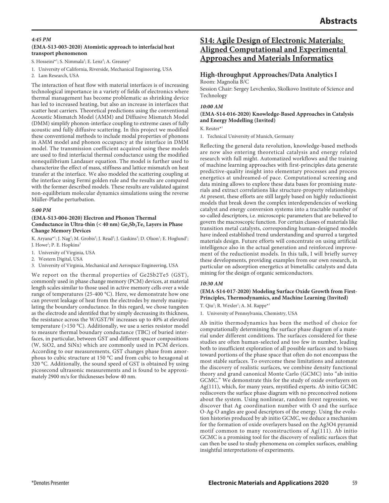#### *4:45 PM*

### **(EMA-S13-003-2020) Atomistic approach to interfacial heat transport phenomenon**

S. Hosseini\*<sup>1</sup>; S. Nimmala<sup>2</sup>; E. Lenz<sup>2</sup>; A. Greaney<sup>1</sup>

- 1. University of California, Riverside, Mechanical Engineering, USA
- 2. Lam Research, USA

The interaction of heat flow with material interfaces is of increasing technological importance in a variety of fields of electronics where thermal management has become problematic as shrinking device has led to increased heating, but also an increase in interfaces that scatter heat carriers. Theoretical predictions using the conventional Acoustic Mismatch Model (AMM) and Diffusive Mismatch Model (DMM) simplify phonon-interface coupling to extreme cases of fully acoustic and fully diffusive scattering. In this project we modified these conventional methods to include modal properties of phonons in AMM model and phonon occupancy at the interface in DMM model. The transmission coefficient acquired using these models are used to find interfacial thermal conductance using the modified nonequilibrium Landauer equation. The model is further used to characterize the effect of mass, stiffness and lattice mismatch on heat transfer at the interface. We also modeled the scattering coupling at the interface using Fermi golden rule and the results are compared with the former described models. These results are validated against non-equilibrium molecular dynamics simulations using the reverse Müller-Plathe perturbation.

#### *5:00 PM*

#### **(EMA-S13-004-2020) Electron and Phonon Thermal**  Conductance in Ultra-thin (< 40 nm) Ge<sub>2</sub>Sb<sub>2</sub>Te<sub>5</sub> Layers in Phase **Change Memory Devices**

K. Aryana<sup>\*1</sup>; J. Nag<sup>2</sup>; M. Grobis<sup>2</sup>; J. Read<sup>2</sup>; J. Gaskins<sup>3</sup>; D. Olson<sup>1</sup>; E. Hoglund<sup>1</sup>; J. Howe<sup>1</sup>; P. E. Hopkins<sup>3</sup>

- 1. University of Virginia, USA
- 2. Western Digital, USA
- 3. University of Virginia, Mechanical and Aerospace Engineering, USA

We report on the thermal properties of Ge2Sb2Te5 (GST), commonly used in phase change memory (PCM) devices, at material length scales similar to those used in active memory cells over a wide range of temperatures (25-400 °C). Here, we demonstrate how one can prevent leakage of heat from the electrodes by merely manipulating the boundary conductance. In this regard, we chose tungsten as the electrode and identifed that by simply decreasing its thickness, the resistance across the W/GST/W increases up to 40% at elevated temperature (>150 °C). Additionally, we use a series resistor model to measure thermal boundary conductance (TBC) of buried interfaces, in particular, between GST and different spacer compositions (W, SiO2, and SiNx) which are commonly used in PCM devices. According to our measurements, GST changes phase from amorphous to cubic structure at 150 °C and from cubic to hexagonal at 320 °C. Additionally, the sound speed of GST is obtained by using picosecond ultrasonic measurements and is found to be approximately 2900 m/s for thicknesses below 40 nm.

## **S14: Agile Design of Electronic Materials: Aligned Computational and Experimental Approaches and Materials Informatics**

## **High-throughput Approaches/Data Analytics I**

Room: Magnolia B/C Session Chair: Sergey Levchenko, Skolkovo Institute of Science and Technology

#### *10:00 AM*

#### **(EMA-S14-016-2020) Knowledge-Based Approaches in Catalysis and Energy Modelling (Invited)**

K. Reuter\*1

1. Technical University of Munich, Germany

Reflecting the general data revolution, knowledge-based methods are now also entering theoretical catalysis and energy related research with full might. Automatized workflows and the training of machine learning approaches with first-principles data generate predictive-quality insight into elementary processes and process energetics at undreamed-of pace. Computational screening and data mining allows to explore these data bases for promising materials and extract correlations like structure-property relationships. At present, these efforts are still largely based on highly reductionist models that break down the complex interdependencies of working catalyst and energy conversion systems into a tractable number of so-called descriptors, i.e. microscopic parameters that are believed to govern the macroscopic function. For certain classes of materials like transition metal catalysts, corresponding human-designed models have indeed established trend understanding and spurred a targeted materials design. Future efforts will concentrate on using artificial intelligence also in the actual generation and reinforced improvement of the reductionist models. In this talk, I will briefly survey these developments, providing examples from our own research, in particular on adsorption energetics at bimetallic catalysts and data mining for the design of organic semiconductors.

#### *10:30 AM*

**(EMA-S14-017-2020) Modeling Surface Oxide Growth from First-Principles, Thermodynamics, and Machine Learning (Invited)**

T. Qiu<sup>1</sup>; R. Wexler<sup>1</sup>; A. M. Rappe\*<sup>1</sup>

1. University of Pennsylvania, Chemistry, USA

Ab initio thermodynamics has been the method of choice for computationally determining the surface phase diagram of a material under different conditions. The surfaces considered for these studies are often human-selected and too few in number, leading both to insufficient exploration of all possible surfaces and to biases toward portions of the phase space that often do not encompass the most stable surfaces. To overcome these limitations and automate the discovery of realistic surfaces, we combine density functional theory and grand canonical Monte Carlo (GCMC) into "ab initio GCMC." We demonstrate this for the study of oxide overlayers on Ag(111), which, for many years, mystified experts. Ab initio GCMC rediscovers the surface phase diagram with no preconceived notions about the system. Using nonlinear, random forest regression, we discover that Ag coordination number with O and the surface O-Ag-O angles are good descriptors of the energy. Using the evolution histories produced by ab initio GCMC, we deduce a mechanism for the formation of oxide overlayers based on the Ag3O4 pyramid motif common to many reconstructions of Ag(111). Ab initio GCMC is a promising tool for the discovery of realistic surfaces that can then be used to study phenomena on complex surfaces, enabling insightful interpretations of experiments.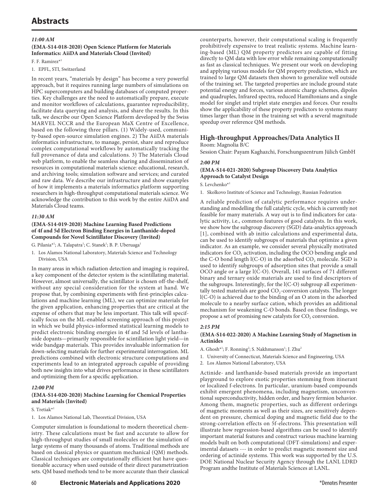## *11:00 AM*

### **(EMA-S14-018-2020) Open Science Platform for Materials Informatics: AiiDA and Materials Cloud (Invited)**

F. F. Ramirez\*1

1. EPFL, STI, Switzerland

In recent years, "materials by design" has become a very powerful approach, but it requires running large numbers of simulations on HPC supercomputers and building databases of computed properties. Key challenges are the need to automatically prepare, execute and monitor workflows of calculations, guarantee reproducibility, facilitate data querying and analysis, and share the results. In this talk, we describe our Open Science Platform developed by the Swiss MARVEL NCCR and the European MaX Centre of Excellence, based on the following three pillars. (1) Widely-used, community-based open-source simulation engines. 2) The AiiDA materials informatics infrastructure, to manage, persist, share and reproduce complex computational workflows by automatically tracking the full provenance of data and calculations. 3) The Materials Cloud web platform, to enable the seamless sharing and dissemination of resources in computational materials science: educational, research, and archiving tools; simulation software and services; and curated and raw data. We describe our infrastructure and show examples of how it implements a materials informatics platform supporting researchers in high-throughput computational materials science. We acknowledge the contribution to this work by the entire AiiDA and Materials Cloud teams.

### *11:30 AM*

#### **(EMA-S14-019-2020) Machine Learning Based Predictions of 4f and 5d Electron Binding Energies in Lanthanide-doped Compounds for Novel Scintillator Discovery (Invited)**

G. Pilania\*<sup>1</sup>; A. Talapatra<sup>1</sup>; C. Stanek<sup>1</sup>; B. P. Uberuaga<sup>1</sup>

1. Los Alamos National Laboratory, Materials Science and Technology Division, USA

In many areas in which radiation detection and imaging is required, a key component of the detector system is the scintillating material. However, almost universally, the scintillator is chosen off-the-shelf, without any special consideration for the system at hand. We propose that, by combining experiments with first-principles calculations and machine learning (ML), we can optimize materials for the given application, enhancing properties that are critical at the expense of others that may be less important. This talk will specifically focus on the ML-enabled screening approach of this project in which we build physics-informed statistical learning models to predict electronic binding energies in 4f and 5d levels of lanthanide dopants—primarily responsible for scintillation light yield—in wide bandgap materials. This provides invaluable information for down-selecting materials for further experimental interrogation. ML predictions combined with electronic structure computations and experiments lead to an integrated approach capable of providing both new insights into what drives performance in these scintillators and optimizing them for a specific application.

## *12:00 PM*

## **(EMA-S14-020-2020) Machine Learning for Chemical Properties and Materials (Invited)**

#### S. Tretiak\*<sup>1</sup>

1. Los Alamos National Lab, Theoretical Division, USA

Computer simulation is foundational to modern theoretical chemistry. These calculations must be fast and accurate to allow for high-throughput studies of small molecules or the simulation of large systems of many thousands of atoms. Traditional methods are based on classical physics or quantum mechanical (QM) methods. Classical techniques are computationally efficient but have questionable accuracy when used outside of their direct parametrization sets. QM based methods tend to be more accurate than their classical

counterparts, however, their computational scaling is frequently prohibitively expensive to treat realistic systems. Machine learning-based (ML) QM property predictors are capable of fitting directly to QM data with low error while remaining computationally as fast as classical techniques. We present our work on developing and applying various models for QM property prediction, which are trained to large QM datasets then shown to generalize well outside of the training set. The targeted properties are include ground state potential energy and forces, various atomic charge schemes, dipoles and quadruples, Infrared spectra, reduced Hamiltonians and a single model for singlet and triplet state energies and forces. Our results show the applicability of these property predictors to systems many times larger than those in the training set with a several magnitude speedup over reference QM methods.

## **High-throughput Approaches/Data Analytics II**

#### Room: Magnolia B/C

Session Chair: Payam Kaghazchi, Forschungszentrum Jülich GmbH

#### *2:00 PM*

#### **(EMA-S14-021-2020) Subgroup Discovery Data Analytics Approach to Catalyst Design**

S. Levchenko\*1

1. Skolkovo Institute of Science and Technology, Russian Federation

A reliable prediction of catalytic performance requires understanding and modelling the full catalytic cycle, which is currently not feasible for many materials. A way out is to find indicators for catalytic activity, i.e., common features of good catalysts. In this work, we show how the subgroup discovery (SGD) data-analytics approach [1], combined with ab initio calculations and experimental data, can be used to identify subgroups of materials that optimize a given indicator. As an example, we consider several physically motivated indicators for CO<sub>2</sub> activation, including the OCO bending angle and the C-O bond length  $I(C-O)$  in the adsorbed  $CO<sub>2</sub>$  molecule. SGD is used to identify subgroups of adsorption sites that provide a small OCO angle or a large l(C-O). Overall, 141 surfaces of 71 different binary and ternary oxide materials are used to find descriptors of the subgroups. Interestingly, for the l(C-O) subgroup all experimentally tested materials are good  $CO<sub>2</sub>$ -conversion catalysts. The longer l(C-O) is achieved due to the binding of an O atom in the adsorbed molecule to a nearby surface cation, which provides an additional mechanism for weakening C-O bonds. Based on these findings, we propose a set of promising new catalysts for  $CO<sub>2</sub>$  conversion.

#### *2:15 PM*

### **(EMA-S14-022-2020) A Machine Learning Study of Magnetism in Actinides**

- A. Ghosh\*<sup>1</sup>; F. Ronning<sup>2</sup>; S. Nakhmanson<sup>1</sup>; J. Zhu<sup>2</sup>
- 1. University of Connecticut, Materials Science and Engineering, USA
- 2. Los Alamos National Laboratory, USA

Actinide- and lanthanide-based materials provide an important playground to explore exotic properties stemming from itinerant or localized f-electrons. In particular, uranium-based compounds exhibit emergent phenomena, including magnetism, unconventional superconductivity, hidden order, and heavy fermion behavior. Among them, magnetic properties, such as different orderings of magnetic moments as well as their sizes, are sensitively dependent on pressure, chemical doping and magnetic field due to the strong-correlation effects on 5f-electrons. This presentation will illustrate how regression-based algorithms can be used to identify important material features and construct various machine learning models built on both computational (DFT-simulations) and experimental datasets --- in order to predict magnetic moment size and ordering of actinide systems. This work was supported by the U.S. DOE National Nuclear Security Agency through the LANL LDRD Program andthe Institute of Materials Sciences at LANL.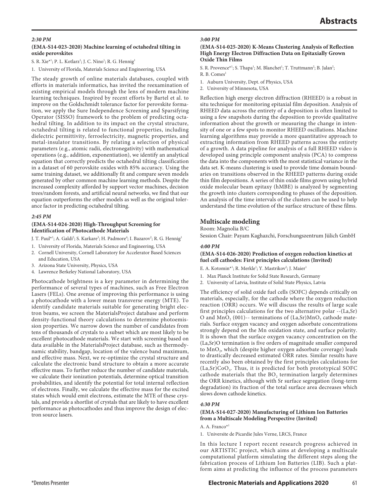### *2:30 PM*

### **(EMA-S14-023-2020) Machine learning of octahedral tilting in oxide perovskites**

S. R. Xie\*<sup>1</sup>; P. L. Kotlarz<sup>1</sup>; J. C. Nino<sup>1</sup>; R. G. Hennig<sup>1</sup>

1. University of Florida, Materials Science and Engineering, USA

The steady growth of online materials databases, coupled with efforts in materials informatics, has invited the reexamination of existing empirical models through the lens of modern machine learning techniques. Inspired by recent efforts by Bartel et al. to improve on the Goldschmidt tolerance factor for perovskite formation, we apply the Sure Independence Screening and Sparsifying Operator (SISSO) framework to the problem of predicting octahedral tilting. In addition to its impact on the crystal structure, octahedral tilting is related to functional properties, including dielectric permittivity, ferroelectricity, magnetic properties, and metal-insulator transitions. By relating a selection of physical parameters (e.g., atomic radii, electronegativity) with mathematical operations (e.g., addition, exponentiation), we identify an analytical equation that correctly predicts the octahedral tilting classification in a dataset of 60 perovskite oxides with 85% accuracy. Using the same training dataset, we additionally fit and compare seven models generated by other common machine learning methods. Despite the increased complexity afforded by support vector machines, decision trees/random forests, and artificial neural networks, we find that our equation outperforms the other models as well as the original tolerance factor in predicting octahedral tilting.

#### *2:45 PM*

#### **(EMA-S14-024-2020) High-Throughput Screening for Identification of Photocathode Materials**

- J. T. Paul\*<sup>1</sup>; A. Galdi<sup>2</sup>; S. Karkare<sup>3</sup>; H. Padmore<sup>4</sup>; I. Bazarov<sup>2</sup>; R. G. Hennig<sup>1</sup>
- 1. University of Florida, Materials Science and Engineering, USA
- 2. Cornell University, Cornell Laboratory for Accelerator Based Sciences and Education, USA
- 3. Arizona State University, Physics, USA
- 4. Lawrence Berkeley National Laboratory, USA

Photocathode brightness is a key parameter in determining the performance of several types of machines, such as Free Electron Lasers (FELs). One avenue of improving this performance is using a photocathode with a lower mean transverse energy (MTE). To identify candidate materials suitable for generating bright electron beams, we screen the MaterialsProject database and perform density-functional theory calculations to determine photoemission properties. We narrow down the number of candidates from tens of thousands of crystals to a subset which are most likely to be excellent photocathode materials. We start with screening based on data available in the MaterialsProject database, such as thermodynamic stability, bandgap, location of the valence band maximum, and effective mass. Next, we re-optimize the crystal structure and calculate the electronic band structure to obtain a more accurate effective mass. To further reduce the number of candidate materials, we calculate their ionization potentials, determine optical transition probabilities, and identify the potential for total internal reflection of electrons. Finally, we calculate the effective mass for the excited states which would emit electrons, estimate the MTE of these crystals, and provide a shortlist of crystals that are likely to have excellent performance as photocathodes and thus improve the design of electron source lasers.

#### *3:00 PM*

#### **(EMA-S14-025-2020) K-Means Clustering Analysis of Reflection High Energy Electron Diffraction Data on Epitaxially Grown Oxide Thin Films**

S. R. Provence<sup>\*1</sup>; S. Thapa<sup>1</sup>; M. Blanchet<sup>1</sup>; T. Truttmann<sup>2</sup>; B. Jalan<sup>2</sup>;

- R. B. Comes<sup>1</sup>
- 1. Auburn University, Dept. of Physics, USA
- 2. University of Minnesota, USA

Reflection high energy electron diffraction (RHEED) is a robust in situ technique for monitoring epitaxial film deposition. Analysis of RHEED data across the entirety of a deposition is often limited to using a few snapshots during the deposition to provide qualitative information about the growth or measuring the change in intensity of one or a few spots to monitor RHEED oscillations. Machine learning algorithms may provide a more quantitative approach to extracting information from RHEED patterns across the entirety of a growth. A data pipeline for analysis of a full RHEED video is developed using principle component analysis (PCA) to compress the data into the components with the most statistical variance in the data set. K-means clustering is used to provide time domain boundaries on transitions observed in the RHEED patterns during oxide thin film depositions. A series of thin oxide films grown using hybrid oxide molecular beam epitaxy (hMBE) is analyzed by segmenting the growth into clusters corresponding to phases of the deposition. An analysis of the time intervals of the clusters can be used to help understand the time evolution of the surface structure of these films.

## **Multiscale modeling**

Room: Magnolia B/C Session Chair: Payam Kaghazchi, Forschungszentrum Jülich GmbH

#### *4:00 PM*

#### **(EMA-S14-026-2020) Prediction of oxygen reduction kinetics at fuel cell cathodes: First principles calculations (Invited)**

E. A. Kotomin\*<sup>1</sup>; R. Merkle<sup>1</sup>; Y. Mastrikov<sup>2</sup>; J. Maier<sup>1</sup>

- 1. Max Planck Institute for Solid State Research, Germany
- 2. University of Latvia, Institute of Solid State Physics, Latvia

The efficiency of solid oxide fuel cells (SOFC) depends critically on materials, especially, for the cathode where the oxygen reduction reaction (ORR) occurs. We will discuss the results of large scale first principles calculations for the two alternative polar --(La,Sr) O and  $MnO<sub>2</sub>$  (001)-- terminations of (La,Sr) $MnO<sub>3</sub>$  cathode materials. Surface oxygen vacancy and oxygen adsorbate concentrations strongly depend on the Mn oxidation state, and surface polarity. It is shown that the surface oxygen vacancy concentration on the (La,Sr)O termination is five orders of magnitude smaller compared to MnO<sub>2</sub>, which (despite higher oxygen adsorbate coverage) leads to drastically decreased estimated ORR rates. Similar results have recently also been obtained by the first principles calculations for  $(La, Sr)CoO<sub>3</sub>$ . Thus, it is predicted for both prototypical SOFC cathode materials that the BO<sub>2</sub> termination largely determines the ORR kinetics, although with Sr surface segregation (long-term degradation) its fraction of the total surface area decreases which slows down cathode kinetics.

#### *4:30 PM*

#### **(EMA-S14-027-2020) Manufacturing of Lithium Ion Batteries from a Multiscale Modeling Perspective (Invited)**

A. A. Franco\*1

1. Universite de Picardie Jules Verne, LRCS, France

In this lecture I report recent research progress achieved in our ARTISTIC project, which aims at developing a multiscale computational platform simulating the different steps along the fabrication process of Lithium Ion Batteries (LIB). Such a platform aims at predicting the influence of the process parameters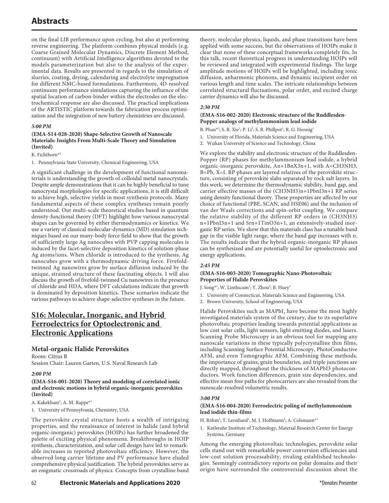on the final LIB performance upon cycling, but also at performing reverse engineering. The platform combines physical models (e.g. Coarse Grained Molecular Dynamics, Discrete Element Method, continuum) with Artificial Intelligence algorithms devoted to the models parameterization but also to the analysis of the experimental data. Results are presented in regards to the simulation of slurries, coating, drying, calendaring and electrolyte impregnation for different NMC-based formulations. Furthermore, 4D-resolved continuum performance simulations capturing the influence of the spatial location of carbon-binder within the electrodes on the electrochemical response are also discussed. The practical implications of the ARTISTIC platform towards the fabrication process optimization and the integration of new battery chemistries are discussed.

## *5:00 PM*

### **(EMA-S14-028-2020) Shape-Selective Growth of Nanoscale Materials: Insights From Multi-Scale Theory and Simulation (Invited)**

#### K. Fichthorn\*1

1. Pennsylvania State University, Chemical Engineering, USA

A significant challenge in the development of functional nanomaterials is understanding the growth of colloidal metal nanocrystals. Despite ample demonstrations that it can be highly beneficial to tune nanocrystal morphologies for specific applications, it is still difficult to achieve high, selective yields in most synthesis protocols. Many fundamental aspects of these complex syntheses remain poorly understood. Our multi-scale theoretical studies based in quantum density-functional theory (DFT) highlight how various nanocrystal shapes can be governed by either thermodynamics or kinetics. We use a variety of classical molecular-dynamics (MD) simulation techniques based on our many-body force field to show that the growth of sufficiently large Ag nanocubes with PVP capping molecules is induced by the facet-selective deposition kinetics of solution-phase Ag atoms/ions. When chloride is introduced to the synthesis, Ag nanocubes grow with a thermodynamic driving force. Fivefoldtwinned Ag nanowires grow by surface diffusion induced by the unique, strained structure of these fascinating objects. I will also discuss the growth of fivefold-twinned Cu nanowires in the presence of chloride and HDA, where DFT calculations indicate that growth is dominated by deposition kinetics. These scenarios indicate the various pathways to achieve shape-selective syntheses in the future.

## **S16: Molecular, Inorganic, and Hybrid Ferroelectrics for Optoelectronic and Electronic Applications**

## **Metal-organic Halide Perovskites**

Room: Citrus B Session Chair: Lauren Garten, U.S. Naval Research Lab

#### *2:00 PM*

### **(EMA-S16-001-2020) Theory and modeling of correlated ionic and electronic motions in hybrid organic-inorganic perovskites (Invited)**

A. Kakekhani<sup>1</sup>; A. M. Rappe\*<sup>1</sup>

1. University of Pennsylvania, Chemistry, USA

The perovskite crystal structure hosts a wealth of intriguing properties, and the renaissance of interest in halide (and hybrid organic-inorganic) perovskites (HOIPs) has further broadened the palette of exciting physical phenomena. Breakthroughs in HOIP synthesis, characterization, and solar cell design have led to remarkable increases in reported photovoltaic efficiency. However, the observed long carrier lifetime and PV performance have eluded comprehensive physical justification. The hybrid perovskites serve as an enigmatic crossroads of physics. Concepts from crystalline band theory, molecular physics, liquids, and phase transitions have been applied with some success, but the observations of HOIPs make it clear that none of these conceptual frameworks completely fits. In this talk, recent theoretical progress in understanding HOIPs will be reviewed and integrated with experimental findings. The large amplitude motions of HOIPs will be highlighted, including ionic diffusion, anharmonic phonons, and dynamic incipient order on various length and time scales. The intricate relationships between correlated structural fluctuations, polar order, and excited charge carrier dynamics will also be discussed.

### *2:30 PM*

#### **(EMA-S16-002-2020) Electronic structure of the Ruddlesden-Popper analogs of methylammonium lead iodide**

B. Phan\*<sup>1</sup>; S. R. Xie<sup>1</sup>; P. Li<sup>2</sup>; S. R. Phillpot<sup>1</sup>; R. G. Hennig<sup>1</sup>

- 1. University of Florida, Materials Science and Engineering, USA
- 2. Wuhan University of Science and Technology, China

We explore the stability and electronic structure of the Ruddlesden-Popper (RP) phases for methylammonium lead iodide, a hybrid organic-inorganic perovskite, An+1BnX3n+1, with A=CH3NH3, B=Pb, X=I. RP phases are layered relatives of the perovskite structure, consisting of perovskite slabs separated by rock salt layers. In this work, we determine the thermodynamic stability, band gap, and carrier effective masses of the (CH3NH3)n+1PbnI3n+1 RP series using density functional theory. These properties are affected by our choice of functional (PBE, SCAN, and HSE06) and the inclusion of van der Waals corrections and spin-orbit coupling. We compare the relative stability of the different RP orders in (CH3NH3) n+1PbnI3n+1 and Srn+1TinO3n+1, an extensively-studied inorganic RP series. We show that this materials class has a tunable band gap in the visible light range, where the band gap increases with n. The results indicate that the hybrid organic-inorganic RP phases can be synthesized and are potentially useful for optoelectronic and energy applications.

## *2:45 PM*

## **(EMA-S16-003-2020) Tomographic Nano-Photovoltaic Properties of Halide Perovskites**

J. Song\*<sup>1</sup>; W. Linthicum<sup>1</sup>; Y. Zhou<sup>2</sup>; B. Huey<sup>1</sup>

- 1. University of Connecticut, Materials Science and Engineering, USA
- 2. Brown University, School of Engineering, USA

Halide Perovskites such as MAPbI<sub>3</sub> have become the most highly investigated materials system of the century, due to its superlative photovoltaic properties leading towards potential applications as low cost solar cells, light sensors, light emitting diodes, and lasers. Scanning Probe Microscopy is an obvious tool for mapping any nanoscale variations in these typically polycrystalline thin films, including Scanning Surface Potential Microscopy, PhotoConductive AFM, and even Tomographic AFM. Combining these methods, the importance of grains, grain boundaries, and triple junctions are directly mapped, throughout the thickness of MAPbI3 photoconductors. Work function differences, grain size dependencies, and effective mean free paths for photocarriers are also revealed from the nanoscale-resolved volumetric results.

#### *3:00 PM*

#### **(EMA-S16-004-2020) Ferroelectric poling of methylammonium lead iodide thin-films**

H. Röhm<sup>1</sup>; T. Leonhard<sup>1</sup>; M. J. Hoffmann<sup>1</sup>; A. Colsmann<sup>\*1</sup>

1. Karlsruhe Institute of Technology, Material Research Center for Energy Systems, Germany

Among the emerging photovoltaic technologies, perovskite solar cells stand out with remarkable power conversion efficiencies and low-cost solution processability, rivaling established technologies. Seemingly contradictory reports on polar domains and their origin have surrounded the controversial discussion about the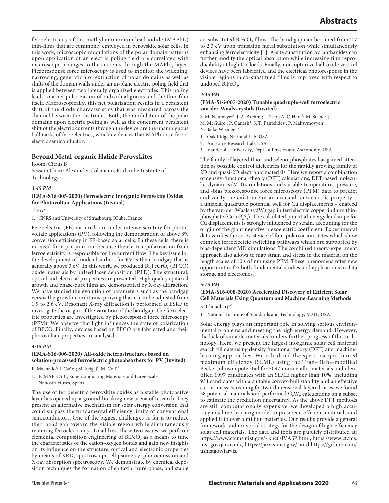ferroelectricity of the methyl ammonium lead iodide  $(MAPbI<sub>3</sub>)$ thin-films that are commonly employed in perovskite solar cells. In this work, microscopic modulations of the polar domain patterns upon application of an electric poling field are correlated with macroscopic changes to the currents through the MAPbI<sub>3</sub> layer. Piezoresponse force microscopy is used to monitor the widening, narrowing, generation or extinction of polar domains as well as shifts of the domain walls under an in-plane electric poling field that is applied between two laterally organized electrodes. This poling leads to a net polarization of individual grains and the thin-film itself. Macroscopically, this net polarization results in a persistent shift of the diode characteristics that was measured across the channel between the electrodes. Both, the modulation of the polar domains upon electric poling as well as the concurrent persistent shift of the electric currents through the device are the unambiguous hallmarks of ferroelectrics, which evidences that  $MAPbI<sub>3</sub>$  is a ferroelectric semiconductor.

## **Beyond Metal-organic Halide Perovskites**

Room: Citrus B

Session Chair: Alexander Colsmann, Karlsruhe Institute of Technology

#### *3:45 PM*

**(EMA-S16-005-2020) Ferroelectric Inorganic Perovskite Oxides for Photovoltaic Applications (Invited)**

 $T. Fix^{*1}$ 

1. CNRS and University of Strasbourg, ICube, France

Ferroelectric (FE) materials are under intense scrutiny for photovoltaic applications (PV), following the demonstration of above 8% conversion efficiency in FE-based solar cells. In these cells, there is no need for a p-n junction because the electric polarization from ferroelectricity is responsible for the current flow. The key issue for the development of oxide absorbers for PV is their bandgap that is generally above 3 eV. In this work, we produced  $Bi<sub>2</sub>FeCrO<sub>6</sub>$  (BFCO) oxide materials by pulsed laser deposition (PLD). The structural, optical and electrical properties are presented. High quality epitaxial growth and phase-pure films are demonstrated by X-ray diffraction. We have studied the evolution of parameters such as the bandgap versus the growth conditions, proving that it can be adjusted from 1.9 to 2.6 eV. Resonant X-ray diffraction is performed at ESRF to investigate the origin of the variation of the bandgap. The ferroelectric properties are investigated by piezoresponse force microscopy (PFM). We observe that light influences the state of polarization of BFCO. Finally, devices based on BFCO are fabricated and their photovoltaic properties are analysed.

#### *4:15 PM*

### **(EMA-S16-006-2020) All-oxide heterostructures based on solution-processed ferroelectric photoabsorbers for PV (Invited)**

P. Machado<sup>1</sup>; I. Caño<sup>1</sup>; M. Scigaj<sup>1</sup>; M. Coll<sup>\*1</sup>

1. ICMAB-CSIC, Superconducting Materials and Large Scale Nanostructures, Spain

The use of ferroelectric perovskite oxides as a stable photoactive layer has opened up a ground-breaking new arena of research. They present an alternative mechanism for solar energy conversion that could surpass the fundamental efficiency limits of conventional semiconductors. One of the biggest challenges so far is to reduce their band gap toward the visible region while simultaneously retaining ferroelectricity. To address these two issues, we perform elemental composition engineering of  $BiFeO<sub>3</sub>$  as a means to tune the characteristics of the cation-oxygen bonds and gain new insights on its influence on the structure, optical and electronic properties by means of XRD, spectroscopic ellipsometry, photoemission and X-ray absorption spectroscopy. We demonstrate by chemical deposition techniques the formation of epitaxial pure-phase, and stable

#### *4:45 PM*

#### **(EMA-S16-007-2020) Tunable quadruple-well ferroelectric van-der-Waals crystals (Invited)**

S. M. Neumayer<sup>1</sup>; J. A. Brehm<sup>1</sup>; L. Tao<sup>3</sup>; A. O'Hara<sup>3</sup>; M. Susner<sup>2</sup>; M. McGuire<sup>1</sup>; P. Ganesh<sup>1</sup>; S. T. Pantelides<sup>3</sup>; P. Maksymovych<sup>1</sup>;

- N. Balke Wisinger\*1
- 1. Oak Ridge National Lab, USA
- 2. Air Force Research Lab, USA
- 3. Vanderbilt University, Dept. of Physics and Astronomy, USA

The family of layered thio- and seleno-phosphates has gained attention as possible control dielectrics for the rapidly growing family of 2D and quasi-2D electronic materials. Here we report a combination of density-functional-theory (DFT) calculations, DFT-based molecular-dynamics (MD) simulations, and variable-temperature, -pressure, and -bias piezoresponse force microscopy (PFM) data to predict and verify the existence of an unusual ferroelectric property – a uniaxial quadruple potential well for Cu displacements – enabled by the van-der-Waals (vdW) gap in ferrielectric copper indium thiophosphate (CuInP<sub>2</sub>S<sub>6</sub>). The calculated potential-energy landscape for Cu displacements is strongly influenced by strain, accounting for the origin of the giant negative piezoelectric coefficient. Experimental data verifies the co-existence of four polarization states which show complex ferroelectric switching pathways which are supported by bias-dependent MD simulations. The combined theory-experiment approach also allows to map strain and stress in the material on the length scales of 10's of nm using PFM. These phenomena offer new opportunities for both fundamental studies and applications in data storage and electronics.

#### *5:15 PM*

## **(EMA-S16-008-2020) Accelerated Discovery of Efficient Solar Cell Materials Using Quantum and Machine-Learning Methods**

K. Choudhary\*1

1. National Institute of Standards and Technology, MML, USA

Solar energy plays an important role in solving serious environmental problems and meeting the high energy demand. However, the lack of suitable materials hinders further progress of this technology. Here, we present the largest inorganic solar cell material search till date using density functional theory (DFT) and machinelearning approaches. We calculated the spectroscopic limited maximum efficiency (SLME) using the Tran–Blaha-modified Becke–Johnson potential for 5097 nonmetallic materials and identified 1997 candidates with an SLME higher than 10%, including 934 candidates with a suitable convex-hull stability and an effective carrier mass. Screening for two-dimensional-layered cases, we found 58 potential materials and performed  $G_0W_0$  calculations on a subset to estimate the prediction uncertainty. As the above DFT methods are still computationally expensive, we developed a high accuracy machine-learning model to prescreen efficient materials and applied it to over a million materials. Our results provide a general framework and universal strategy for the design of high-efficiency solar cell materials. The data and tools are publicly distributed at: https://www.ctcms.nist.gov/~knc6/JVASP.html, https://www.ctcms. nist.gov/jarvisml/, https://jarvis.nist.gov/, and https://github.com/ usnistgov/jarvis.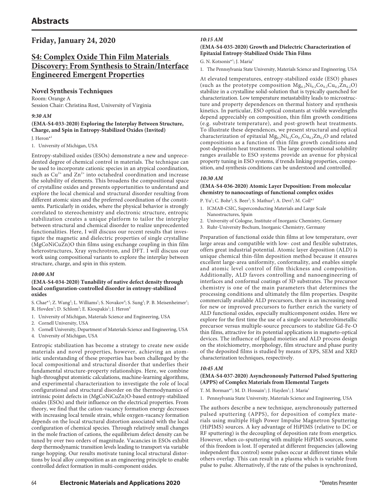## **Friday, January 24, 2020**

## **S4: Complex Oxide Thin Film Materials Discovery: From Synthesis to Strain/Interface Engineered Emergent Properties**

## **Novel Synthesis Techniques**

Room: Orange A Session Chair: Christina Rost, University of Virginia

### *9:30 AM*

## **(EMA-S4-033-2020) Exploring the Interplay Between Structure, Charge, and Spin in Entropy-Stabilized Oxides (Invited)**

J. Heron\*1

1. University of Michigan, USA

Entropy-stabilized oxides (ESOs) demonstrate a new and unprecedented degree of chemical control in materials. The technique can be used to incorporate cationic species in an atypical coordination, such as  $Cu^{2+}$  and  $Zn^{2+}$  into octahedral coordination and increase the solubility of elements. This broadens the compositional space of crystalline oxides and presents opportunities to understand and explore the local chemical and structural disorder resulting from different atomic sizes and the preferred coordination of the constituents. Particularly in oxides, where the physical behavior is strongly correlated to stereochemistry and electronic structure, entropic stabilization creates a unique platform to tailor the interplay between structural and chemical disorder to realize unprecedented functionalities. Here, I will discuss our recent results that investigate the magnetic and dielectric properties of single crystalline (MgCoNiCuZn)O thin films using exchange coupling in thin film heterostructures, Xray synchrotron, and DFT. I will discuss our work using compositional variants to explore the interplay between structure, charge, and spin in this system.

## *10:00 AM*

#### **(EMA-S4-034-2020) Tunability of native defect density through local configuration-controlled disorder in entropy-stabilized oxides**

S. Chae<sup>\*1</sup>; Z. Wang<sup>2</sup>; L. Williams<sup>1</sup>; S. Novakov<sup>4</sup>; S. Sung<sup>1</sup>; P. B. Meisenheimer<sup>1</sup>; R. Hovden<sup>1</sup>; D. Schlom<sup>3</sup>; E. Kioupakis<sup>1</sup>; J. Heron<sup>4</sup>

- 1. University of Michigan, Materials Science and Engineering, USA
- 2. Cornell University, USA
- 3. Cornell University, Department of Materials Science and Engineering, USA
- 4. University of Michigan, USA

Entropic stabilization has become a strategy to create new oxide materials and novel properties, however, achieving an atomistic understanding of these properties has been challenged by the local compositional and structural disorder that underlies their fundamental structure-property relationships. Here, we combine high-throughput atomistic calculations, machine-learning algorithms, and experimental characterization to investigate the role of local configurational and structural disorder on the thermodynamics of intrinsic point defects in (MgCoNiCuZn)O-based entropy-stabilized oxides (ESOs) and their influence on the electrical properties. From theory, we find that the cation-vacancy formation energy decreases with increasing local tensile strain, while oxygen-vacancy formation depends on the local structural distortion associated with the local configuration of chemical species. Through relatively small changes in the mole fraction of cations, the equilibrium defect density can be tuned by over two orders of magnitude. Vacancies in ESOs exhibit deep thermodynamic transition levels leading to transport via variable range hopping. Our results motivate tuning local structural distortions by local alloy composition as an engineering principle to enable controlled defect formation in multi-component oxides.

## *10:15 AM*

## **(EMA-S4-035-2020) Growth and Dielectric Characterization of Epitaxial Entropy-Stabilized Oxide Thin Films**

### G. N. Kotsonis<sup>\*1</sup>; J. Maria<sup>1</sup>

1. The Pennsylvania State University, Materials Science and Engineering, USA

At elevated temperatures, entropy-stabilized oxide (ESO) phases (such as the prototype composition  $Mg_{0.2}Ni_{0.2}Co_{0.2}Cu_{0.2}Zn_{0.2}O$ ) stabilize in a crystalline solid-solution that is typically quenched for characterization. Low temperature metastability leads to microstructure and property dependences on thermal history and synthesis kinetics. In particular, ESO optical constants at visible wavelengths depend appreciably on composition, thin film growth conditions (e.g. substrate temperature), and post-growth heat treatments. To illustrate these dependences, we present structural and optical characterization of epitaxial  $Mg_{0.2}Ni_{0.2}Co_{0.2}Cu_{0.2}Zn_{0.2}O$  and related compositions as a function of thin film growth conditions and post-deposition heat treatments. The large compositional solubility ranges available to ESO systems provide an avenue for physical property tuning in ESO systems, if trends linking properties, composition, and synthesis conditions can be understood and controlled.

## *10:30 AM*

### **(EMA-S4-036-2020) Atomic Layer Deposition: From molecular chemistry to nanocoatings of functional complex oxides**

P. Yu<sup>1</sup>; C. Bohr<sup>2</sup>; S. Beer<sup>3</sup>; S. Mathur<sup>2</sup>; A. Devi<sup>3</sup>; M. Coll\*<sup>1</sup>

- 1. ICMAB-CSIC, Superconducting Materials and Large Scale Nanostructures, Spain
- 2. University of Cologne, Institute of Inorganic Chemistry, Germany
- 3. Ruhr-University Bochum, Inorganic Chemistry, Germany

Preparation of functional oxide thin films at low temperature, over large areas and compatible with low- cost and flexible substrates, offers great industrial potential. Atomic layer deposition (ALD) is unique chemical thin-film deposition method because it ensures excellent large-area uniformity, conformality, and enables simple and atomic level control of film thickness and composition. Additionally, ALD favors controlling and nanoengineering of interfaces and conformal coatings of 3D substrates. The precursor chemistry is one of the main parameters that determines the processing conditions and ultimately the film properties. Despite commercially available ALD precursors, there is an increasing need for new or improved precursors to further enrich the variety of ALD functional oxides, especially multicomponent oxides. Here we explore for the first time the use of a single-source heterobimetallic precursor versus multiple-source precursors to stabilize Gd-Fe-O thin films, attractive for its potential applications in magneto-optical devices. The influence of ligand moieties and ALD process design on the stoichiometry, morphology, film structure and phase purity of the deposited films is studied by means of XPS, SEM and XRD characterization techniques, respectively.

## *10:45 AM*

## **(EMA-S4-037-2020) Asynchronously Patterned Pulsed Sputtering (APPS) of Complex Materials from Elemental Targets**

T. M. Borman\*<sup>1</sup>; M. D. Hossain<sup>1</sup>; J. Hayden<sup>1</sup>; J. Maria<sup>1</sup>

1. Pennsylvania State University, Materials Science and Engineering, USA

The authors describe a new technique, asynchronously patterned pulsed sputtering (APPS), for deposition of complex materials using multiple High Power Impulse Magnetron Sputtering (HiPIMS) sources. A key advantage of HiPIMS (relative to DC or RF sputtering) is the decoupling of deposition rate from energetics. However, when co-sputtering with multiple HiPIMS sources, some of this freedom is lost. If operated at different frequencies (allowing independent flux control) some pulses occur at different times while others overlap. This can result in a plasma which is variable from pulse to pulse. Alternatively, if the rate of the pulses is synchronized,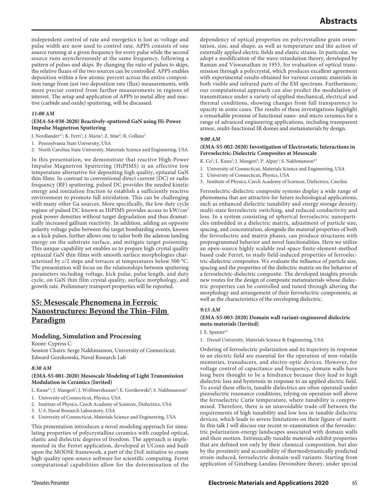independent control of rate and energetics is lost as voltage and pulse width are now used to control rate. APPS consists of one source running at a given frequency for every pulse while the second source runs asynchronously at the same frequency, following a pattern of pulses and skips. By changing the ratio of pulses to skips, the relative fluxes of the two sources can be controlled. APPS enables deposition within a few atomic percent across the entire composition range from just two deposition rate (flux) measurements, with more precise control from further measurements in regions of interest. The setup and application of APPS to metal alloy and reactive (carbide and oxide) sputtering, will be discussed.

#### *11:00 AM*

#### **(EMA-S4-038-2020) Reactively-sputtered GaN using Hi-Power Impulse Magnetron Sputtering**

J. Nordlander\*<sup>1</sup>; K. Ferri<sup>1</sup>; J. Maria<sup>1</sup>; Z. Sitar<sup>2</sup>; R. Collazo<sup>2</sup>

1. Pennsylvania State University, USA

2. North Carolina State University, Materials Science and Engineering, USA

In this presentation, we demonstrate that reactive High-Power Impulse Magnetron Sputtering (HiPIMS) is an effective low temperature alternative for depositing high quality, epitaxial GaN thin films. In contrast to conventional direct current (DC) or radio frequency (RF) sputtering, pulsed DC provides the needed kinetic energy and ionization fraction to establish a sufficiently reactive environment to promote full nitridation. This can be challenging with many other Ga sources. More specifically, the low duty cycle regime of pulsed DC known as HiPIMS provides access to kW/cm2 peak power densities without target degradation and thus dramatically increased gallium reactivity. In addition, adding an opposite polarity voltage pulse between the target bombarding events, known as a kick pulses, further allows one to tailor both the adatom landing energy on the substrate surface, and mitigate target poisoning. This unique capability set enables us to prepare high crystal quality epitaxial GaN thin films with smooth surface morphologies characterized by c/2 steps and terraces at temperatures below 500 °C. The presentation will focus on the relationships between sputtering parameters including voltage, kick pulse, pulse length, and duty cycle, on GaN thin film crystal quality, surface morphology, and growth rate. Preliminary transport properties will be reported.

## **S5: Mesoscale Phenomena in Ferroic Nanostructures: Beyond the Thin–Film Paradigm**

## **Modeling, Simulation and Processing**

Room: Cypress C

Session Chairs: Serge Nakhmanson, University of Connecticut; Edward Gorzkowski, Naval Research Lab

#### *8:30 AM*

## **(EMA-S5-001-2020) Mesoscale Modeling of Light Transmission Modulation in Ceramics (Invited)**

L. Kuna\*<sup>1</sup>; J. Mangeri<sup>2</sup>; J. Wollmershauser<sup>3</sup>; E. Gorzkowski<sup>3</sup>; S. Nakhmanson<sup>4</sup>

- 1. University of Connecticut, Physics, USA
- 2. Institute of Physics, Czech Academy of Sciences, Dielectrics, USA
- 3. U.S. Naval Research Laboratory, USA
- 4. University of Connecticut, Materials Science and Engineering, USA

This presentation introduces a novel modeling approach for simulating properties of polycrystalline ceramics with coupled optical, elastic and dielectric degrees of freedom. The approach is implemented in the Ferret application, developed at UConn and built upon the MOOSE framework, a part of the DoE initiative to create high-quality open-source software for scientific computing. Ferret computational capabilities allow for the determination of the

dependency of optical properties on polycrystalline grain orientation, size, and shape, as well as temperature and the action of externally applied electric fields and elastic strains. In particular, we adopt a modification of the wave-retardation theory, developed by Raman and Viswanathan in 1955, for evaluation of optical transmission through a polycrystal, which produces excellent agreement with experimental results obtained for various ceramic materials in both visible and infrared parts of the EM spectrum. Furthermore, our computational approach can also predict the modulation of transmittance under a variety of applied mechanical, electrical and thermal conditions, showing changes from full transparency to opacity in some cases. The results of these investigations highlight a remarkable promise of functional nano- and micro ceramics for a range of advanced engineering applications, including transparent armor, multi-functional IR domes and metamaterials by design.

## *9:00 AM*

### **(EMA-S5-002-2020) Investigation of Electrostatic Interactions in Ferroelectric-Dielectric Composites at Mesoscale**

K. Co<sup>1</sup>; L. Kuna<sup>2</sup>; J. Mangeri<sup>3</sup>; P. Alpay<sup>1</sup>; S. Nakhmanson\*<sup>1</sup>

- 1. University of Connecticut, Materials Science and Engineering, USA
- 2. University of Connecticut, Physics, USA
- 3. Institute of Physics, Czech Academy of Sciences, Dielectrics, Czechia

Ferroelectric-dielectric composite systems display a wide range of phenomena that are attractive for future technological applications, such as enhanced dielectric tunability and energy storage density, multi-state ferroelectric switching, and reduced conductivity and loss. In a system consisting of spherical ferroelectric nanoparticles embedded in a dielectric matrix, adjustment of particle size, spacing, and concentration, alongside the material properties of both the ferroelectric and matrix phases, can produce structures with preprogrammed behavior and novel functionalities. Here we utilize an open-source highly scalable real-space finite-element-method based code Ferret, to study field-induced properties of ferroelectric-dielectric composites. We evaluate the influence of particle size, spacing and the properties of the dielectric matrix on the behavior of a ferroelectric-dielectric composite. The developed insights provide new routes for the design of composite metamaterials whose dielectric properties can be controlled and tuned through altering the morphology and arrangement of their ferroelectric components, as well as the characteristics of the enveloping dielectric.

## *9:15 AM*

### **(EMA-S5-003-2020) Domain wall variant-engineered dielectric meta-materials (Invited)**

J. E. Spanier\*1

1. Drexel University, Materials Science & Engineering, USA

Ordering of ferroelectric polarization and its trajectory in response to an electric field are essential for the operation of non-volatile memories, transducers, and electro-optic devices. However, for voltage control of capacitance and frequency, domain walls have long been thought to be a hindrance because they lead to high dielectric loss and hysteresis in response to an applied electric field. To avoid these effects, tunable dielectrics are often operated under piezoelectric resonance conditions, relying on operation well above the ferroelectric Curie temperature, where tunability is compromised. Therefore, there is an unavoidable trade-off between the requirements of high tunability and low loss in tunable dielectric devices, which leads to severe limitations on their figure of merit. In this talk I will discuss our recent re-examination of the ferroelectric polarization-energy landscapes associated with domain walls and their motion. Intrinsically tunable materials exhibit properties that are defined not only by their chemical composition, but also by the proximity and accessibility of thermodynamically predicted strain-induced, ferroelectric domain-wall variants. Starting from application of Ginzburg-Landau-Devonshire theory, under special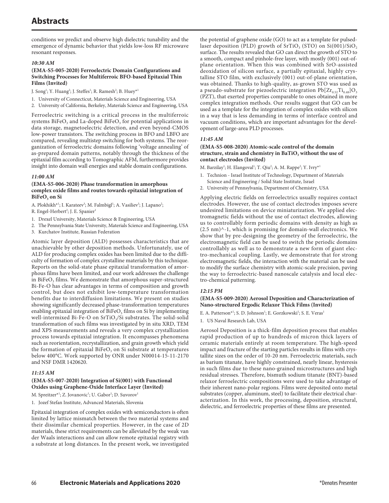conditions we predict and observe high dielectric tunability and the emergence of dynamic behavior that yields low-loss RF microwave resonant responses.

#### *10:30 AM*

#### **(EMA-S5-005-2020) Ferroelectric Domain Configurations and Switching Processes for Multiferroic BFO-based Epitaxial Thin Films (Invited)**

J. Song<sup>1</sup>; Y. Huang<sup>2</sup>; J. Steffes<sup>1</sup>; R. Ramesh<sup>2</sup>; B. Huey\*<sup>1</sup>

1. University of Connecticut, Materials Science and Engineering, USA

2. University of California, Berkeley, Materials Science and Engineering, USA

Ferroelectric switching is a critical process in the multiferroic systems  $BiFeO<sub>3</sub>$  and La-doped  $BiFeO<sub>3</sub>$  for potential applications in data storage, magnetoelectric detection, and even beyond-CMOS low-power transistors. The switching process in BFO and LBFO are compared, revealing multistep switching for both systems. The reorganization of ferroelectric domains following 'voltage annealing' of as-prepared domain patterns, notably through the thickness of the epitaxial film according to Tomographic AFM, furthermore provides insight into domain wall energies and stable domain configurations.

### *11:00 AM*

#### **(EMA-S5-006-2020) Phase transformation in amorphous complex oxide films and routes towards epitaxial integration of**  BiFeO<sub>2</sub> on Si

A. Plokhikh<sup>\*1</sup>; I. Karateev<sup>3</sup>; M. Falmbigl<sup>1</sup>; A. Vasiliev<sup>3</sup>; J. Lapano<sup>2</sup>;

R. Engel-Herbert<sup>2</sup>; J. E. Spanier<sup>1</sup>

- 1. Drexel University, Materials Science & Engineering, USA
- 2. The Pennsylvania State University, Materials Science and Engineering, USA
- 3. Kurchatov Institute, Russian Federation

Atomic layer deposition (ALD) possesses characteristics that are unachievable by other deposition methods. Unfortunately, use of ALD for producing complex oxides has been limited due to the difficulty of formation of complex crystalline materials by this technique. Reports on the solid-state phase epitaxial transformation of amorphous films have been limited, and our work addresses the challenge in BiFe $O<sub>3</sub>$  films. We demonstrate that amorphous super-structured Bi-Fe-O has clear advantages in terms of composition and growth control, but does not exhibit low-temperature transformation benefits due to interdiffusion limitations. We present on studies showing significantly decreased phase-transformation temperatures enabling epitaxial integration of  $BiFeO<sub>3</sub>$  films on Si by implementing well-intermixed Bi-Fe-O on  $SrTiO<sub>3</sub>/Si$  substrates. The solid-solid transformation of such films was investigated by in situ XRD, TEM and XPS measurements and reveals a very complex crystallization process towards epitaxial integration. It encompasses phenomena such as reorientation, recrystallization, and grain growth which yield the formation of epitaxial  $BiFeO<sub>3</sub>$  on Si substrate at temperatures below 400°C. Work supported by ONR under N00014-15-11-2170 and NSF DMR 1420620.

#### *11:15 AM*

### **(EMA-S5-007-2020) Integration of Si(001) with Functional Oxides using Graphene-Oxide Interface Layer (Invited)**

 $M$ . Spreitzer $^{\ast1}$ ; Z. Jovanovic $^{\rm l}$ ; U. Gabor $^{\rm l}$ ; D. Suvorov $^{\rm l}$ 

1. Jozef Stefan Institute, Advanced Materials, Slovenia

Epitaxial integration of complex oxides with semiconductors is often limited by lattice mismatch between the two material systems and their dissimilar chemical properties. However, in the case of 2D materials, these strict requirements can be alleviated by the weak van der Waals interactions and can allow remote epitaxial registry with a substrate at long distances. In the present work, we investigated

the potential of graphene oxide (GO) to act as a template for pulsedlaser deposition (PLD) growth of  $SrTiO<sub>3</sub> (STO)$  on  $Si(001)/SiO<sub>2</sub>$ surface. The results revealed that GO can direct the growth of STO to a smooth, compact and pinhole-free layer, with mostly (001) out-ofplane orientation. When this was combined with SrO-assisted deoxidation of silicon surface, a partially epitaxial, highly crystalline STO film, with exclusively (001) out-of-plane orientation, was obtained. Thanks to high-quality, as-grown STO was used as a pseudo-substrate for piezoelectric integration  $Pb[Zr_{0.52}Ti_{0.48}]O_3$ (PZT), that exerted properties comparable to ones obtained in more complex integration methods. Our results suggest that GO can be used as a template for the integration of complex oxides with silicon in a way that is less demanding in terms of interface control and vacuum conditions, which are important advantages for the development of large-area PLD processes.

### *11:45 AM*

## **(EMA-S5-008-2020) Atomic-scale control of the domain**  structure, strain and chemistry in BaTiO<sub>3</sub> without the use of **contact electrodes (Invited)**

M. Barzilay<sup>1</sup>; H. Elangoval<sup>1</sup>; T. Qiu<sup>2</sup>; A. M. Rappe<sup>2</sup>; Y. Ivry\*<sup>1</sup>

- 1. Technion Israel Institute of Technology, Department of Materials Science and Engineering / Solid State Institute, Israel
- 2. University of Pennsylvania, Department of Chemistry, USA

Applying electric fields on ferroelectrics usually requires contact electrodes. However, the use of contact electrodes imposes severe undesired limitations on device miniaturization. We applied electromagnetic fields without the use of contact electrodes, allowing us to controllably form periodic domains with density as high as (2.5 nm)^-1, which is promising for domain-wall electronics. We show that by pre-designing the geometry of the ferroelectric, the electromagnetic field can be used to switch the periodic domains controllably as well as to demonstrate a new form of giant electro-mechanical coupling. Lastly, we demonstrate that for strong electromagnetic fields, the interaction with the material can be used to modify the surface chemistry with atomic-scale precision, paving the way to ferroelectric-based nanoscale catalysis and local electro-chemical patterning.

## *12:15 PM*

#### **(EMA-S5-009-2020) Aerosol Deposition and Characterization of Nano-structured Ergodic Relaxor Thick Films (Invited)**

E. A. Patterson\*<sup>1</sup>; S. D. Johnson<sup>1</sup>; E. Gorzkowski<sup>1</sup>; S. E. Veras<sup>1</sup>

1. US Naval Research Lab, USA

Aerosol Deposition is a thick-film deposition process that enables rapid production of up to hundreds of micron thick layers of ceramic materials entirely at room temperature. The high-speed impact and fracture of the starting particles results in films with crystallite sizes on the order of 10-20 nm. Ferroelectric materials, such as barium titanate, have highly constrained, nearly linear, hysteresis in such films due to these nano-grained microstructures and high residual stresses. Therefore, bismuth sodium titanate (BNT)-based relaxor ferroelectric compositions were used to take advantage of their inherent nano-polar regions. Films were deposited onto metal substrates (copper, aluminum, steel) to facilitate their electrical characterization. In this work, the processing, deposition, structural, dielectric, and ferroelectric properties of these films are presented.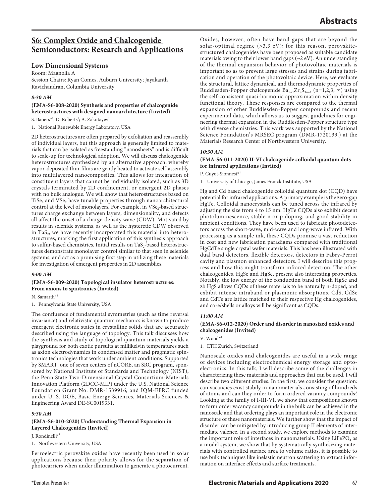## **S6: Complex Oxide and Chalcogenide Semiconductors: Research and Applications**

## **Low Dimensional Systems**

Room: Magnolia A Session Chairs: Ryan Comes, Auburn University; Jayakanth Ravichandran, Columbia University

#### *8:30 AM*

### **(EMA-S6-008-2020) Synthesis and properties of chalcogenide heterostructures with designed nanoarchitecture (Invited)**

S. Bauers\*<sup>1</sup>; D. Roberts<sup>1</sup>; A. Zakutayev<sup>1</sup>

1. National Renewable Energy Laboratory, USA

2D heterostructures are often prepared by exfoliation and reassembly of individual layers, but this approach is generally limited to materials that can be isolated as freestanding "nanosheets" and is difficult to scale-up for technological adoption. We will discuss chalcogenide heterostructures synthesized by an alternative approach, whereby vapor-deposited thin-films are gently heated to activate self-assembly into multilayered nanocomposites. This allows for integration of constituent layers that cannot be individually isolated, such as 3D crystals terminated by 2D confinement, or emergent 2D phases with no bulk analogue. We will show that heterostructures based on TiSe<sub>2</sub> and VSe<sub>2</sub> have tunable properties through nanoarchitectural control at the level of monolayers. For example, in  $VSe<sub>2</sub>$ -based structures charge exchange between layers, dimensionality, and defects all affect the onset of a charge-density wave (CDW). Motivated by results in selenide systems, as well as the hysteretic CDW observed in TaS $_{2}$ , we have recently incorporated this material into heterostructures, marking the first application of this synthesis approach to sulfur-based chemistries. Initial results on  $TaS<sub>2</sub>$ -based heterostructures demonstrate monolayer control similar to that seen in selenide systems, and act as a promising first step in utilizing these materials for investigation of emergent properties in 2D assemblies.

#### *9:00 AM*

### **(EMA-S6-009-2020) Topological insulator heterostructures: From axions to spintronics (Invited)**

N. Samarth\*1

1. Pennsylvania State University, USA

The confluence of fundamental symmetries (such as time reversal invariance) and relativistic quantum mechanics is known to produce emergent electronic states in crystalline solids that are accurately described using the language of topology. This talk discusses how the synthesis and study of topological quantum materials yields a playground for both exotic pursuits at millikelvin temperatures such as axion electrodynamics in condensed matter and pragmatic spintronics technologies that work under ambient conditions. Supported by SMART, one of seven centers of nCORE, an SRC program, sponsored by National Institute of Standards and Technology (NIST), the Penn State Two-Dimensional Crystal Consortium-Materials Innovation Platform (2DCC-MIP) under the U.S. National Science Foundation Grant No. DMR-1539916, and IQM-EFRC funded under U. S. DOE, Basic Energy Sciences, Materials Sciences & Engineering Award DE-SC0019331.

## *9:30 AM*

## **(EMA-S6-010-2020) Understanding Thermal Expansion in Layered Chalcogenides (Invited)**

J. Rondinelli\*1

1. Northwestern University, USA

Ferroelectric perovskite oxides have recently been used in solar applications because their polarity allows for the separation of photocarriers when under illumination to generate a photocurrent.

Oxides, however, often have band gaps that are beyond the solar-optimal regime (>3.3 eV); for this reason, perovskitestructured chalcogenides have been proposed as suitable candidate materials owing to their lower band gaps ( $\approx$ 2 eV). An understanding of the thermal expansion behavior of photovoltaic materials is important so as to prevent large stresses and strains during fabrication and operation of the photovoltaic device. Here, we evaluate the structural, lattice dynamical, and thermodynamic properties of Ruddlesden-Popper chalcogenide  $Ba_{n+1}Zr_{n}S_{3n+1}$  (n=1,2,3, ∞) using the self-consistent quasi-harmonic approximation within density functional theory. These responses are compared to the thermal expansion of other Ruddlesden-Popper compounds and recent experimental data, which allows us to suggest guidelines for engineering thermal expansion in the Ruddlesden-Popper structure type with diverse chemistries. This work was supported by the National Science Foundation's MRSEC program (DMR-1720139.) at the Materials Research Center of Northwestern University.

## *10:30 AM*

### **(EMA-S6-011-2020) II-VI chalcogenide colloidal quantum dots for infrared applications (Invited)**

P. Guyot-Sionnest\*1

1. University of Chicago, James Franck Institute, USA

Hg and Cd based chalcogenide colloidal quantum dot (CQD) have potential for infrared applications. A primary example is the zero-gap HgTe. Colloidal nanocrystals can be tuned across the infrared by adjusting the size from 4 to 15 nm. HgTe CQDs also exhibit decent photoluminescence, stable n or p doping, and good stability in ambient conditions. They have been used to fabricate photodetectors across the short-wave, mid-wave and long-wave infrared. With processing as a simple ink, these CQDs promise a vast reduction in cost and new fabrication paradigms compared with traditional HgCdTe single crystal wafer materials. This has been illustrated with dual band detectors, flexible detectors, detectors in Fabry-Perrot cavity and plasmon enhanced detectors. I will describe this progress and how this might transform infrared detection. The other chalcogenides, HgSe and HgSe, present also interesting properties. Notably, the low energy of the conduction band of both HgSe and zb HgS allows CQDs of these materials to be naturally n-doped, and exbibit intense intraband or plasmonic absorptions. CdS, CdSe and CdTe are lattice matched to their respective Hg chalcogenides, and core/shells or alloys will be significant as CQDs.

## *11:00 AM*

### **(EMA-S6-012-2020) Order and disorder in nanosized oxides and chalcogenides (Invited)**

V. Wood\*1

1. ETH Zurich, Switzerland

Nanoscale oxides and chalcogenides are useful in a wide range of devices including electrochemical energy storage and optoelectronics. In this talk, I will describe some of the challenges in characterizing these materials and approaches that can be used. I will describe two different studies. In the first, we consider the question: can vacancies exist stabily in nanomaterials consisting of hundreds of atoms and can they order to form ordered vacancy compounds? Looking at the family of I-III-VI, we show that compositions known to form order vacancy compounds in the bulk can be achieved in the nanoscale and that ordering plays an important role in the electronic structure of these nanomaterials. We further show that the impact of disorder can be mitigated by introducing group II elements of intermediate valence. In a second study, we explore methods to examine the important role of interfaces in nanomaterials. Using  $LiFePO<sub>4</sub>$  as a model system, we show that by systematically synthesizing materials with controlled surface area to volume ratios, it is possible to use bulk techniques like inelastic neutron scattering to extract information on interface effects and surface treatments.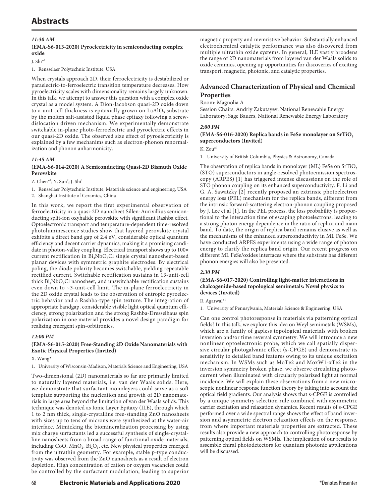## *11:30 AM*

#### **(EMA-S6-013-2020) Pyroelectricity in semiconducting complex oxide**

 $J. Shi*1$ 

#### 1. Rensselaer Polytechnic Institute, USA

When crystals approach 2D, their ferroelectricity is destabilized or paraelectric-to-ferroelectric transition temperature decreases. How pyroelectricity scales with dimensionality remains largely unknown. In this talk, we attempt to answer this question with a complex oxide crystal as a model system. A Dion-Jacobson quasi-2D oxide down to a unit cell thickness is epitaxially grown on  $LaAlO<sub>3</sub>$  substrate by the molten salt-assisted liquid phase epitaxy following a screwdislocation driven mechanism. We experimentally demonstrate switchable in-plane photo-ferroelectric and pyroelectric effects in our quasi-2D oxide. The observed size effect of pyroelectricitiy is explained by a few mechanims such as electron-phonon renormalization and phonon anharmonicity.

#### *11:45 AM*

### **(EMA-S6-014-2020) A Semiconducting Quasi-2D Bismuth Oxide Perovskite**

Z. Chen<sup>\*1</sup>; Y. Sun<sup>2</sup>; J. Shi<sup>1</sup>

1. Rensselaer Polytechnic Institute, Materials science and engineering, USA

2. Shanghai Institute of Ceramics, China

In this work, we report the first experimental observation of ferroelectricity in a quasi-2D nanosheet Sillen-Aurivillius semiconducting split-ion oxyhalide perovskite with significant Rashba effect. Optoelectronic transport and temperature-dependent time-resolved photoluminescence studies show that layered perovskite crystal exhibits a direct band gap of 2.4 eV, considerable optical quantum efficiency and decent carrier dynamics, making it a promising candidate in photon-valley coupling. Electrical transport shows up to 100× current rectification in  $Bi<sub>4</sub>NbO<sub>8</sub>Cl$  single crystal nanosheet-based planar devices with symmetric graphite electrodes. By electrical poling, the diode polarity becomes switchable, yielding repeatable rectified current. Switchable rectification sustains in 13-unit-cell thick  $Bi<sub>a</sub>NbO<sub>a</sub>Cl$  nanosheet, and unswitchable rectification sustains even down to ~3-unit-cell limit. The in-plane ferroelectricity in the 2D oxide crystal leads to the observation of entropic pyroelectric behavior and a Rashba-type spin texture. The integration of appropriate bandgap, considerable visible light optical quantum efficiency, strong polarization and the strong Rashba-Dresselhaus spin polarization in one material provides a novel design paradigm for realizing emergent spin-orbitronics.

#### *12:00 PM*

### **(EMA-S6-015-2020) Free-Standing 2D Oxide Nanomaterials with Exotic Physical Properties (Invited)**

X. Wang\*1

1. University of Wisconsin-Madison, Materials Science and Engineering, USA

Two-dimensional (2D) nanomaterials so far are primarily limited to naturally layered materials, i.e. van der Waals solids. Here, we demonstrate that surfactant monolayers could serve as a soft template supporting the nucleation and growth of 2D nanomaterials in large area beyond the limitation of van der Waals solids. This technique was denoted as Ionic Layer Epitaxy (ILE), through which 1 to 2 nm thick, single-crystalline free-standing ZnO nanosheets with sizes up to tens of microns were synthesized at the water-air interface. Mimicking the biomineralization processing by using mix charge surfactants led a successful synthesis of single-crystalline nanosheets from a broad range of functional oxide materials, including CoO,  $MnO_2$ ,  $Bi_2O_3$ , etc. New physical properties emerged from the ultrathin geometry. For example, stable p-type conductivity was observed from the ZnO nanosheets as a result of electron depletion. High concentration of cation or oxygen vacancies could be controlled by the surfactant modulation, leading to superior

## **Advanced Characterization of Physical and Chemical Properties**

#### Room: Magnolia A

Session Chairs: Andriy Zakutayev, National Renewable Energy Laboratory; Sage Bauers, National Renewable Energy Laboratory

#### *2:00 PM*

#### (EMA-S6-016-2020) Replica bands in FeSe monolayer on SrTiO<sub>3</sub> **superconductors (Invited)**

 $K Z_{\text{OII}} \star 1$ 

1. University of British Columbia, Physics & Astronomy, Canada

The observation of replica bands in monolayer (ML) FeSe on  $SrTiO<sub>3</sub>$ (STO) superconductors in angle-resolved photoemission spectroscopy (ARPES) [1] has triggered intense discussions on the role of STO phonon coupling on its enhanced superconductivity. F. Li and G. A. Sawatzky [2] recently proposed an extrinsic photoelectron energy loss (PEL) mechanism for the replica bands, different from the intrinsic forward-scattering electron-phonon coupling proposed by J. Lee et al [1]. In the PEL process, the loss probability is proportional to the interaction time of escaping photoelectrons, leading to a strong photon energy dependence in the ratio of replica and main band. To date, the origin of replica band remains elusive as well as the mechanisms of the enhanced superconductivity in ML FeSe. We have conducted ARPES experiments using a wide range of photon energy to clarify the replica band origin. Our recent progress on different ML FeSe/oxides interfaces where the substrate has different phonon energies will also be presented.

#### *2:30 PM*

### **(EMA-S6-017-2020) Controlling light-matter interactions in chalcogenide-based topological semimetals: Novel physics to devices (Invited)**

R. Agarwal\*1

1. University of Pennsylvania, Materials Science & Engineering, USA

Can one control photoresponse in materials via patterning optical fields? In this talk, we explore this idea on Weyl semimetals (WSMs), which are a family of gapless topological materials with broken inversion and/or time reversal symmetry. We will introduce a new nonlinear optoelectronic probe, which we call spatially dispersive circular photogalvanic effect (s-CPGE) and demonstrate its sensitivity to detailed band features owing to its unique excitation mechanism. In WSMs such as MoTe2 and MoxW1-xTe2 in the inversion symmetry broken phase, we observe circulating photocurrent when illuminated with circularly polarized light at normal incidence. We will explain these observations from a new microscopic nonlinear response function theory by taking into account the optical field gradients. Our analysis shows that s-CPGE is controlled by a unique symmetry selection rule combined with asymmetric carrier excitation and relaxation dynamics. Recent results of s-CPGE performed over a wide spectral range shows the effect of band inversion and asymmetric electron relaxation effects on the response, from where important materials properties are extracted. These results also provide a new approach to controlling photoresponse by patterning optical fields on WSMls. The implication of our results to assemble chiral photodetectors for quantum photonic applications will be discussed.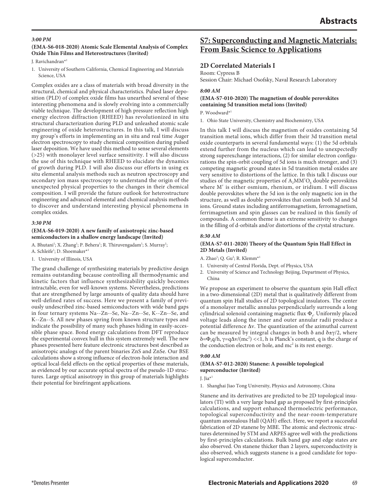#### *3:00 PM*

### **(EMA-S6-018-2020) Atomic Scale Elemental Analysis of Complex Oxide Thin Films and Heterostructures (Invited)**

J. Ravichandran\*1

1. University of Southern California, Chemical Engineering and Materials Science, USA

Complex oxides are a class of materials with broad diversity in the structural, chemical and physical characteristics. Pulsed laser deposition (PLD) of complex oxide films has unearthed several of these interesting phenomena and is slowly evolving into a commercially viable technique. The development of high pressure reflection high energy electron diffraction (RHEED) has revolutionized in situ structural characterization during PLD and unleashed atomic scale engineering of oxide heterostructures. In this talk, I will discuss my group's efforts in implementing an in situ and real time Auger electron spectroscopy to study chemical composition during pulsed laser deposition. We have used this method to sense several elements (>25) with monolayer level surface sensitivity. I will also discuss the use of this technique with RHEED to elucidate the dynamics of growth during PLD. I will also discuss our efforts in using ex situ elemental analysis methods such as neutron spectroscopy and secondary ion mass spectroscopy to understand the origin of the unexpected physical properties to the changes in their chemical composition. I will provide the future outlook for heterostructure engineering and advanced elemental and chemical analysis methods to discover and understand interesting physical phenomena in complex oxides.

#### *3:30 PM*

#### **(EMA-S6-019-2020) A new family of anisotropic zinc-based semiconductors in a shallow energy landscape (Invited)**

A. Bhutani<sup>1</sup>; X. Zhang<sup>1</sup>; P. Behera<sup>1</sup>; R. Thiruvengadam<sup>1</sup>; S. Murray<sup>1</sup>;

- A. Schleife<sup>1</sup>; D. Shoemaker<sup>\*1</sup>
- 1. University of Illinois, USA

The grand challenge of synthesizing materials by predictive design remains outstanding because controlling all thermodynamic and kinetic factors that influence synthesizability quickly becomes intractable, even for well-known systems. Nevertheless, predictions that are strengthened by large amounts of quality data should have well-defined rates of success. Here we present a family of previously undescribed zinc-based semiconductors with wide band gaps in four ternary systems Na--Zn--Se, Na--Zn--Se, K--Zn--Se, and K--Zn--S. All new phases spring from known structure types and indicate the possibility of many such phases hiding in easily-accessible phase space. Bond energy calculations from DFT reproduce the experimental convex hull in this system extremely well. The new phases presented here feature electronic structures best described as anisotropic analogs of the parent binaries ZnS and ZnSe. Our BSE calculations show a strong influence of electron-hole interaction and optical local-field effects on the optical properties of these materials, as evidenced by our accurate optical spectra of the pseudo-1D structures. Large optical anisotropy in this group of materials highlights their potential for birefringent applications.

## **S7: Superconducting and Magnetic Materials: From Basic Science to Applications**

## **2D Correlated Materials I**

Room: Cypress B

Session Chair: Michael Osofsky, Naval Research Laboratory

#### *8:00 AM*

## **(EMA-S7-010-2020) The magnetism of double perovskites containing 5d transition metal ions (Invited)**

P. Woodward\*1

1. Ohio State University, Chemistry and Biochemistry, USA

In this talk I will discuss the magnetism of oxides containing 5d transition metal ions, which differ from their 3d transition metal oxide counterparts in several fundamental ways: (1) the 5d orbitals extend further from the nucleus which can lead to unexpectedly strong superexchange interactions, (2) for similar electron configurations the spin-orbit coupling of 5d ions is much stronger, and (3) competing magnetic ground states in 5d transition metal oxides are very sensitive to distortions of the lattice. In this talk I discuss our studies of the magnetic properties of  $A_2$ MM'O<sub>6</sub> double perovskites where M′ is either osmium, rhenium, or iridium. I will discuss double perovskites where the 5d ion is the only magnetic ion in the structure, as well as double perovskites that contain both 3d and 5d ions. Ground states including antiferromagnetism, ferromagnetism, ferrimagnetism and spin glasses can be realized in this family of compounds. A common theme is an extreme sensitivity to changes in the filling of d-orbitals and/or distortions of the crystal structure.

#### *8:30 AM*

#### **(EMA-S7-011-2020) Theory of the Quantum Spin Hall Effect in 2D Metals (Invited)**

A. Zhao<sup>1</sup>; Q. Gu<sup>2</sup>; R. Klemm<sup>\*1</sup>

- 1. University of Central Florida, Dept. of Physics, USA
- 2. University of Science and Technology Beijing, Department of Physics, China

We propose an experiment to observe the quantum spin Hall effect in a two-dimensional (2D) metal that is qualitatively different from quantum spin Hall studies of 2D topological insulators. The center of a monolayer metallic annulus perpendicularly surrounds a long cylindrical solenoid containing magnetic flux Φ<sub>s</sub>. Uniformly placed voltage leads along the inner and outer annular radii produce a potential difference Δv. The quantization of the azimuthal current can be measured by integral changes in both  $\delta$  and  $\delta \pm \gamma/2$ , where δ=Φsq/h, γ=qΔv/(mc2 ) <<1, h is Planck's constant, q is the charge of the conduction electron or hole, and  $mc^2$  is its rest energy.

#### *9:00 AM*

#### **(EMA-S7-012-2020) Stanene: A possible topological superconductor (Invited)**

J. Jia\*1

1. Shanghai Jiao Tong University, Physics and Astronomy, China

Stanene and its derivatives are predicted to be 2D topological insulators (TI) with a very large band gap as proposed by first-principles calculations, and support enhanced thermoelectric performance, topological superconductivity and the near-room-temperature quantum anomalous Hall (QAH) effect. Here, we report a successful fabrication of 2D stanene by MBE. The atomic and electronic structures determined by STM and ARPES agree well with the predictions by first-principles calculations. Bulk band gap and edge states are also observed. On stanene thicker than 2 layers, superconductivity is also observed, which suggests stanene is a good candidate for topological superconductor.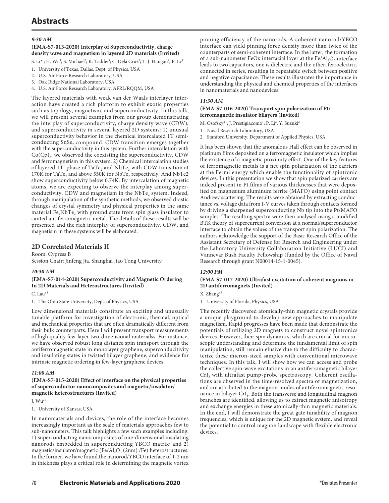# **Abstracts**

### *9:30 AM*

#### **(EMA-S7-013-2020) Interplay of Superconductivity, charge density wave and magnetism in layered 2D materials (Invited)**

S. Li\*<sup>1</sup>; H. Wu<sup>1</sup>; S. Michael<sup>2</sup>; K. Taddei<sup>3</sup>; C. Dela Cruz<sup>3</sup>; T. J. Haugan<sup>4</sup>; B. Lv<sup>1</sup>

- 1. University of Texas, Dallas, Dept. of Physics, USA
- 2. U.S. Air Force Research Laboratory, USA
- 3. Oak Ridge National Laboratory, USA
- 4. U.S. Air Force Research Laboratory, AFRL/RQQM, USA

The layered materials with weak van der Waals interlayer interaction have created a rich platform to exhibit exotic properties such as topology, magnetism, and superconductivity. In this talk, we will present several examples from our group demonstrating the interplay of superconductivity, charge density wave (CDW), and superconductivity in several layered 2D systems: 1) unusual superconductivity behavior in the chemical intercalated 1T semiconducting SnSe, compound. CDW transition emerges together with the superconductivity in this system. Further intercalation with  $Co(Cp)$ , we observed the coexisting the superconductivity, CDW and ferromagnetism in this system. 2) Chemical intercalation studies of layered 1T' phase of  $TaTe_2$  and  $NbTe_2$  with CDW transition at 170K for TaTe<sub>2</sub> and above 550K for NbTe<sub>2</sub> respectively. And NbTe2 show superconductivity below 0.74K. By intercalation of magnetic atoms, we are expecting to observe the interplay among superconductivity, CDW and magnetism in the NbTe, system. Indeed, through manipulation of the synthetic methods, we observed drastic changes of crystal symmetry and physical properties in the same material  $Fe<sub>x</sub>NbTe<sub>2</sub>$  with ground state from spin glass insulator to canted antiferromagnetic metal. The details of these results will be presented and the rich interplay of superconductivity, CDW, and magnetism in these systems will be elaborated.

## **2D Correlated Materials II**

Room: Cypress B Session Chair: Jinfeng Jia, Shanghai Jiao Tong University

#### *10:30 AM*

## **(EMA-S7-014-2020) Superconductivity and Magnetic Ordering In 2D Materials and Heterostructures (Invited)**

C. Lau\*1

1. The Ohio State University, Dept. of Physics, USA

Low dimensional materials constitute an exciting and unusually tunable platform for investigation of electronic, thermal, optical and mechanical properties that are often dramatically different from their bulk counterparts. Here I will present transport measurements of high quality few-layer two-dimensional materialss. For instance, we have observed robust long distance spin transport through the antiferromagnetic state in monolayer graphene, superconducitivity and insulating states in twisted bilayer graphene, and evidence for intrinsic magnetic ordering in few-layer graphene devices.

#### *11:00 AM*

### **(EMA-S7-015-2020) Effect of interface on the physical properties of superconductor nanocomposites and magnetic/insulator/ magnetic heterostructures (Invited)**

J.  $Wu^{*1}$ 

1. University of Kansas, USA

In nanomaterials and devices, the role of the interface becomes increasingly important as the scale of materials approaches few to sub-nanometers. This talk highlights a few such examples including: 1) superconducting nanocomposites of one-dimensional insulating nanorods embedded in superconducting YBCO matrix; and 2) magnetic/insulator/magnetic (Fe/Al<sub>2</sub>O<sub>3</sub> (2nm) /Fe) heterostructures. In the former, we have found the nanorod/YBCO interface of 1-2 nm in thickness plays a critical role in determining the magnetic vortex pinning efficiency of the nanorods. A coherent nanorod/YBCO interface can yield pinning force density more than twice of the counterparts of semi-coherent interface. In the latter, the formation of a sub-nanometer FeOx interfacial layer at the Fe/Al<sub>2</sub>O<sub>3</sub> interface leads to two capacitors, one is dielectric and the other, ferroelectric, connected in series, resulting in repeatable switch between positive and negative capacitance. These results illustrates the importance in understanding the physical and chemical properties of the interfaces in nanomaterials and nanodevices.

### *11:30 AM*

#### **(EMA-S7-016-2020) Transport spin polarization of Pt/ ferromagnetic insulator bilayers (Invited)**

- M. Osofsky\*<sup>1</sup>; J. Prestigiacomo<sup>1</sup>; P. Li<sup>2</sup>; Y. Suzuki<sup>2</sup>
- 1. Naval Research Laboratory, USA
- 2. Stanford University, Department of Applied Physics, USA

It has been shown that the anomalous Hall effect can be observed in platinum films deposited on a ferromagnetic insulator which implies the existence of a magnetic proximity effect. One of the key features of ferromagnetic metals is a net spin polarization of the carriers at the Fermi energy which enable the functionality of spintronic devices. In this presentation we show that spin polarized carriers are indeed present in Pt films of various thicknesses that were deposited on magnesium aluminum ferrite (MAFO) using point contact Andreev scattering. The results were obtained by extracting conductance vs. voltage data from I-V curves taken through contacts formed by driving a sharpened superconducting Nb tip into the Pt/MAFO samples. The resulting spectra were then analysed using a modified BTK theory of supercurrent conversion at a normal/superconductor interface to obtain the values of the transport spin polarization. The authors acknowledge the support of the Basic Research Office of the Assistant Secretary of Defense for Reserch and Engineering under the Laboratory University Collaboration Initiative (LUCI) and Vannevar Bush Faculty Fellowship (funded by the Office of Naval Research through grant N00014-15-1-0045).

#### *12:00 PM*

### **(EMA-S7-017-2020) Ultrafast excitation of coherent magnons in 2D antiferromagnets (Invited)**

X. Zhang\*1

1. University of Florida, Physics, USA

The recently discovered atomically-thin magnetic crystals provide a unique playground to develop new approaches to manipulate magnetism. Rapid progresses have been made that demonstrate the potentials of utilizing 2D magnets to construct novel spintronics devices. However, their spin dynamics, which are crucial for microscopic understanding and determine the fundamental limit of spin manipulation, still remain elusive due to the difficulty to characterize these micron-sized samples with conventional microwave techniques. In this talk, I will show how we can access and probe the collective spin-wave excitations in an antiferromagnetic bilayer  $CrI<sub>3</sub>$  with ultrafast pump-probe spectroscopy. Coherent oscillations are observed in the time-resolved spectra of magnetization, and are attributed to the magnon modes of antiferromagnetic resonance in bilayer CrI<sub>3</sub>. Both the transverse and longitudinal magnon branches are identified, allowing us to extract magnetic anisotropy and exchange energies in these atomically-thin magnetic materials. In the end, I will demonstrate the great gate tunability of magnon frequencies, which is unique for the 2D magnetic system, and reveal the potential to control magnon landscape with flexible electronic devices.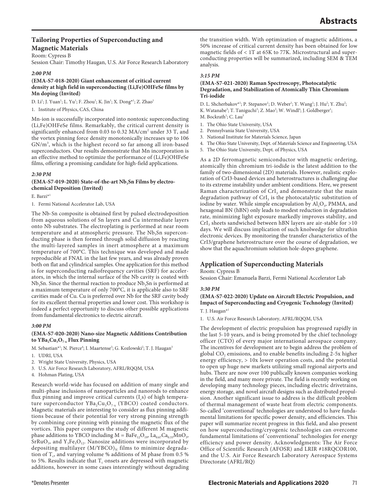## **Tailoring Properties of Superconducting and Magnetic Materials**

Room: Cypress B

Session Chair: Timothy Haugan, U.S. Air Force Research Laboratory

### *2:00 PM*

#### **(EMA-S7-018-2020) Giant enhancement of critical current density at high field in superconducting (Li,Fe)OHFeSe films by Mn doping (Invited)**

D. Li<sup>1</sup>; J. Yuan<sup>1</sup>; L. Yu<sup>1</sup>; F. Zhou<sup>1</sup>; K. Jin<sup>1</sup>; X. Dong\*<sup>1</sup>; Z. Zhao<sup>1</sup>

1. Institute of Physics, CAS, China

Mn-ion is successfully incorporated into nontoxic superconducting (Li,Fe)OHFeSe films. Remarkably, the critical current density is significantly enhanced from 0.03 to 0.32 MA/cm<sup>2</sup> under 33 T, and the vortex pinning force density monotonically increases up to 106 GN/m<sup>3</sup>, which is the highest record so far among all iron-based superconductors. Our results demonstrate that Mn incorporation is an effective method to optimize the performance of (Li,Fe)OHFeSe films, offering a promising candidate for high-field applications.

#### *2:30 PM*

### (EMA-S7-019-2020) State-of-the-art Nb<sub>3</sub>Sn Films by electro**chemical Deposition (Invited)**

E. Barzi\*1

1. Fermi National Accelerator Lab, USA

The Nb-Sn composite is obtained first by pulsed electrodeposition from aqueous solutions of Sn layers and Cu intermediate layers onto Nb substrates. The electroplating is performed at near room temperature and at atmospheric pressure. The  $Nb<sub>3</sub>Sn$  superconducting phase is then formed through solid diffusion by reacting the multi-layered samples in inert atmosphere at a maximum temperature of 700°C. This technique was developed and made reproducible at FNAL in the last few years, and was already proven both on flat and cylindrical samples. One application for this method is for superconducting radiofrequency cavities (SRF) for accelerators, in which the internal surface of the Nb cavity is coated with  $Nb<sub>3</sub>Sn$ . Since the thermal reaction to produce  $Nb<sub>3</sub>Sn$  is performed at a maximum temperature of only 700°C, it is applicable also to SRF cavities made of Cu. Cu is preferred over Nb for the SRF cavity body for its excellent thermal properties and lower cost. This workshop is indeed a perfect opportunity to discuss other possible applications from fundamental electronics to electric aircraft.

#### *3:00 PM*

### **(EMA-S7-020-2020) Nano-size Magnetic Additions Contribution**  to YBa<sub>2</sub>Cu<sub>3</sub>O<sub>7-x</sub> Flux Pinning

M. Sebastian\*<sup>1</sup>; N. Pierce<sup>4</sup>; I. Maartense<sup>3</sup>; G. Kozlowski<sup>2</sup>; T. J. Haugan<sup>3</sup>

- 1. UDRI, USA
- 2. Wright State University, Physics, USA
- 3. U.S. Air Force Research Laboratory, AFRL/RQQM, USA
- 4. Hohman Plating, USA

Research world-wide has focused on addition of many single and multi-phase inclusions of nanoparticles and nanorods to enhance flux pinning and improve critical currents  $(I_s)$  of high temperature superconductor  $YBa_2Cu_3O_{7-x}$  (YBCO) coated conductors. Magnetic materials are interesting to consider as flux pinning additions because of their potential for very strong pinning strength by combining core pinning with pinning the magnetic flux of the vortices. This paper compares the study of different M magnetic phase additions to YBCO including  $M = BaFe_{12}O_{19}$ ,  $La_{0.67}Ca_{0.33}MnO_3$ ,  $\rm SrRuO_3$ , and  $\rm Y_3Fe_5O_{12}$ . Nanosize additions were incorporated by depositing multilayer  $(M/YBCO)_{N}$  films to minimize degradation of  $T_c$ , and varying volume % additions of M phase from 0.5 % to 5%. Results indicate that  $T_c$  onsets are depressed with magnetic additions, however in some cases interestingly without degrading

the transition width. With optimization of magnetic additions, a 50% increase of critical current density has been obtained for low magnetic fields of < 1T at 65K to 77K. Microstructural and superconducting properties will be summarized, including SEM & TEM analysis.

#### *3:15 PM*

#### **(EMA-S7-021-2020) Raman Spectroscopy, Photocatalytic Degradation, and Stabilization of Atomically Thin Chromium Tri-iodide**

- D. L. Shcherbakov\*<sup>1</sup>; P. Stepanov<sup>1</sup>; D. Weber<sup>1</sup>; Y. Wang<sup>1</sup>; J. Hu<sup>2</sup>; Y. Zhu<sup>2</sup>;
- K. Watanabe<sup>3</sup>; T. Taniguchi<sup>3</sup>; Z. Mao<sup>2</sup>; W. Windl<sup>4</sup>; J. Goldberger<sup>1</sup>;
- M. Bockrath<sup>1</sup>; C. Lau<sup>5</sup>
- 1. The Ohio State University, USA
- 2. Pennsylvania State University, USA
- 3. National Institute for Materials Science, Japan
- 4. The Ohio State University, Dept. of Materials Science and Engineering, USA
- 5. The Ohio State University, Dept. of Physics, USA

As a 2D ferromagnetic semiconductor with magnetic ordering, atomically thin chromium tri-iodide is the latest addition to the family of two-dimensional (2D) materials. However, realistic exploration of CrI3-based devices and heterostructures is challenging due to its extreme instability under ambient conditions. Here, we present Raman characterization of  $CrI<sub>3</sub>$  and demonstrate that the main degradation pathway of  $\text{CrI}_3$  is the photocatalytic substitution of iodine by water. While simple encapsulation by  $\text{Al}_2\text{O}_3$ , PMMA, and hexagonal BN (hBN) only leads to modest reduction in degradation rate, minimizing light exposure markedly improves stability, and  $CrI<sub>3</sub>$  sheets sandwiched between hBN layers are air-stable for  $>10$ days. We will discuss implication of such knolwedge for ultrathin electronic devices. By monitoring the transfer characteristics of the CrI3/graphene heterostructure over the course of degradation, we show that the aquachromium solution hole-dopes graphene.

## **Application of Superconducting Materials**

#### Room: Cypress B Session Chair: Emanuela Barzi, Fermi National Accelerator Lab

## *3:30 PM* **(EMA-S7-022-2020) Update on Aircraft Electric Propulsion, and**

**Impact of Superconducting and Cryogenic Technology (Invited)** T. J. Haugan\*1

1. U.S. Air Force Research Laboratory, AFRL/RQQM, USA

The development of electric propulsion has progressed rapidly in the last 5-10 years, and is being promoted by the chief technology officer (CTO) of every major international aerospace company. The incentives for development are to begin address the problem of global CO<sub>2</sub> emissions, and to enable benefits including 2-5x higher energy efficiency, > 10x lower operation costs, and the potential to open up huge new markets utilizing small regional airports and hubs. There are now over 100 publically known companies working in the field, and many more private. The field is recently working on developing many technology pieces, including electric drivetrains, energy storage, and novel aircraft designs such as distributed propulsion. Another significant issue to address is the difficult problem of thermal management of waste heat from electric components. So-called 'conventional' technologies are understood to have fundamental limitations for specific power density, and efficiencies. This paper will summarize recent progress in this field, and also present on how superconducting/cryogenic technologies can overcome fundamental limitations of 'conventional' technologies for energy efficiency and power density. Acknowledgments: The Air Force Office of Scientific Research (AFOSR) and LRIR #18RQCOR100, and the U.S. Air Force Research Laboratory Aerospace Systems Directorate (AFRL/RQ)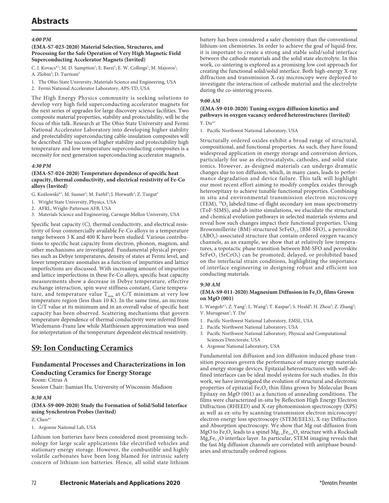# **Abstracts**

### *4:00 PM*

#### **(EMA-S7-023-2020) Material Selection, Structures, and Processing for the Safe Operation of Very High Magnetic Field Superconducting Accelerator Magnets (Invited)**

C. J. Kovacs<sup>\*1</sup>; M. D. Sumption<sup>1</sup>; E. Barzi<sup>1</sup>; E. W. Collings<sup>1</sup>; M. Majoros<sup>1</sup>; A. Zlobin<sup>2</sup>; D. Turrioni<sup>2</sup>

- 1. The Ohio State University, Materials Science and Engineering, USA
- 2. Fermi National Accelerator Laboratory, APS-TD, USA

The High Energy Physics community is seeking solutions to develop very high field superconducting accelerator magnets for the next series of upgrades for large discovery science facilities. Two composite material properties, stability and protectability, will be the focus of this talk. Research at The Ohio State University and Fermi National Accelerator Laboratory into developing higher stability and protectability superconducting cable-insulation composites will be described. The success of higher stability and protectability high temperature and low temperature superconducting composites is a necessity for next generation superconducting accelerator magnets.

#### *4:30 PM*

#### **(EMA-S7-024-2020) Temperature dependence of specific heat capacity, thermal conductivity, and electrical resistivity of Fe-Co alloys (Invited)**

G. Kozlowski\*<sup>1</sup>; M. Susner<sup>2</sup>; M. Farfel<sup>3</sup>; J. Horwath<sup>2</sup>; Z. Turgut<sup>2</sup>

- 1. Wright State University, Physics, USA
- 2. AFRL, Wright-Patterson AFB, USA
- 3. Materials Science and Engineering, Carnegie Mellon University, USA

Specific heat capacity (C), thermal conductivity, and electrical resistivity of four commercially available Fe-Co alloys in a temperature range between 3 K and 400 K have been studied. Various contributions to specific heat capacity from electron, phonon, magnon, and other mechanisms are investigated. Fundamental physical properties such as Debye temperatures, density of states at Fermi level, and lower temperature anomalies as a function of impurities and lattice imperfections are discussed. With increasing amount of impurities and lattice imperfections in these Fe-Co alloys, specific heat capacity measurements show a decrease in Debye temperature, effective exchange interaction, spin wave stiffness constant, Curie temperature, and temperature value  $T_{min}$  at C/T minimum at very low temperature region (less than 10 K). In the same time, an increase in C/T value at its minimum and in an overall value of specific heat capacity has been observed. Scattering mechanisms that govern temperature dependence of thermal conductivity were inferred from Wiedemann-Franz law while Matthiessen approximation was used for interpretation of the temperature dependent electrical resistivity.

## **S9: Ion Conducting Ceramics**

## **Fundamental Processes and Characterizations in Ion Conducting Ceramics for Energy Storage**

Room: Citrus A

Session Chair: Jiamian Hu, University of Wisconsin-Madison

#### *8:30 AM*

### **(EMA-S9-009-2020) Study the Formation of Solid/Solid Interface using Synchrotron Probes (Invited)**

#### Z. Chen\*1

1. Argonne National Lab, USA

Lithium ion batteries have been considered most promising technology for large scale applications like electrified vehicles and stationary energy storage. However, the combustible and highly volatile carbonates have been long blamed for intrinsic safety concern of lithium-ion batteries. Hence, all solid state lithium

battery has been considered a safer chemistry than the conventional lithium-ion chemistries. In order to achieve the goal of liquid-free, it is important to create a strong and stable solid/solid interface between the cathode materials and the solid state electrolyte. In this work, co-sintering is explored as a promising low cost approach for creating the functional solid/solid interface. Both high-energy X-ray diffraction and transmission X-ray microscopy were deployed to investigate the interaction of cathode material and the electrolyte during the co-sintering process.

### *9:00 AM*

#### **(EMA-S9-010-2020) Tuning oxygen diffusion kinetics and pathways in oxygen vacancy ordered heterostructures (Invited)**  $Y.$  Du\*<sup>1</sup>

1. Pacific Northwest National Laboratory, USA

Structurally ordered oxides exhibit a broad range of structural, compositional, and functional properties. As such, they have found widespread application in energy storage and conversion devices, particularly for use as electrocatalysts, cathodes, and solid state ionics. However, as-designed materials can undergo dramatic changes due to ion diffusion, which, in many cases, leads to performance degradation and device failure. This talk will highlight our most recent effort aiming to modify complex oxides through heteroepitaxy to achieve tunable functional properties. Combining in situ and environmental transmission electron microscopy (TEM),  ${}^{18}O_2$  labeled time-of-flight secondary ion mass spectrometry (ToF-SIMS), and ab initio simulations, we elucidate the structural and chemical evolution pathways in selected materials systems and reveal how such changes impact their functional properties. Using Brownmillerite (BM)-structured  $S$ rFeO<sub>2.5</sub> (BM-SFO), a perovskite  $(ABO<sub>3</sub>)$ -associated structure that contain ordered oxygen vacancy channels, as an example, we show that at relatively low temperatures, a topotactic phase transition between BM-SFO and perovskite  $SrFeO<sub>3</sub>$  (SrCrO<sub>3</sub>) can be promoted, delayed, or prohibited based on the interfacial strain conditions, highlighting the importance of interface engineering in designing robust and efficient ion conducting materials.

#### *9:30 AM*

#### (EMA-S9-011-2020) Magnesium Diffusion in Fe<sub>3</sub>O<sub>4</sub> films Grown **on MgO (001)**

L. Wangoh\*<sup>1</sup>; Z. Yang<sup>1</sup>; L. Wang<sup>2</sup>; T. Kaspar<sup>3</sup>; S. Heald<sup>4</sup>; H. Zhou<sup>4</sup>; Z. Zhang<sup>4</sup>; V. Murugesan<sup>1</sup>; Y. Du<sup>2</sup>

- 1. Pacific Northwest National Laboratory, EMSL, USA
- 2. Pacific Northwest National Laboratory, USA
- 3. Pacific Northwest National Laboratory, Physical and Computational Sciences Directorate, USA
- 4. Argonne National Laboratory, USA

Fundamental ion diffusion and ion diffusion induced phase transition processes govern the performance of many energy materials and energy storage devices. Epitaxial heterostructures with well-defined interfaces can be ideal model systems for such studies. In this work, we have investigated the evolution of structural and electronic properties of epitaxial  $Fe<sub>3</sub>O<sub>4</sub>$  thin films grown by Molecular Beam Epitaxy on MgO (001) as a function of annealing conditions. The films were characterized in-situ by Reflection High Energy Electron Diffraction (RHEED) and X-ray photoemission spectroscopy (XPS) as well as ex-situ by scanning transmission electron microscopy/ electron energy loss spectroscopy (STEM/EELS), X-ray Diffraction and Absorption spectroscopy. We show that Mg out-diffusion from MgO to Fe<sub>3</sub>O<sub>4</sub> leads to a spinel  $Mg_{1-x}Fe_{2+x}O_4$  structure with a Rocksalt  $Mg_yFe_{1-y}O$  interface layer. In particular, STEM imaging reveals that the fast Mg diffusion channels are correlated with antiphase boundaries and structurally ordered regions.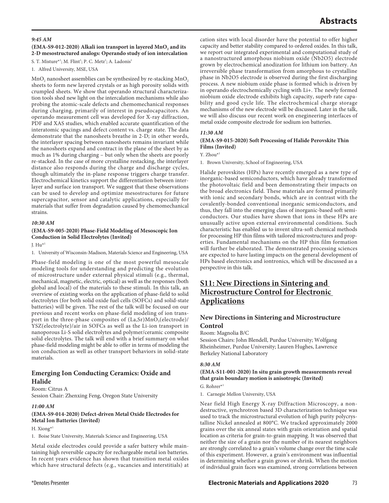#### *9:45 AM*

#### (EMA-S9-012-2020) Alkali ion transport in layered MnO<sub>2</sub> and its **2-D mesostructured analogs: Operando study of ion intercalation**

S. T. Misture\*<sup>1</sup>; M. Flint<sup>1</sup>; P. C. Metz<sup>1</sup>; A. Ladonis<sup>1</sup>

1. Alfred University, MSE, USA

 $MnO<sub>2</sub>$  nanosheet assemblies can be synthesized by re-stacking  $MnO<sub>2</sub>$ sheets to form new layered crystals or as high porosity solids with crumpled sheets. We show that operando structural characterization tools shed new light on the intercalation mechanisms while also probing the atomic-scale defects and chemomechanical responses during charging, primarily of interest in pseudocapacitors. An operando measurement cell was developed for X-ray diffraction, PDF and XAS studies, which enabled accurate quantification of the interatomic spacings and defect content vs. charge state. The data demonstrate that the nanosheets breathe in 2-D; in other words, the interlayer spacing between nanosheets remains invariant while the nanosheets expand and contract in the plane of the sheet by as much as 1% during charging – but only when the sheets are poorly re-stacked. In the case of more crystalline restacking, the interlayer distance also responds during the charge and discharge cycles, though ultimately the in-plane response triggers charge transfer. Electrochemical kinetics support the differentiation between interlayer and surface ion transport. We suggest that these observations can be used to develop and optimize mesostructures for future supercapacitor, sensor and catalytic applications, especially for materials that suffer from degradation caused by chemomechanical strains.

#### *10:30 AM*

#### **(EMA-S9-005-2020) Phase-Field Modeling of Mesoscopic Ion Conduction in Solid Electrolytes (Invited)**

J.  $Hu^*$ 

1. University of Wisconsin-Madison, Materials Science and Engineering, USA

Phase-field modeling is one of the most powerful mesoscale modeling tools for understanding and predicting the evolution of microstructure under external physical stimuli (e.g., thermal, mechanical, magnetic, electric, optical) as well as the responses (both global and local) of the materials to these stimuli. In this talk, an overview of existing works on the application of phase-field to solid electrolytes (for both solid oxide fuel cells (SOFCs) and solid-state batteries) will be given. The rest of the talk will be focused on our previous and recent works on phase-field modeling of ion transport in the three-phase composites of  $(La, Sr)MnO<sub>3</sub>(electrode)/$ YSZ(electrolyte)/air in SOFCs as well as the Li-ion transport in nanoporous Li-S solid electrolytes and polymer/ceramic composite solid electrolytes. The talk will end with a brief summary on what phase-field modeling might be able to offer in terms of modeling the ion conduction as well as other transport behaviors in solid-state materials.

### **Emerging Ion Conducting Ceramics: Oxide and Halide**

### Room: Citrus A

Session Chair: Zhenxing Feng, Oregon State University

#### *11:00 AM*

#### **(EMA-S9-014-2020) Defect-driven Metal Oxide Electrodes for Metal Ion Batteries (Invited)**

#### H. Xiong\*1

1. Boise State University, Materials Science and Engineering, USA

Metal oxide electrodes could provide a safer battery while maintaining high reversible capacity for rechargeable metal ion batteries. In recent years evidence has shown that transition metal oxides which have structural defects (e.g., vacancies and interstitials) at cation sites with local disorder have the potential to offer higher capacity and better stability compared to ordered oxides. In this talk, we report our integrated experimental and computational study of a nanostructured amorphous niobium oxide (Nb2O5) electrode grown by electrochemical anodization for lithium ion battery. An irreversible phase transformation from amorphous to crystalline phase in Nb2O5 electrode is observed during the first discharging process. A new niobium oxide phase is formed which is driven by in operando electrochemically cycling with Li+. The newly formed niobium oxide electrode exhibits high capacity, superb rate capability and good cycle life. The electrochemical charge storage mechanisms of the new electrode will be discussed. Later in the talk, we will also discuss our recent work on enegineering interfaces of metal oxide composite electrode for sodium ion batteries.

#### *11:30 AM*

#### **(EMA-S9-015-2020) Soft Processing of Halide Perovskite Thin Films (Invited)**

Y. Zhou\*1

1. Brown University, School of Engineering, USA

Halide perovskites (HPs) have recently emerged as a new type of inorganic-based semiconductors, which have already transformed the photovoltaic field and been demonstrating their impacts on the broad electronics field. These materials are formed primarily with ionic and secondary bonds, which are in contrast with the covalently-bonded conventional inorganic semiconductors, and thus, they fall into the emerging class of inorganic-based soft semiconductors. Our studies have shown that ions in these HPs are unusually active upon external environmental conditions. Such characteristic has enabled us to invent ultra-soft chemical methods for processing HP thin films with tailored microstructures and properties. Fundamental mechanisms on the HP thin film formation will further be elaborated. The demonstrated processing sciences are expected to have lasting impacts on the general development of HPs based electronics and iontronics, which will be discussed as a perspective in this talk.

# **S11: New Directions in Sintering and Microstructure Control for Electronic Applications**

### **New Directions in Sintering and Microstructure Control**

#### Room: Magnolia B/C

Session Chairs: John Blendell, Purdue University; Wolfgang Rheinheimer, Purdue University; Lauren Hughes, Lawrence Berkeley National Laboratory

#### *8:30 AM*

#### **(EMA-S11-001-2020) In situ grain growth measurements reveal that grain boundary motion is anisotropic (Invited)**

G. Rohrer\*<sup>1</sup>

1. Carnegie Mellon University, USA

Near field High Energy X-ray Diffraction Microscopy, a nondestructive, synchrotron based 3D characterization technique was used to track the microstructural evolution of high purity polycrystalline Nickel annealed at 800°C. We tracked approximately 2000 grains over the six anneal states with grain orientation and spatial location as criteria for grain-to-grain mapping. It was observed that neither the size of a grain nor the number of its nearest neighbors are strongly correlated to a grain's volume change over the time scale of this experiment. However, a grain's environment was influential in determining whether a grain grows or shrink. When the motion of individual grain faces was examined, strong correlations between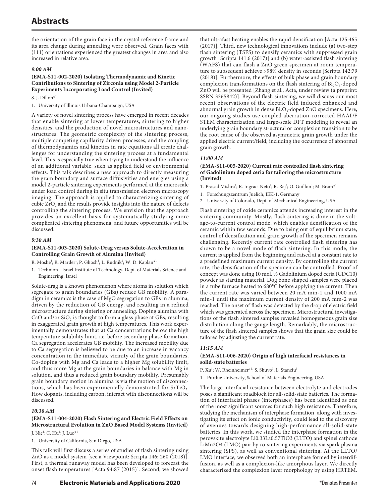the orientation of the grain face in the crystal reference frame and its area change during annealing were observed. Grain faces with (111) orientations experienced the greatest changes in area and also increased in relative area.

#### *9:00 AM*

#### **(EMA-S11-002-2020) Isolating Thermodynamic and Kinetic Contributions to Sintering of Zirconia using Model 2-Particle Experiments Incorporating Load Control (Invited)**

S. J. Dillon\*1

1. University of Illinois Urbana-Champaign, USA

A variety of novel sintering process have emerged in recent decades that enable sintering at lower temperatures, sintering to higher densities, and the production of novel microstructures and nanostructures. The geometric complexity of the sintering process, multiple competing capillarity driven processes, and the coupling of thermodynamics and kinetics in rate equations all create challenges for understanding the sintering process at a fundamental level. This is especially true when trying to understand the influence of an additional variable, such as applied field or environmental effects. This talk describes a new approach to directly measuring the grain boundary and surface diffusivities and energies using a model 2-particle sintering experiments performed at the microscale under load control during in situ transmission electron microscopy imaging. The approach is applied to characterizing sintering of cubic  $ZrO<sub>2</sub>$  and the results provide insights into the nature of defects controlling the sintering process. We envision that the approach provides an excellent basis for systematically studying more complicated sintering phenomena, and future opportunities will be discussed.

#### *9:30 AM*

#### **(EMA-S11-003-2020) Solute-Drag versus Solute-Acceleration in Controlling Grain Growth of Alumina (Invited)**

R. Moshe<sup>1</sup>; R. Marder<sup>1</sup>; P. Ghosh<sup>1</sup>; L. Rudnik<sup>1</sup>; W. D. Kaplan<sup>\*1</sup>

1. Technion - Israel Institute of Technology, Dept. of Materials Science and Engineering, Israel

Solute-drag is a known phenomenon where atoms in solution which segregate to grain boundaries (GBs) reduce GB mobility. A paradigm in ceramics is the case of MgO segregation to GBs in alumina, driven by the reduction of GB energy, and resulting in a refined microstructure during sintering or annealing. Doping alumina with CaO and/or  $SiO<sub>2</sub>$  is thought to form a glass phase at GBs, resulting in exaggerated grain growth at high temperatures. This work experimentally demonstrates that at Ca concentrations below the high temperature solubility limit, i.e. before secondary phase formation, Ca segregation accelerates GB mobility. The increased mobility due to Ca segregation is believed to be due to an increase in vacancy concentration in the immediate vicinity of the grain boundaries. Co-doping with Mg and Ca leads to a higher Mg solubility limit, and thus more Mg at the grain boundaries in balance with Mg in solution, and thus a reduced grain boundary mobility. Presumably grain boundary motion in alumina is via the motion of disconnections, which has been experimentally demonstrated for  $SrTiO<sub>3</sub>$ . How dopants, including carbon, interact with disconnections will be discussed.

#### *10:30 AM*

#### **(EMA-S11-004-2020) Flash Sintering and Electric Field Effects on Microstructural Evolution in ZnO Based Model Systems (Invited)**

J. Nie<sup>1</sup>; C. Hu<sup>1</sup>; J. Luo<sup>\*1</sup>

1. University of California, San Diego, USA

This talk will first discuss a series of studies of flash sintering using ZnO as a model system [see a Viewpoint: Scripta 146: 260 (2018)]. First, a thermal runaway model has been developed to forecast the onset flash temperatures [Acta 94:87 (2015)]. Second, we showed

that ultrafast heating enables the rapid densification [Acta 125:465 (2017)]. Third, new technological innovations include (a) two-step flash sintering (TSFS) to densify ceramics with suppressed grain growth [Scripta 141:6 (2017)] and (b) water-assisted flash sintering (WAFS) that can flash a ZnO green specimen at room temperature to subsequent achieve >98% density in seconds [Scripta 142:79 (2018)]. Furthermore, the effects of bulk phase and grain boundary complexion transformations on the flash sintering of  $Bi<sub>2</sub>O<sub>3</sub>$ -doped ZnO will be presented [Zhang et al., Acta, under review (a preprint: SSRN 3365842)]. Beyond flash sintering, we will discuss our most recent observations of the electric field induced enhanced and abnormal grain growth in dense  $Bi_2O_3$ -doped ZnO specimens. Here, our ongoing studies use coupled aberration-corrected HAADF STEM characterization and large-scale DFT modeling to reveal an underlying grain boundary structural or complexion transition to be the root cause of the observed asymmetric grain growth under the applied electric current/field, including the occurrence of abnormal grain growth.

#### *11:00 AM*

#### **(EMA-S11-005-2020) Current rate controlled flash sintering of Gadolinium doped ceria for tailoring the microstructure (Invited)**

- T. Prasad Mishra<sup>1</sup>; R. Ingraci Neto<sup>2</sup>; R. Raj<sup>2</sup>; O. Guillon<sup>1</sup>; M. Bram\*<sup>1</sup>
- 1. Forschungszentrum Juelich, IEK-1, Germany
- 2. University of Colorado, Dept. of Mechanical Engineering, USA

Flash sintering of oxide ceramics attends increasing interest in the sintering community. Mostly, flash sintering is done in the voltage-to-current control mode, which enables densification of the ceramic within few seconds. Due to being out of equilibrium state, control of densification and grain growth of the specimen remains challenging. Recently current rate controlled flash sintering has shown to be a novel mode of flash sintering. In this mode, the current is applied from the beginning and raised at a constant rate to a predefined maximum current density. By controlling the current rate, the densification of the specimen can be controlled. Proof of concept was done using 10 mol. % Gadolinium doped ceria (GDC10) powder as starting material. Dog bone shaped samples were placed in a tube furnace heated to 680°C before applying the current. Then the current rate was varied between 20 mA min-1 and 1000 mA min-1 until the maximum current density of 200 mA mm-2 was reached. The onset of flash was detected by the drop of electric field which was generated across the specimen. Microstructural investigations of the flash sintered samples revealed homogeneous grain size distribution along the gauge length. Remarkably, the microstructure of the flash sintered samples shows that the grain size could be tailored by adjusting the current rate.

#### *11:15 AM*

#### **(EMA-S11-006-2020) Origin of high interfacial resistances in solid-state batteries**

P. Xu<sup>1</sup>; W. Rheinheimer\*<sup>1</sup>; S. Shuvo<sup>1</sup>; L. Stanciu<sup>1</sup>

1. Purdue University, School of Materials Engineering, USA

The large interfacial resistance between electrolyte and electrodes poses a significant roadblock for all-solid-state batteries. The formation of interfacial phases (interphases) has been identified as one of the most significant sources for such high resistance. Therefore, studying the mechanism of interphase formation, along with investigating its effect on ionic conductivity, could lead to the discovery of avenues towards designing high-performance all-solid-state batteries. In this work, we studied the interphase formation in the perovskite electrolyte Li0.33La0.57TiO3 (LLTO) and spinel cathode LiMn2O4 (LMO) pair by co-sintering experiments via spark plasma sintering (SPS), as well as conventional sintering. At the LLTO/ LMO interface, we observed both an interphase formed by interdiffusion, as well as a complexion-like amorphous layer. We directly characterized the complexion layer morphology by using HRTEM.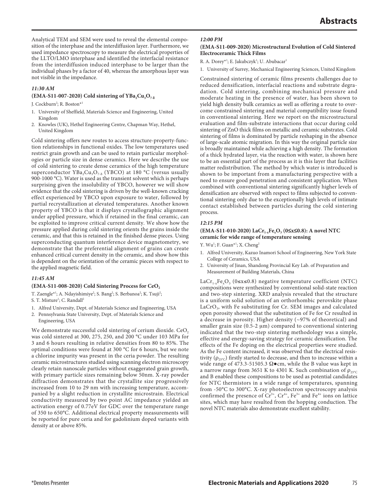Analytical TEM and SEM were used to reveal the elemental composition of the interphase and the interdiffusion layer. Furthermore, we used impedance spectroscopy to measure the electrical properties of the LLTO/LMO interphase and identified the interfacial resistance from the interdiffusion induced interphase to be larger than the individual phases by a factor of 40, whereas the amorphous layer was not visible in the impedance.

#### *11:30 AM*

#### $(EMA-S11-007-2020)$  Cold sintering of  $YBa<sub>2</sub>Cu<sub>3</sub>O<sub>7-8</sub>$

J. Cockburn<sup>2</sup>; R. Boston<sup>\*1</sup>

- 1. University of Sheffield, Materials Science and Engineering, United Kingdom
- 2. Knowles (UK), Hethel Engineering Centre, Chapman Way, Hethel, United Kingdom

Cold sintering offers new routes to access structure-property-function relationships in functional oxides. The low temperatures used restrict grain growth and can be used to retain particular morphologies or particle size in dense ceramics. Here we describe the use of cold sintering to create dense ceramics of the high temperature superconductor YBa<sub>2</sub>Cu<sub>3</sub>O<sub>7-δ</sub> (YBCO) at 180 °C (versus usually 900-1000 °C). Water is used as the transient solvent which is perhaps surprising given the insolubility of YBCO, however we will show evidence that the cold sintering is driven by the well-known cracking effect experienced by YBCO upon exposure to water, followed by partial recrystallization at elevated temperatures. Another known property of YBCO is that it displays crystallographic alignment under applied pressure, which if retained in the final ceramic, can be exploited to improve critical current density. We show how the pressure applied during cold sintering orients the grains inside the ceramic, and that this is retained in the finished dense pieces. Using superconducting quantum interference device magnetometry, we demonstrate that the preferential alignment of grains can create enhanced critical current density in the ceramic, and show how this is dependent on the orientation of the ceramic pieces with respect to the applied magnetic field.

#### *11:45 AM*

#### (EMA-S11-008-2020) Cold Sintering Process for CeO<sub>2</sub>

T. Zaengle\*<sup>1</sup>; A. Ndayishimiye<sup>2</sup>; S. Bang<sup>2</sup>; S. Berbanoa<sup>2</sup>; K. Tsuji<sup>2</sup>;

S. T. Misture<sup>1</sup>; C. Randall<sup>2</sup>

- 1. Alfred University, Dept. of Materials Science and Engineering, USA
- 2. Pennsylvania State University, Dept. of Materials Science and Engineering, USA

We demonstrate successful cold sintering of cerium dioxide. CeO<sub>2</sub> was cold sintered at 300, 275, 250, and 200 °C under 103 MPa for 3 and 6 hours resulting in relative densities from 80 to 85%. The optimal conditions were found at 300 °C for 6 hours, but we note a chlorine impurity was present in the ceria powder. The resulting ceramic microstructures studied using scanning electron microscopy clearly retain nanoscale particles without exaggerated grain growth, with primary particle sizes remaining below 50nm. X-ray powder diffraction demonstrates that the crystallite size progressively increased from 10 to 29 nm with increasing temperature, accompanied by a slight reduction in crystallite microstrain. Electrical conductivity measured by two point AC impedance yielded an activation energy of 0.77eV for GDC over the temperature range of 350 to 650°C. Additional electrical property measurements will be reported for pure ceria and for gadolinium doped variants with density at or above 85%.

#### *12:00 PM*

#### **(EMA-S11-009-2020) Microstructural Evolution of Cold Sintered Electroceramic Thick Films**

R. A. Dorey\*<sup>1</sup>; E. Jakubczyk<sup>1</sup>; U. Abubacar<sup>1</sup>

1. University of Surrey, Mechanical Engineering Sciences, United Kingdom

Constrained sintering of ceramic films presents challenges due to reduced densification, interfacial reactions and substrate degradation. Cold sintering, combining mechanical pressure and moderate heating in the presence of water, has been shown to yield high density bulk ceramics as well as offering a route to overcome constrained sintering and material compatibility issue found in conventional sintering. Here we report on the microstructural evaluation and film-substrate interactions that occur during cold sintering of ZnO thick films on metallic and ceramic substrates. Cold sintering of films is dominated by particle reshaping in the absence of large-scale atomic migration. In this way the original particle size is broadly maintained while achieving a high density. The formation of a thick hydrated layer, via the reaction with water, is shown here to be an essential part of the process as it is this layer that facilities matter redistribution. The method by which water is introduced is shown to be important from a manufacturing perspective with a need to ensure good penetration and consistent application. When combined with conventional sintering significantly higher levels of densification are observed with respect to films subjected to conventional sintering only due to the exceptionally high levels of intimate contact established between particles during the cold sintering process.

#### *12:15 PM*

#### **(EMA-S11-010-2020) LaCr1-xFexO3 (0≤x≤0.8): A novel NTC ceramic for wide range of temperature sensing**

Y. Wu<sup>1</sup>; F. Guan<sup>\*1</sup>; X. Cheng<sup>2</sup>

- 1. Alfred University, Kazuo Inamori School of Engineering, New York State College of Ceramics, USA
- 2. University of Jinan, Shandong Provincial Key Lab. of Preparation and Measurement of Building Materials, China

LaCr<sub>1-x</sub>Fe<sub>x</sub>O<sub>3</sub> (0≤x≤0.8) negative temperature coefficient (NTC) compositions were synthesized by conventional solid-state reaction and two-step sintering. XRD analysis revealed that the structure is a uniform solid solution of an orthorhombic perovskite phase LaCrO<sub>3</sub>, with Fe substituting for Cr. SEM images and calculated open porosity showed that the substitution of Fe for Cr resulted in a decrease in porosity. Higher density (~97% of theoretical) and smaller grain size (0.5-2 μm) compared to conventional sintering indicated that the two-step sintering methodology was a simple, effective and energy-saving strategy for ceramic densification. The effects of the Fe doping on the electrical properties were studied. As the Fe content increased, it was observed that the electrical resistivity ( $\rho_{25^{\circ}C}$ ) firstly started to decrease, and then to increase within a wide range of 473.3-51505.3  $\Omega \bullet$ cm, while the B value was kept in a narrow range from 3651 K to 4301 K. Such combination of  $ρ_{25°C}$ and B enabled these compositions to be used as potential candidates for NTC thermistors in a wide range of temperatures, spanning from -50°C to 300°C. X-ray photoelectron spectroscopy analysis confirmed the presence of  $Cr^{3+}$ ,  $Cr^{4+}$ ,  $Fe^{3+}$  and  $Fe^{4+}$  ions on lattice sites, which may have resulted from the hopping conduction. The novel NTC materials also demonstrate excellent stability.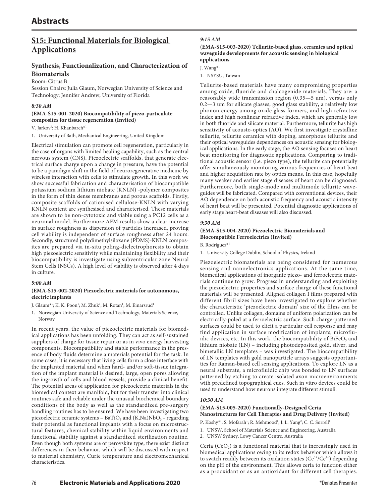# **S15: Functional Materials for Biological Applications**

# **Synthesis, Functionalization, and Characterization of Biomaterials**

#### Room: Citrus B

Session Chairs: Julia Glaum, Norwegian University of Science and Technology; Jennifer Andrew, University of Florida

#### *8:30 AM*

#### **(EMA-S15-001-2020) Biocompatibility of piezo-particulate composites for tissue regeneration (Invited)**

V. Jarkov<sup>1</sup>; H. Khanbareh<sup>\*1</sup>

1. University of Bath, Mechanical Engineering, United Kingdom

Electrical stimulation can promote cell regeneration, particularly in the case of organs with limited healing capability, such as the central nervous system (CNS). Piezoelectric scaffolds, that generate electrical surface charge upon a change in pressure, have the potential to be a paradigm shift in the field of neuroregenerative medicine by wireless interaction with cells to stimulate growth. In this work we show successful fabrication and characterisation of biocompatible potassium sodium lithium niobate (KNLN) -polymer composites in the form of thin dense membranes and porous scaffolds. Firstly, composite scaffolds of cationised cellulose-KNLN with varying KNLN content are synthesised and characterised. These materials are shown to be non-cytotoxic and viable using a PC12 cells as a neuronal model. Furthermore AFM results show a clear increase in surface roughness as dispersion of particles increased, proving cell viability is independent of surface roughness after 24 hours. Secondly, structured polydimethylsiloxane (PDMS)-KNLN composites are prepared via in-situ poling-dielectrophoresis to obtain high piezoelectric sensitivity while maintaining flexibility and their biocompatibility is investigate using subventricular zone Neural Stem Cells (NSCs). A high level of viability is observed after 4 days in culture.

#### *9:00 AM*

#### **(EMA-S15-002-2020) Piezoelectric materials for autonomous, electric implants**

J. Glaum\*<sup>1</sup>; K. K. Poon<sup>1</sup>; M. Zhuk<sup>1</sup>; M. Rotan<sup>1</sup>; M. Einarsrud<sup>1</sup>

1. Norwegian University of Science and Technology, Materials Science, Norway

In recent years, the value of piezoelectric materials for biomedical applications has been unfolding. They can act as self-sustained suppliers of charge for tissue repair or as in vivo energy harvesting components. Biocompatibility and stable performance in the presence of body fluids determine a materials potential for the task. In some cases, it is necessary that living cells form a close interface with the implanted material and when hard- and/or soft-tissue integration of the implant material is desired, large, open pores allowing the ingrowth of cells and blood vessels, provide a clinical benefit. The potential areas of application for piezoelectric materials in the biomedical context are manifold, but for their transfer into clinical routines safe and reliable under the unusual biochemical boundary conditions of the body as well as the standardized pre-surgery handling routines has to be ensured. We have been investigating two piezoelectric ceramic systems - BaTiO<sub>3</sub> and  $(K, Na)NbO<sub>3</sub>$  - regarding their potential as functional implants with a focus on microstructural features, chemical stability within liquid environments and functional stability against a standardized sterilization routine. Even though both systems are of perovskite type, there exist distinct differences in their behavior, which will be discussed with respect to material chemistry, Curie temperature and electromechanical characteristics.

#### *9:15 AM*

#### **(EMA-S15-003-2020) Tellurite-based glass, ceramics and optical waveguide developments for acoustic sensing in biological applications**

J. Wang\*1

1. NSYSU, Taiwan

Tellurite-based materials have many compromising properties among oxide, fluoride and chalcogenide materials. They are: a reasonably wide transmission region (0.35—5 um), versus only 0.2—3 um for silicate glasses, good glass stability, a relatively low phonon energy among oxide glass formers, and high refractive index and high nonlinear refractive index, which are generally low in both fluoride and silicate material. Furthermore, tellurite has high sensitivity of acousto-optics (AO). We first investigate crystalline tellurite, tellurite ceramics with doping, amorphous tellurite and their optical waveguides dependences on acoustic sensing for biological applications. In the early stage, the AO sensing focuses on heart beat monitoring for diagnostic applications. Comparing to traditional acoustic sensor (i.e. piezo type), the tellurite can potentially offer simultaneously monitoring various frequencies of heart beat and higher acquisition rate by optics means. In this case, hopefully many weaker and earlier stage diseases of heart can be diagnosed. Furthermore, both single-mode and multimode tellurite waveguides will be fabricated. Compared with conventional devices, their AO dependence on both acoustic frequency and acoustic intensity of heart beat will be presented. Potential diagnostic applications of early stage heart-beat diseases will also discussed.

#### *9:30 AM*

#### **(EMA-S15-004-2020) Piezoelectric Biomaterials and Biocompatible Ferroelectrics (Invited)**

B. Rodriguez\*1

1. University College Dublin, School of Physics, Ireland

Piezoelectric biomaterials are being considered for numerous sensing and nanoelectronics applications. At the same time, biomedical applications of inorganic piezo- and ferroelectric materials continue to grow. Progress in understanding and exploiting the piezoelectric properties and surface charge of these functional materials will be presented. Aligned collagen I films prepared with different fibril sizes have been investigated to explore whether the characteristic 'piezoelectric domain' size of the films can be controlled. Unlike collagen, domains of uniform polarization can be electrically-poled at a ferroelectric surface. Such charge-patterned surfaces could be used to elicit a particular cell response and may find application in surface modification of implants, microfluidic devices, etc. In this work, the biocompatibility of  $BiFeO<sub>3</sub>$  and lithium niobate (LN) – including photodeposited gold, silver, and bimetallic LN templates – was investigated. The biocompatibility of LN templates with gold nanoparticle arrays suggests opportunities for Raman-based cell sensing applications. To explore LN as a neural substrate, a microfluidic chip was bonded to LN surfaces patterned by etching to create isolated axon microenvironments with predefined topographical cues. Such in vitro devices could be used to understand how neurons integrate different stimuli.

#### *10:30 AM*

#### **(EMA-S15-005-2020) Functionally-Designed Ceria Nanostructures for Cell Therapies and Drug Delivery (Invited)**

P. Koshy\*<sup>1</sup>; S. Mofarah<sup>1</sup>; R. Mehmood<sup>1</sup>; J. L. Yang<sup>2</sup>; C. C. Sorrell<sup>1</sup>

- 1. UNSW, School of Materials Science and Engineering, Australia
- 2. UNSW Sydney, Lowy Cancer Centre, Australia

Ceria  $(CeO<sub>2</sub>)$  is a functional material that is increasingly used in biomedical applications owing to its redox behavior which allows it to switch readily between its oxidation states  $(Ce^{3+}/Ce^{4+})$  depending on the pH of the environment. This allows ceria to function either as a prooxidant or as an antioxidant for different cell therapies.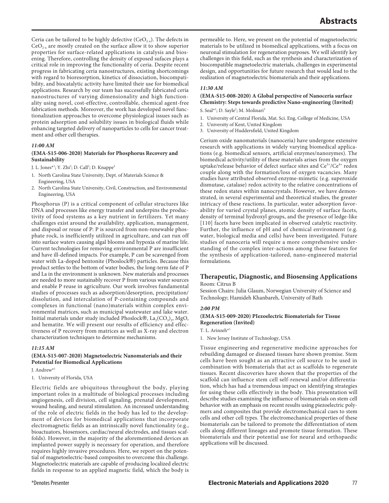Ceria can be tailored to be highly defective  $(CeO_{2-x})$ . The defects in  $CeO<sub>2-x</sub>$  are mostly created on the surface allow it to show superior properties for surface-related applications in catalysis and biosening. Therefore, controlling the density of exposed sufaces plays a critical role in improving the functionality of ceria. Despite recent progress in fabricating ceria nanostructures, existing shortcomings with regard to bioresorption, kinetics of dissociation, biocompatibility, and biocatalytic activity have limited their use for biomedical applications. Research by our team has successfully fabricated ceria nanostructures of varying dimensionality and high functionality using novel, cost-effective, controllable, chemical agent-free fabrication methods. Moreover, the work has developed novel functionalization approaches to overcome physiological issues such as protein adsorption and solubility issues in biological fluids while enhancing targeted delivery of nanoparticles to cells for cancer treatment and other cell therapies.

#### *11:00 AM*

#### **(EMA-S15-006-2020) Materials for Phosphorus Recovery and Sustainability**

- J. L. Jones\*<sup>1</sup>; Y. Zhi<sup>2</sup>; D. Call<sup>2</sup>; D. Knappe<sup>2</sup>
- 1. North Carolina State University, Dept. of Materials Science & Engineering, USA
- 2. North Carolina State University, Civil, Construction, and Environmental Engineering, USA

Phosphorus (P) is a critical component of cellular structures like DNA and processes like energy transfer and underpins the productivity of food systems as a key nutrient in fertilizers. Yet many challenges exist around the availability, application, management, and disposal or reuse of P: P is sourced from non-renewable phosphate rock, is inefficiently utilized in agriculture, and can run off into surface waters causing algal blooms and hypoxia of marine life. Current technologies for removing environmental P are insufficient and have ill-defined impacts. For example, P can be scavenged from water with La-doped bentonite (Phoslock®) particles. Because this product settles to the bottom of water bodies, the long-term fate of P and La in the environment is unknown. New materials and processes are needed to more sustainably recover P from various water sources and enable P reuse in agriculture. Our work involves fundamental studies of processes such as adsorption/desorption, precipitation/ dissolution, and intercalation of P-containing compounds and complexes in functional (nano)materials within complex environmental matrices, such as municipal wastewater and lake water. Initial materials under study included Phoslock®,  $La_2(CO_3)$ <sub>3</sub>, MgO, and hematite. We will present our results of efficiency and effectiveness of P recovery from matrices as well as X-ray and electron characterization techniques to determine mechanisms.

#### *11:15 AM*

#### **(EMA-S15-007-2020) Magnetoelectric Nanomaterials and their Potential for Biomedical Applications**

J. Andrew\*1

1. University of Florida, USA

Electric fields are ubiquitous throughout the body, playing important roles in a multitude of biological processes including angiogenesis, cell division, cell signaling, prenatal development, wound healing, and neural stimulation. An increased understanding of the role of electric fields in the body has led to the development of devices for biomedical applications that incorporate electromagnetic fields as an intrinsically novel functionality (e.g., bioactuators, biosensors, cardiac/neural electrodes, and tissues scaffolds). However, in the majority of the aforementioned devices an implanted power supply is necessary for operation, and therefore requires highly invasive procedures. Here, we report on the potential of magnetoelectric-based composites to overcome this challenge. Magnetoelectric materials are capable of producing localized electric fields in response to an applied magnetic field, which the body is

permeable to. Here, we present on the potential of magnetoelectric materials to be utilized in biomedical applications, with a focus on neuronal stimulation for regeneration purposes. We will identify key challenges in this field, such as the synthesis and characterization of biocompatible magnetoelectric materials, challenges in experimental design, and opportunities for future research that would lead to the realization of magnetoelectric biomaterials and their applications.

#### *11:30 AM*

#### **(EMA-S15-008-2020) A Global perspective of Nanoceria surface Chemistry: Steps towards predictive Nano-engineering (Invited)** S. Seal\*<sup>1</sup>; D. Sayle<sup>2</sup>; M. Molinari<sup>3</sup>

- 1. University of Central Florida, Mat. Sci. Eng, College of Medicine, USA
- 2. University of Kent, United Kingdom
- 3. University of Huddersfield, United Kingdom

Cerium oxide nanomaterials (nanoceria) have undergone extensive research with applications in widely varying biomedical applications (e.g. biomedical sensors, artificial enzymes/nanozymes). The biomedical activity/utility of these materials arises from the oxygen uptake/release behavior of defect surface sites and  $Ce^{3+}/Ce^{4+}$  redox couple along with the formation/loss of oxygen vacancies. Many studies have attributed observed enzyme-mimetic (e.g. superoxide dismutase, catalase) redox activity to the relative concentrations of these redox states within nanocrystals. However, we have demonstrated, in several experimental and theoretical studies, the greater intricacy of these reactions. In particular, water adsorption favorability for varied crystal planes, atomic density of surface facets, density of terminal hydroxyl groups, and the presence of ledge-like [110] facets have been implicated in observed catalytic reactivity. Further, the influence of pH and of chemical environment (e.g. water, biological media and cells) have been investigated. Future studies of nanoceria will require a more comprehensive understanding of the complex inter-actions among these features for the synthesis of application-tailored, nano-engineered material formulations.

#### **Therapeutic, Diagnostic, and Biosensing Applications** Room: Citrus B

Session Chairs: Julia Glaum, Norwegian University of Science and Technology; Hamideh Khanbareh, University of Bath

#### *2:00 PM*

#### **(EMA-S15-009-2020) PIezoelectric Biomaterials for Tissue Regeneration (Invited)**

T. L. Arinzeh\*1

1. New Jersey Institute of Technology, USA

Tissue engineering and regenerative medicine approaches for rebuilding damaged or diseased tissues have shown promise. Stem cells have been sought as an attractive cell source to be used in combination with biomaterials that act as scaffolds to regenerate tissues. Recent discoveries have shown that the properties of the scaffold can influence stem cell self-renewal and/or differentiation, which has had a tremendous impact on identifying strategies for using these cells effectively in the body. This presentation will describe studies examining the influence of biomaterials on stem cell behavior with an emphasis on recent results using piezoelectric polymers and composites that provide electromechanical cues to stem cells and other cell types. The electromechanical properties of these biomaterials can be tailored to promote the differentiation of stem cells along different lineages and promote tissue formation. These biomaterials and their potential use for neural and orthopaedic applications will be discussed.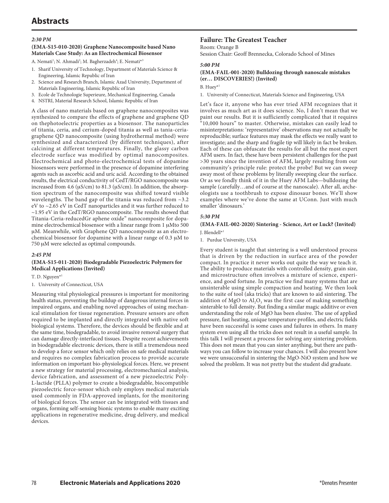# **Abstracts**

#### *2:30 PM*

#### **(EMA-S15-010-2020) Graphene Nanocomposite based Nano Materials Case Study: As an Electrochemical Biosensor**

A. Nemati<sup>1</sup>; N. Ahmadi<sup>2</sup>; M. Bagherzadeh<sup>4</sup>; E. Nemati<sup>\*3</sup>

- 1. Sharif University of Technology, Department of Materials Science & Engineering, Islamic Republic of Iran
- 2. Science and Research Branch, Islamic Azad University, Department of Materials Engineering, Islamic Republic of Iran
- 3. Ecole de Technologie Superieure, Mechanical Engineering, Canada
- 4. NSTRI, Material Research School, Islamic Republic of Iran

A class of nano materials based on graphene nanocomposites was synthesized to compare the effects of graphene and graphene QD on thephotoelectric properties as a biosensor. The nanoparticles of titania, ceria, and cerium-doped titania as well as tania-ceriagraphene QD nanocomposite (using hydrothermal method) were synthesized and characterized (by different techniques), after calcining at different temperatures. Finally, the glassy carbon electrode surface was modified by optimal nanocomposites. Electrochemical and photo-electrochemical tests of dopamine biosensors were performed in the presence of dopamine interfering agents such as ascorbic acid and uric acid. According to the obtained results, the electrical conductivity of CedT/RGO nanocomposite was increased from 4.6 (μS/cm) to 81.3 (μS/cm). In addition, the absorption spectrum of the nanocomposite was shifted toward visible wavelengths. The band gap of the titania was reduced from ~3.2 eV to ~2.65 eV in CedT nanoparticles and it was further reduced to ~1.95 eV in the CedT/RGO nanocomposite. The results showed that Titania-Ceria-reducedGr aphene oxide" nanocomposite for dopamine electrochemical biosensor with a linear range from 1 μMto 500 μM. Meanwhile, with Graphene QD nanocomposite as an electrochemical biosensor for dopamine with a linear range of 0.3 μM to 750 μM were selected as optimal compounds.

#### *2:45 PM*

#### **(EMA-S15-011-2020) Biodegradable Piezoelectric Polymers for Medical Applications (Invited)**

T. D. Nguyen\*1

1. University of Connecticut, USA

Measuring vital physiological pressures is important for monitoring health status, preventing the buildup of dangerous internal forces in impaired organs, and enabling novel approaches of using mechanical stimulation for tissue regeneration. Pressure sensors are often required to be implanted and directly integrated with native soft biological systems. Therefore, the devices should be flexible and at the same time, biodegradable, to avoid invasive removal surgery that can damage directly-interfaced tissues. Despite recent achievements in biodegradable electronic devices, there is still a tremendous need to develop a force sensor which only relies on safe medical materials and requires no complex fabrication process to provide accurate information on important bio-physiological forces. Here, we present a new strategy for material processing, electromechanical analysis, device fabrication, and assessment of a new piezoelectric Poly-L-lactide (PLLA) polymer to create a biodegradable, biocompatible piezoelectric force-sensor which only employs medical materials used commonly in FDA-approved implants, for the monitoring of biological forces. The sensor can be integrated with tissues and organs, forming self-sensing bionic systems to enable many exciting applications in regenerative medicine, drug delivery, and medical devices.

#### **Failure: The Greatest Teacher**

Room: Orange B

Session Chair: Geoff Brennecka, Colorado School of Mines

#### *5:00 PM*

#### **(EMA-FAIL-001-2020) Bulldozing through nanoscale mistakes (er… DISCOVERIES!) (Invited)**

B. Huey\*1

1. University of Connecticut, Materials Science and Engineering, USA

Let's face it, anyone who has ever tried AFM recognizes that it involves as much art as it does science. No, I don't mean that we paint our results. But it is sufficiently complicated that it requires "10,000 hours" to master. Otherwise, mistakes can easily lead to misinterpretations: 'representative' observations may not actually be reproducible; surface features may mask the effects we really want to investigate; and the sharp and fragile tip will likely in fact be broken. Each of these can obfuscate the results for all but the most expert AFM users. In fact, these have been persistent challenges for the past >30 years since the invention of AFM, largely resulting from our community's principle rule: protect the probe! But we can sweep away most of these problems by literally sweeping clear the surface. Or as we fondly think of it in the Huey AFM Labs—bulldozing the sample (carefully…and of course at the nanoscale). After all, archeologists use a toothbrush to expose dinosaur bones. We'll show examples where we've done the same at UConn. Just with much smaller 'dinosaurs.'

#### *5:30 PM*

**(EMA-FAIL-002-2020) Sintering - Science, Art or Luck? (Invited)** J. Blendell\*1

1. Purdue University, USA

Every student is taught that sintering is a well understood process that is driven by the reduction in surface area of the powder compact. In practice it never works out quite the way we teach it. The ability to produce materials with controlled density, grain size, and microstructure often involves a mixture of science, experience, and good fortune. In practice we find many systems that are unsinterable using simple compaction and heating. We then look to the suite of tool (aka tricks) that are known to aid sintering. The addition of MgO to  $\text{Al}_2\text{O}_3$  was the first case of making something sinterable to full density. But finding a similar magic additive or even understanding the role of MgO has been elusive. The use of applied pressure, fast heating, unique temperature profiles, and electric fields have been successful is some cases and failures in others. In many system even using all the tricks does not result in a useful sample. In this talk I will present a process for solving any sintering problem. This does not mean that you can sinter anything, but there are pathways you can follow to increase your chances. I will also present how we were unsuccessful in sintering the MgO-NiO system and how we solved the problem. It was not pretty but the student did graduate.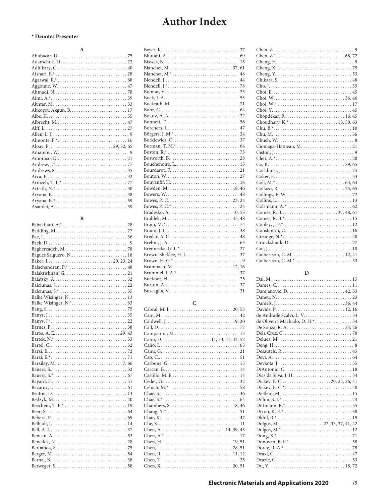#### **\* Denotes Presenter**

| $\mathbf{A}$    |
|-----------------|
|                 |
|                 |
|                 |
|                 |
|                 |
| Aggoune, W.  47 |
|                 |
|                 |
|                 |
|                 |
|                 |
|                 |
|                 |
|                 |
|                 |
|                 |
|                 |
|                 |
|                 |
|                 |
|                 |
|                 |
|                 |
|                 |
|                 |
|                 |

#### **B**

| Bagues Salguero, N 18 |
|-----------------------|
|                       |
|                       |
|                       |
|                       |
|                       |
|                       |
|                       |
|                       |
|                       |
|                       |
|                       |
|                       |
|                       |
|                       |
|                       |
|                       |
|                       |
|                       |
|                       |
|                       |
|                       |
|                       |
|                       |
|                       |
|                       |
|                       |
|                       |
|                       |
|                       |
|                       |
|                       |
|                       |
|                       |
|                       |
|                       |

| Bowes, P. C.* $\dots \dots \dots \dots \dots \dots \dots \dots \dots \dots \dots 24$ |
|--------------------------------------------------------------------------------------|
|                                                                                      |
|                                                                                      |
|                                                                                      |
|                                                                                      |
|                                                                                      |
|                                                                                      |
|                                                                                      |
|                                                                                      |
|                                                                                      |
| Brumbach, M.  12, 16                                                                 |
|                                                                                      |
|                                                                                      |
|                                                                                      |
|                                                                                      |
|                                                                                      |

### **C**

| Culbertson, C. M.  12, 41 |
|---------------------------|
|                           |

### **D**

| de Oliveira Machado, D. H.* 34 |
|--------------------------------|
|                                |
|                                |
|                                |
|                                |
|                                |
|                                |
|                                |
|                                |
|                                |
|                                |
|                                |
|                                |
|                                |
|                                |
|                                |
|                                |
|                                |
|                                |
|                                |
|                                |
|                                |
|                                |
|                                |
|                                |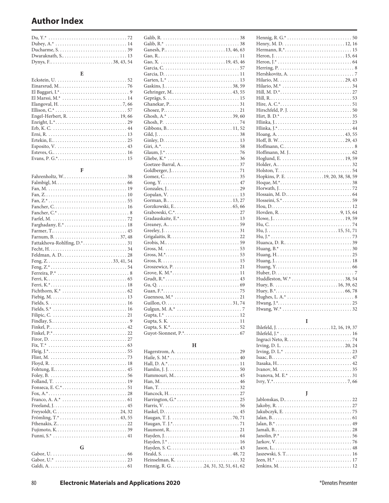| and the contract of the contract of the contract of the contract of the contract of the contract of the contract of |  |
|---------------------------------------------------------------------------------------------------------------------|--|

### **F**

| Farghadany, E.* 18 |
|--------------------|
|                    |
|                    |
|                    |
|                    |
|                    |
|                    |
|                    |
|                    |
|                    |
|                    |
|                    |
|                    |
|                    |
|                    |
|                    |
|                    |
|                    |
|                    |
|                    |
|                    |
|                    |
|                    |
|                    |
|                    |
|                    |
|                    |
|                    |
|                    |
|                    |
|                    |
|                    |
|                    |
|                    |
|                    |
|                    |
|                    |
| ⌒                  |

| $\mathbf{G}$ and $\mathbf{G}$ |
|-------------------------------|
|                               |
|                               |
|                               |

# **H**

| Hennig, R. G. 24, 31, 32, 51, 61, 62 |
|--------------------------------------|

| Henry, M. D.  12, 16                                                                 |  |
|--------------------------------------------------------------------------------------|--|
|                                                                                      |  |
|                                                                                      |  |
|                                                                                      |  |
|                                                                                      |  |
|                                                                                      |  |
|                                                                                      |  |
|                                                                                      |  |
|                                                                                      |  |
|                                                                                      |  |
|                                                                                      |  |
| Hire, A. C.*. $\dots \dots \dots \dots \dots \dots \dots \dots \dots \dots \dots 51$ |  |
|                                                                                      |  |
|                                                                                      |  |
|                                                                                      |  |
|                                                                                      |  |
|                                                                                      |  |
|                                                                                      |  |
|                                                                                      |  |
|                                                                                      |  |
|                                                                                      |  |
|                                                                                      |  |
|                                                                                      |  |
|                                                                                      |  |
|                                                                                      |  |
| Hopkins, P. E. 19, 20, 38, 58, 59                                                    |  |
|                                                                                      |  |
|                                                                                      |  |
|                                                                                      |  |
|                                                                                      |  |
|                                                                                      |  |
|                                                                                      |  |
|                                                                                      |  |
|                                                                                      |  |
|                                                                                      |  |
|                                                                                      |  |
|                                                                                      |  |
|                                                                                      |  |
|                                                                                      |  |
|                                                                                      |  |
|                                                                                      |  |
| Huang, $Y_1, \ldots, Y_n, \ldots, Y_n, \ldots, Y_n, \ldots, Y_n$                     |  |
|                                                                                      |  |
|                                                                                      |  |
|                                                                                      |  |
|                                                                                      |  |
| Hughes, L. A.* $\dots \dots \dots \dots \dots \dots \dots \dots \dots \dots 8$       |  |
|                                                                                      |  |

# **I**

| Irving, D. L.* $\dots \dots \dots \dots \dots \dots \dots \dots \dots \dots \dots \dots 23$ |
|---------------------------------------------------------------------------------------------|
|                                                                                             |
|                                                                                             |
|                                                                                             |
|                                                                                             |
|                                                                                             |
|                                                                                             |

**J**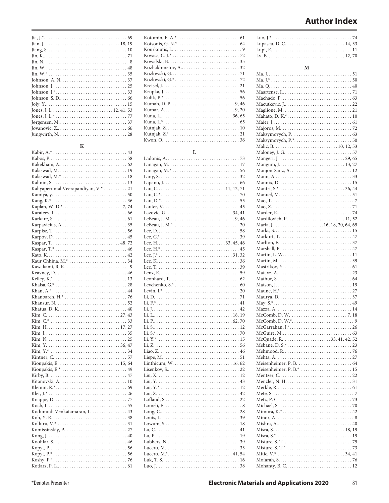| Jovanovic, $Z_{n_1}, \ldots, Z_{n_r}$ |
|---------------------------------------|
|                                       |

#### **K**

| Kalaswad, M.  19                                                             |
|------------------------------------------------------------------------------|
|                                                                              |
|                                                                              |
| Kaliyaperumal Veerapandiyan, V.*  21                                         |
|                                                                              |
|                                                                              |
|                                                                              |
|                                                                              |
|                                                                              |
|                                                                              |
|                                                                              |
|                                                                              |
|                                                                              |
|                                                                              |
|                                                                              |
|                                                                              |
|                                                                              |
|                                                                              |
|                                                                              |
|                                                                              |
|                                                                              |
|                                                                              |
|                                                                              |
|                                                                              |
|                                                                              |
|                                                                              |
|                                                                              |
|                                                                              |
| $Kim, N, \ldots, \ldots, \ldots, \ldots, \ldots, \ldots, \ldots, \ldots, 25$ |
|                                                                              |
|                                                                              |
|                                                                              |
|                                                                              |
|                                                                              |
|                                                                              |
|                                                                              |
|                                                                              |
|                                                                              |
|                                                                              |
|                                                                              |
|                                                                              |
| Kodumudi Venkatamaran, L. 43                                                 |
|                                                                              |
|                                                                              |
|                                                                              |
|                                                                              |
|                                                                              |
|                                                                              |
|                                                                              |
|                                                                              |
|                                                                              |

**L**

| 73               |
|------------------|
|                  |
|                  |
|                  |
|                  |
| Lau, C11, 12, 71 |
|                  |
|                  |
|                  |
|                  |
|                  |
|                  |
|                  |
|                  |
|                  |
|                  |
|                  |
|                  |
|                  |
|                  |
|                  |
|                  |
|                  |
|                  |
|                  |
|                  |
|                  |
|                  |
|                  |
|                  |
|                  |
|                  |
|                  |
|                  |
|                  |
|                  |
|                  |
|                  |
|                  |
|                  |
|                  |
|                  |
|                  |
|                  |
|                  |
|                  |
|                  |
|                  |
|                  |
|                  |
|                  |
|                  |
|                  |
|                  |

| M                                                                                        |  |
|------------------------------------------------------------------------------------------|--|
|                                                                                          |  |
|                                                                                          |  |
|                                                                                          |  |
|                                                                                          |  |
|                                                                                          |  |
|                                                                                          |  |
|                                                                                          |  |
|                                                                                          |  |
| Majoros, M. $\dots \dots \dots \dots \dots \dots \dots \dots \dots \dots \dots \dots 72$ |  |
|                                                                                          |  |
|                                                                                          |  |
|                                                                                          |  |
|                                                                                          |  |
|                                                                                          |  |
|                                                                                          |  |
|                                                                                          |  |
|                                                                                          |  |
|                                                                                          |  |
| Manuel, M51                                                                              |  |
|                                                                                          |  |
|                                                                                          |  |
| Mardilovich, P.  11, 52                                                                  |  |
|                                                                                          |  |
|                                                                                          |  |
|                                                                                          |  |
|                                                                                          |  |
|                                                                                          |  |
|                                                                                          |  |
|                                                                                          |  |
|                                                                                          |  |
|                                                                                          |  |
|                                                                                          |  |
|                                                                                          |  |
|                                                                                          |  |
|                                                                                          |  |
|                                                                                          |  |
|                                                                                          |  |
|                                                                                          |  |
|                                                                                          |  |
|                                                                                          |  |
|                                                                                          |  |
|                                                                                          |  |
|                                                                                          |  |
|                                                                                          |  |
|                                                                                          |  |
|                                                                                          |  |
|                                                                                          |  |
|                                                                                          |  |
|                                                                                          |  |
|                                                                                          |  |
|                                                                                          |  |
|                                                                                          |  |
|                                                                                          |  |
| Misra, $S^*$<br>19                                                                       |  |
|                                                                                          |  |
|                                                                                          |  |
|                                                                                          |  |
|                                                                                          |  |

Mohanty, B. C. . . 12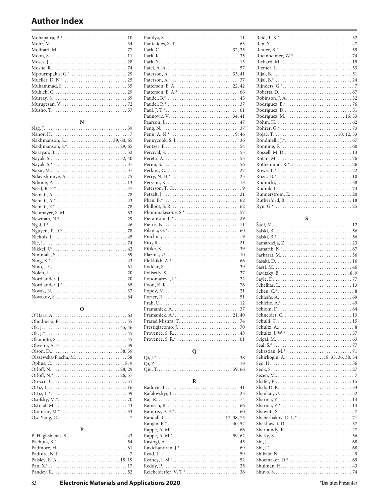| Moses, $J. \ldots \ldots \ldots \ldots \ldots \ldots \ldots \ldots \ldots \ldots \ldots \ldots 28$ |
|----------------------------------------------------------------------------------------------------|
|                                                                                                    |
|                                                                                                    |
|                                                                                                    |
|                                                                                                    |
|                                                                                                    |
|                                                                                                    |
|                                                                                                    |
|                                                                                                    |

# **N**

### **O**

#### **P**

| Patterson, E. A.*                                                                                         |
|-----------------------------------------------------------------------------------------------------------|
|                                                                                                           |
|                                                                                                           |
|                                                                                                           |
|                                                                                                           |
|                                                                                                           |
|                                                                                                           |
|                                                                                                           |
|                                                                                                           |
|                                                                                                           |
|                                                                                                           |
|                                                                                                           |
|                                                                                                           |
|                                                                                                           |
|                                                                                                           |
|                                                                                                           |
|                                                                                                           |
|                                                                                                           |
|                                                                                                           |
|                                                                                                           |
|                                                                                                           |
|                                                                                                           |
|                                                                                                           |
|                                                                                                           |
|                                                                                                           |
|                                                                                                           |
|                                                                                                           |
|                                                                                                           |
| 10                                                                                                        |
|                                                                                                           |
|                                                                                                           |
|                                                                                                           |
|                                                                                                           |
|                                                                                                           |
|                                                                                                           |
|                                                                                                           |
|                                                                                                           |
|                                                                                                           |
| Pramanick, $A$ , $\stackrel{*}{\ldots}$ , $\ldots$ , $\ldots$ , $\ldots$ , $\ldots$ , $\ldots$ , $21, 40$ |
|                                                                                                           |
|                                                                                                           |
|                                                                                                           |
|                                                                                                           |
|                                                                                                           |
|                                                                                                           |

# **Q**

### **R**

#### **S** Šadl, M. . . 12

| Schneider, C.  13                  |
|------------------------------------|
|                                    |
|                                    |
|                                    |
|                                    |
|                                    |
|                                    |
|                                    |
| Sehirlioglu, A. 18, 35, 36, 38, 54 |
|                                    |
|                                    |
|                                    |
|                                    |
|                                    |
|                                    |
|                                    |
|                                    |
|                                    |
|                                    |
| Shekhawat, D. 57                   |
|                                    |
|                                    |
|                                    |
|                                    |
|                                    |
|                                    |
|                                    |